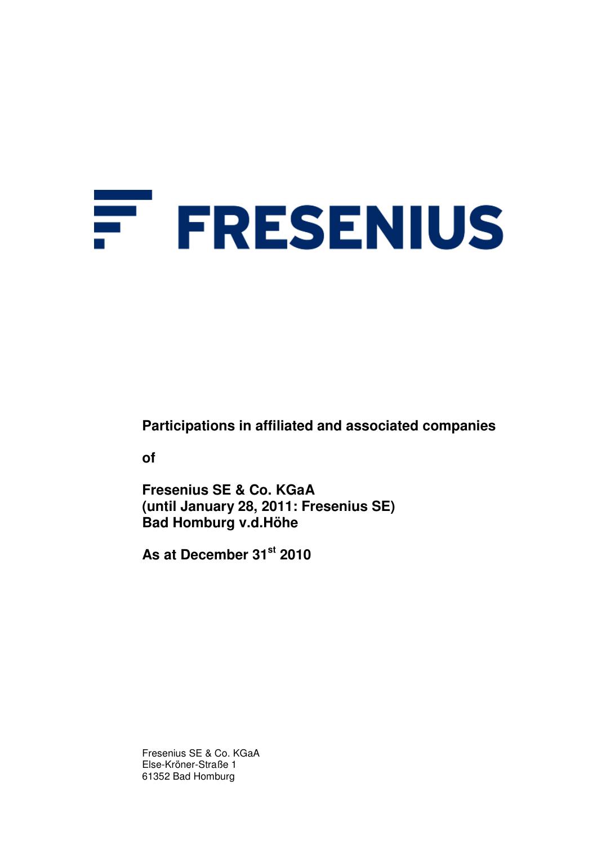# Ŧ **FRESENIUS**

**Participations in affiliated and associated companies** 

**of** 

**Fresenius SE & Co. KGaA (until January 28, 2011: Fresenius SE) Bad Homburg v.d.Höhe** 

**As at December 31st 2010** 

Fresenius SE & Co. KGaA Else-Kröner-Straße 1 61352 Bad Homburg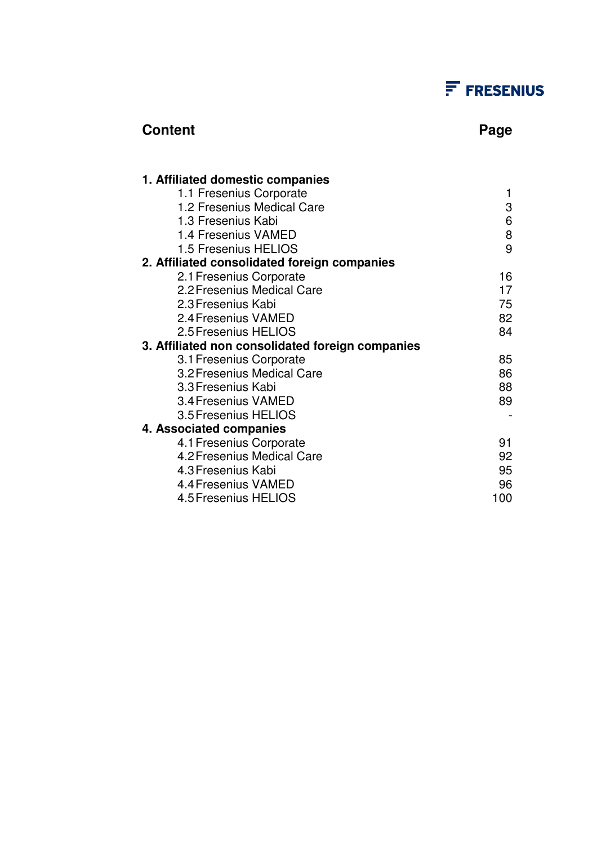## $F$  FRESENIUS

### **Content Page 2018**

| 1. Affiliated domestic companies                 |     |
|--------------------------------------------------|-----|
| 1.1 Fresenius Corporate                          | 1   |
| 1.2 Fresenius Medical Care                       | 3   |
| 1.3 Fresenius Kabi                               | 6   |
| 1.4 Fresenius VAMED                              | 8   |
| 1.5 Fresenius HELIOS                             | 9   |
| 2. Affiliated consolidated foreign companies     |     |
| 2.1 Fresenius Corporate                          | 16  |
| 2.2 Fresenius Medical Care                       | 17  |
| 2.3 Fresenius Kabi                               | 75  |
| 2.4 Fresenius VAMED                              | 82  |
| 2.5 Fresenius HELIOS                             | 84  |
| 3. Affiliated non consolidated foreign companies |     |
| 3.1 Fresenius Corporate                          | 85  |
| 3.2 Fresenius Medical Care                       | 86  |
| 3.3 Fresenius Kabi                               | 88  |
| 3.4 Fresenius VAMED                              | 89  |
| 3.5 Fresenius HELIOS                             |     |
| 4. Associated companies                          |     |
| 4.1 Fresenius Corporate                          | 91  |
| 4.2 Fresenius Medical Care                       | 92  |
| 4.3 Fresenius Kabi                               | 95  |
| 4.4 Fresenius VAMED                              | 96  |
| 4.5 Fresenius HELIOS                             | 100 |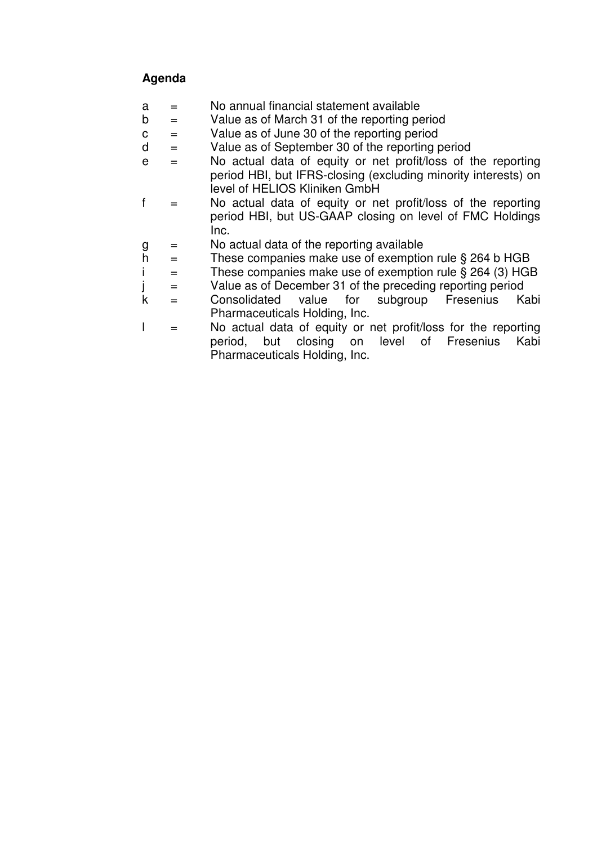### **Agenda**

- $a =$  No annual financial statement available
- $b =$  Value as of March 31 of the reporting period
- $c =$  Value as of June 30 of the reporting period
- $d =$  Value as of September 30 of the reporting period
- $e =$  No actual data of equity or net profit/loss of the reporting period HBI, but IFRS-closing (excluding minority interests) on level of HELIOS Kliniken GmbH
- $f =$  No actual data of equity or net profit/loss of the reporting period HBI, but US-GAAP closing on level of FMC Holdings Inc.
- $g =$  No actual data of the reporting available
- h  $=$  These companies make use of exemption rule § 264 b HGB
- i  $=$  These companies make use of exemption rule § 264 (3) HGB
- $j =$  Value as of December 31 of the preceding reporting period
- k = Consolidated value for subgroup Fresenius Kabi Pharmaceuticals Holding, Inc.
- $\vert$  = No actual data of equity or net profit/loss for the reporting period, but closing on level of Fresenius Kabi Pharmaceuticals Holding, Inc.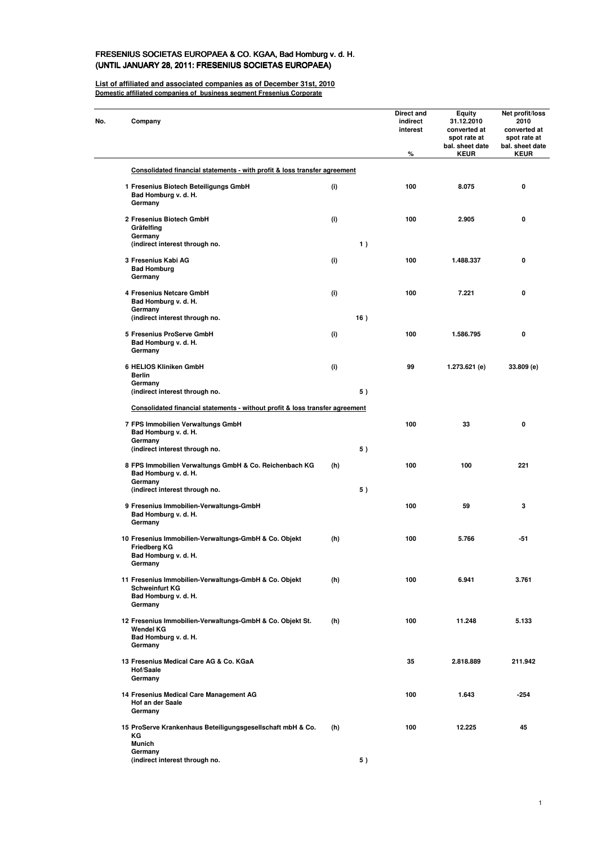#### FRESENIUS SOCIETAS EUROPAEA & CO. KGAA, Bad Homburg v. d. H. (UNTIL JANUARY 28, 2011: FRESENIUS SOCIETAS EUROPAEA)

**List of affiliated and associated companies as of December 31st, 2010 Domestic affiliated companies of business segment Fresenius Corporate**

 $\overline{\phantom{0}}$ 

| Company                                                                                                           |     |     | Direct and<br>indirect<br>interest<br>% | Equity<br>31.12.2010<br>converted at<br>spot rate at<br>bal. sheet date<br><b>KEUR</b> | Net profit/loss<br>2010<br>converted at<br>spot rate at<br>bal. sheet date<br><b>KEUR</b> |
|-------------------------------------------------------------------------------------------------------------------|-----|-----|-----------------------------------------|----------------------------------------------------------------------------------------|-------------------------------------------------------------------------------------------|
| Consolidated financial statements - with profit & loss transfer agreement                                         |     |     |                                         |                                                                                        |                                                                                           |
| 1 Fresenius Biotech Beteiligungs GmbH<br>Bad Homburg v. d. H.<br>Germany                                          | (i) |     | 100                                     | 8.075                                                                                  | 0                                                                                         |
| 2 Fresenius Biotech GmbH<br>Gräfelfing<br>Germany                                                                 | (i) |     | 100                                     | 2.905                                                                                  | 0                                                                                         |
| (indirect interest through no.                                                                                    |     | 1)  |                                         |                                                                                        |                                                                                           |
| 3 Fresenius Kabi AG<br><b>Bad Homburg</b><br>Germany                                                              | (i) |     | 100                                     | 1.488.337                                                                              | 0                                                                                         |
| 4 Fresenius Netcare GmbH<br>Bad Homburg v. d. H.<br>Germany                                                       | (i) |     | 100                                     | 7.221                                                                                  | 0                                                                                         |
| (indirect interest through no.                                                                                    |     | 16) |                                         |                                                                                        |                                                                                           |
| 5 Fresenius ProServe GmbH<br>Bad Homburg v. d. H.<br>Germany                                                      | (i) |     | 100                                     | 1.586.795                                                                              | 0                                                                                         |
| 6 HELIOS Kliniken GmbH<br>Berlin<br>Germany                                                                       | (i) |     | 99                                      | 1.273.621 (e)                                                                          | 33.809 (e)                                                                                |
| (indirect interest through no.                                                                                    |     | 5)  |                                         |                                                                                        |                                                                                           |
| Consolidated financial statements - without profit & loss transfer agreement                                      |     |     |                                         |                                                                                        |                                                                                           |
| 7 FPS Immobilien Verwaltungs GmbH<br>Bad Homburg v. d. H.<br>Germany                                              |     |     | 100                                     | 33                                                                                     | 0                                                                                         |
| (indirect interest through no.                                                                                    |     | 5)  |                                         |                                                                                        |                                                                                           |
| 8 FPS Immobilien Verwaltungs GmbH & Co. Reichenbach KG<br>Bad Homburg v. d. H.<br>Germany                         | (h) |     | 100                                     | 100                                                                                    | 221                                                                                       |
| (indirect interest through no.                                                                                    |     | 5)  |                                         |                                                                                        |                                                                                           |
| 9 Fresenius Immobilien-Verwaltungs-GmbH<br>Bad Homburg v. d. H.<br>Germany                                        |     |     | 100                                     | 59                                                                                     | 3                                                                                         |
| 10 Fresenius Immobilien-Verwaltungs-GmbH & Co. Objekt<br>Friedberg KG<br>Bad Homburg v. d. H.<br>Germany          | (h) |     | 100                                     | 5.766                                                                                  | $-51$                                                                                     |
| 11 Fresenius Immobilien-Verwaltungs-GmbH & Co. Objekt<br><b>Schweinfurt KG</b><br>Bad Homburg v. d. H.<br>Germany | (h) |     | 100                                     | 6.941                                                                                  | 3.761                                                                                     |
| 12 Fresenius Immobilien-Verwaltungs-GmbH & Co. Objekt St.<br>Wendel KG<br>Bad Homburg v. d. H.<br>Germany         | (h) |     | 100                                     | 11.248                                                                                 | 5.133                                                                                     |
| 13 Fresenius Medical Care AG & Co. KGaA<br>Hof/Saale<br>Germany                                                   |     |     | 35                                      | 2.818.889                                                                              | 211.942                                                                                   |
| 14 Fresenius Medical Care Management AG<br>Hof an der Saale<br>Germany                                            |     |     | 100                                     | 1.643                                                                                  | $-254$                                                                                    |
| 15 ProServe Krankenhaus Beteiligungsgesellschaft mbH & Co.<br>ΚG<br><b>Munich</b>                                 | (h) |     | 100                                     | 12.225                                                                                 | 45                                                                                        |
| Germany<br>(indirect interest through no.                                                                         |     | 5)  |                                         |                                                                                        |                                                                                           |
|                                                                                                                   |     |     |                                         |                                                                                        |                                                                                           |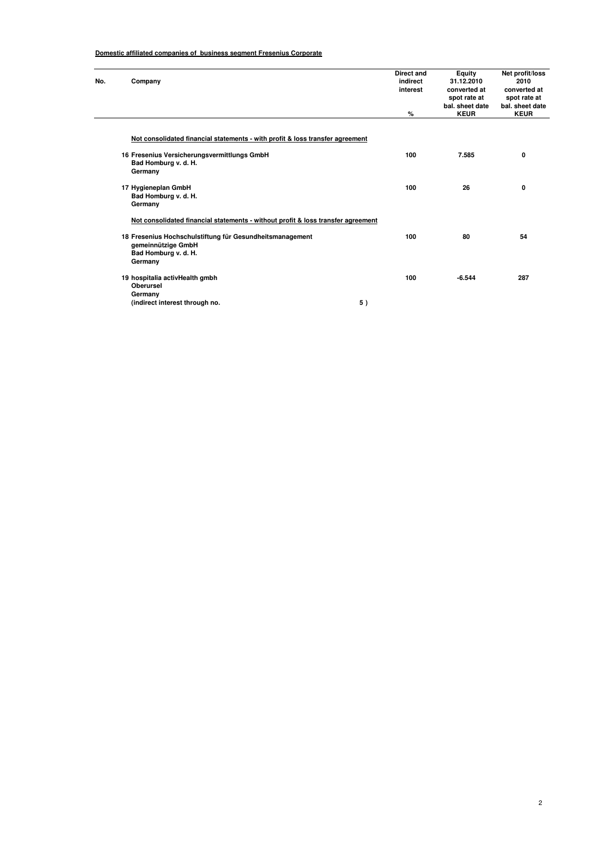#### **Domestic affiliated companies of business segment Fresenius Corporate**

| No. | Company                                                                          | Direct and<br>indirect<br>interest | Equity<br>31.12.2010<br>converted at<br>spot rate at<br>bal. sheet date | Net profit/loss<br>2010<br>converted at<br>spot rate at<br>bal. sheet date |
|-----|----------------------------------------------------------------------------------|------------------------------------|-------------------------------------------------------------------------|----------------------------------------------------------------------------|
|     |                                                                                  | %                                  | <b>KEUR</b>                                                             | <b>KEUR</b>                                                                |
|     | Not consolidated financial statements - with profit & loss transfer agreement    |                                    |                                                                         |                                                                            |
|     | 16 Fresenius Versicherungsvermittlungs GmbH<br>Bad Homburg v. d. H.              | 100                                | 7.585                                                                   | 0                                                                          |
|     | Germany                                                                          |                                    |                                                                         |                                                                            |
|     | 17 Hygieneplan GmbH                                                              | 100                                | 26                                                                      | 0                                                                          |
|     | Bad Homburg v. d. H.<br>Germany                                                  |                                    |                                                                         |                                                                            |
|     | Not consolidated financial statements - without profit & loss transfer agreement |                                    |                                                                         |                                                                            |
|     | 18 Fresenius Hochschulstiftung für Gesundheitsmanagement                         | 100                                | 80                                                                      | 54                                                                         |
|     | gemeinnützige GmbH<br>Bad Homburg v. d. H.<br>Germany                            |                                    |                                                                         |                                                                            |
|     | 19 hospitalia activHealth gmbh<br><b>Oberursel</b>                               | 100                                | $-6.544$                                                                | 287                                                                        |
|     | Germany                                                                          |                                    |                                                                         |                                                                            |
|     | 5)<br>(indirect interest through no.                                             |                                    |                                                                         |                                                                            |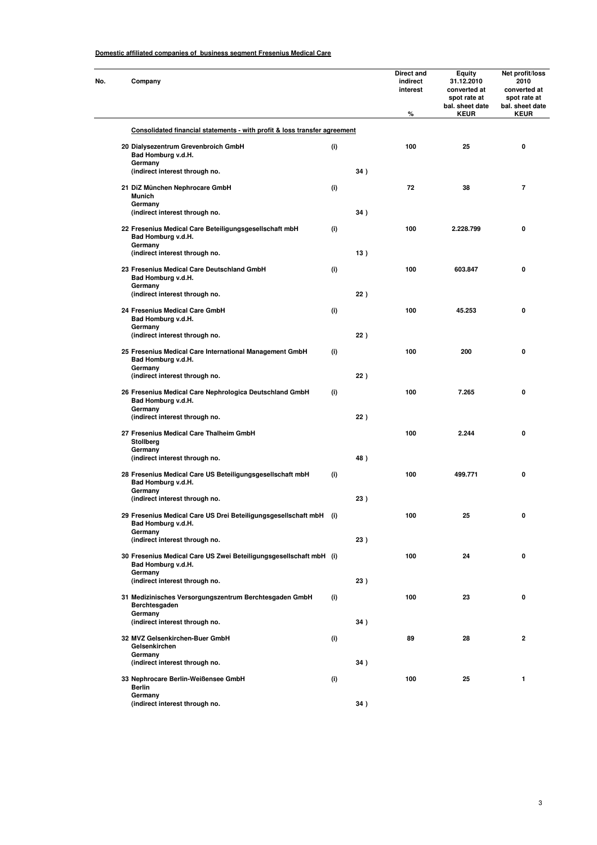#### **Domestic affiliated companies of business segment Fresenius Medical Care**

| No. | Company                                                                                  |     |     | Direct and<br>indirect<br>interest<br>% | Equity<br>31.12.2010<br>converted at<br>spot rate at<br>bal. sheet date<br><b>KEUR</b> | Net profit/loss<br>2010<br>converted at<br>spot rate at<br>bal. sheet date<br><b>KEUR</b> |
|-----|------------------------------------------------------------------------------------------|-----|-----|-----------------------------------------|----------------------------------------------------------------------------------------|-------------------------------------------------------------------------------------------|
|     | Consolidated financial statements - with profit & loss transfer agreement                |     |     |                                         |                                                                                        |                                                                                           |
|     | 20 Dialysezentrum Grevenbroich GmbH<br>Bad Homburg v.d.H.                                | (i) |     | 100                                     | 25                                                                                     | 0                                                                                         |
|     | Germany<br>(indirect interest through no.                                                |     | 34) |                                         |                                                                                        |                                                                                           |
|     | 21 DiZ München Nephrocare GmbH<br><b>Munich</b>                                          | (i) |     | 72                                      | 38                                                                                     | $\overline{7}$                                                                            |
|     | Germany<br>(indirect interest through no.                                                |     | 34) |                                         |                                                                                        |                                                                                           |
|     | 22 Fresenius Medical Care Beteiligungsgesellschaft mbH<br>Bad Homburg v.d.H.<br>Germany  | (i) |     | 100                                     | 2.228.799                                                                              | 0                                                                                         |
|     | (indirect interest through no.                                                           |     | 13) |                                         |                                                                                        |                                                                                           |
|     | 23 Fresenius Medical Care Deutschland GmbH<br>Bad Homburg v.d.H.<br>Germany              | (i) |     | 100                                     | 603.847                                                                                | 0                                                                                         |
|     | (indirect interest through no.                                                           |     | 22) |                                         |                                                                                        |                                                                                           |
|     | 24 Fresenius Medical Care GmbH<br>Bad Homburg v.d.H.<br>Germany                          | (i) |     | 100                                     | 45.253                                                                                 | 0                                                                                         |
|     | (indirect interest through no.                                                           |     | 22) |                                         |                                                                                        |                                                                                           |
|     | 25 Fresenius Medical Care International Management GmbH<br>Bad Homburg v.d.H.<br>Germany | (i) |     | 100                                     | 200                                                                                    | 0                                                                                         |
|     | (indirect interest through no.                                                           |     | 22) |                                         |                                                                                        |                                                                                           |
|     | 26 Fresenius Medical Care Nephrologica Deutschland GmbH<br>Bad Homburg v.d.H.<br>Germany | (i) |     | 100                                     | 7.265                                                                                  | 0                                                                                         |
|     | (indirect interest through no.                                                           |     | 22) |                                         |                                                                                        |                                                                                           |
|     | 27 Fresenius Medical Care Thalheim GmbH<br>Stollberg                                     |     |     | 100                                     | 2.244                                                                                  | 0                                                                                         |
|     | Germany<br>(indirect interest through no.                                                |     | 48) |                                         |                                                                                        |                                                                                           |
|     | 28 Fresenius Medical Care US Beteiligungsgesellschaft mbH<br>Bad Homburg v.d.H.          | (i) |     | 100                                     | 499.771                                                                                | 0                                                                                         |
|     | Germany<br>(indirect interest through no.                                                |     | 23) |                                         |                                                                                        |                                                                                           |
|     | 29 Fresenius Medical Care US Drei Beteiligungsgesellschaft mbH (i)<br>Bad Homburg v.d.H. |     |     | 100                                     | 25                                                                                     | 0                                                                                         |
|     | Germany<br>(indirect interest through no.                                                |     | 23) |                                         |                                                                                        |                                                                                           |
|     | 30 Fresenius Medical Care US Zwei Beteiligungsgesellschaft mbH (i)<br>Bad Homburg v.d.H. |     |     | 100                                     | 24                                                                                     | 0                                                                                         |
|     | Germany<br>(indirect interest through no.                                                |     | 23) |                                         |                                                                                        |                                                                                           |
|     | 31 Medizinisches Versorgungszentrum Berchtesgaden GmbH<br>Berchtesgaden<br>Germany       | (i) |     | 100                                     | 23                                                                                     | 0                                                                                         |
|     | (indirect interest through no.                                                           |     | 34) |                                         |                                                                                        |                                                                                           |
|     | 32 MVZ Gelsenkirchen-Buer GmbH<br>Gelsenkirchen                                          | (i) |     | 89                                      | 28                                                                                     | $\mathbf 2$                                                                               |
|     | Germany<br>(indirect interest through no.                                                |     | 34) |                                         |                                                                                        |                                                                                           |
|     | 33 Nephrocare Berlin-Weißensee GmbH<br><b>Berlin</b>                                     | (i) |     | 100                                     | 25                                                                                     | 1                                                                                         |
|     | Germany<br>(indirect interest through no.                                                |     | 34) |                                         |                                                                                        |                                                                                           |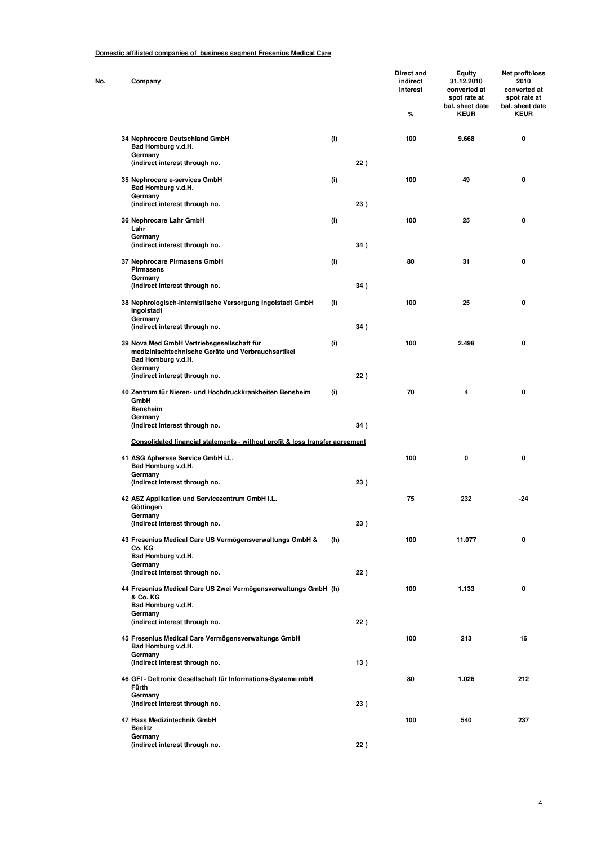#### **Domestic affiliated companies of business segment Fresenius Medical Care**

| Company                                                                                                                |     |     | Direct and<br>indirect<br>interest<br>$\%$ | Equity<br>31.12.2010<br>converted at<br>spot rate at<br>bal. sheet date<br><b>KEUR</b> | Net profit/loss<br>2010<br>converted at<br>spot rate at<br>bal. sheet date<br><b>KEUR</b> |
|------------------------------------------------------------------------------------------------------------------------|-----|-----|--------------------------------------------|----------------------------------------------------------------------------------------|-------------------------------------------------------------------------------------------|
| 34 Nephrocare Deutschland GmbH<br>Bad Homburg v.d.H.                                                                   | (i) |     | 100                                        | 9.668                                                                                  | 0                                                                                         |
| Germany<br>(indirect interest through no.                                                                              |     | 22) |                                            |                                                                                        |                                                                                           |
| 35 Nephrocare e-services GmbH<br>Bad Homburg v.d.H.<br>Germany                                                         | (i) |     | 100                                        | 49                                                                                     | 0                                                                                         |
| (indirect interest through no.                                                                                         |     | 23) |                                            |                                                                                        |                                                                                           |
| 36 Nephrocare Lahr GmbH<br>Lahr<br>Germany                                                                             | (i) |     | 100                                        | 25                                                                                     | 0                                                                                         |
| (indirect interest through no.                                                                                         |     | 34) |                                            |                                                                                        |                                                                                           |
| 37 Nephrocare Pirmasens GmbH<br><b>Pirmasens</b><br>Germany                                                            | (i) |     | 80                                         | 31                                                                                     | 0                                                                                         |
| (indirect interest through no.                                                                                         |     | 34) |                                            |                                                                                        |                                                                                           |
| 38 Nephrologisch-Internistische Versorgung Ingolstadt GmbH<br>Ingolstadt<br>Germany                                    | (i) |     | 100                                        | 25                                                                                     | 0                                                                                         |
| (indirect interest through no.                                                                                         |     | 34) |                                            |                                                                                        |                                                                                           |
| 39 Nova Med GmbH Vertriebsgesellschaft für<br>medizinischtechnische Geräte und Verbrauchsartikel<br>Bad Homburg v.d.H. | (i) |     | 100                                        | 2.498                                                                                  | 0                                                                                         |
| Germany<br>(indirect interest through no.                                                                              |     | 22) |                                            |                                                                                        |                                                                                           |
| 40 Zentrum für Nieren- und Hochdruckkrankheiten Bensheim<br>GmbH<br><b>Bensheim</b>                                    | (i) |     | 70                                         | 4                                                                                      | 0                                                                                         |
| Germany<br>(indirect interest through no.                                                                              |     | 34) |                                            |                                                                                        |                                                                                           |
| Consolidated financial statements - without profit & loss transfer agreement                                           |     |     |                                            |                                                                                        |                                                                                           |
| 41 ASG Apherese Service GmbH i.L.<br>Bad Homburg v.d.H.                                                                |     |     | 100                                        | 0                                                                                      | 0                                                                                         |
| Germany<br>(indirect interest through no.                                                                              |     | 23) |                                            |                                                                                        |                                                                                           |
| 42 ASZ Applikation und Servicezentrum GmbH i.L.<br>Göttingen                                                           |     |     | 75                                         | 232                                                                                    | $-24$                                                                                     |
| Germany<br>(indirect interest through no.                                                                              |     | 23) |                                            |                                                                                        |                                                                                           |
| 43 Fresenius Medical Care US Vermögensverwaltungs GmbH &<br>Co. KG                                                     | (h) |     | 100                                        | 11.077                                                                                 | 0                                                                                         |
| Bad Homburg v.d.H.<br>Germany<br>(indirect interest through no.                                                        |     | 22) |                                            |                                                                                        |                                                                                           |
| 44 Fresenius Medical Care US Zwei Vermögensverwaltungs GmbH (h)<br>& Co. KG<br>Bad Homburg v.d.H.                      |     |     | 100                                        | 1.133                                                                                  | 0                                                                                         |
| Germany<br>(indirect interest through no.                                                                              |     | 22) |                                            |                                                                                        |                                                                                           |
| 45 Fresenius Medical Care Vermögensverwaltungs GmbH<br>Bad Homburg v.d.H.                                              |     |     | 100                                        | 213                                                                                    | 16                                                                                        |
| Germany<br>(indirect interest through no.                                                                              |     | 13) |                                            |                                                                                        |                                                                                           |
| 46 GFI - Deltronix Gesellschaft für Informations-Systeme mbH<br>Fürth                                                  |     |     | 80                                         | 1.026                                                                                  | 212                                                                                       |
| Germany<br>(indirect interest through no.                                                                              |     | 23) |                                            |                                                                                        |                                                                                           |
| 47 Haas Medizintechnik GmbH<br><b>Beelitz</b>                                                                          |     |     | 100                                        | 540                                                                                    | 237                                                                                       |
| Germany<br>(indirect interest through no.                                                                              |     | 22) |                                            |                                                                                        |                                                                                           |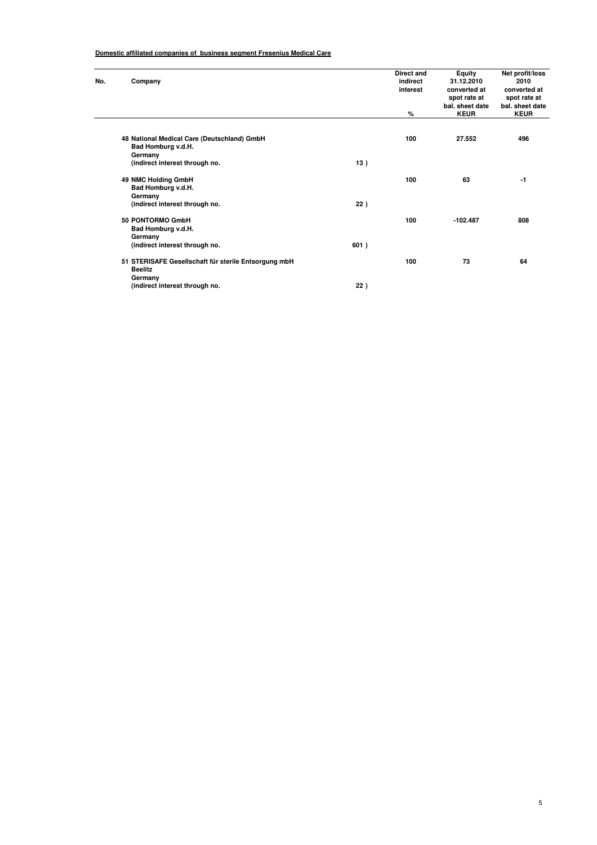#### **Domestic affiliated companies of business segment Fresenius Medical Care**

| No. | Company                                                                      |      | <b>Direct and</b><br>indirect<br>interest<br>% | Equity<br>31.12.2010<br>converted at<br>spot rate at<br>bal. sheet date<br><b>KEUR</b> | Net profit/loss<br>2010<br>converted at<br>spot rate at<br>bal. sheet date<br><b>KEUR</b> |
|-----|------------------------------------------------------------------------------|------|------------------------------------------------|----------------------------------------------------------------------------------------|-------------------------------------------------------------------------------------------|
|     |                                                                              |      |                                                |                                                                                        |                                                                                           |
|     | 48 National Medical Care (Deutschland) GmbH<br>Bad Homburg v.d.H.<br>Germany |      | 100                                            | 27.552                                                                                 | 496                                                                                       |
|     | (indirect interest through no.                                               | 13)  |                                                |                                                                                        |                                                                                           |
|     | 49 NMC Holding GmbH<br>Bad Homburg v.d.H.<br>Germany                         |      | 100                                            | 63                                                                                     | -1                                                                                        |
|     | (indirect interest through no.                                               | 22)  |                                                |                                                                                        |                                                                                           |
|     | 50 PONTORMO GmbH<br>Bad Homburg v.d.H.<br>Germany                            |      | 100                                            | $-102.487$                                                                             | 808                                                                                       |
|     | (indirect interest through no.                                               | 601) |                                                |                                                                                        |                                                                                           |
|     | 51 STERISAFE Gesellschaft für sterile Entsorgung mbH<br><b>Beelitz</b>       |      | 100                                            | 73                                                                                     | 64                                                                                        |
|     | Germany<br>(indirect interest through no.                                    | 22)  |                                                |                                                                                        |                                                                                           |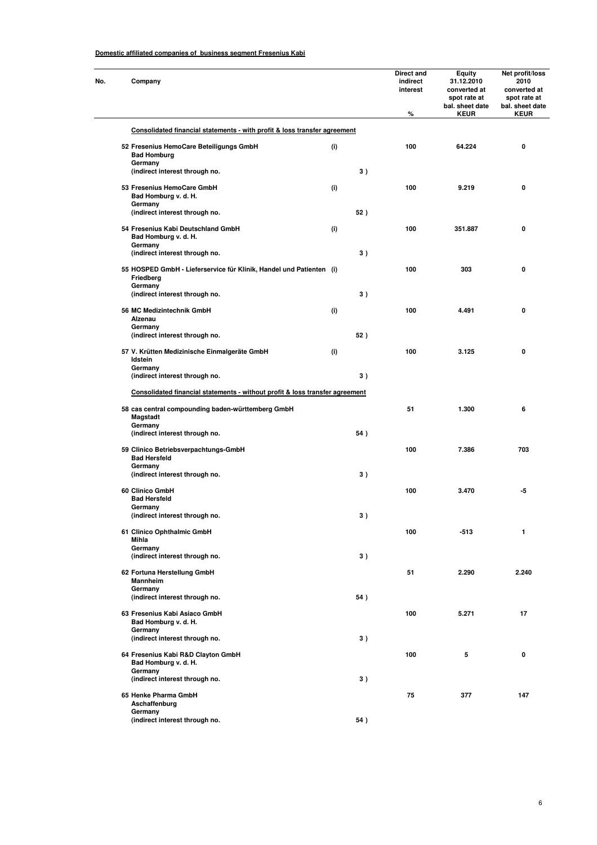| No. | Company                                                                          |     |     | Direct and<br>indirect<br>interest<br>% | Equity<br>31.12.2010<br>converted at<br>spot rate at<br>bal. sheet date<br><b>KEUR</b> | Net profit/loss<br>2010<br>converted at<br>spot rate at<br>bal. sheet date<br><b>KEUR</b> |
|-----|----------------------------------------------------------------------------------|-----|-----|-----------------------------------------|----------------------------------------------------------------------------------------|-------------------------------------------------------------------------------------------|
|     | Consolidated financial statements - with profit & loss transfer agreement        |     |     |                                         |                                                                                        |                                                                                           |
|     | 52 Fresenius HemoCare Beteiligungs GmbH<br><b>Bad Homburg</b>                    | (i) |     | 100                                     | 64.224                                                                                 | 0                                                                                         |
|     | Germany<br>(indirect interest through no.                                        |     | 3)  |                                         |                                                                                        |                                                                                           |
|     | 53 Fresenius HemoCare GmbH<br>Bad Homburg v. d. H.                               | (i) |     | 100                                     | 9.219                                                                                  | 0                                                                                         |
|     | Germany<br>(indirect interest through no.                                        |     | 52) |                                         |                                                                                        |                                                                                           |
|     | 54 Fresenius Kabi Deutschland GmbH                                               | (i) |     | 100                                     | 351.887                                                                                | 0                                                                                         |
|     | Bad Homburg v. d. H.<br>Germany<br>(indirect interest through no.                |     | 3)  |                                         |                                                                                        |                                                                                           |
|     | 55 HOSPED GmbH - Lieferservice für Klinik, Handel und Patienten (i)<br>Friedberg |     |     | 100                                     | 303                                                                                    | 0                                                                                         |
|     | Germany<br>(indirect interest through no.                                        |     | 3)  |                                         |                                                                                        |                                                                                           |
|     | 56 MC Medizintechnik GmbH<br>Alzenau                                             | (i) |     | 100                                     | 4.491                                                                                  | 0                                                                                         |
|     | Germany<br>(indirect interest through no.                                        |     | 52) |                                         |                                                                                        |                                                                                           |
|     | 57 V. Krütten Medizinische Einmalgeräte GmbH<br>Idstein                          | (i) |     | 100                                     | 3.125                                                                                  | 0                                                                                         |
|     | Germany<br>(indirect interest through no.                                        |     | 3)  |                                         |                                                                                        |                                                                                           |
|     | Consolidated financial statements - without profit & loss transfer agreement     |     |     |                                         |                                                                                        |                                                                                           |
|     | 58 cas central compounding baden-württemberg GmbH<br>Magstadt                    |     |     | 51                                      | 1.300                                                                                  | 6                                                                                         |
|     | Germany<br>(indirect interest through no.                                        |     | 54) |                                         |                                                                                        |                                                                                           |
|     | 59 Clinico Betriebsverpachtungs-GmbH<br><b>Bad Hersfeld</b><br>Germany           |     |     | 100                                     | 7.386                                                                                  | 703                                                                                       |
|     | (indirect interest through no.                                                   |     | 3)  |                                         |                                                                                        |                                                                                           |
|     | 60 Clinico GmbH<br><b>Bad Hersfeld</b>                                           |     |     | 100                                     | 3.470                                                                                  | -5                                                                                        |
|     | Germany<br>(indirect interest through no.                                        |     | 3)  |                                         |                                                                                        |                                                                                           |
|     | 61 Clinico Ophthalmic GmbH<br>Mihla                                              |     |     | 100                                     | $-513$                                                                                 | 1                                                                                         |
|     | Germany<br>(indirect interest through no.                                        |     | 3)  |                                         |                                                                                        |                                                                                           |
|     | 62 Fortuna Herstellung GmbH<br>Mannheim                                          |     |     | 51                                      | 2.290                                                                                  | 2.240                                                                                     |
|     | Germany<br>(indirect interest through no.                                        |     | 54) |                                         |                                                                                        |                                                                                           |
|     | 63 Fresenius Kabi Asiaco GmbH<br>Bad Homburg v. d. H.                            |     |     | 100                                     | 5.271                                                                                  | 17                                                                                        |
|     | Germany<br>(indirect interest through no.                                        |     | 3)  |                                         |                                                                                        |                                                                                           |
|     | 64 Fresenius Kabi R&D Clayton GmbH<br>Bad Homburg v. d. H.                       |     |     | 100                                     | 5                                                                                      | 0                                                                                         |
|     | Germany<br>(indirect interest through no.                                        |     | 3)  |                                         |                                                                                        |                                                                                           |
|     | 65 Henke Pharma GmbH<br>Aschaffenburg                                            |     |     | 75                                      | 377                                                                                    | 147                                                                                       |
|     | Germany<br>(indirect interest through no.                                        |     | 54) |                                         |                                                                                        |                                                                                           |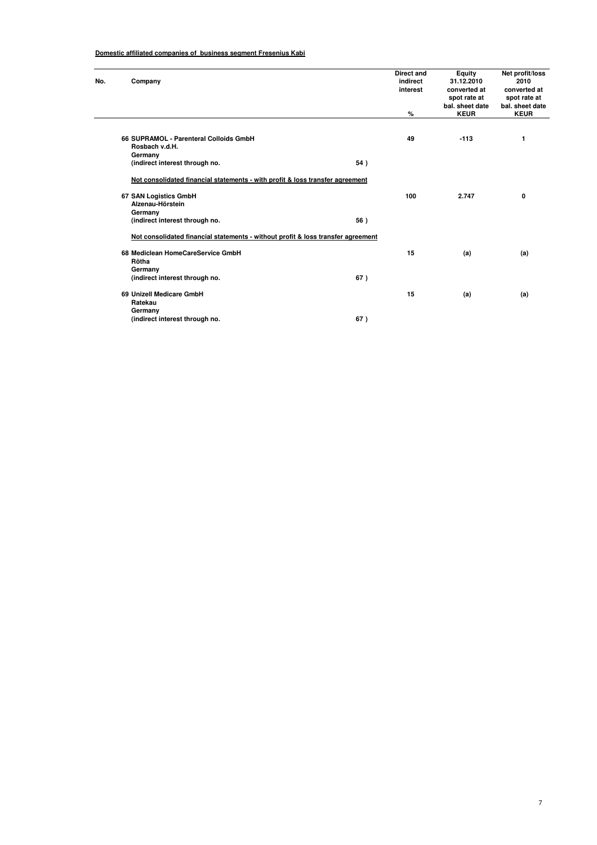| No. | Company                                                                          |     | <b>Direct and</b><br>indirect<br>interest | Equity<br>31.12.2010<br>converted at<br>spot rate at | Net profit/loss<br>2010<br>converted at<br>spot rate at |
|-----|----------------------------------------------------------------------------------|-----|-------------------------------------------|------------------------------------------------------|---------------------------------------------------------|
|     |                                                                                  |     | %                                         | bal. sheet date<br><b>KEUR</b>                       | bal. sheet date<br><b>KEUR</b>                          |
|     |                                                                                  |     |                                           |                                                      |                                                         |
|     | 66 SUPRAMOL - Parenteral Colloids GmbH                                           |     | 49                                        | $-113$                                               | 1                                                       |
|     | Rosbach v.d.H.                                                                   |     |                                           |                                                      |                                                         |
|     | Germany                                                                          |     |                                           |                                                      |                                                         |
|     | (indirect interest through no.                                                   | 54) |                                           |                                                      |                                                         |
|     | Not consolidated financial statements - with profit & loss transfer agreement    |     |                                           |                                                      |                                                         |
|     | 67 SAN Logistics GmbH                                                            |     | 100                                       | 2.747                                                | 0                                                       |
|     | Alzenau-Hörstein                                                                 |     |                                           |                                                      |                                                         |
|     | Germany                                                                          |     |                                           |                                                      |                                                         |
|     | (indirect interest through no.                                                   | 56) |                                           |                                                      |                                                         |
|     | Not consolidated financial statements - without profit & loss transfer agreement |     |                                           |                                                      |                                                         |
|     | 68 Mediclean HomeCareService GmbH                                                |     | 15                                        | (a)                                                  | (a)                                                     |
|     | Rötha                                                                            |     |                                           |                                                      |                                                         |
|     | Germany                                                                          |     |                                           |                                                      |                                                         |
|     | (indirect interest through no.                                                   | 67) |                                           |                                                      |                                                         |
|     | 69 Unizell Medicare GmbH                                                         |     | 15                                        | (a)                                                  | (a)                                                     |
|     | Ratekau                                                                          |     |                                           |                                                      |                                                         |
|     | Germany                                                                          |     |                                           |                                                      |                                                         |
|     | (indirect interest through no.                                                   | 67) |                                           |                                                      |                                                         |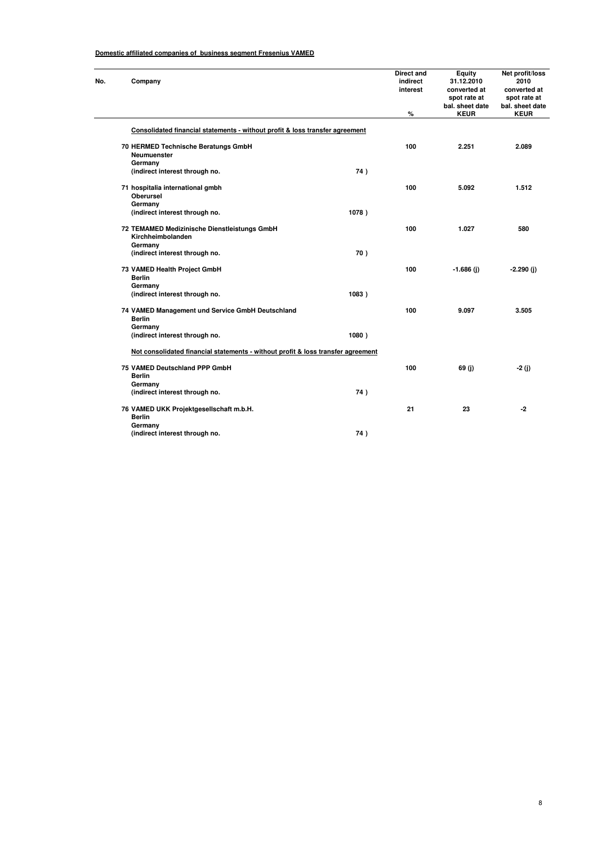| No. | Company                                                                          |       | Direct and<br>indirect<br>interest<br>% | Equity<br>31.12.2010<br>converted at<br>spot rate at<br>bal. sheet date<br><b>KEUR</b> | Net profit/loss<br>2010<br>converted at<br>spot rate at<br>bal. sheet date<br><b>KEUR</b> |
|-----|----------------------------------------------------------------------------------|-------|-----------------------------------------|----------------------------------------------------------------------------------------|-------------------------------------------------------------------------------------------|
|     | Consolidated financial statements - without profit & loss transfer agreement     |       |                                         |                                                                                        |                                                                                           |
|     | 70 HERMED Technische Beratungs GmbH<br>Neumuenster<br>Germany                    |       | 100                                     | 2.251                                                                                  | 2.089                                                                                     |
|     | (indirect interest through no.                                                   | 74)   |                                         |                                                                                        |                                                                                           |
|     | 71 hospitalia international gmbh<br><b>Oberursel</b><br>Germany                  |       | 100                                     | 5.092                                                                                  | 1.512                                                                                     |
|     | (indirect interest through no.                                                   | 1078) |                                         |                                                                                        |                                                                                           |
|     | 72 TEMAMED Medizinische Dienstleistungs GmbH<br>Kirchheimbolanden<br>Germany     |       | 100                                     | 1.027                                                                                  | 580                                                                                       |
|     | (indirect interest through no.                                                   | 70)   |                                         |                                                                                        |                                                                                           |
|     | 73 VAMED Health Project GmbH<br><b>Berlin</b>                                    |       | 100                                     | $-1.686$ (j)                                                                           | $-2.290(j)$                                                                               |
|     | Germany<br>(indirect interest through no.                                        | 1083) |                                         |                                                                                        |                                                                                           |
|     | 74 VAMED Management und Service GmbH Deutschland<br><b>Berlin</b><br>Germany     |       | 100                                     | 9.097                                                                                  | 3.505                                                                                     |
|     | (indirect interest through no.                                                   | 1080) |                                         |                                                                                        |                                                                                           |
|     | Not consolidated financial statements - without profit & loss transfer agreement |       |                                         |                                                                                        |                                                                                           |
|     | 75 VAMED Deutschland PPP GmbH<br><b>Berlin</b>                                   |       | 100                                     | 69(j)                                                                                  | $-2(j)$                                                                                   |
|     | Germany<br>(indirect interest through no.                                        | 74)   |                                         |                                                                                        |                                                                                           |
|     |                                                                                  |       |                                         |                                                                                        |                                                                                           |
|     | 76 VAMED UKK Projektgesellschaft m.b.H.<br><b>Berlin</b><br>Germany              |       | 21                                      | 23                                                                                     | $-2$                                                                                      |
|     | (indirect interest through no.                                                   | 74)   |                                         |                                                                                        |                                                                                           |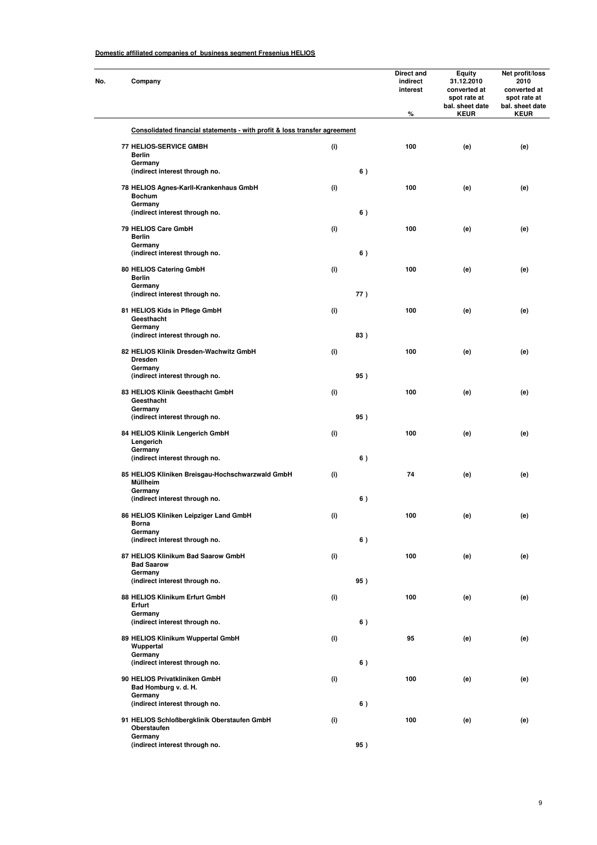| No. | Company                                                                   |                              |     | Direct and<br>indirect<br>interest<br>$\%$ | <b>Equity</b><br>31.12.2010<br>converted at<br>spot rate at<br>bal. sheet date<br><b>KEUR</b> | Net profit/loss<br>2010<br>converted at<br>spot rate at<br>bal. sheet date<br><b>KEUR</b> |
|-----|---------------------------------------------------------------------------|------------------------------|-----|--------------------------------------------|-----------------------------------------------------------------------------------------------|-------------------------------------------------------------------------------------------|
|     | Consolidated financial statements - with profit & loss transfer agreement |                              |     |                                            |                                                                                               |                                                                                           |
|     |                                                                           |                              |     |                                            |                                                                                               |                                                                                           |
|     | <b>77 HELIOS-SERVICE GMBH</b><br><b>Berlin</b>                            | (i)                          |     | 100                                        | (e)                                                                                           | (e)                                                                                       |
|     | Germany<br>(indirect interest through no.                                 |                              | 6)  |                                            |                                                                                               |                                                                                           |
|     | 78 HELIOS Agnes-Karll-Krankenhaus GmbH<br><b>Bochum</b>                   | (i)                          |     | 100                                        | (e)                                                                                           | (e)                                                                                       |
|     | Germany<br>(indirect interest through no.                                 |                              | 6)  |                                            |                                                                                               |                                                                                           |
|     | 79 HELIOS Care GmbH                                                       | (i)                          |     | 100                                        | (e)                                                                                           | (e)                                                                                       |
|     | <b>Berlin</b><br>Germany                                                  |                              |     |                                            |                                                                                               |                                                                                           |
|     | (indirect interest through no.                                            |                              | 6)  |                                            |                                                                                               |                                                                                           |
|     | 80 HELIOS Catering GmbH<br><b>Berlin</b>                                  | (i)                          |     | 100                                        | (e)                                                                                           | (e)                                                                                       |
|     | Germany                                                                   |                              |     |                                            |                                                                                               |                                                                                           |
|     | (indirect interest through no.                                            |                              | 77) |                                            |                                                                                               |                                                                                           |
|     | 81 HELIOS Kids in Pflege GmbH<br>Geesthacht                               | (i)                          |     | 100                                        | (e)                                                                                           | (e)                                                                                       |
|     | Germany<br>(indirect interest through no.                                 |                              | 83) |                                            |                                                                                               |                                                                                           |
|     |                                                                           |                              |     |                                            |                                                                                               |                                                                                           |
|     | 82 HELIOS Klinik Dresden-Wachwitz GmbH<br><b>Dresden</b>                  | (i)                          |     | 100                                        | (e)                                                                                           | (e)                                                                                       |
|     | Germany<br>(indirect interest through no.                                 |                              | 95) |                                            |                                                                                               |                                                                                           |
|     | 83 HELIOS Klinik Geesthacht GmbH<br>Geesthacht                            | (i)                          |     | 100                                        | (e)                                                                                           | (e)                                                                                       |
|     | Germany<br>(indirect interest through no.                                 |                              | 95) |                                            |                                                                                               |                                                                                           |
|     | 84 HELIOS Klinik Lengerich GmbH                                           | (i)                          |     | 100                                        | (e)                                                                                           | (e)                                                                                       |
|     | Lengerich                                                                 |                              |     |                                            |                                                                                               |                                                                                           |
|     | Germany<br>(indirect interest through no.                                 |                              | 6)  |                                            |                                                                                               |                                                                                           |
|     | 85 HELIOS Kliniken Breisgau-Hochschwarzwald GmbH<br>Müllheim              | (i)                          |     | 74                                         | (e)                                                                                           | (e)                                                                                       |
|     | Germany<br>(indirect interest through no.                                 |                              | 6)  |                                            |                                                                                               |                                                                                           |
|     | 86 HELIOS Kliniken Leipziger Land GmbH                                    | $\qquad \qquad \textbf{(i)}$ |     | 100                                        | (e)                                                                                           | (e)                                                                                       |
|     | Borna<br>Germany                                                          |                              |     |                                            |                                                                                               |                                                                                           |
|     | (indirect interest through no.                                            |                              | 6)  |                                            |                                                                                               |                                                                                           |
|     | 87 HELIOS Klinikum Bad Saarow GmbH<br><b>Bad Saarow</b>                   | (i)                          |     | 100                                        | (e)                                                                                           | (e)                                                                                       |
|     | Germany                                                                   |                              |     |                                            |                                                                                               |                                                                                           |
|     | (indirect interest through no.                                            |                              | 95) |                                            |                                                                                               |                                                                                           |
|     | 88 HELIOS Klinikum Erfurt GmbH<br>Erfurt<br>Germany                       | (i)                          |     | 100                                        | (e)                                                                                           | (e)                                                                                       |
|     | (indirect interest through no.                                            |                              | 6)  |                                            |                                                                                               |                                                                                           |
|     | 89 HELIOS Klinikum Wuppertal GmbH<br>Wuppertal<br>Germany                 | (i)                          |     | 95                                         | (e)                                                                                           | (e)                                                                                       |
|     | (indirect interest through no.                                            |                              | 6)  |                                            |                                                                                               |                                                                                           |
|     | 90 HELIOS Privatkliniken GmbH<br>Bad Homburg v. d. H.                     | (i)                          |     | 100                                        | (e)                                                                                           | (e)                                                                                       |
|     | Germany<br>(indirect interest through no.                                 |                              | 6)  |                                            |                                                                                               |                                                                                           |
|     | 91 HELIOS Schloßbergklinik Oberstaufen GmbH<br>Oberstaufen                | (i)                          |     | 100                                        | (e)                                                                                           | (e)                                                                                       |
|     | Germany<br>(indirect interest through no.                                 |                              | 95) |                                            |                                                                                               |                                                                                           |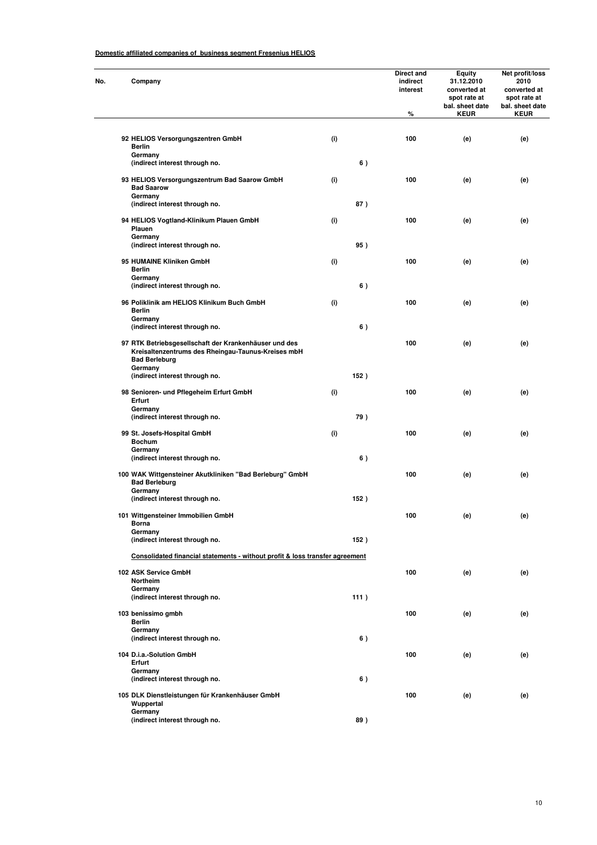| No. | Company                             |                                                                                                             |     |      | Direct and<br>indirect<br>interest<br>% | <b>Equity</b><br>31.12.2010<br>converted at<br>spot rate at<br>bal. sheet date<br><b>KEUR</b> | Net profit/loss<br>2010<br>converted at<br>spot rate at<br>bal. sheet date<br><b>KEUR</b> |
|-----|-------------------------------------|-------------------------------------------------------------------------------------------------------------|-----|------|-----------------------------------------|-----------------------------------------------------------------------------------------------|-------------------------------------------------------------------------------------------|
|     |                                     | 92 HELIOS Versorgungszentren GmbH                                                                           | (i) |      | 100                                     | (e)                                                                                           | (e)                                                                                       |
|     | <b>Berlin</b><br>Germany            |                                                                                                             |     |      |                                         |                                                                                               |                                                                                           |
|     |                                     | (indirect interest through no.                                                                              |     | 6)   |                                         |                                                                                               |                                                                                           |
|     | <b>Bad Saarow</b><br>Germany        | 93 HELIOS Versorgungszentrum Bad Saarow GmbH                                                                | (i) |      | 100                                     | (e)                                                                                           | (e)                                                                                       |
|     |                                     | (indirect interest through no.                                                                              |     | 87)  |                                         |                                                                                               |                                                                                           |
|     | Plauen<br>Germany                   | 94 HELIOS Vogtland-Klinikum Plauen GmbH                                                                     | (i) |      | 100                                     | (e)                                                                                           | (e)                                                                                       |
|     |                                     | (indirect interest through no.                                                                              |     | 95)  |                                         |                                                                                               |                                                                                           |
|     | <b>Berlin</b>                       | 95 HUMAINE Kliniken GmbH                                                                                    | (i) |      | 100                                     | (e)                                                                                           | (e)                                                                                       |
|     | Germany                             | (indirect interest through no.                                                                              |     | 6)   |                                         |                                                                                               |                                                                                           |
|     | <b>Berlin</b>                       | 96 Poliklinik am HELIOS Klinikum Buch GmbH                                                                  | (i) |      | 100                                     | (e)                                                                                           | (e)                                                                                       |
|     | Germany                             | (indirect interest through no.                                                                              |     | 6)   |                                         |                                                                                               |                                                                                           |
|     | <b>Bad Berleburg</b>                | 97 RTK Betriebsgesellschaft der Krankenhäuser und des<br>Kreisaltenzentrums des Rheingau-Taunus-Kreises mbH |     |      | 100                                     | (e)                                                                                           | (e)                                                                                       |
|     | Germany                             | (indirect interest through no.                                                                              |     | 152) |                                         |                                                                                               |                                                                                           |
|     | Erfurt                              | 98 Senioren- und Pflegeheim Erfurt GmbH                                                                     | (i) |      | 100                                     | (e)                                                                                           | (e)                                                                                       |
|     | Germany                             | (indirect interest through no.                                                                              |     | 79)  |                                         |                                                                                               |                                                                                           |
|     | <b>Bochum</b>                       | 99 St. Josefs-Hospital GmbH                                                                                 | (i) |      | 100                                     | (e)                                                                                           | (e)                                                                                       |
|     | Germany                             | (indirect interest through no.                                                                              |     | 6)   |                                         |                                                                                               |                                                                                           |
|     | <b>Bad Berleburg</b>                | 100 WAK Wittgensteiner Akutkliniken "Bad Berleburg" GmbH                                                    |     |      | 100                                     | (e)                                                                                           | (e)                                                                                       |
|     | Germany                             | (indirect interest through no.                                                                              |     | 152) |                                         |                                                                                               |                                                                                           |
|     | Borna                               | 101 Wittgensteiner Immobilien GmbH                                                                          |     |      | 100                                     | (e)                                                                                           | (e)                                                                                       |
|     | Germany                             | (indirect interest through no.                                                                              |     | 152) |                                         |                                                                                               |                                                                                           |
|     |                                     | Consolidated financial statements - without profit & loss transfer agreement                                |     |      |                                         |                                                                                               |                                                                                           |
|     | 102 ASK Service GmbH<br>Northeim    |                                                                                                             |     |      | 100                                     | (e)                                                                                           | (e)                                                                                       |
|     | Germany                             | (indirect interest through no.                                                                              |     | 111) |                                         |                                                                                               |                                                                                           |
|     | 103 benissimo gmbh<br><b>Berlin</b> |                                                                                                             |     |      | 100                                     | (e)                                                                                           | (e)                                                                                       |
|     | Germany                             | (indirect interest through no.                                                                              |     | 6)   |                                         |                                                                                               |                                                                                           |
|     | 104 D.i.a.-Solution GmbH<br>Erfurt  |                                                                                                             |     |      | 100                                     | (e)                                                                                           | (e)                                                                                       |
|     | Germany                             | (indirect interest through no.                                                                              |     | 6)   |                                         |                                                                                               |                                                                                           |
|     | Wuppertal                           | 105 DLK Dienstleistungen für Krankenhäuser GmbH                                                             |     |      | 100                                     | (e)                                                                                           | (e)                                                                                       |
|     | Germany                             | (indirect interest through no.                                                                              |     | 89)  |                                         |                                                                                               |                                                                                           |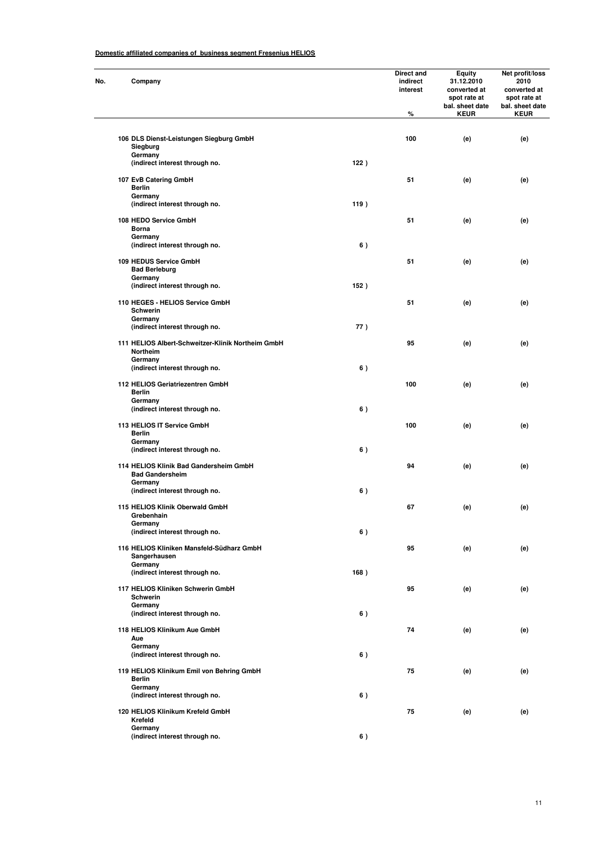| No. | Company                                                                     |      | Direct and<br>indirect<br>interest<br>$\%$ | Equity<br>31.12.2010<br>converted at<br>spot rate at<br>bal. sheet date<br><b>KEUR</b> | Net profit/loss<br>2010<br>converted at<br>spot rate at<br>bal. sheet date<br><b>KEUR</b> |
|-----|-----------------------------------------------------------------------------|------|--------------------------------------------|----------------------------------------------------------------------------------------|-------------------------------------------------------------------------------------------|
|     | 106 DLS Dienst-Leistungen Siegburg GmbH<br>Siegburg                         |      | 100                                        | (e)                                                                                    | (e)                                                                                       |
|     | Germany<br>(indirect interest through no.                                   | 122) |                                            |                                                                                        |                                                                                           |
|     | 107 EvB Catering GmbH<br><b>Berlin</b><br>Germany                           |      | 51                                         | (e)                                                                                    | (e)                                                                                       |
|     | (indirect interest through no.                                              | 119) |                                            |                                                                                        |                                                                                           |
|     | 108 HEDO Service GmbH<br>Borna<br>Germany                                   |      | 51                                         | (e)                                                                                    | (e)                                                                                       |
|     | (indirect interest through no.                                              | 6)   |                                            |                                                                                        |                                                                                           |
|     | 109 HEDUS Service GmbH<br><b>Bad Berleburg</b><br>Germany                   |      | 51                                         | (e)                                                                                    | (e)                                                                                       |
|     | (indirect interest through no.                                              | 152) |                                            |                                                                                        |                                                                                           |
|     | 110 HEGES - HELIOS Service GmbH<br>Schwerin<br>Germany                      |      | 51                                         | (e)                                                                                    | (e)                                                                                       |
|     | (indirect interest through no.                                              | 77)  |                                            |                                                                                        |                                                                                           |
|     | 111 HELIOS Albert-Schweitzer-Klinik Northeim GmbH<br>Northeim<br>Germany    |      | 95                                         | (e)                                                                                    | (e)                                                                                       |
|     | (indirect interest through no.                                              | 6)   |                                            |                                                                                        |                                                                                           |
|     | 112 HELIOS Geriatriezentren GmbH<br><b>Berlin</b><br>Germany                |      | 100                                        | (e)                                                                                    | (e)                                                                                       |
|     | (indirect interest through no.                                              | 6)   |                                            |                                                                                        |                                                                                           |
|     | 113 HELIOS IT Service GmbH<br><b>Berlin</b><br>Germany                      |      | 100                                        | (e)                                                                                    | (e)                                                                                       |
|     | (indirect interest through no.                                              | 6)   |                                            |                                                                                        |                                                                                           |
|     | 114 HELIOS Klinik Bad Gandersheim GmbH<br><b>Bad Gandersheim</b><br>Germany |      | 94                                         | (e)                                                                                    | (e)                                                                                       |
|     | (indirect interest through no.                                              | 6)   |                                            |                                                                                        |                                                                                           |
|     | 115 HELIOS Klinik Oberwald GmbH<br>Grebenhain<br>Germany                    |      | 67                                         | (e)                                                                                    | (e)                                                                                       |
|     | (indirect interest through no.                                              | 6)   |                                            |                                                                                        |                                                                                           |
|     | 116 HELIOS Kliniken Mansfeld-Südharz GmbH<br>Sangerhausen<br>Germany        |      | 95                                         | (e)                                                                                    | (e)                                                                                       |
|     | (indirect interest through no.                                              | 168) |                                            |                                                                                        |                                                                                           |
|     | 117 HELIOS Kliniken Schwerin GmbH<br>Schwerin<br>Germany                    |      | 95                                         | (e)                                                                                    | (e)                                                                                       |
|     | (indirect interest through no.                                              | 6)   |                                            |                                                                                        |                                                                                           |
|     | 118 HELIOS Klinikum Aue GmbH<br>Aue                                         |      | 74                                         | (e)                                                                                    | (e)                                                                                       |
|     | Germany<br>(indirect interest through no.                                   | 6)   |                                            |                                                                                        |                                                                                           |
|     | 119 HELIOS Klinikum Emil von Behring GmbH<br><b>Berlin</b>                  |      | 75                                         | (e)                                                                                    | (e)                                                                                       |
|     | Germany<br>(indirect interest through no.                                   | 6)   |                                            |                                                                                        |                                                                                           |
|     | 120 HELIOS Klinikum Krefeld GmbH<br>Krefeld                                 |      | 75                                         | (e)                                                                                    | (e)                                                                                       |
|     | Germany<br>(indirect interest through no.                                   | 6)   |                                            |                                                                                        |                                                                                           |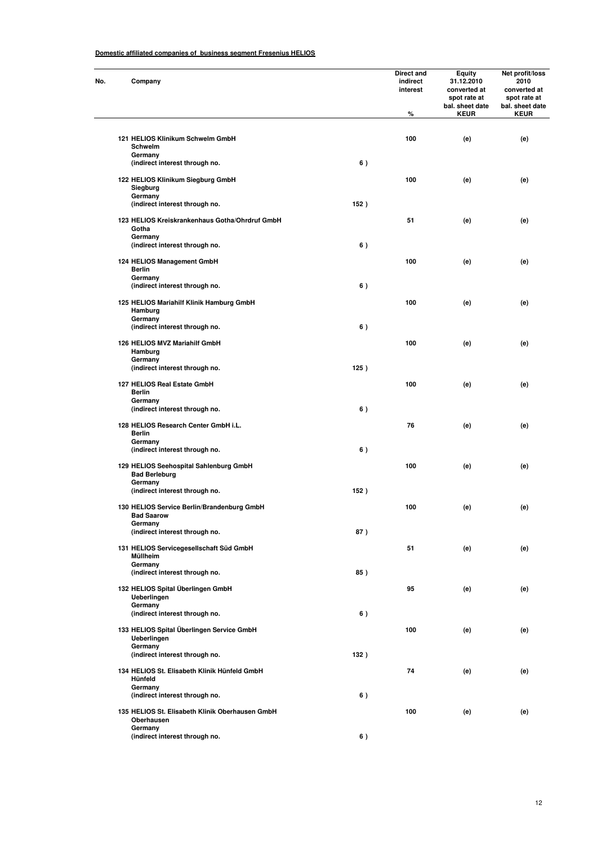| No. | Company                                                            |      | Direct and<br>indirect<br>interest<br>$\%$ | Equity<br>31.12.2010<br>converted at<br>spot rate at<br>bal. sheet date<br><b>KEUR</b> | Net profit/loss<br>2010<br>converted at<br>spot rate at<br>bal. sheet date<br><b>KEUR</b> |
|-----|--------------------------------------------------------------------|------|--------------------------------------------|----------------------------------------------------------------------------------------|-------------------------------------------------------------------------------------------|
|     | 121 HELIOS Klinikum Schwelm GmbH<br>Schwelm                        |      | 100                                        | (e)                                                                                    | (e)                                                                                       |
|     | Germany<br>(indirect interest through no.                          | 6)   |                                            |                                                                                        |                                                                                           |
|     | 122 HELIOS Klinikum Siegburg GmbH<br>Siegburg<br>Germany           |      | 100                                        | (e)                                                                                    | (e)                                                                                       |
|     | (indirect interest through no.                                     | 152) |                                            |                                                                                        |                                                                                           |
|     | 123 HELIOS Kreiskrankenhaus Gotha/Ohrdruf GmbH<br>Gotha<br>Germany |      | 51                                         | (e)                                                                                    | (e)                                                                                       |
|     | (indirect interest through no.                                     | 6)   |                                            |                                                                                        |                                                                                           |
|     | 124 HELIOS Management GmbH<br><b>Berlin</b><br>Germany             |      | 100                                        | (e)                                                                                    | (e)                                                                                       |
|     | (indirect interest through no.                                     | 6)   |                                            |                                                                                        |                                                                                           |
|     | 125 HELIOS Mariahilf Klinik Hamburg GmbH<br>Hamburg<br>Germany     |      | 100                                        | (e)                                                                                    | (e)                                                                                       |
|     | (indirect interest through no.                                     | 6)   |                                            |                                                                                        |                                                                                           |
|     | 126 HELIOS MVZ Mariahilf GmbH<br>Hamburg<br>Germany                |      | 100                                        | (e)                                                                                    | (e)                                                                                       |
|     | (indirect interest through no.                                     | 125) |                                            |                                                                                        |                                                                                           |
|     | 127 HELIOS Real Estate GmbH<br><b>Berlin</b><br>Germany            |      | 100                                        | (e)                                                                                    | (e)                                                                                       |
|     | (indirect interest through no.                                     | 6)   |                                            |                                                                                        |                                                                                           |
|     | 128 HELIOS Research Center GmbH i.L.<br><b>Berlin</b>              |      | 76                                         | (e)                                                                                    | (e)                                                                                       |
|     | Germany<br>(indirect interest through no.                          | 6)   |                                            |                                                                                        |                                                                                           |
|     | 129 HELIOS Seehospital Sahlenburg GmbH<br><b>Bad Berleburg</b>     |      | 100                                        | (e)                                                                                    | (e)                                                                                       |
|     | Germany<br>(indirect interest through no.                          | 152) |                                            |                                                                                        |                                                                                           |
|     | 130 HELIOS Service Berlin/Brandenburg GmbH<br><b>Bad Saarow</b>    |      | 100                                        | (e)                                                                                    | (e)                                                                                       |
|     | Germany<br>(indirect interest through no.                          | 87)  |                                            |                                                                                        |                                                                                           |
|     | 131 HELIOS Servicegesellschaft Süd GmbH<br>Müllheim                |      | 51                                         | (e)                                                                                    | (e)                                                                                       |
|     | Germany<br>(indirect interest through no.                          | 85)  |                                            |                                                                                        |                                                                                           |
|     | 132 HELIOS Spital Überlingen GmbH<br>Ueberlingen                   |      | 95                                         | (e)                                                                                    | (e)                                                                                       |
|     | Germany<br>(indirect interest through no.                          | 6)   |                                            |                                                                                        |                                                                                           |
|     | 133 HELIOS Spital Überlingen Service GmbH<br>Ueberlingen           |      | 100                                        | (e)                                                                                    | (e)                                                                                       |
|     | Germany<br>(indirect interest through no.                          | 132) |                                            |                                                                                        |                                                                                           |
|     | 134 HELIOS St. Elisabeth Klinik Hünfeld GmbH<br>Hünfeld            |      | 74                                         | (e)                                                                                    | (e)                                                                                       |
|     | Germany<br>(indirect interest through no.                          | 6)   |                                            |                                                                                        |                                                                                           |
|     | 135 HELIOS St. Elisabeth Klinik Oberhausen GmbH<br>Oberhausen      |      | 100                                        | (e)                                                                                    | (e)                                                                                       |
|     | Germany<br>(indirect interest through no.                          | 6)   |                                            |                                                                                        |                                                                                           |
|     |                                                                    |      |                                            |                                                                                        |                                                                                           |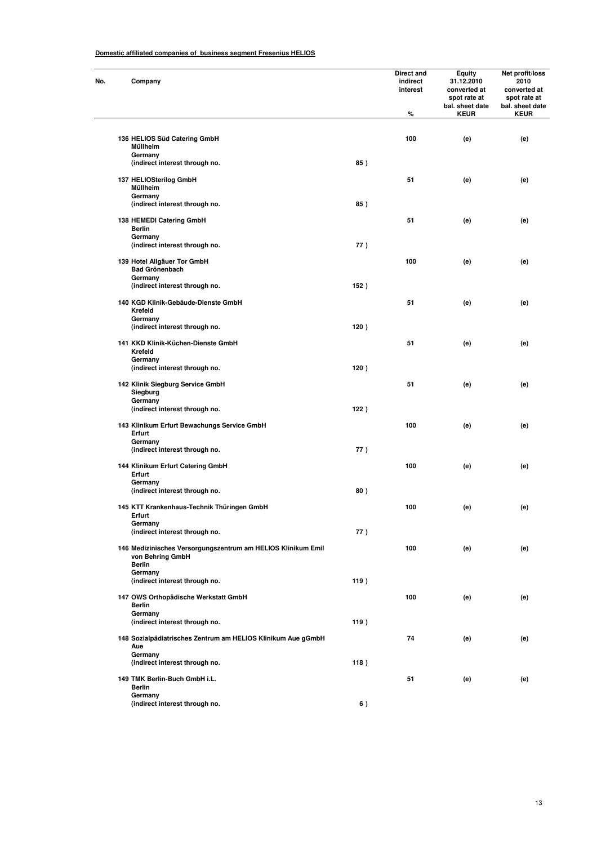| No. | Company                                                                                           |      | Direct and<br>indirect<br>interest<br>% | <b>Equity</b><br>31.12.2010<br>converted at<br>spot rate at<br>bal. sheet date<br><b>KEUR</b> | Net profit/loss<br>2010<br>converted at<br>spot rate at<br>bal. sheet date<br><b>KEUR</b> |
|-----|---------------------------------------------------------------------------------------------------|------|-----------------------------------------|-----------------------------------------------------------------------------------------------|-------------------------------------------------------------------------------------------|
|     | 136 HELIOS Süd Catering GmbH                                                                      |      | 100                                     | (e)                                                                                           | (e)                                                                                       |
|     | Müllheim<br>Germany                                                                               |      |                                         |                                                                                               |                                                                                           |
|     | (indirect interest through no.                                                                    | 85)  |                                         |                                                                                               |                                                                                           |
|     | 137 HELIOSterilog GmbH<br>Müllheim<br>Germany                                                     |      | 51                                      | (e)                                                                                           | (e)                                                                                       |
|     | (indirect interest through no.                                                                    | 85)  |                                         |                                                                                               |                                                                                           |
|     | 138 HEMEDI Catering GmbH<br>Berlin                                                                |      | 51                                      | (e)                                                                                           | (e)                                                                                       |
|     | Germany<br>(indirect interest through no.                                                         | 77)  |                                         |                                                                                               |                                                                                           |
|     | 139 Hotel Allgäuer Tor GmbH<br><b>Bad Grönenbach</b>                                              |      | 100                                     | (e)                                                                                           | (e)                                                                                       |
|     | Germany<br>(indirect interest through no.                                                         | 152) |                                         |                                                                                               |                                                                                           |
|     | 140 KGD Klinik-Gebäude-Dienste GmbH<br>Krefeld                                                    |      | 51                                      | (e)                                                                                           | (e)                                                                                       |
|     | Germany<br>(indirect interest through no.                                                         | 120) |                                         |                                                                                               |                                                                                           |
|     | 141 KKD Klinik-Küchen-Dienste GmbH<br>Krefeld                                                     |      | 51                                      | (e)                                                                                           | (e)                                                                                       |
|     | Germany<br>(indirect interest through no.                                                         | 120) |                                         |                                                                                               |                                                                                           |
|     | 142 Klinik Siegburg Service GmbH<br>Siegburg<br>Germany                                           |      | 51                                      | (e)                                                                                           | (e)                                                                                       |
|     | (indirect interest through no.                                                                    | 122) |                                         |                                                                                               |                                                                                           |
|     | 143 Klinikum Erfurt Bewachungs Service GmbH<br>Erfurt                                             |      | 100                                     | (e)                                                                                           | (e)                                                                                       |
|     | Germany<br>(indirect interest through no.                                                         | 77)  |                                         |                                                                                               |                                                                                           |
|     | 144 Klinikum Erfurt Catering GmbH<br>Erfurt                                                       |      | 100                                     | (e)                                                                                           | (e)                                                                                       |
|     | Germany<br>(indirect interest through no.                                                         | 80)  |                                         |                                                                                               |                                                                                           |
|     | 145 KTT Krankenhaus-Technik Thüringen GmbH<br>Erfurt                                              |      | 100                                     | (e)                                                                                           | (e)                                                                                       |
|     | Germany<br>(indirect interest through no.                                                         | 77)  |                                         |                                                                                               |                                                                                           |
|     | 146 Medizinisches Versorgungszentrum am HELIOS Klinikum Emil<br>von Behring GmbH<br><b>Berlin</b> |      | 100                                     | (e)                                                                                           | (e)                                                                                       |
|     | Germany<br>(indirect interest through no.                                                         | 119) |                                         |                                                                                               |                                                                                           |
|     | 147 OWS Orthopädische Werkstatt GmbH<br><b>Berlin</b>                                             |      | 100                                     | (e)                                                                                           | (e)                                                                                       |
|     | Germany<br>(indirect interest through no.                                                         | 119) |                                         |                                                                                               |                                                                                           |
|     | 148 Sozialpädiatrisches Zentrum am HELIOS Klinikum Aue gGmbH<br>Aue                               |      | 74                                      | (e)                                                                                           | (e)                                                                                       |
|     | Germany<br>(indirect interest through no.                                                         | 118) |                                         |                                                                                               |                                                                                           |
|     | 149 TMK Berlin-Buch GmbH i.L.                                                                     |      | 51                                      | (e)                                                                                           | (e)                                                                                       |
|     | <b>Berlin</b><br>Germany                                                                          |      |                                         |                                                                                               |                                                                                           |
|     | (indirect interest through no.                                                                    | 6)   |                                         |                                                                                               |                                                                                           |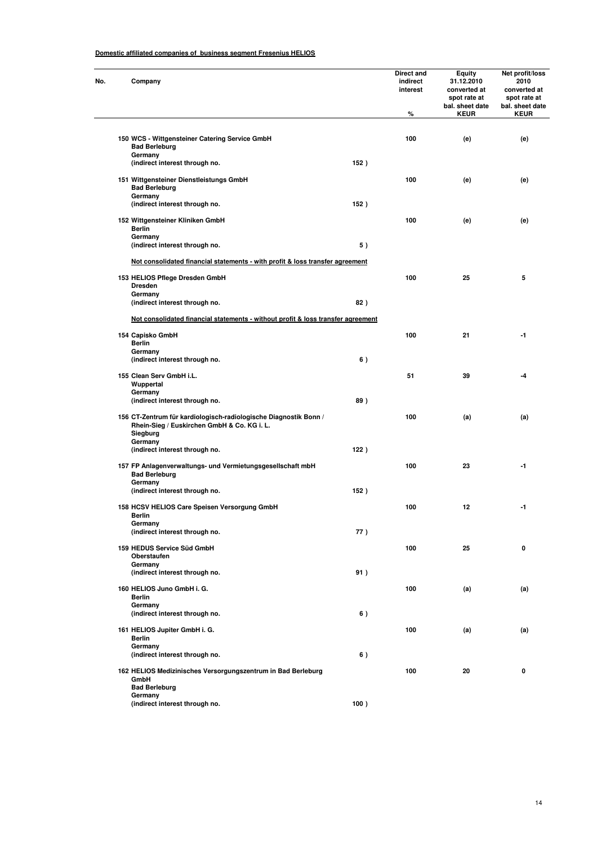| No. | Company                                                                                                                     |      | <b>Direct and</b><br>indirect<br>interest<br>% | Equity<br>31.12.2010<br>converted at<br>spot rate at<br>bal. sheet date<br><b>KEUR</b> | Net profit/loss<br>2010<br>converted at<br>spot rate at<br>bal. sheet date<br><b>KEUR</b> |
|-----|-----------------------------------------------------------------------------------------------------------------------------|------|------------------------------------------------|----------------------------------------------------------------------------------------|-------------------------------------------------------------------------------------------|
|     | 150 WCS - Wittgensteiner Catering Service GmbH                                                                              |      | 100                                            | (e)                                                                                    | (e)                                                                                       |
|     | <b>Bad Berleburg</b><br>Germany                                                                                             |      |                                                |                                                                                        |                                                                                           |
|     | (indirect interest through no.                                                                                              | 152) |                                                |                                                                                        |                                                                                           |
|     | 151 Wittgensteiner Dienstleistungs GmbH<br><b>Bad Berleburg</b><br>Germany                                                  |      | 100                                            | (e)                                                                                    | (e)                                                                                       |
|     | (indirect interest through no.                                                                                              | 152) |                                                |                                                                                        |                                                                                           |
|     | 152 Wittgensteiner Kliniken GmbH<br><b>Berlin</b><br>Germany                                                                |      | 100                                            | (e)                                                                                    | (e)                                                                                       |
|     | (indirect interest through no.                                                                                              | 5)   |                                                |                                                                                        |                                                                                           |
|     | Not consolidated financial statements - with profit & loss transfer agreement                                               |      |                                                |                                                                                        |                                                                                           |
|     | 153 HELIOS Pflege Dresden GmbH<br><b>Dresden</b>                                                                            |      | 100                                            | 25                                                                                     | 5                                                                                         |
|     | Germany<br>(indirect interest through no.                                                                                   | 82)  |                                                |                                                                                        |                                                                                           |
|     | Not consolidated financial statements - without profit & loss transfer agreement                                            |      |                                                |                                                                                        |                                                                                           |
|     | 154 Capisko GmbH<br><b>Berlin</b>                                                                                           |      | 100                                            | 21                                                                                     | -1                                                                                        |
|     | Germany<br>(indirect interest through no.                                                                                   | 6)   |                                                |                                                                                        |                                                                                           |
|     | 155 Clean Serv GmbH i.L.<br>Wuppertal                                                                                       |      | 51                                             | 39                                                                                     | -4                                                                                        |
|     | Germany<br>(indirect interest through no.                                                                                   | 89)  |                                                |                                                                                        |                                                                                           |
|     | 156 CT-Zentrum für kardiologisch-radiologische Diagnostik Bonn /<br>Rhein-Sieg / Euskirchen GmbH & Co. KG i. L.<br>Siegburg |      | 100                                            | (a)                                                                                    | (a)                                                                                       |
|     | Germany<br>(indirect interest through no.                                                                                   | 122) |                                                |                                                                                        |                                                                                           |
|     | 157 FP Anlagenverwaltungs- und Vermietungsgesellschaft mbH<br><b>Bad Berleburg</b>                                          |      | 100                                            | 23                                                                                     | -1                                                                                        |
|     | Germany<br>(indirect interest through no.                                                                                   | 152) |                                                |                                                                                        |                                                                                           |
|     | 158 HCSV HELIOS Care Speisen Versorgung GmbH<br>Berlin                                                                      |      | 100                                            | 12                                                                                     | -1                                                                                        |
|     | Germany<br>(indirect interest through no.                                                                                   | 77)  |                                                |                                                                                        |                                                                                           |
|     | 159 HEDUS Service Süd GmbH<br>Oberstaufen                                                                                   |      | 100                                            | 25                                                                                     | 0                                                                                         |
|     | Germany<br>(indirect interest through no.                                                                                   | 91)  |                                                |                                                                                        |                                                                                           |
|     | 160 HELIOS Juno GmbH i. G.<br><b>Berlin</b>                                                                                 |      | 100                                            | (a)                                                                                    | (a)                                                                                       |
|     | Germany<br>(indirect interest through no.                                                                                   | 6)   |                                                |                                                                                        |                                                                                           |
|     | 161 HELIOS Jupiter GmbH i. G.<br><b>Berlin</b>                                                                              |      | 100                                            | (a)                                                                                    | (a)                                                                                       |
|     | Germany<br>(indirect interest through no.                                                                                   | 6)   |                                                |                                                                                        |                                                                                           |
|     | 162 HELIOS Medizinisches Versorgungszentrum in Bad Berleburg<br>GmbH<br><b>Bad Berleburg</b>                                |      | 100                                            | 20                                                                                     | 0                                                                                         |
|     | Germany<br>(indirect interest through no.                                                                                   | 100) |                                                |                                                                                        |                                                                                           |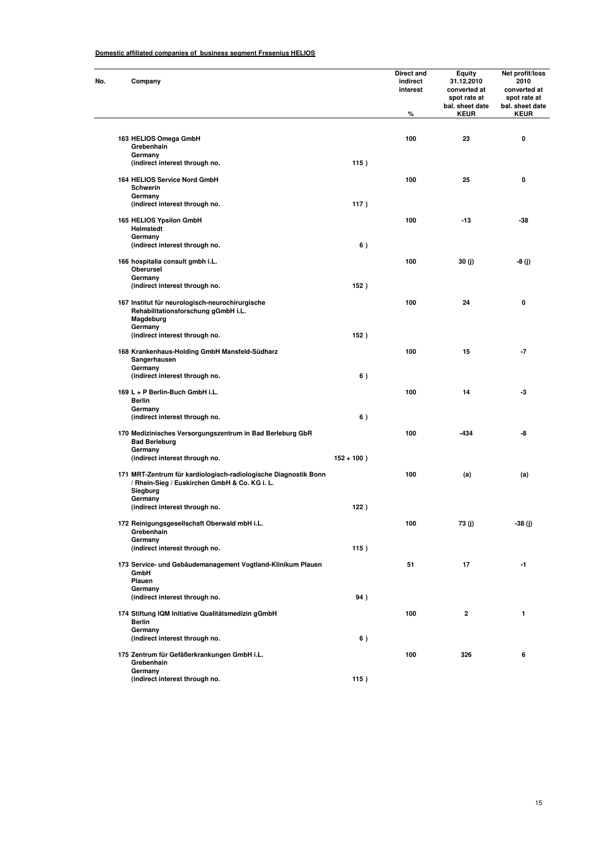| Company                                                                                                                      |               | Direct and<br>indirect<br>interest<br>% | Equity<br>31.12.2010<br>converted at<br>spot rate at<br>bal. sheet date<br><b>KEUR</b> | Net profit/loss<br>2010<br>converted at<br>spot rate at<br>bal. sheet date<br><b>KEUR</b> |
|------------------------------------------------------------------------------------------------------------------------------|---------------|-----------------------------------------|----------------------------------------------------------------------------------------|-------------------------------------------------------------------------------------------|
|                                                                                                                              |               |                                         |                                                                                        |                                                                                           |
| 163 HELIOS Omega GmbH<br>Grebenhain                                                                                          |               | 100                                     | 23                                                                                     | 0                                                                                         |
| Germany<br>(indirect interest through no.                                                                                    | 115)          |                                         |                                                                                        |                                                                                           |
| 164 HELIOS Service Nord GmbH<br>Schwerin                                                                                     |               | 100                                     | 25                                                                                     | 0                                                                                         |
| Germany<br>(indirect interest through no.                                                                                    | 117)          |                                         |                                                                                        |                                                                                           |
| 165 HELIOS Ypsilon GmbH<br>Helmstedt                                                                                         |               | 100                                     | -13                                                                                    | -38                                                                                       |
| Germany<br>(indirect interest through no.                                                                                    | 6)            |                                         |                                                                                        |                                                                                           |
| 166 hospitalia consult gmbh i.L.<br>Oberursel                                                                                |               | 100                                     | 30 (j)                                                                                 | -8 (j)                                                                                    |
| Germany<br>(indirect interest through no.                                                                                    | 152)          |                                         |                                                                                        |                                                                                           |
| 167 Institut für neurologisch-neurochirurgische<br>Rehabilitationsforschung gGmbH i.L.<br>Magdeburg                          |               | 100                                     | 24                                                                                     | 0                                                                                         |
| Germany<br>(indirect interest through no.                                                                                    | 152)          |                                         |                                                                                        |                                                                                           |
| 168 Krankenhaus-Holding GmbH Mansfeld-Südharz<br>Sangerhausen<br>Germany                                                     |               | 100                                     | 15                                                                                     | -7                                                                                        |
| (indirect interest through no.                                                                                               | 6)            |                                         |                                                                                        |                                                                                           |
| 169 L + P Berlin-Buch GmbH i.L.<br>Berlin                                                                                    |               | 100                                     | 14                                                                                     | -3                                                                                        |
| Germany<br>(indirect interest through no.                                                                                    | 6)            |                                         |                                                                                        |                                                                                           |
| 170 Medizinisches Versorgungszentrum in Bad Berleburg GbR<br><b>Bad Berleburg</b>                                            |               | 100                                     | -434                                                                                   | -8                                                                                        |
| Germany<br>(indirect interest through no.                                                                                    | $152 + 100$ ) |                                         |                                                                                        |                                                                                           |
| 171 MRT-Zentrum für kardiologisch-radiologische Diagnostik Bonn<br>/ Rhein-Sieg / Euskirchen GmbH & Co. KG i. L.<br>Siegburg |               | 100                                     | (a)                                                                                    | (a)                                                                                       |
| Germany<br>(indirect interest through no.                                                                                    | 122)          |                                         |                                                                                        |                                                                                           |
| 172 Reinigungsgesellschaft Oberwald mbH i.L.<br>Grebenhain                                                                   |               | 100                                     | 73 (j)                                                                                 | -38 (j)                                                                                   |
| Germany<br>(indirect interest through no.                                                                                    | 115)          |                                         |                                                                                        |                                                                                           |
| 173 Service- und Gebäudemanagement Vogtland-Klinikum Plauen<br>GmbH<br>Plauen                                                |               | 51                                      | 17                                                                                     | -1                                                                                        |
| Germany<br>(indirect interest through no.                                                                                    | 94)           |                                         |                                                                                        |                                                                                           |
| 174 Stiftung IQM Initiative Qualitätsmedizin gGmbH<br>Berlin                                                                 |               | 100                                     | 2                                                                                      | 1                                                                                         |
| Germany                                                                                                                      |               |                                         |                                                                                        |                                                                                           |
| (indirect interest through no.<br>175 Zentrum für Gefäßerkrankungen GmbH i.L.                                                | 6)            | 100                                     | 326                                                                                    | 6                                                                                         |
| Grebenhain<br>Germany                                                                                                        |               |                                         |                                                                                        |                                                                                           |
| (indirect interest through no.                                                                                               | 115)          |                                         |                                                                                        |                                                                                           |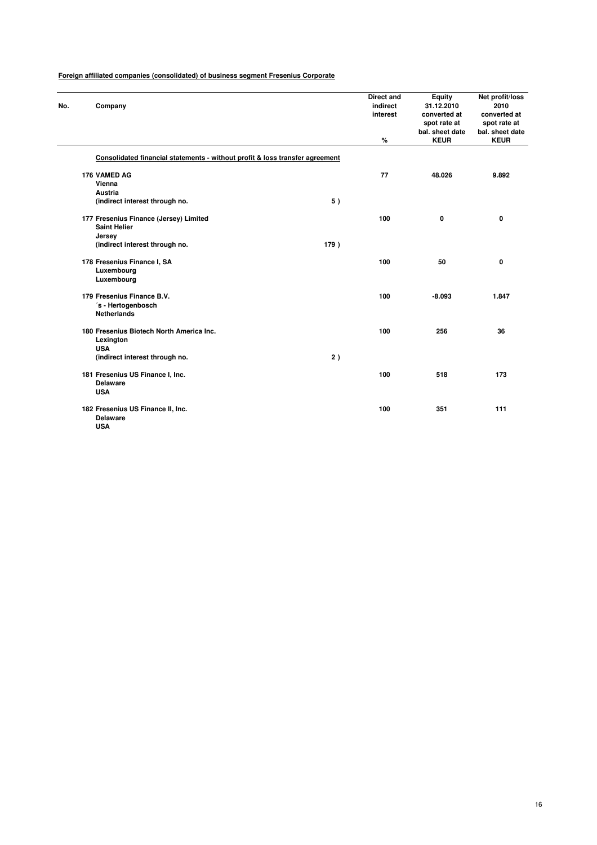| No. | Company                                                                      |      | <b>Direct and</b><br>indirect<br>interest | <b>Equity</b><br>31.12.2010<br>converted at<br>spot rate at<br>bal. sheet date | Net profit/loss<br>2010<br>converted at<br>spot rate at<br>bal. sheet date |
|-----|------------------------------------------------------------------------------|------|-------------------------------------------|--------------------------------------------------------------------------------|----------------------------------------------------------------------------|
|     |                                                                              |      | $\%$                                      | <b>KEUR</b>                                                                    | <b>KEUR</b>                                                                |
|     | Consolidated financial statements - without profit & loss transfer agreement |      |                                           |                                                                                |                                                                            |
|     | 176 VAMED AG<br>Vienna<br><b>Austria</b>                                     |      | 77                                        | 48.026                                                                         | 9.892                                                                      |
|     | (indirect interest through no.                                               | 5)   |                                           |                                                                                |                                                                            |
|     | 177 Fresenius Finance (Jersey) Limited<br><b>Saint Helier</b><br>Jersey      |      | 100                                       | 0                                                                              | 0                                                                          |
|     | (indirect interest through no.                                               | 179) |                                           |                                                                                |                                                                            |
|     | 178 Fresenius Finance I, SA<br>Luxembourg<br>Luxembourg                      |      | 100                                       | 50                                                                             | 0                                                                          |
|     | 179 Fresenius Finance B.V.<br>'s - Hertogenbosch<br><b>Netherlands</b>       |      | 100                                       | $-8.093$                                                                       | 1.847                                                                      |
|     | 180 Fresenius Biotech North America Inc.<br>Lexington<br><b>USA</b>          |      | 100                                       | 256                                                                            | 36                                                                         |
|     | (indirect interest through no.                                               | 2)   |                                           |                                                                                |                                                                            |
|     | 181 Fresenius US Finance I, Inc.<br><b>Delaware</b><br><b>USA</b>            |      | 100                                       | 518                                                                            | 173                                                                        |
|     | 182 Fresenius US Finance II, Inc.<br><b>Delaware</b><br><b>USA</b>           |      | 100                                       | 351                                                                            | 111                                                                        |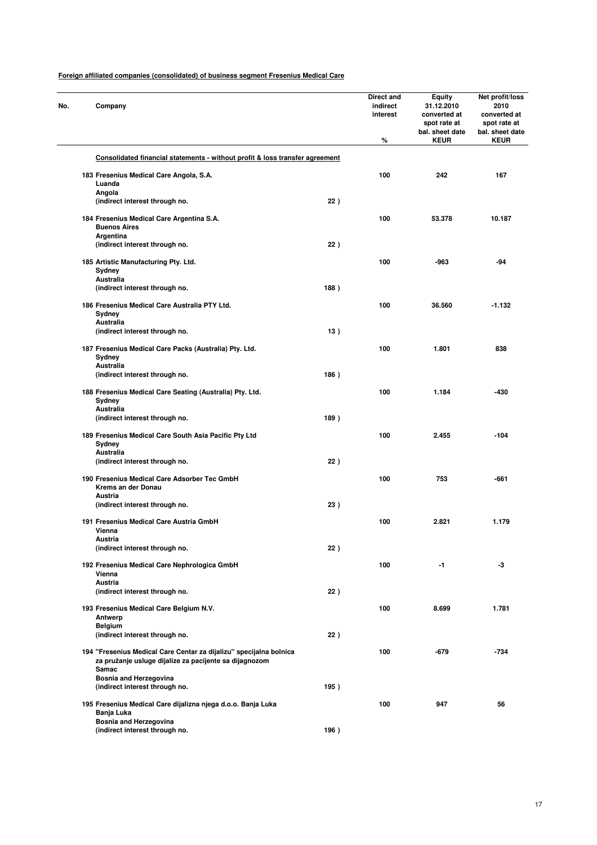| No. | Company                                                                                                                      |      | Direct and<br>indirect<br>interest<br>% | <b>Equity</b><br>31.12.2010<br>converted at<br>spot rate at<br>bal. sheet date<br><b>KEUR</b> | Net profit/loss<br>2010<br>converted at<br>spot rate at<br>bal. sheet date<br><b>KEUR</b> |
|-----|------------------------------------------------------------------------------------------------------------------------------|------|-----------------------------------------|-----------------------------------------------------------------------------------------------|-------------------------------------------------------------------------------------------|
|     | Consolidated financial statements - without profit & loss transfer agreement                                                 |      |                                         |                                                                                               |                                                                                           |
|     | 183 Fresenius Medical Care Angola, S.A.                                                                                      |      | 100                                     | 242                                                                                           | 167                                                                                       |
|     | Luanda                                                                                                                       |      |                                         |                                                                                               |                                                                                           |
|     | Angola                                                                                                                       |      |                                         |                                                                                               |                                                                                           |
|     | (indirect interest through no.                                                                                               | 22)  |                                         |                                                                                               |                                                                                           |
|     | 184 Fresenius Medical Care Argentina S.A.<br><b>Buenos Aires</b><br>Argentina                                                |      | 100                                     | 53.378                                                                                        | 10.187                                                                                    |
|     | (indirect interest through no.                                                                                               | 22)  |                                         |                                                                                               |                                                                                           |
|     | 185 Artistic Manufacturing Pty. Ltd.<br>Sydney                                                                               |      | 100                                     | -963                                                                                          | -94                                                                                       |
|     | Australia                                                                                                                    |      |                                         |                                                                                               |                                                                                           |
|     | (indirect interest through no.                                                                                               | 188) |                                         |                                                                                               |                                                                                           |
|     | 186 Fresenius Medical Care Australia PTY Ltd.<br>Sydney                                                                      |      | 100                                     | 36.560                                                                                        | $-1.132$                                                                                  |
|     | Australia                                                                                                                    |      |                                         |                                                                                               |                                                                                           |
|     | (indirect interest through no.                                                                                               | 13)  |                                         |                                                                                               |                                                                                           |
|     | 187 Fresenius Medical Care Packs (Australia) Pty. Ltd.<br>Sydney                                                             |      | 100                                     | 1.801                                                                                         | 838                                                                                       |
|     | Australia<br>(indirect interest through no.                                                                                  | 186) |                                         |                                                                                               |                                                                                           |
|     |                                                                                                                              |      |                                         |                                                                                               |                                                                                           |
|     | 188 Fresenius Medical Care Seating (Australia) Pty. Ltd.<br>Sydney<br>Australia                                              |      | 100                                     | 1.184                                                                                         | $-430$                                                                                    |
|     | (indirect interest through no.                                                                                               | 189) |                                         |                                                                                               |                                                                                           |
|     | 189 Fresenius Medical Care South Asia Pacific Pty Ltd<br>Sydney                                                              |      | 100                                     | 2.455                                                                                         | $-104$                                                                                    |
|     | Australia<br>(indirect interest through no.                                                                                  | 22)  |                                         |                                                                                               |                                                                                           |
|     | 190 Fresenius Medical Care Adsorber Tec GmbH<br>Krems an der Donau                                                           |      | 100                                     | 753                                                                                           | -661                                                                                      |
|     | Austria                                                                                                                      |      |                                         |                                                                                               |                                                                                           |
|     | (indirect interest through no.                                                                                               | 23)  |                                         |                                                                                               |                                                                                           |
|     | 191 Fresenius Medical Care Austria GmbH<br>Vienna                                                                            |      | 100                                     | 2.821                                                                                         | 1.179                                                                                     |
|     | Austria                                                                                                                      |      |                                         |                                                                                               |                                                                                           |
|     | (indirect interest through no.                                                                                               | 22)  |                                         |                                                                                               |                                                                                           |
|     | 192 Fresenius Medical Care Nephrologica GmbH<br>Vienna                                                                       |      | 100                                     | -1                                                                                            | -3                                                                                        |
|     | <b>Austria</b><br>(indirect interest through no.                                                                             | 22)  |                                         |                                                                                               |                                                                                           |
|     |                                                                                                                              |      |                                         |                                                                                               |                                                                                           |
|     | 193 Fresenius Medical Care Belgium N.V.<br>Antwerp                                                                           |      | 100                                     | 8.699                                                                                         | 1.781                                                                                     |
|     | Belgium                                                                                                                      |      |                                         |                                                                                               |                                                                                           |
|     | (indirect interest through no.                                                                                               | 22)  |                                         |                                                                                               |                                                                                           |
|     | 194 "Fresenius Medical Care Centar za dijalizu" specijalna bolnica<br>za pružanje usluge dijalize za pacijente sa dijagnozom |      | 100                                     | -679                                                                                          | $-734$                                                                                    |
|     | Samac<br><b>Bosnia and Herzegovina</b>                                                                                       |      |                                         |                                                                                               |                                                                                           |
|     | (indirect interest through no.                                                                                               | 195) |                                         |                                                                                               |                                                                                           |
|     | 195 Fresenius Medical Care dijalizna njega d.o.o. Banja Luka<br>Banja Luka                                                   |      | 100                                     | 947                                                                                           | 56                                                                                        |
|     | Bosnia and Herzegovina                                                                                                       |      |                                         |                                                                                               |                                                                                           |
|     | (indirect interest through no.                                                                                               | 196) |                                         |                                                                                               |                                                                                           |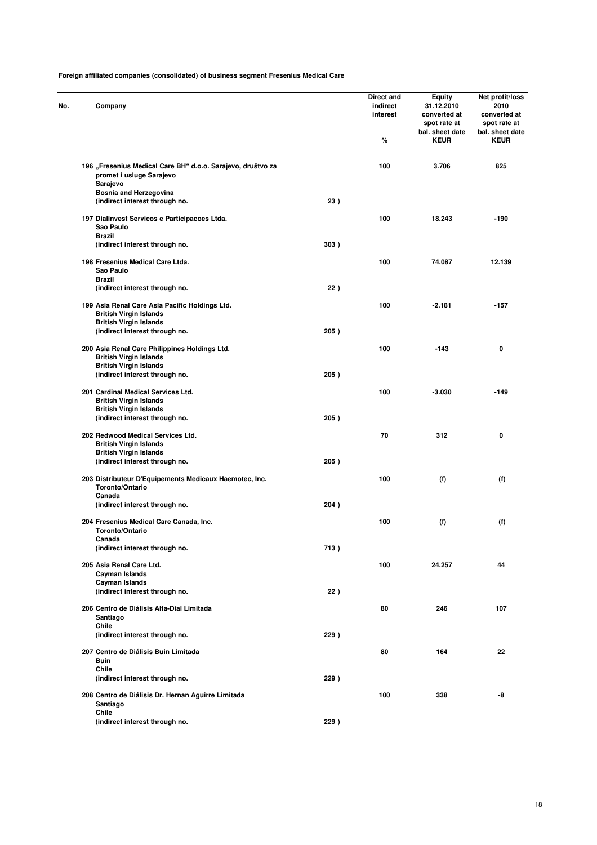| No. | Company                                                                                             |      | <b>Direct and</b><br>indirect<br>interest<br>% | <b>Equity</b><br>31.12.2010<br>converted at<br>spot rate at<br>bal. sheet date<br><b>KEUR</b> | Net profit/loss<br>2010<br>converted at<br>spot rate at<br>bal. sheet date<br><b>KEUR</b> |
|-----|-----------------------------------------------------------------------------------------------------|------|------------------------------------------------|-----------------------------------------------------------------------------------------------|-------------------------------------------------------------------------------------------|
|     |                                                                                                     |      |                                                |                                                                                               |                                                                                           |
|     | 196 "Fresenius Medical Care BH" d.o.o. Sarajevo, društvo za<br>promet i usluge Sarajevo<br>Sarajevo |      | 100                                            | 3.706                                                                                         | 825                                                                                       |
|     | <b>Bosnia and Herzegovina</b>                                                                       |      |                                                |                                                                                               |                                                                                           |
|     | (indirect interest through no.                                                                      | 23)  |                                                |                                                                                               |                                                                                           |
|     | 197 Dialinvest Servicos e Participacoes Ltda.<br>Sao Paulo<br><b>Brazil</b>                         |      | 100                                            | 18.243                                                                                        | -190                                                                                      |
|     | (indirect interest through no.                                                                      | 303) |                                                |                                                                                               |                                                                                           |
|     | 198 Fresenius Medical Care Ltda.<br>Sao Paulo                                                       |      | 100                                            | 74.087                                                                                        | 12.139                                                                                    |
|     | Brazil                                                                                              |      |                                                |                                                                                               |                                                                                           |
|     | (indirect interest through no.                                                                      | 22)  |                                                |                                                                                               |                                                                                           |
|     | 199 Asia Renal Care Asia Pacific Holdings Ltd.<br><b>British Virgin Islands</b>                     |      | 100                                            | $-2.181$                                                                                      | $-157$                                                                                    |
|     | <b>British Virgin Islands</b><br>(indirect interest through no.                                     | 205) |                                                |                                                                                               |                                                                                           |
|     | 200 Asia Renal Care Philippines Holdings Ltd.<br><b>British Virgin Islands</b>                      |      | 100                                            | $-143$                                                                                        | 0                                                                                         |
|     | <b>British Virgin Islands</b><br>(indirect interest through no.                                     | 205) |                                                |                                                                                               |                                                                                           |
|     | 201 Cardinal Medical Services Ltd.                                                                  |      | 100                                            | $-3.030$                                                                                      | $-149$                                                                                    |
|     | <b>British Virgin Islands</b><br><b>British Virgin Islands</b>                                      |      |                                                |                                                                                               |                                                                                           |
|     | (indirect interest through no.                                                                      | 205) |                                                |                                                                                               |                                                                                           |
|     | 202 Redwood Medical Services Ltd.<br><b>British Virgin Islands</b>                                  |      | 70                                             | 312                                                                                           | 0                                                                                         |
|     | <b>British Virgin Islands</b>                                                                       |      |                                                |                                                                                               |                                                                                           |
|     | (indirect interest through no.                                                                      | 205) |                                                |                                                                                               |                                                                                           |
|     | 203 Distributeur D'Equipements Medicaux Haemotec, Inc.<br>Toronto/Ontario<br>Canada                 |      | 100                                            | (f)                                                                                           | (f)                                                                                       |
|     | (indirect interest through no.                                                                      | 204) |                                                |                                                                                               |                                                                                           |
|     | 204 Fresenius Medical Care Canada, Inc.<br>Toronto/Ontario                                          |      | 100                                            | (f)                                                                                           | (f)                                                                                       |
|     | Canada                                                                                              |      |                                                |                                                                                               |                                                                                           |
|     | (indirect interest through no.                                                                      | 713) |                                                |                                                                                               |                                                                                           |
|     | 205 Asia Renal Care Ltd.<br>Cayman Islands                                                          |      | 100                                            | 24.257                                                                                        | 44                                                                                        |
|     | <b>Cayman Islands</b><br>(indirect interest through no.                                             | 22)  |                                                |                                                                                               |                                                                                           |
|     | 206 Centro de Diálisis Alfa-Dial Limitada<br>Santiago                                               |      | 80                                             | 246                                                                                           | 107                                                                                       |
|     | Chile                                                                                               |      |                                                |                                                                                               |                                                                                           |
|     | (indirect interest through no.                                                                      | 229) |                                                |                                                                                               |                                                                                           |
|     | 207 Centro de Diálisis Buin Limitada                                                                |      | 80                                             | 164                                                                                           | 22                                                                                        |
|     | Buin<br>Chile                                                                                       |      |                                                |                                                                                               |                                                                                           |
|     | (indirect interest through no.                                                                      | 229) |                                                |                                                                                               |                                                                                           |
|     | 208 Centro de Diálisis Dr. Hernan Aguirre Limitada<br>Santiago                                      |      | 100                                            | 338                                                                                           | -8                                                                                        |
|     | Chile<br>(indirect interest through no.                                                             | 229) |                                                |                                                                                               |                                                                                           |
|     |                                                                                                     |      |                                                |                                                                                               |                                                                                           |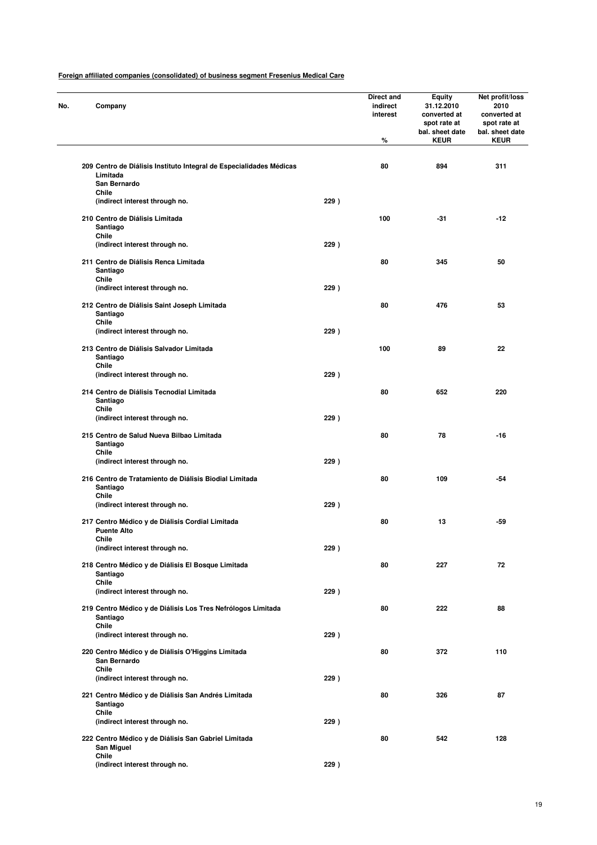| No. | Company                                                                         |      | Direct and<br>indirect<br>interest<br>% | <b>Equity</b><br>31.12.2010<br>converted at<br>spot rate at<br>bal. sheet date<br><b>KEUR</b> | Net profit/loss<br>2010<br>converted at<br>spot rate at<br>bal. sheet date<br><b>KEUR</b> |
|-----|---------------------------------------------------------------------------------|------|-----------------------------------------|-----------------------------------------------------------------------------------------------|-------------------------------------------------------------------------------------------|
|     | 209 Centro de Diálisis Instituto Integral de Especialidades Médicas<br>Limitada |      | 80                                      | 894                                                                                           | 311                                                                                       |
|     | San Bernardo<br>Chile                                                           |      |                                         |                                                                                               |                                                                                           |
|     | (indirect interest through no.                                                  | 229) |                                         |                                                                                               |                                                                                           |
|     | 210 Centro de Diálisis Limitada<br>Santiago                                     |      | 100                                     | $-31$                                                                                         | $-12$                                                                                     |
|     | Chile<br>(indirect interest through no.                                         | 229) |                                         |                                                                                               |                                                                                           |
|     | 211 Centro de Diálisis Renca Limitada<br>Santiago                               |      | 80                                      | 345                                                                                           | 50                                                                                        |
|     | Chile                                                                           |      |                                         |                                                                                               |                                                                                           |
|     | (indirect interest through no.                                                  | 229) |                                         |                                                                                               |                                                                                           |
|     | 212 Centro de Diálisis Saint Joseph Limitada<br>Santiago                        |      | 80                                      | 476                                                                                           | 53                                                                                        |
|     | Chile<br>(indirect interest through no.                                         | 229) |                                         |                                                                                               |                                                                                           |
|     | 213 Centro de Diálisis Salvador Limitada<br>Santiago                            |      | 100                                     | 89                                                                                            | 22                                                                                        |
|     | Chile                                                                           |      |                                         |                                                                                               |                                                                                           |
|     | (indirect interest through no.<br>214 Centro de Diálisis Tecnodial Limitada     | 229) | 80                                      | 652                                                                                           | 220                                                                                       |
|     | Santiago<br>Chile                                                               |      |                                         |                                                                                               |                                                                                           |
|     | (indirect interest through no.                                                  | 229) |                                         |                                                                                               |                                                                                           |
|     | 215 Centro de Salud Nueva Bilbao Limitada<br>Santiago<br>Chile                  |      | 80                                      | 78                                                                                            | $-16$                                                                                     |
|     | (indirect interest through no.                                                  | 229) |                                         |                                                                                               |                                                                                           |
|     | 216 Centro de Tratamiento de Diálisis Biodial Limitada<br>Santiago              |      | 80                                      | 109                                                                                           | -54                                                                                       |
|     | Chile<br>(indirect interest through no.                                         | 229) |                                         |                                                                                               |                                                                                           |
|     | 217 Centro Médico y de Diálisis Cordial Limitada<br><b>Puente Alto</b>          |      | 80                                      | 13                                                                                            | -59                                                                                       |
|     | Chile                                                                           |      |                                         |                                                                                               |                                                                                           |
|     | (indirect interest through no.                                                  | 229) |                                         |                                                                                               |                                                                                           |
|     | 218 Centro Médico y de Diálisis El Bosque Limitada<br>Santiago<br>Chile         |      | 80                                      | 227                                                                                           | 72                                                                                        |
|     | (indirect interest through no.                                                  | 229) |                                         |                                                                                               |                                                                                           |
|     | 219 Centro Médico y de Diálisis Los Tres Nefrólogos Limitada<br>Santiago        |      | 80                                      | 222                                                                                           | 88                                                                                        |
|     | Chile<br>(indirect interest through no.                                         | 229) |                                         |                                                                                               |                                                                                           |
|     | 220 Centro Médico y de Diálisis O'Higgins Limitada<br>San Bernardo<br>Chile     |      | 80                                      | 372                                                                                           | 110                                                                                       |
|     | (indirect interest through no.                                                  | 229) |                                         |                                                                                               |                                                                                           |
|     | 221 Centro Médico y de Diálisis San Andrés Limitada<br>Santiago                 |      | 80                                      | 326                                                                                           | 87                                                                                        |
|     | Chile<br>(indirect interest through no.                                         | 229) |                                         |                                                                                               |                                                                                           |
|     | 222 Centro Médico y de Diálisis San Gabriel Limitada<br>San Miguel              |      | 80                                      | 542                                                                                           | 128                                                                                       |
|     | Chile<br>(indirect interest through no.                                         | 229) |                                         |                                                                                               |                                                                                           |
|     |                                                                                 |      |                                         |                                                                                               |                                                                                           |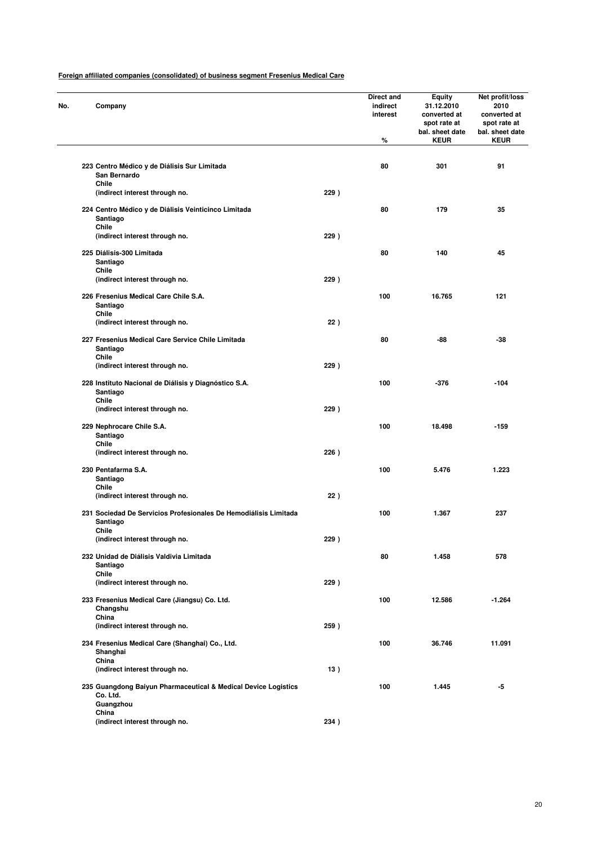| Company                                                                                 |      | Direct and<br>indirect<br>interest<br>% | <b>Equity</b><br>31.12.2010<br>converted at<br>spot rate at<br>bal. sheet date<br><b>KEUR</b> | Net profit/loss<br>2010<br>converted at<br>spot rate at<br>bal. sheet date<br><b>KEUR</b> |
|-----------------------------------------------------------------------------------------|------|-----------------------------------------|-----------------------------------------------------------------------------------------------|-------------------------------------------------------------------------------------------|
|                                                                                         |      |                                         |                                                                                               |                                                                                           |
| 223 Centro Médico y de Diálisis Sur Limitada<br>San Bernardo                            |      | 80                                      | 301                                                                                           | 91                                                                                        |
| Chile<br>(indirect interest through no.                                                 | 229) |                                         |                                                                                               |                                                                                           |
| 224 Centro Médico y de Diálisis Veinticinco Limitada<br>Santiago<br>Chile               |      | 80                                      | 179                                                                                           | 35                                                                                        |
| (indirect interest through no.                                                          | 229) |                                         |                                                                                               |                                                                                           |
| 225 Diálisis-300 Limitada<br>Santiago                                                   |      | 80                                      | 140                                                                                           | 45                                                                                        |
| Chile<br>(indirect interest through no.                                                 | 229) |                                         |                                                                                               |                                                                                           |
| 226 Fresenius Medical Care Chile S.A.<br>Santiago                                       |      | 100                                     | 16.765                                                                                        | 121                                                                                       |
| Chile<br>(indirect interest through no.                                                 | 22)  |                                         |                                                                                               |                                                                                           |
| 227 Fresenius Medical Care Service Chile Limitada<br>Santiago                           |      | 80                                      | -88                                                                                           | -38                                                                                       |
| Chile<br>(indirect interest through no.                                                 | 229) |                                         |                                                                                               |                                                                                           |
| 228 Instituto Nacional de Diálisis y Diagnóstico S.A.<br>Santiago<br>Chile              |      | 100                                     | -376                                                                                          | $-104$                                                                                    |
| (indirect interest through no.                                                          | 229) |                                         |                                                                                               |                                                                                           |
| 229 Nephrocare Chile S.A.<br>Santiago                                                   |      | 100                                     | 18.498                                                                                        | $-159$                                                                                    |
| Chile<br>(indirect interest through no.                                                 | 226) |                                         |                                                                                               |                                                                                           |
| 230 Pentafarma S.A.<br>Santiago                                                         |      | 100                                     | 5.476                                                                                         | 1.223                                                                                     |
| Chile<br>(indirect interest through no.                                                 | 22)  |                                         |                                                                                               |                                                                                           |
| 231 Sociedad De Servicios Profesionales De Hemodiálisis Limitada<br>Santiago            |      | 100                                     | 1.367                                                                                         | 237                                                                                       |
| Chile<br>(indirect interest through no.                                                 | 229) |                                         |                                                                                               |                                                                                           |
| 232 Unidad de Diálisis Valdivia Limitada<br>Santiago                                    |      | 80                                      | 1.458                                                                                         | 578                                                                                       |
| Chile<br>(indirect interest through no.                                                 | 229) |                                         |                                                                                               |                                                                                           |
| 233 Fresenius Medical Care (Jiangsu) Co. Ltd.<br>Changshu                               |      | 100                                     | 12.586                                                                                        | $-1.264$                                                                                  |
| China<br>(indirect interest through no.                                                 | 259) |                                         |                                                                                               |                                                                                           |
| 234 Fresenius Medical Care (Shanghai) Co., Ltd.<br>Shanghai                             |      | 100                                     | 36.746                                                                                        | 11.091                                                                                    |
| China<br>(indirect interest through no.                                                 | 13)  |                                         |                                                                                               |                                                                                           |
| 235 Guangdong Baiyun Pharmaceutical & Medical Device Logistics<br>Co. Ltd.<br>Guangzhou |      | 100                                     | 1.445                                                                                         | -5                                                                                        |
| China<br>(indirect interest through no.                                                 | 234) |                                         |                                                                                               |                                                                                           |
|                                                                                         |      |                                         |                                                                                               |                                                                                           |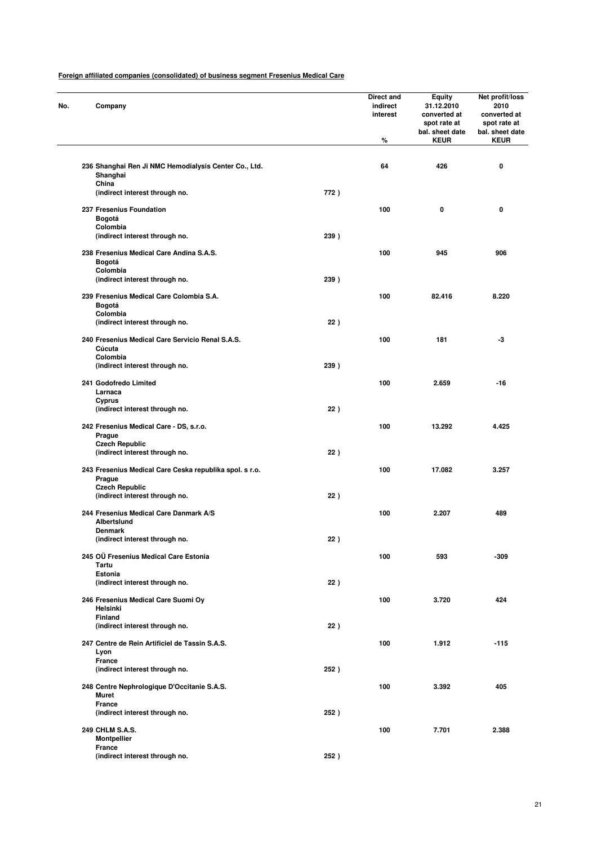| No. | Company                                                           |      | Direct and<br>indirect<br>interest<br>% | <b>Equity</b><br>31.12.2010<br>converted at<br>spot rate at<br>bal. sheet date<br><b>KEUR</b> | Net profit/loss<br>2010<br>converted at<br>spot rate at<br>bal. sheet date<br><b>KEUR</b> |
|-----|-------------------------------------------------------------------|------|-----------------------------------------|-----------------------------------------------------------------------------------------------|-------------------------------------------------------------------------------------------|
|     | 236 Shanghai Ren Ji NMC Hemodialysis Center Co., Ltd.<br>Shanghai |      | 64                                      | 426                                                                                           | 0                                                                                         |
|     | China<br>(indirect interest through no.                           | 772) |                                         |                                                                                               |                                                                                           |
|     | 237 Fresenius Foundation                                          |      | 100                                     | 0                                                                                             | 0                                                                                         |
|     | Bogotá<br>Colombia                                                |      |                                         |                                                                                               |                                                                                           |
|     | (indirect interest through no.                                    | 239) |                                         |                                                                                               |                                                                                           |
|     | 238 Fresenius Medical Care Andina S.A.S.<br>Bogotá<br>Colombia    |      | 100                                     | 945                                                                                           | 906                                                                                       |
|     | (indirect interest through no.                                    | 239) |                                         |                                                                                               |                                                                                           |
|     | 239 Fresenius Medical Care Colombia S.A.<br>Bogotá<br>Colombia    |      | 100                                     | 82.416                                                                                        | 8.220                                                                                     |
|     | (indirect interest through no.                                    | 22)  |                                         |                                                                                               |                                                                                           |
|     | 240 Fresenius Medical Care Servicio Renal S.A.S.<br>Cúcuta        |      | 100                                     | 181                                                                                           | -3                                                                                        |
|     | Colombia<br>(indirect interest through no.                        | 239) |                                         |                                                                                               |                                                                                           |
|     | 241 Godofredo Limited<br>Larnaca                                  |      | 100                                     | 2.659                                                                                         | $-16$                                                                                     |
|     | Cyprus<br>(indirect interest through no.                          | 22)  |                                         |                                                                                               |                                                                                           |
|     | 242 Fresenius Medical Care - DS, s.r.o.<br>Prague                 |      | 100                                     | 13.292                                                                                        | 4.425                                                                                     |
|     | <b>Czech Republic</b><br>(indirect interest through no.           | 22)  |                                         |                                                                                               |                                                                                           |
|     | 243 Fresenius Medical Care Ceska republika spol. s r.o.<br>Prague |      | 100                                     | 17.082                                                                                        | 3.257                                                                                     |
|     | <b>Czech Republic</b><br>(indirect interest through no.           | 22)  |                                         |                                                                                               |                                                                                           |
|     | 244 Fresenius Medical Care Danmark A/S<br>Albertslund             |      | 100                                     | 2.207                                                                                         | 489                                                                                       |
|     | Denmark<br>(indirect interest through no.                         | 22)  |                                         |                                                                                               |                                                                                           |
|     | 245 OÜ Fresenius Medical Care Estonia<br>Tartu                    |      | 100                                     | 593                                                                                           | $-309$                                                                                    |
|     | Estonia<br>(indirect interest through no.                         | 22)  |                                         |                                                                                               |                                                                                           |
|     | 246 Fresenius Medical Care Suomi Ov<br>Helsinki                   |      | 100                                     | 3.720                                                                                         | 424                                                                                       |
|     | Finland<br>(indirect interest through no.                         | 22)  |                                         |                                                                                               |                                                                                           |
|     | 247 Centre de Rein Artificiel de Tassin S.A.S.<br>Lyon            |      | 100                                     | 1.912                                                                                         | $-115$                                                                                    |
|     | France<br>(indirect interest through no.                          | 252) |                                         |                                                                                               |                                                                                           |
|     | 248 Centre Nephrologique D'Occitanie S.A.S.<br>Muret              |      | 100                                     | 3.392                                                                                         | 405                                                                                       |
|     | France<br>(indirect interest through no.                          | 252) |                                         |                                                                                               |                                                                                           |
|     | 249 CHLM S.A.S.<br><b>Montpellier</b>                             |      | 100                                     | 7.701                                                                                         | 2.388                                                                                     |
|     | France<br>(indirect interest through no.                          | 252) |                                         |                                                                                               |                                                                                           |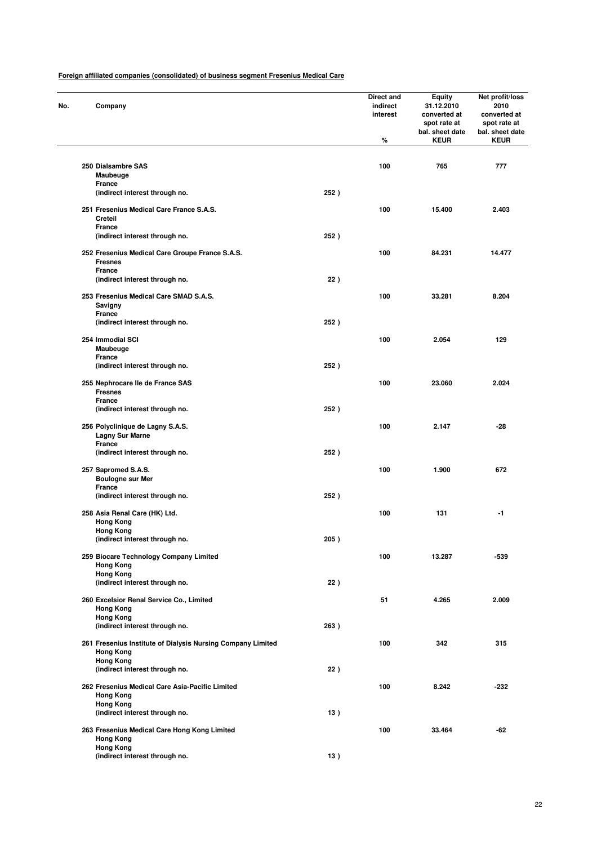| No. | Company                                                                                             |      | Direct and<br>indirect<br>interest<br>% | <b>Equity</b><br>31.12.2010<br>converted at<br>spot rate at<br>bal. sheet date<br><b>KEUR</b> | Net profit/loss<br>2010<br>converted at<br>spot rate at<br>bal. sheet date<br><b>KEUR</b> |
|-----|-----------------------------------------------------------------------------------------------------|------|-----------------------------------------|-----------------------------------------------------------------------------------------------|-------------------------------------------------------------------------------------------|
|     | 250 Dialsambre SAS                                                                                  |      | 100                                     | 765                                                                                           | 777                                                                                       |
|     | Maubeuge<br>France                                                                                  |      |                                         |                                                                                               |                                                                                           |
|     | (indirect interest through no.                                                                      | 252) |                                         |                                                                                               |                                                                                           |
|     | 251 Fresenius Medical Care France S.A.S.<br>Creteil                                                 |      | 100                                     | 15.400                                                                                        | 2.403                                                                                     |
|     | <b>France</b><br>(indirect interest through no.                                                     | 252) |                                         |                                                                                               |                                                                                           |
|     | 252 Fresenius Medical Care Groupe France S.A.S.<br><b>Fresnes</b>                                   |      | 100                                     | 84.231                                                                                        | 14.477                                                                                    |
|     | <b>France</b><br>(indirect interest through no.                                                     | 22)  |                                         |                                                                                               |                                                                                           |
|     |                                                                                                     |      |                                         |                                                                                               |                                                                                           |
|     | 253 Fresenius Medical Care SMAD S.A.S.<br>Savigny<br><b>France</b>                                  |      | 100                                     | 33.281                                                                                        | 8.204                                                                                     |
|     | (indirect interest through no.                                                                      | 252) |                                         |                                                                                               |                                                                                           |
|     | 254 Immodial SCI<br>Maubeuge                                                                        |      | 100                                     | 2.054                                                                                         | 129                                                                                       |
|     | France<br>(indirect interest through no.                                                            | 252) |                                         |                                                                                               |                                                                                           |
|     | 255 Nephrocare Ile de France SAS<br><b>Fresnes</b>                                                  |      | 100                                     | 23.060                                                                                        | 2.024                                                                                     |
|     | France                                                                                              |      |                                         |                                                                                               |                                                                                           |
|     | (indirect interest through no.                                                                      | 252) |                                         |                                                                                               |                                                                                           |
|     | 256 Polyclinique de Lagny S.A.S.<br><b>Lagny Sur Marne</b><br>France                                |      | 100                                     | 2.147                                                                                         | $-28$                                                                                     |
|     | (indirect interest through no.                                                                      | 252) |                                         |                                                                                               |                                                                                           |
|     | 257 Sapromed S.A.S.                                                                                 |      | 100                                     | 1.900                                                                                         | 672                                                                                       |
|     | <b>Boulogne sur Mer</b><br>France                                                                   |      |                                         |                                                                                               |                                                                                           |
|     | (indirect interest through no.                                                                      | 252) |                                         |                                                                                               |                                                                                           |
|     | 258 Asia Renal Care (HK) Ltd.                                                                       |      | 100                                     | 131                                                                                           | -1                                                                                        |
|     | <b>Hong Kong</b>                                                                                    |      |                                         |                                                                                               |                                                                                           |
|     | <b>Hong Kong</b><br>(indirect interest through no.                                                  | 205) |                                         |                                                                                               |                                                                                           |
|     | 259 Biocare Technology Company Limited                                                              |      | 100                                     | 13.287                                                                                        | -539                                                                                      |
|     | <b>Hong Kong</b>                                                                                    |      |                                         |                                                                                               |                                                                                           |
|     | <b>Hong Kong</b><br>(indirect interest through no.                                                  | 22)  |                                         |                                                                                               |                                                                                           |
|     |                                                                                                     |      |                                         |                                                                                               |                                                                                           |
|     | 260 Excelsior Renal Service Co., Limited<br><b>Hong Kong</b>                                        |      | 51                                      | 4.265                                                                                         | 2.009                                                                                     |
|     | <b>Hong Kong</b>                                                                                    |      |                                         |                                                                                               |                                                                                           |
|     | (indirect interest through no.                                                                      | 263) |                                         |                                                                                               |                                                                                           |
|     | 261 Fresenius Institute of Dialysis Nursing Company Limited<br><b>Hong Kong</b><br><b>Hong Kong</b> |      | 100                                     | 342                                                                                           | 315                                                                                       |
|     | (indirect interest through no.                                                                      | 22)  |                                         |                                                                                               |                                                                                           |
|     | 262 Fresenius Medical Care Asia-Pacific Limited<br><b>Hong Kong</b>                                 |      | 100                                     | 8.242                                                                                         | $-232$                                                                                    |
|     | <b>Hong Kong</b><br>(indirect interest through no.                                                  | 13)  |                                         |                                                                                               |                                                                                           |
|     | 263 Fresenius Medical Care Hong Kong Limited<br><b>Hong Kong</b>                                    |      | 100                                     | 33.464                                                                                        | -62                                                                                       |
|     | <b>Hong Kong</b><br>(indirect interest through no.                                                  | 13)  |                                         |                                                                                               |                                                                                           |
|     |                                                                                                     |      |                                         |                                                                                               |                                                                                           |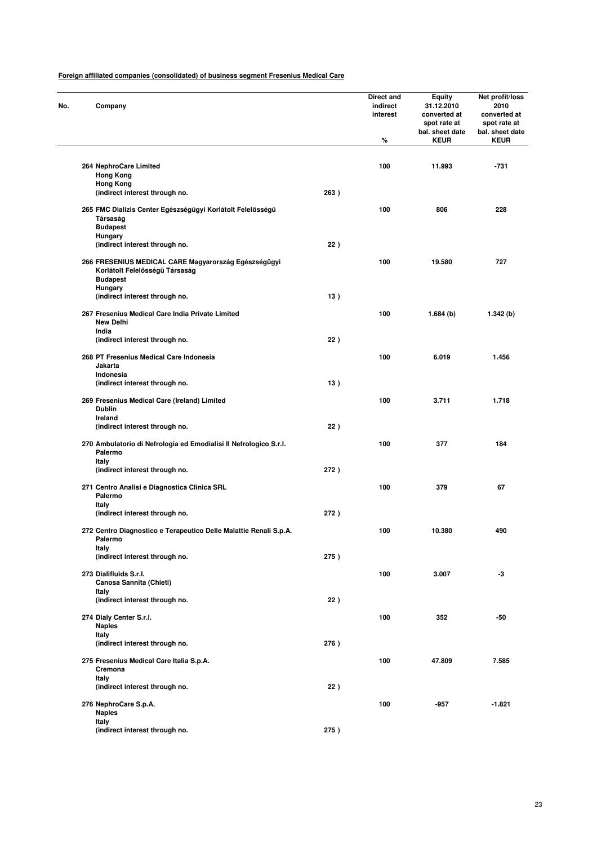| No. | Company                                                                                   |      | <b>Direct and</b><br>indirect<br>interest<br>% | <b>Equity</b><br>31.12.2010<br>converted at<br>spot rate at<br>bal. sheet date<br><b>KEUR</b> | Net profit/loss<br>2010<br>converted at<br>spot rate at<br>bal. sheet date<br><b>KEUR</b> |
|-----|-------------------------------------------------------------------------------------------|------|------------------------------------------------|-----------------------------------------------------------------------------------------------|-------------------------------------------------------------------------------------------|
|     |                                                                                           |      |                                                |                                                                                               |                                                                                           |
|     | 264 NephroCare Limited<br><b>Hong Kong</b>                                                |      | 100                                            | 11.993                                                                                        | $-731$                                                                                    |
|     | <b>Hong Kong</b><br>(indirect interest through no.                                        | 263) |                                                |                                                                                               |                                                                                           |
|     |                                                                                           |      |                                                |                                                                                               |                                                                                           |
|     | 265 FMC Dializis Center Egészségügyi Korlátolt Felelösségü<br>Társaság<br><b>Budapest</b> |      | 100                                            | 806                                                                                           | 228                                                                                       |
|     | <b>Hungary</b><br>(indirect interest through no.                                          | 22)  |                                                |                                                                                               |                                                                                           |
|     | 266 FRESENIUS MEDICAL CARE Magyarország Egészségügyi<br>Korlátolt Felelösségü Társaság    |      | 100                                            | 19.580                                                                                        | 727                                                                                       |
|     | <b>Budapest</b><br><b>Hungary</b>                                                         |      |                                                |                                                                                               |                                                                                           |
|     | (indirect interest through no.                                                            | 13)  |                                                |                                                                                               |                                                                                           |
|     | 267 Fresenius Medical Care India Private Limited<br><b>New Delhi</b>                      |      | 100                                            | 1.684(b)                                                                                      | 1.342(b)                                                                                  |
|     | India<br>(indirect interest through no.                                                   | 22)  |                                                |                                                                                               |                                                                                           |
|     | 268 PT Fresenius Medical Care Indonesia<br>Jakarta                                        |      | 100                                            | 6.019                                                                                         | 1.456                                                                                     |
|     | Indonesia<br>(indirect interest through no.                                               | 13)  |                                                |                                                                                               |                                                                                           |
|     | 269 Fresenius Medical Care (Ireland) Limited<br><b>Dublin</b>                             |      | 100                                            | 3.711                                                                                         | 1.718                                                                                     |
|     | Ireland<br>(indirect interest through no.                                                 | 22)  |                                                |                                                                                               |                                                                                           |
|     | 270 Ambulatorio di Nefrologia ed Emodialisi Il Nefrologico S.r.I.<br>Palermo              |      | 100                                            | 377                                                                                           | 184                                                                                       |
|     | Italy                                                                                     | 272) |                                                |                                                                                               |                                                                                           |
|     | (indirect interest through no.                                                            |      |                                                |                                                                                               |                                                                                           |
|     | 271 Centro Analisi e Diagnostica Clinica SRL<br>Palermo<br>Italy                          |      | 100                                            | 379                                                                                           | 67                                                                                        |
|     | (indirect interest through no.                                                            | 272) |                                                |                                                                                               |                                                                                           |
|     | 272 Centro Diagnostico e Terapeutico Delle Malattie Renali S.p.A.<br>Palermo              |      | 100                                            | 10.380                                                                                        | 490                                                                                       |
|     | Italy<br>(indirect interest through no.                                                   | 275) |                                                |                                                                                               |                                                                                           |
|     | 273 Dialifluids S.r.l.<br>Canosa Sannita (Chieti)                                         |      | 100                                            | 3.007                                                                                         | -3                                                                                        |
|     | Italy<br>(indirect interest through no.                                                   | 22)  |                                                |                                                                                               |                                                                                           |
|     | 274 Dialy Center S.r.I.                                                                   |      | 100                                            | 352                                                                                           | -50                                                                                       |
|     | <b>Naples</b>                                                                             |      |                                                |                                                                                               |                                                                                           |
|     | Italy<br>(indirect interest through no.                                                   | 276) |                                                |                                                                                               |                                                                                           |
|     | 275 Fresenius Medical Care Italia S.p.A.<br>Cremona                                       |      | 100                                            | 47.809                                                                                        | 7.585                                                                                     |
|     | Italy                                                                                     |      |                                                |                                                                                               |                                                                                           |
|     | (indirect interest through no.                                                            | 22)  |                                                |                                                                                               |                                                                                           |
|     | 276 NephroCare S.p.A.<br><b>Naples</b><br>Italy                                           |      | 100                                            | -957                                                                                          | $-1.821$                                                                                  |
|     | (indirect interest through no.                                                            | 275) |                                                |                                                                                               |                                                                                           |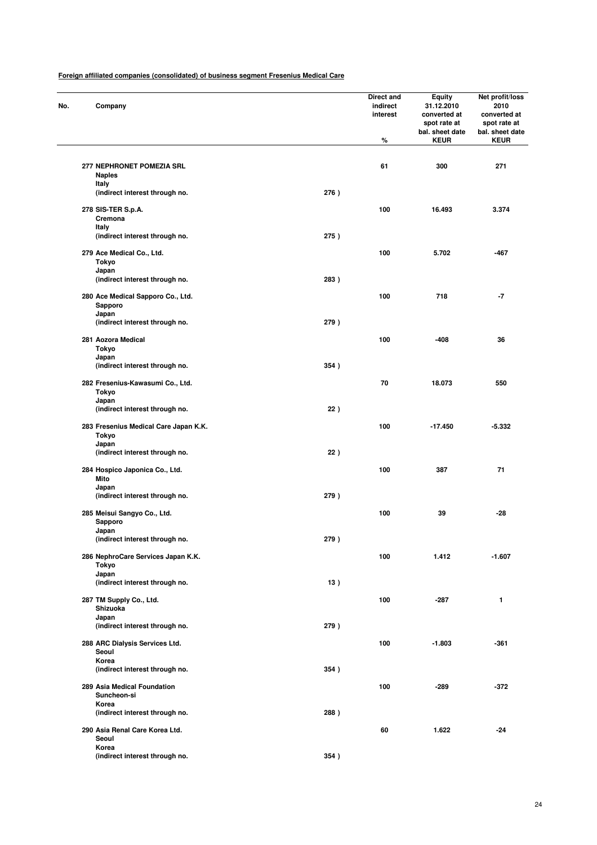| No. |                | Company                                      |      | Direct and<br>indirect<br>interest<br>% | Equity<br>31.12.2010<br>converted at<br>spot rate at<br>bal. sheet date<br><b>KEUR</b> | Net profit/loss<br>2010<br>converted at<br>spot rate at<br>bal. sheet date<br><b>KEUR</b> |
|-----|----------------|----------------------------------------------|------|-----------------------------------------|----------------------------------------------------------------------------------------|-------------------------------------------------------------------------------------------|
|     |                | 277 NEPHRONET POMEZIA SRL                    |      | 61                                      | 300                                                                                    | 271                                                                                       |
|     | Italy          | <b>Naples</b>                                |      |                                         |                                                                                        |                                                                                           |
|     |                | (indirect interest through no.               | 276) |                                         |                                                                                        |                                                                                           |
|     | Italy          | 278 SIS-TER S.p.A.<br>Cremona                |      | 100                                     | 16.493                                                                                 | 3.374                                                                                     |
|     |                | (indirect interest through no.               | 275) |                                         |                                                                                        |                                                                                           |
|     | Tokyo<br>Japan | 279 Ace Medical Co., Ltd.                    |      | 100                                     | 5.702                                                                                  | $-467$                                                                                    |
|     |                | (indirect interest through no.               | 283) |                                         |                                                                                        |                                                                                           |
|     |                | 280 Ace Medical Sapporo Co., Ltd.<br>Sapporo |      | 100                                     | 718                                                                                    | -7                                                                                        |
|     | Japan          | (indirect interest through no.               | 279) |                                         |                                                                                        |                                                                                           |
|     | Tokyo          | 281 Aozora Medical                           |      | 100                                     | $-408$                                                                                 | 36                                                                                        |
|     | Japan          | (indirect interest through no.               | 354) |                                         |                                                                                        |                                                                                           |
|     | Tokyo          | 282 Fresenius-Kawasumi Co., Ltd.             |      | 70                                      | 18.073                                                                                 | 550                                                                                       |
|     | Japan          | (indirect interest through no.               | 22)  |                                         |                                                                                        |                                                                                           |
|     | Tokyo<br>Japan | 283 Fresenius Medical Care Japan K.K.        |      | 100                                     | $-17.450$                                                                              | -5.332                                                                                    |
|     |                | (indirect interest through no.               | 22)  |                                         |                                                                                        |                                                                                           |
|     | Mito<br>Japan  | 284 Hospico Japonica Co., Ltd.               |      | 100                                     | 387                                                                                    | 71                                                                                        |
|     |                | (indirect interest through no.               | 279) |                                         |                                                                                        |                                                                                           |
|     |                | 285 Meisui Sangyo Co., Ltd.<br>Sapporo       |      | 100                                     | 39                                                                                     | -28                                                                                       |
|     | Japan          | (indirect interest through no.               | 279) |                                         |                                                                                        |                                                                                           |
|     | Tokyo          | 286 NephroCare Services Japan K.K.           |      | 100                                     | 1.412                                                                                  | $-1.607$                                                                                  |
|     | Japan          | (indirect interest through no.               | 13)  |                                         |                                                                                        |                                                                                           |
|     |                | 287 TM Supply Co., Ltd.<br>Shizuoka          |      | 100                                     | $-287$                                                                                 | 1                                                                                         |
|     | Japan          | (indirect interest through no.               | 279) |                                         |                                                                                        |                                                                                           |
|     |                | 288 ARC Dialysis Services Ltd.               |      | 100                                     | $-1.803$                                                                               | $-361$                                                                                    |
|     | Seoul<br>Korea | (indirect interest through no.               | 354) |                                         |                                                                                        |                                                                                           |
|     |                | 289 Asia Medical Foundation<br>Suncheon-si   |      | 100                                     | $-289$                                                                                 | $-372$                                                                                    |
|     | Korea          | (indirect interest through no.               | 288) |                                         |                                                                                        |                                                                                           |
|     |                | 290 Asia Renal Care Korea Ltd.               |      | 60                                      | 1.622                                                                                  | $-24$                                                                                     |
|     | Seoul<br>Korea |                                              |      |                                         |                                                                                        |                                                                                           |
|     |                | (indirect interest through no.               | 354) |                                         |                                                                                        |                                                                                           |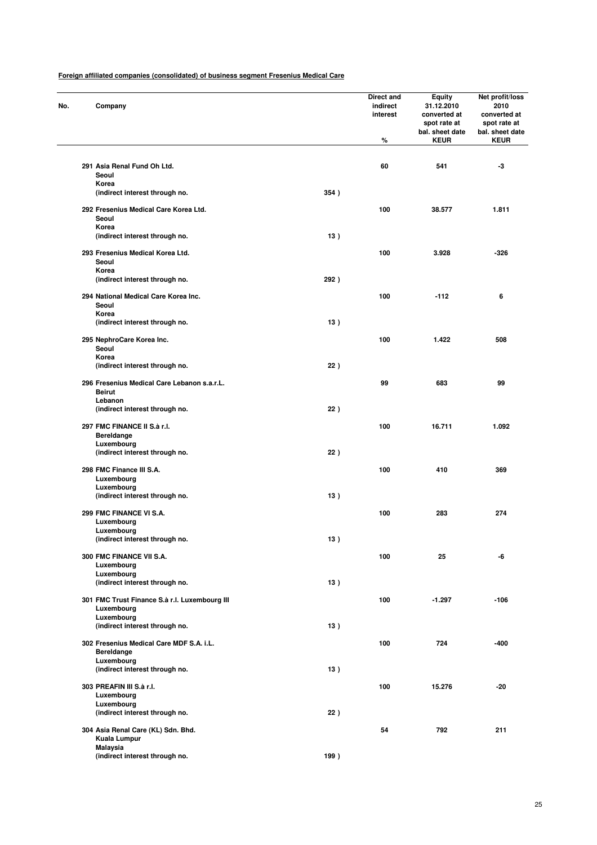| No. | Company                                                      |      | Direct and<br>indirect<br>interest<br>% | <b>Equity</b><br>31.12.2010<br>converted at<br>spot rate at<br>bal. sheet date<br><b>KEUR</b> | Net profit/loss<br>2010<br>converted at<br>spot rate at<br>bal. sheet date<br><b>KEUR</b> |
|-----|--------------------------------------------------------------|------|-----------------------------------------|-----------------------------------------------------------------------------------------------|-------------------------------------------------------------------------------------------|
|     | 291 Asia Renal Fund Oh Ltd.                                  |      | 60                                      | 541                                                                                           | -3                                                                                        |
|     | Seoul<br>Korea                                               |      |                                         |                                                                                               |                                                                                           |
|     | (indirect interest through no.                               | 354) |                                         |                                                                                               |                                                                                           |
|     | 292 Fresenius Medical Care Korea Ltd.<br>Seoul<br>Korea      |      | 100                                     | 38.577                                                                                        | 1.811                                                                                     |
|     | (indirect interest through no.                               | 13)  |                                         |                                                                                               |                                                                                           |
|     | 293 Fresenius Medical Korea Ltd.<br>Seoul<br>Korea           |      | 100                                     | 3.928                                                                                         | -326                                                                                      |
|     | (indirect interest through no.                               | 292) |                                         |                                                                                               |                                                                                           |
|     | 294 National Medical Care Korea Inc.<br>Seoul<br>Korea       |      | 100                                     | $-112$                                                                                        | 6                                                                                         |
|     | (indirect interest through no.                               | 13)  |                                         |                                                                                               |                                                                                           |
|     | 295 NephroCare Korea Inc.<br>Seoul                           |      | 100                                     | 1.422                                                                                         | 508                                                                                       |
|     | Korea<br>(indirect interest through no.                      | 22)  |                                         |                                                                                               |                                                                                           |
|     | 296 Fresenius Medical Care Lebanon s.a.r.L.<br><b>Beirut</b> |      | 99                                      | 683                                                                                           | 99                                                                                        |
|     | Lebanon<br>(indirect interest through no.                    | 22)  |                                         |                                                                                               |                                                                                           |
|     | 297 FMC FINANCE II S.à r.I.<br><b>Bereldange</b>             |      | 100                                     | 16.711                                                                                        | 1.092                                                                                     |
|     | Luxembourg<br>(indirect interest through no.                 | 22)  |                                         |                                                                                               |                                                                                           |
|     | 298 FMC Finance III S.A.<br>Luxembourg                       |      | 100                                     | 410                                                                                           | 369                                                                                       |
|     | Luxembourg<br>(indirect interest through no.                 | 13)  |                                         |                                                                                               |                                                                                           |
|     | 299 FMC FINANCE VI S.A.<br>Luxembourg                        |      | 100                                     | 283                                                                                           | 274                                                                                       |
|     | Luxembourg<br>(indirect interest through no.                 | 13)  |                                         |                                                                                               |                                                                                           |
|     | 300 FMC FINANCE VII S.A.<br>Luxembourg                       |      | 100                                     | 25                                                                                            | -6                                                                                        |
|     | Luxembourg<br>(indirect interest through no.                 | 13)  |                                         |                                                                                               |                                                                                           |
|     | 301 FMC Trust Finance S.à r.l. Luxembourg III<br>Luxembourg  |      | 100                                     | $-1.297$                                                                                      | $-106$                                                                                    |
|     | Luxembourg<br>(indirect interest through no.                 | 13)  |                                         |                                                                                               |                                                                                           |
|     | 302 Fresenius Medical Care MDF S.A. i.L.<br>Bereldange       |      | 100                                     | 724                                                                                           | $-400$                                                                                    |
|     | Luxembourg<br>(indirect interest through no.                 | 13)  |                                         |                                                                                               |                                                                                           |
|     | 303 PREAFIN III S.à r.I.<br>Luxembourg                       |      | 100                                     | 15.276                                                                                        | $-20$                                                                                     |
|     | Luxembourg<br>(indirect interest through no.                 | 22)  |                                         |                                                                                               |                                                                                           |
|     | 304 Asia Renal Care (KL) Sdn. Bhd.                           |      | 54                                      | 792                                                                                           | 211                                                                                       |
|     | Kuala Lumpur<br>Malaysia                                     |      |                                         |                                                                                               |                                                                                           |
|     | (indirect interest through no.                               | 199) |                                         |                                                                                               |                                                                                           |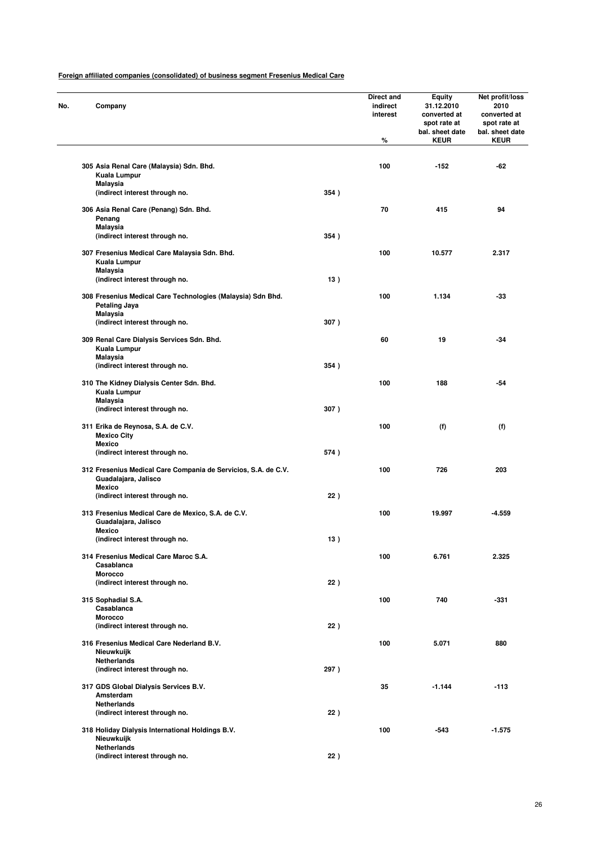| No. | Company                                                                                                 |      | <b>Direct and</b><br>indirect<br>interest<br>% | <b>Equity</b><br>31.12.2010<br>converted at<br>spot rate at<br>bal. sheet date<br><b>KEUR</b> | Net profit/loss<br>2010<br>converted at<br>spot rate at<br>bal. sheet date<br><b>KEUR</b> |
|-----|---------------------------------------------------------------------------------------------------------|------|------------------------------------------------|-----------------------------------------------------------------------------------------------|-------------------------------------------------------------------------------------------|
|     | 305 Asia Renal Care (Malaysia) Sdn. Bhd.                                                                |      | 100                                            | $-152$                                                                                        | -62                                                                                       |
|     | Kuala Lumpur<br>Malaysia                                                                                |      |                                                |                                                                                               |                                                                                           |
|     | (indirect interest through no.                                                                          | 354) |                                                |                                                                                               |                                                                                           |
|     | 306 Asia Renal Care (Penang) Sdn. Bhd.<br>Penang<br>Malaysia                                            |      | 70                                             | 415                                                                                           | 94                                                                                        |
|     | (indirect interest through no.                                                                          | 354) |                                                |                                                                                               |                                                                                           |
|     | 307 Fresenius Medical Care Malaysia Sdn. Bhd.<br>Kuala Lumpur                                           |      | 100                                            | 10.577                                                                                        | 2.317                                                                                     |
|     | <b>Malaysia</b><br>(indirect interest through no.                                                       | 13)  |                                                |                                                                                               |                                                                                           |
|     | 308 Fresenius Medical Care Technologies (Malaysia) Sdn Bhd.<br>Petaling Jaya                            |      | 100                                            | 1.134                                                                                         | -33                                                                                       |
|     | Malaysia<br>(indirect interest through no.                                                              | 307) |                                                |                                                                                               |                                                                                           |
|     | 309 Renal Care Dialysis Services Sdn. Bhd.<br>Kuala Lumpur                                              |      | 60                                             | 19                                                                                            | $-34$                                                                                     |
|     | Malaysia                                                                                                |      |                                                |                                                                                               |                                                                                           |
|     | (indirect interest through no.                                                                          | 354) |                                                |                                                                                               |                                                                                           |
|     | 310 The Kidney Dialysis Center Sdn. Bhd.<br>Kuala Lumpur                                                |      | 100                                            | 188                                                                                           | -54                                                                                       |
|     | Malaysia<br>(indirect interest through no.                                                              | 307) |                                                |                                                                                               |                                                                                           |
|     | 311 Erika de Reynosa, S.A. de C.V.<br><b>Mexico City</b><br>Mexico                                      |      | 100                                            | (f)                                                                                           | (f)                                                                                       |
|     | (indirect interest through no.                                                                          | 574) |                                                |                                                                                               |                                                                                           |
|     | 312 Fresenius Medical Care Compania de Servicios, S.A. de C.V.<br>Guadalajara, Jalisco<br><b>Mexico</b> |      | 100                                            | 726                                                                                           | 203                                                                                       |
|     | (indirect interest through no.                                                                          | 22)  |                                                |                                                                                               |                                                                                           |
|     | 313 Fresenius Medical Care de Mexico, S.A. de C.V.<br>Guadalajara, Jalisco                              |      | 100                                            | 19.997                                                                                        | $-4.559$                                                                                  |
|     | <b>Mexico</b><br>(indirect interest througn no.                                                         | 13)  |                                                |                                                                                               |                                                                                           |
|     | 314 Fresenius Medical Care Maroc S.A.<br>Casablanca                                                     |      | 100                                            | 6.761                                                                                         | 2.325                                                                                     |
|     | <b>Morocco</b><br>(indirect interest through no.                                                        | 22)  |                                                |                                                                                               |                                                                                           |
|     | 315 Sophadial S.A.                                                                                      |      | 100                                            | 740                                                                                           | $-331$                                                                                    |
|     | Casablanca<br><b>Morocco</b>                                                                            |      |                                                |                                                                                               |                                                                                           |
|     | (indirect interest through no.                                                                          | 22)  |                                                |                                                                                               |                                                                                           |
|     | 316 Fresenius Medical Care Nederland B.V.<br>Nieuwkuijk                                                 |      | 100                                            | 5.071                                                                                         | 880                                                                                       |
|     | <b>Netherlands</b><br>(indirect interest through no.                                                    | 297) |                                                |                                                                                               |                                                                                           |
|     | 317 GDS Global Dialysis Services B.V.<br>Amsterdam                                                      |      | 35                                             | $-1.144$                                                                                      | $-113$                                                                                    |
|     | <b>Netherlands</b><br>(indirect interest through no.                                                    | 22)  |                                                |                                                                                               |                                                                                           |
|     | 318 Holiday Dialysis International Holdings B.V.<br>Nieuwkuijk                                          |      | 100                                            | -543                                                                                          | $-1.575$                                                                                  |
|     | <b>Netherlands</b><br>(indirect interest through no.                                                    | 22)  |                                                |                                                                                               |                                                                                           |
|     |                                                                                                         |      |                                                |                                                                                               |                                                                                           |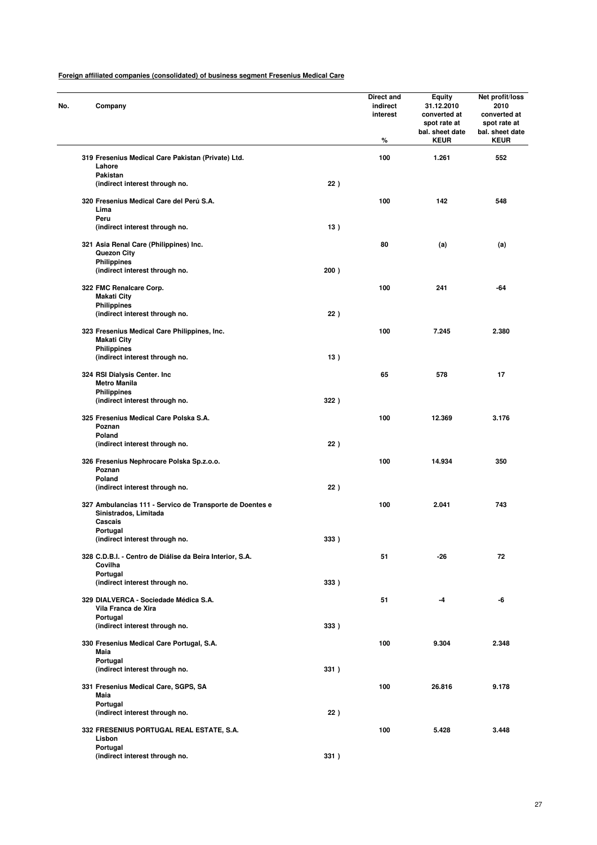| No. | Company                                                                                      |      | Direct and<br>indirect<br>interest<br>% | <b>Equity</b><br>31.12.2010<br>converted at<br>spot rate at<br>bal. sheet date<br><b>KEUR</b> | Net profit/loss<br>2010<br>converted at<br>spot rate at<br>bal. sheet date<br><b>KEUR</b> |
|-----|----------------------------------------------------------------------------------------------|------|-----------------------------------------|-----------------------------------------------------------------------------------------------|-------------------------------------------------------------------------------------------|
|     | 319 Fresenius Medical Care Pakistan (Private) Ltd.<br>Lahore                                 |      | 100                                     | 1.261                                                                                         | 552                                                                                       |
|     | Pakistan<br>(indirect interest through no.                                                   | 22)  |                                         |                                                                                               |                                                                                           |
|     | 320 Fresenius Medical Care del Perú S.A.<br>Lima                                             |      | 100                                     | 142                                                                                           | 548                                                                                       |
|     | Peru<br>(indirect interest through no.                                                       | 13)  |                                         |                                                                                               |                                                                                           |
|     | 321 Asia Renal Care (Philippines) Inc.<br>Quezon City<br><b>Philippines</b>                  |      | 80                                      | (a)                                                                                           | (a)                                                                                       |
|     | (indirect interest through no.                                                               | 200) |                                         |                                                                                               |                                                                                           |
|     | 322 FMC Renalcare Corp.<br><b>Makati City</b><br><b>Philippines</b>                          |      | 100                                     | 241                                                                                           | -64                                                                                       |
|     | (indirect interest through no.                                                               | 22)  |                                         |                                                                                               |                                                                                           |
|     | 323 Fresenius Medical Care Philippines, Inc.<br><b>Makati City</b>                           |      | 100                                     | 7.245                                                                                         | 2.380                                                                                     |
|     | <b>Philippines</b><br>(indirect interest through no.                                         | 13)  |                                         |                                                                                               |                                                                                           |
|     | 324 RSI Dialysis Center. Inc.<br><b>Metro Manila</b>                                         |      | 65                                      | 578                                                                                           | 17                                                                                        |
|     | <b>Philippines</b><br>(indirect interest through no.                                         | 322) |                                         |                                                                                               |                                                                                           |
|     | 325 Fresenius Medical Care Polska S.A.<br>Poznan                                             |      | 100                                     | 12.369                                                                                        | 3.176                                                                                     |
|     | Poland<br>(indirect interest through no.                                                     | 22)  |                                         |                                                                                               |                                                                                           |
|     | 326 Fresenius Nephrocare Polska Sp.z.o.o.<br>Poznan<br>Poland                                |      | 100                                     | 14.934                                                                                        | 350                                                                                       |
|     | (indirect interest through no.                                                               | 22)  |                                         |                                                                                               |                                                                                           |
|     | 327 Ambulancias 111 - Servico de Transporte de Doentes e<br>Sinistrados, Limitada<br>Cascais |      | 100                                     | 2.041                                                                                         | 743                                                                                       |
|     | Portugal                                                                                     |      |                                         |                                                                                               |                                                                                           |
|     | (indirect interest through no.                                                               | 333) |                                         |                                                                                               |                                                                                           |
|     | 328 C.D.B.I. - Centro de Diálise da Beira Interior, S.A.<br>Covilha<br>Portugal              |      | 51                                      | -26                                                                                           | 72                                                                                        |
|     | (indirect interest through no.                                                               | 333) |                                         |                                                                                               |                                                                                           |
|     | 329 DIALVERCA - Sociedade Médica S.A.<br>Vila Franca de Xira<br>Portugal                     |      | 51                                      | -4                                                                                            | -6                                                                                        |
|     | (indirect interest through no.                                                               | 333) |                                         |                                                                                               |                                                                                           |
|     | 330 Fresenius Medical Care Portugal, S.A.<br>Maia                                            |      | 100                                     | 9.304                                                                                         | 2.348                                                                                     |
|     | Portugal<br>(indirect interest through no.                                                   | 331) |                                         |                                                                                               |                                                                                           |
|     | 331 Fresenius Medical Care, SGPS, SA<br>Maia                                                 |      | 100                                     | 26.816                                                                                        | 9.178                                                                                     |
|     | Portugal<br>(indirect interest through no.                                                   | 22)  |                                         |                                                                                               |                                                                                           |
|     | 332 FRESENIUS PORTUGAL REAL ESTATE, S.A.<br>Lisbon                                           |      | 100                                     | 5.428                                                                                         | 3.448                                                                                     |
|     | Portugal<br>(indirect interest through no.                                                   | 331) |                                         |                                                                                               |                                                                                           |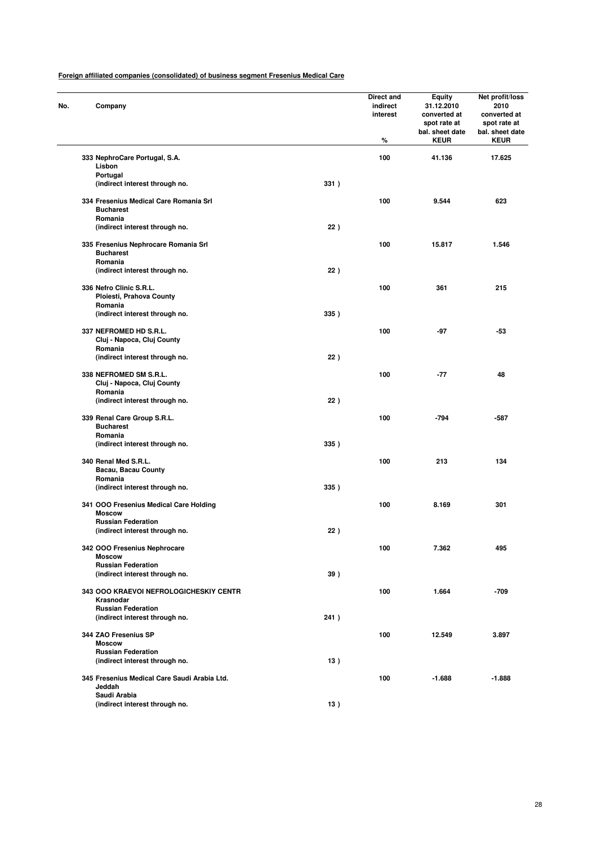| No. | Company                                                     |      | Direct and<br>indirect<br>interest<br>% | <b>Equity</b><br>31.12.2010<br>converted at<br>spot rate at<br>bal. sheet date<br><b>KEUR</b> | Net profit/loss<br>2010<br>converted at<br>spot rate at<br>bal. sheet date<br><b>KEUR</b> |
|-----|-------------------------------------------------------------|------|-----------------------------------------|-----------------------------------------------------------------------------------------------|-------------------------------------------------------------------------------------------|
|     | 333 NephroCare Portugal, S.A.                               |      | 100                                     | 41.136                                                                                        | 17.625                                                                                    |
|     | Lisbon<br>Portugal                                          |      |                                         |                                                                                               |                                                                                           |
|     | (indirect interest through no.                              | 331) |                                         |                                                                                               |                                                                                           |
|     | 334 Fresenius Medical Care Romania Srl                      |      | 100                                     | 9.544                                                                                         | 623                                                                                       |
|     | <b>Bucharest</b>                                            |      |                                         |                                                                                               |                                                                                           |
|     | Romania<br>(indirect interest through no.                   | 22)  |                                         |                                                                                               |                                                                                           |
|     |                                                             |      |                                         |                                                                                               |                                                                                           |
|     | 335 Fresenius Nephrocare Romania Srl<br><b>Bucharest</b>    |      | 100                                     | 15.817                                                                                        | 1.546                                                                                     |
|     | Romania<br>(indirect interest through no.                   | 22)  |                                         |                                                                                               |                                                                                           |
|     |                                                             |      |                                         |                                                                                               |                                                                                           |
|     | 336 Nefro Clinic S.R.L.<br>Ploiesti, Prahova County         |      | 100                                     | 361                                                                                           | 215                                                                                       |
|     | Romania                                                     |      |                                         |                                                                                               |                                                                                           |
|     | (indirect interest through no.                              | 335) |                                         |                                                                                               |                                                                                           |
|     | 337 NEFROMED HD S.R.L.                                      |      | 100                                     | -97                                                                                           | -53                                                                                       |
|     | Cluj - Napoca, Cluj County                                  |      |                                         |                                                                                               |                                                                                           |
|     | Romania<br>(indirect interest through no.                   | 22)  |                                         |                                                                                               |                                                                                           |
|     |                                                             |      |                                         |                                                                                               |                                                                                           |
|     | 338 NEFROMED SM S.R.L.<br>Cluj - Napoca, Cluj County        |      | 100                                     | -77                                                                                           | 48                                                                                        |
|     | Romania                                                     |      |                                         |                                                                                               |                                                                                           |
|     | (indirect interest through no.                              | 22)  |                                         |                                                                                               |                                                                                           |
|     | 339 Renal Care Group S.R.L.                                 |      | 100                                     | -794                                                                                          | $-587$                                                                                    |
|     | <b>Bucharest</b>                                            |      |                                         |                                                                                               |                                                                                           |
|     | Romania                                                     |      |                                         |                                                                                               |                                                                                           |
|     | (indirect interest through no.                              | 335) |                                         |                                                                                               |                                                                                           |
|     | 340 Renal Med S.R.L.                                        |      | 100                                     | 213                                                                                           | 134                                                                                       |
|     | Bacau, Bacau County<br>Romania                              |      |                                         |                                                                                               |                                                                                           |
|     | (indirect interest through no.                              | 335) |                                         |                                                                                               |                                                                                           |
|     |                                                             |      |                                         |                                                                                               |                                                                                           |
|     | 341 OOO Fresenius Medical Care Holding<br><b>Moscow</b>     |      | 100                                     | 8.169                                                                                         | 301                                                                                       |
|     | <b>Russian Federation</b>                                   |      |                                         |                                                                                               |                                                                                           |
|     | (indirect interest through no.                              | 22)  |                                         |                                                                                               |                                                                                           |
|     | 342 OOO Fresenius Nephrocare                                |      | 100                                     | 7.362                                                                                         | 495                                                                                       |
|     | <b>Moscow</b>                                               |      |                                         |                                                                                               |                                                                                           |
|     | <b>Russian Federation</b><br>(indirect interest through no. | 39)  |                                         |                                                                                               |                                                                                           |
|     |                                                             |      |                                         |                                                                                               |                                                                                           |
|     | <b>343 OOO KRAEVOI NEFROLOGICHESKIY CENTR</b><br>Krasnodar  |      | 100                                     | 1.664                                                                                         | $-709$                                                                                    |
|     | <b>Russian Federation</b>                                   |      |                                         |                                                                                               |                                                                                           |
|     | (indirect interest through no.                              | 241) |                                         |                                                                                               |                                                                                           |
|     | 344 ZAO Fresenius SP                                        |      | 100                                     | 12.549                                                                                        | 3.897                                                                                     |
|     | <b>Moscow</b>                                               |      |                                         |                                                                                               |                                                                                           |
|     | <b>Russian Federation</b>                                   |      |                                         |                                                                                               |                                                                                           |
|     | (indirect interest through no.                              | 13)  |                                         |                                                                                               |                                                                                           |
|     | 345 Fresenius Medical Care Saudi Arabia Ltd.                |      | 100                                     | $-1.688$                                                                                      | $-1.888$                                                                                  |
|     | Jeddah                                                      |      |                                         |                                                                                               |                                                                                           |
|     | Saudi Arabia<br>(indirect interest through no.              | 13)  |                                         |                                                                                               |                                                                                           |
|     |                                                             |      |                                         |                                                                                               |                                                                                           |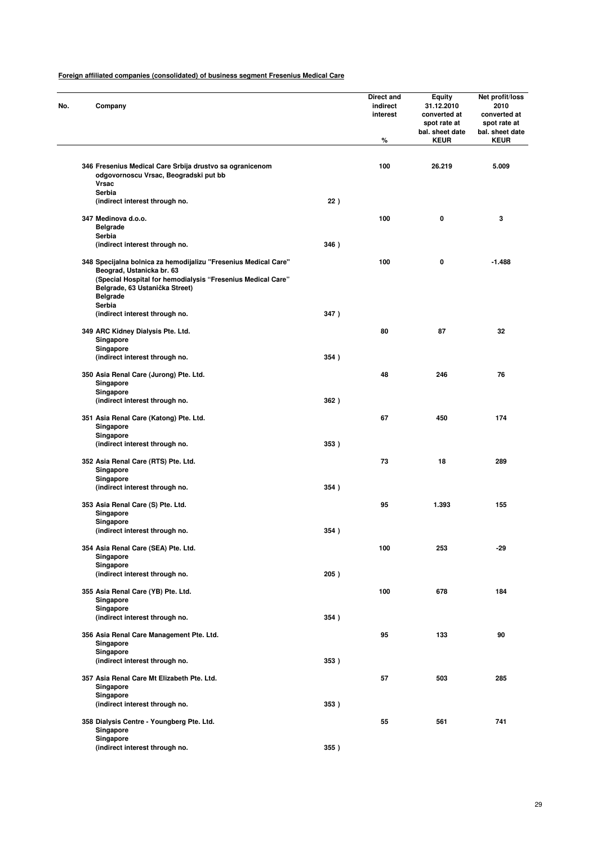| No. | Company                                                                                                                                                                                                          |      | Direct and<br>indirect<br>interest<br>% | <b>Equity</b><br>31.12.2010<br>converted at<br>spot rate at<br>bal. sheet date<br><b>KEUR</b> | Net profit/loss<br>2010<br>converted at<br>spot rate at<br>bal. sheet date<br><b>KEUR</b> |
|-----|------------------------------------------------------------------------------------------------------------------------------------------------------------------------------------------------------------------|------|-----------------------------------------|-----------------------------------------------------------------------------------------------|-------------------------------------------------------------------------------------------|
|     | 346 Fresenius Medical Care Srbija drustvo sa ogranicenom<br>odgovornoscu Vrsac, Beogradski put bb                                                                                                                |      | 100                                     | 26.219                                                                                        | 5.009                                                                                     |
|     | <b>Vrsac</b>                                                                                                                                                                                                     |      |                                         |                                                                                               |                                                                                           |
|     | Serbia                                                                                                                                                                                                           |      |                                         |                                                                                               |                                                                                           |
|     | (indirect interest through no.                                                                                                                                                                                   | 22)  |                                         |                                                                                               |                                                                                           |
|     | 347 Medinova d.o.o.                                                                                                                                                                                              |      | 100                                     | 0                                                                                             | 3                                                                                         |
|     | <b>Belgrade</b>                                                                                                                                                                                                  |      |                                         |                                                                                               |                                                                                           |
|     | Serbia<br>(indirect interest through no.                                                                                                                                                                         | 346) |                                         |                                                                                               |                                                                                           |
|     |                                                                                                                                                                                                                  |      |                                         |                                                                                               |                                                                                           |
|     | 348 Specijalna bolnica za hemodijalizu "Fresenius Medical Care"<br>Beograd, Ustanicka br. 63<br>(Special Hospital for hemodialysis "Fresenius Medical Care"<br>Belgrade, 63 Ustanička Street)<br><b>Belgrade</b> |      | 100                                     | 0                                                                                             | $-1.488$                                                                                  |
|     | Serbia                                                                                                                                                                                                           |      |                                         |                                                                                               |                                                                                           |
|     | (indirect interest through no.                                                                                                                                                                                   | 347) |                                         |                                                                                               |                                                                                           |
|     | 349 ARC Kidney Dialysis Pte. Ltd.<br>Singapore                                                                                                                                                                   |      | 80                                      | 87                                                                                            | 32                                                                                        |
|     | Singapore<br>(indirect interest through no.                                                                                                                                                                      | 354) |                                         |                                                                                               |                                                                                           |
|     | 350 Asia Renal Care (Jurong) Pte. Ltd.<br>Singapore                                                                                                                                                              |      | 48                                      | 246                                                                                           | 76                                                                                        |
|     | Singapore<br>(indirect interest through no.                                                                                                                                                                      | 362) |                                         |                                                                                               |                                                                                           |
|     | 351 Asia Renal Care (Katong) Pte. Ltd.<br>Singapore<br>Singapore                                                                                                                                                 |      | 67                                      | 450                                                                                           | 174                                                                                       |
|     | (indirect interest through no.                                                                                                                                                                                   | 353) |                                         |                                                                                               |                                                                                           |
|     | 352 Asia Renal Care (RTS) Pte. Ltd.<br>Singapore                                                                                                                                                                 |      | 73                                      | 18                                                                                            | 289                                                                                       |
|     | Singapore<br>(indirect interest through no.                                                                                                                                                                      | 354) |                                         |                                                                                               |                                                                                           |
|     | 353 Asia Renal Care (S) Pte. Ltd.<br>Singapore                                                                                                                                                                   |      | 95                                      | 1.393                                                                                         | 155                                                                                       |
|     | Singapore<br>(indirect interest through no.                                                                                                                                                                      | 354) |                                         |                                                                                               |                                                                                           |
|     | 354 Asia Renal Care (SEA) Pte. Ltd.<br>Singapore                                                                                                                                                                 |      | 100                                     | 253                                                                                           | $-29$                                                                                     |
|     | Singapore<br>(indirect interest through no.                                                                                                                                                                      | 205) |                                         |                                                                                               |                                                                                           |
|     | 355 Asia Renal Care (YB) Pte. Ltd.<br>Singapore                                                                                                                                                                  |      | 100                                     | 678                                                                                           | 184                                                                                       |
|     | Singapore<br>(indirect interest through no.                                                                                                                                                                      | 354) |                                         |                                                                                               |                                                                                           |
|     | 356 Asia Renal Care Management Pte. Ltd.                                                                                                                                                                         |      | 95                                      | 133                                                                                           | 90                                                                                        |
|     | Singapore<br>Singapore                                                                                                                                                                                           |      |                                         |                                                                                               |                                                                                           |
|     | (indirect interest through no.                                                                                                                                                                                   | 353) |                                         |                                                                                               |                                                                                           |
|     | 357 Asia Renal Care Mt Elizabeth Pte. Ltd.<br>Singapore<br>Singapore                                                                                                                                             |      | 57                                      | 503                                                                                           | 285                                                                                       |
|     | (indirect interest through no.                                                                                                                                                                                   | 353) |                                         |                                                                                               |                                                                                           |
|     | 358 Dialysis Centre - Youngberg Pte. Ltd.<br>Singapore<br>Singapore                                                                                                                                              |      | 55                                      | 561                                                                                           | 741                                                                                       |
|     | (indirect interest through no.                                                                                                                                                                                   | 355) |                                         |                                                                                               |                                                                                           |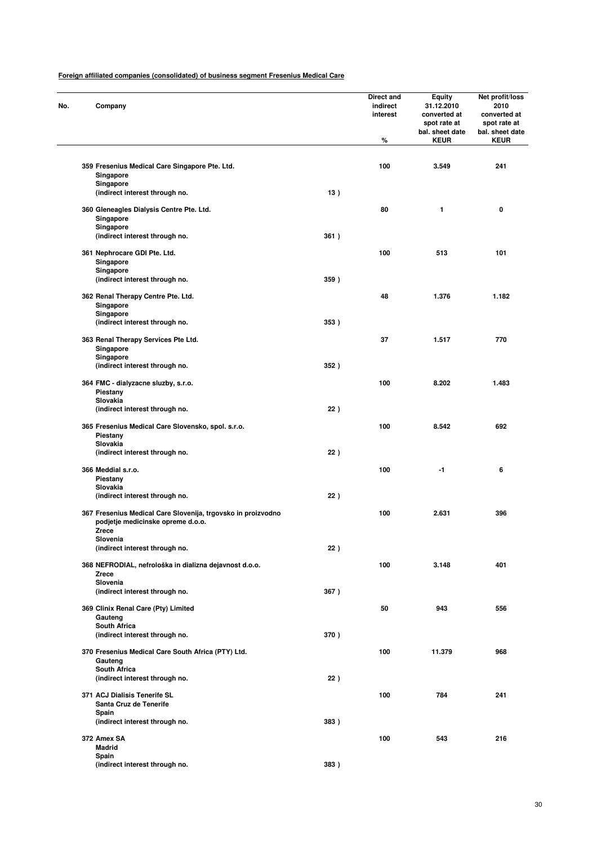| No. | Company                                                                                           |      | Direct and<br>indirect<br>interest<br>% | <b>Equity</b><br>31.12.2010<br>converted at<br>spot rate at<br>bal. sheet date<br><b>KEUR</b> | Net profit/loss<br>2010<br>converted at<br>spot rate at<br>bal. sheet date<br><b>KEUR</b> |
|-----|---------------------------------------------------------------------------------------------------|------|-----------------------------------------|-----------------------------------------------------------------------------------------------|-------------------------------------------------------------------------------------------|
|     | 359 Fresenius Medical Care Singapore Pte. Ltd.<br>Singapore                                       |      | 100                                     | 3.549                                                                                         | 241                                                                                       |
|     | Singapore<br>(indirect interest through no.                                                       | 13)  |                                         |                                                                                               |                                                                                           |
|     | 360 Gleneagles Dialysis Centre Pte. Ltd.                                                          |      | 80                                      | 1                                                                                             | 0                                                                                         |
|     | Singapore<br>Singapore                                                                            |      |                                         |                                                                                               |                                                                                           |
|     | (indirect interest through no.                                                                    | 361) |                                         |                                                                                               |                                                                                           |
|     | 361 Nephrocare GDI Pte. Ltd.<br>Singapore<br>Singapore                                            |      | 100                                     | 513                                                                                           | 101                                                                                       |
|     | (indirect interest through no.                                                                    | 359) |                                         |                                                                                               |                                                                                           |
|     | 362 Renal Therapy Centre Pte. Ltd.<br>Singapore                                                   |      | 48                                      | 1.376                                                                                         | 1.182                                                                                     |
|     | Singapore<br>(indirect interest through no.                                                       | 353) |                                         |                                                                                               |                                                                                           |
|     | 363 Renal Therapy Services Pte Ltd.<br>Singapore                                                  |      | 37                                      | 1.517                                                                                         | 770                                                                                       |
|     | Singapore<br>(indirect interest through no.                                                       | 352) |                                         |                                                                                               |                                                                                           |
|     | 364 FMC - dialyzacne sluzby, s.r.o.<br>Piestany                                                   |      | 100                                     | 8.202                                                                                         | 1.483                                                                                     |
|     | Slovakia<br>(indirect interest through no.                                                        | 22)  |                                         |                                                                                               |                                                                                           |
|     | 365 Fresenius Medical Care Slovensko, spol. s.r.o.<br>Piestany                                    |      | 100                                     | 8.542                                                                                         | 692                                                                                       |
|     | Slovakia<br>(indirect interest through no.                                                        | 22)  |                                         |                                                                                               |                                                                                           |
|     | 366 Meddial s.r.o.<br>Piestany                                                                    |      | 100                                     | -1                                                                                            | 6                                                                                         |
|     | Slovakia<br>(indirect interest through no.                                                        | 22)  |                                         |                                                                                               |                                                                                           |
|     | 367 Fresenius Medical Care Slovenija, trgovsko in proizvodno<br>podjetje medicinske opreme d.o.o. |      | 100                                     | 2.631                                                                                         | 396                                                                                       |
|     | <b>Zrece</b><br>slovenia                                                                          |      |                                         |                                                                                               |                                                                                           |
|     | (indirect interest through no.                                                                    | 22)  |                                         |                                                                                               |                                                                                           |
|     | 368 NEFRODIAL, nefrološka in dializna dejavnost d.o.o.<br><b>Zrece</b><br>Slovenia                |      | 100                                     | 3.148                                                                                         | 401                                                                                       |
|     | (indirect interest through no.                                                                    | 367) |                                         |                                                                                               |                                                                                           |
|     | 369 Clinix Renal Care (Pty) Limited<br>Gauteng                                                    |      | 50                                      | 943                                                                                           | 556                                                                                       |
|     | South Africa<br>(indirect interest through no.                                                    | 370) |                                         |                                                                                               |                                                                                           |
|     | 370 Fresenius Medical Care South Africa (PTY) Ltd.<br>Gauteng                                     |      | 100                                     | 11.379                                                                                        | 968                                                                                       |
|     | <b>South Africa</b><br>(indirect interest through no.                                             | 22)  |                                         |                                                                                               |                                                                                           |
|     | 371 ACJ Dialisis Tenerife SL<br>Santa Cruz de Tenerife                                            |      | 100                                     | 784                                                                                           | 241                                                                                       |
|     | Spain<br>(indirect interest through no.                                                           | 383) |                                         |                                                                                               |                                                                                           |
|     | 372 Amex SA<br><b>Madrid</b>                                                                      |      | 100                                     | 543                                                                                           | 216                                                                                       |
|     | Spain<br>(indirect interest through no.                                                           | 383) |                                         |                                                                                               |                                                                                           |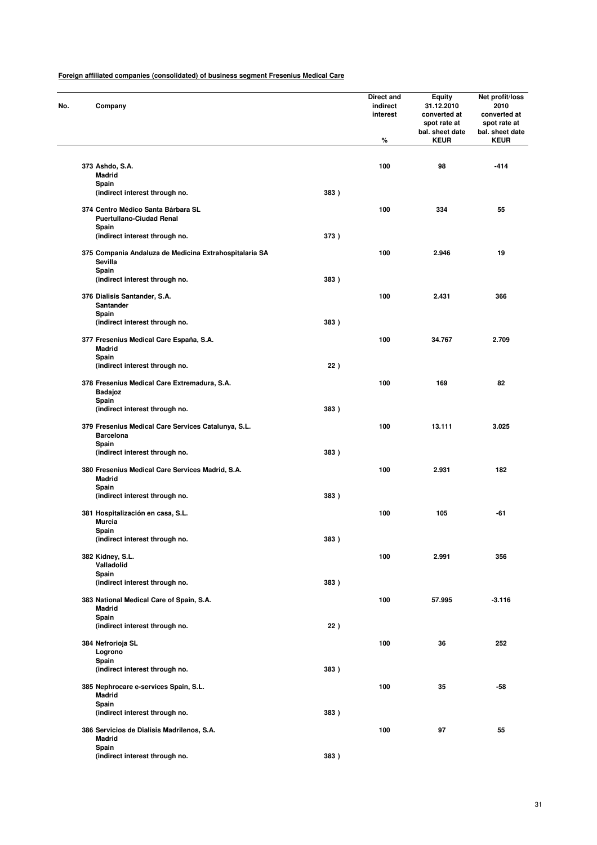| No. | Company                                                                          |      | Direct and<br>indirect<br>interest<br>% | <b>Equity</b><br>31.12.2010<br>converted at<br>spot rate at<br>bal. sheet date<br><b>KEUR</b> | Net profit/loss<br>2010<br>converted at<br>spot rate at<br>bal. sheet date<br><b>KEUR</b> |
|-----|----------------------------------------------------------------------------------|------|-----------------------------------------|-----------------------------------------------------------------------------------------------|-------------------------------------------------------------------------------------------|
|     | 373 Ashdo, S.A.                                                                  |      | 100                                     | 98                                                                                            | $-414$                                                                                    |
|     | <b>Madrid</b><br>Spain                                                           |      |                                         |                                                                                               |                                                                                           |
|     | (indirect interest through no.                                                   | 383) |                                         |                                                                                               |                                                                                           |
|     | 374 Centro Médico Santa Bárbara SL<br><b>Puertullano-Ciudad Renal</b>            |      | 100                                     | 334                                                                                           | 55                                                                                        |
|     | Spain<br>(indirect interest through no.                                          | 373) |                                         |                                                                                               |                                                                                           |
|     | 375 Compania Andaluza de Medicina Extrahospitalaria SA<br>Sevilla                |      | 100                                     | 2.946                                                                                         | 19                                                                                        |
|     | Spain<br>(indirect interest through no.                                          | 383) |                                         |                                                                                               |                                                                                           |
|     | 376 Dialisis Santander, S.A.<br>Santander                                        |      | 100                                     | 2.431                                                                                         | 366                                                                                       |
|     | Spain<br>(indirect interest through no.                                          | 383) |                                         |                                                                                               |                                                                                           |
|     | 377 Fresenius Medical Care España, S.A.                                          |      | 100                                     | 34.767                                                                                        | 2.709                                                                                     |
|     | Madrid<br>Spain                                                                  |      |                                         |                                                                                               |                                                                                           |
|     | (indirect interest through no.                                                   | 22)  |                                         |                                                                                               |                                                                                           |
|     | 378 Fresenius Medical Care Extremadura, S.A.<br>Badajoz                          |      | 100                                     | 169                                                                                           | 82                                                                                        |
|     | Spain<br>(indirect interest through no.                                          | 383) |                                         |                                                                                               |                                                                                           |
|     | 379 Fresenius Medical Care Services Catalunya, S.L.<br><b>Barcelona</b><br>Spain |      | 100                                     | 13.111                                                                                        | 3.025                                                                                     |
|     | (indirect interest through no.                                                   | 383) |                                         |                                                                                               |                                                                                           |
|     | 380 Fresenius Medical Care Services Madrid, S.A.<br>Madrid                       |      | 100                                     | 2.931                                                                                         | 182                                                                                       |
|     | Spain<br>(indirect interest through no.                                          | 383) |                                         |                                                                                               |                                                                                           |
|     | 381 Hospitalización en casa, S.L.                                                |      | 100                                     | 105                                                                                           | -61                                                                                       |
|     | Murcia<br>Spain                                                                  |      |                                         |                                                                                               |                                                                                           |
|     | (indirect interest through no.                                                   | 383) |                                         |                                                                                               |                                                                                           |
|     | 382 Kidney, S.L.<br>Valladolid                                                   |      | 100                                     | 2.991                                                                                         | 356                                                                                       |
|     | Spain<br>(indirect interest through no.                                          | 383) |                                         |                                                                                               |                                                                                           |
|     | 383 National Medical Care of Spain, S.A.<br><b>Madrid</b>                        |      | 100                                     | 57.995                                                                                        | $-3.116$                                                                                  |
|     | Spain<br>(indirect interest through no.                                          | 22)  |                                         |                                                                                               |                                                                                           |
|     | 384 Nefrorioja SL                                                                |      | 100                                     | 36                                                                                            | 252                                                                                       |
|     | Logrono<br>Spain                                                                 |      |                                         |                                                                                               |                                                                                           |
|     | (indirect interest through no.                                                   | 383) |                                         |                                                                                               |                                                                                           |
|     | 385 Nephrocare e-services Spain, S.L.<br>Madrid                                  |      | 100                                     | 35                                                                                            | -58                                                                                       |
|     | Spain<br>(indirect interest through no.                                          | 383) |                                         |                                                                                               |                                                                                           |
|     | 386 Servicios de Dialisis Madrilenos, S.A.<br>Madrid                             |      | 100                                     | 97                                                                                            | 55                                                                                        |
|     | Spain<br>(indirect interest through no.                                          | 383) |                                         |                                                                                               |                                                                                           |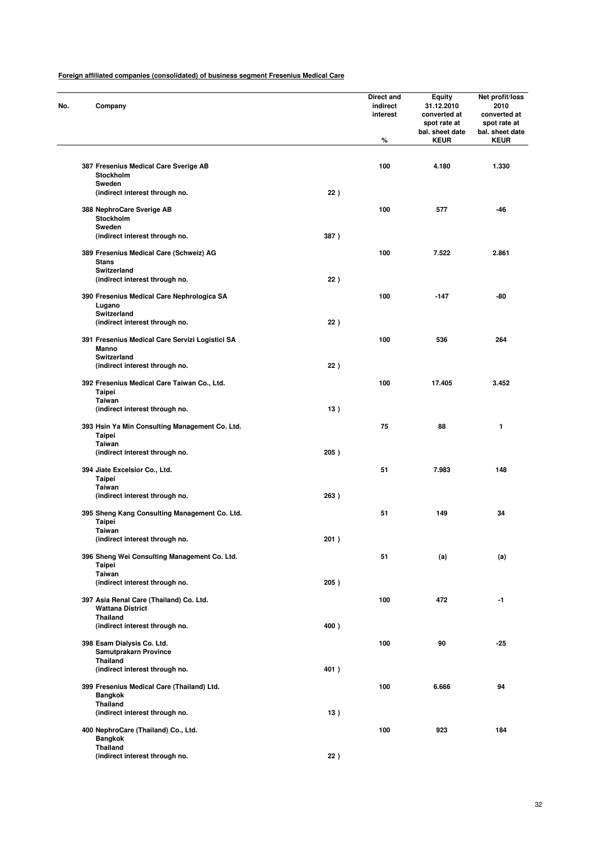| No. | Company                                                            |       | Direct and<br>indirect<br>interest<br>% | <b>Equity</b><br>31.12.2010<br>converted at<br>spot rate at<br>bal. sheet date<br><b>KEUR</b> | Net profit/loss<br>2010<br>converted at<br>spot rate at<br>bal. sheet date<br><b>KEUR</b> |
|-----|--------------------------------------------------------------------|-------|-----------------------------------------|-----------------------------------------------------------------------------------------------|-------------------------------------------------------------------------------------------|
|     | 387 Fresenius Medical Care Sverige AB                              |       | 100                                     | 4.180                                                                                         | 1.330                                                                                     |
|     | Stockholm<br>Sweden                                                |       |                                         |                                                                                               |                                                                                           |
|     | (indirect interest through no.                                     | 22)   |                                         |                                                                                               |                                                                                           |
|     | 388 NephroCare Sverige AB<br>Stockholm<br>Sweden                   |       | 100                                     | 577                                                                                           | $-46$                                                                                     |
|     | (indirect interest through no.                                     | 387)  |                                         |                                                                                               |                                                                                           |
|     | 389 Fresenius Medical Care (Schweiz) AG<br><b>Stans</b>            |       | 100                                     | 7.522                                                                                         | 2.861                                                                                     |
|     | Switzerland<br>(indirect interest through no.                      | 22)   |                                         |                                                                                               |                                                                                           |
|     | 390 Fresenius Medical Care Nephrologica SA<br>Lugano               |       | 100                                     | $-147$                                                                                        | -80                                                                                       |
|     | Switzerland<br>(indirect interest through no.                      | 22)   |                                         |                                                                                               |                                                                                           |
|     | 391 Fresenius Medical Care Servizi Logistici SA<br>Manno           |       | 100                                     | 536                                                                                           | 264                                                                                       |
|     | Switzerland<br>(indirect interest through no.                      | 22)   |                                         |                                                                                               |                                                                                           |
|     | 392 Fresenius Medical Care Taiwan Co., Ltd.<br><b>Taipei</b>       |       | 100                                     | 17.405                                                                                        | 3.452                                                                                     |
|     | <b>Taiwan</b><br>(indirect interest through no.                    | 13)   |                                         |                                                                                               |                                                                                           |
|     | 393 Hsin Ya Min Consulting Management Co. Ltd.<br>Taipei           |       | 75                                      | 88                                                                                            | 1                                                                                         |
|     | <b>Taiwan</b><br>(indirect interest through no.                    | 205)  |                                         |                                                                                               |                                                                                           |
|     | 394 Jiate Excelsior Co., Ltd.<br>Taipei                            |       | 51                                      | 7.983                                                                                         | 148                                                                                       |
|     | <b>Taiwan</b><br>(indirect interest through no.                    | 263)  |                                         |                                                                                               |                                                                                           |
|     | 395 Sheng Kang Consulting Management Co. Ltd.<br>Taipei            |       | 51                                      | 149                                                                                           | 34                                                                                        |
|     | Taiwan<br>(indirect interest through no.                           | 201 ) |                                         |                                                                                               |                                                                                           |
|     | 396 Sheng Wei Consulting Management Co. Ltd.<br>Taipei             |       | 51                                      | (a)                                                                                           | (a)                                                                                       |
|     | Taiwan<br>(indirect interest through no.                           | 205)  |                                         |                                                                                               |                                                                                           |
|     | 397 Asia Renal Care (Thailand) Co. Ltd.<br><b>Wattana District</b> |       | 100                                     | 472                                                                                           | -1                                                                                        |
|     | Thailand<br>(indirect interest through no.                         | 400)  |                                         |                                                                                               |                                                                                           |
|     | 398 Esam Dialysis Co. Ltd.<br>Samutprakarn Province                |       | 100                                     | 90                                                                                            | $-25$                                                                                     |
|     | Thailand<br>(indirect interest through no.                         | 401)  |                                         |                                                                                               |                                                                                           |
|     | 399 Fresenius Medical Care (Thailand) Ltd.<br>Bangkok              |       | 100                                     | 6.666                                                                                         | 94                                                                                        |
|     | Thailand<br>(indirect interest through no.                         | 13)   |                                         |                                                                                               |                                                                                           |
|     | 400 NephroCare (Thailand) Co., Ltd.<br><b>Bangkok</b>              |       | 100                                     | 923                                                                                           | 184                                                                                       |
|     | <b>Thailand</b><br>(indirect interest through no.                  | 22)   |                                         |                                                                                               |                                                                                           |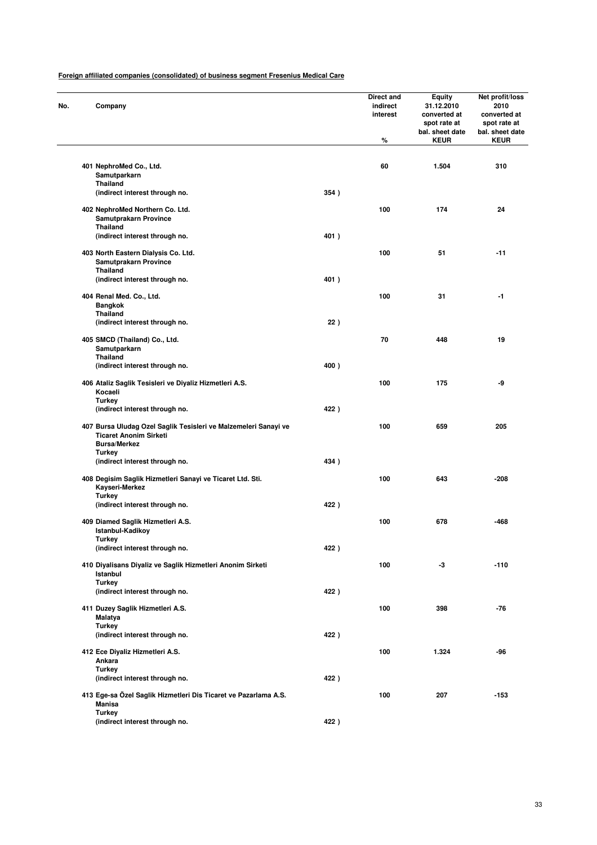| Company                                                         |      | Direct and<br>indirect<br>interest<br>% | <b>Equity</b><br>31.12.2010<br>converted at<br>spot rate at<br>bal. sheet date<br><b>KEUR</b> | Net profit/loss<br>2010<br>converted at<br>spot rate at<br>bal. sheet date<br><b>KEUR</b> |
|-----------------------------------------------------------------|------|-----------------------------------------|-----------------------------------------------------------------------------------------------|-------------------------------------------------------------------------------------------|
|                                                                 |      |                                         |                                                                                               |                                                                                           |
| 401 NephroMed Co., Ltd.<br>Samutparkarn                         |      | 60                                      | 1.504                                                                                         | 310                                                                                       |
| <b>Thailand</b>                                                 |      |                                         |                                                                                               |                                                                                           |
| (indirect interest through no.                                  | 354) |                                         |                                                                                               |                                                                                           |
| 402 NephroMed Northern Co. Ltd.                                 |      | 100                                     | 174                                                                                           | 24                                                                                        |
| Samutprakarn Province                                           |      |                                         |                                                                                               |                                                                                           |
| <b>Thailand</b>                                                 |      |                                         |                                                                                               |                                                                                           |
| (indirect interest through no.                                  | 401) |                                         |                                                                                               |                                                                                           |
| 403 North Eastern Dialysis Co. Ltd.                             |      | 100                                     | 51                                                                                            | $-11$                                                                                     |
| <b>Samutprakarn Province</b>                                    |      |                                         |                                                                                               |                                                                                           |
| <b>Thailand</b>                                                 |      |                                         |                                                                                               |                                                                                           |
| (indirect interest through no.                                  | 401) |                                         |                                                                                               |                                                                                           |
|                                                                 |      |                                         |                                                                                               |                                                                                           |
| 404 Renal Med. Co., Ltd.                                        |      | 100                                     | 31                                                                                            | -1                                                                                        |
| <b>Bangkok</b><br><b>Thailand</b>                               |      |                                         |                                                                                               |                                                                                           |
| (indirect interest through no.                                  | 22)  |                                         |                                                                                               |                                                                                           |
|                                                                 |      |                                         |                                                                                               |                                                                                           |
| 405 SMCD (Thailand) Co., Ltd.                                   |      | 70                                      | 448                                                                                           | 19                                                                                        |
| Samutparkarn                                                    |      |                                         |                                                                                               |                                                                                           |
| <b>Thailand</b>                                                 |      |                                         |                                                                                               |                                                                                           |
| (indirect interest through no.                                  | 400) |                                         |                                                                                               |                                                                                           |
| 406 Ataliz Saglik Tesisleri ve Diyaliz Hizmetleri A.S.          |      | 100                                     | 175                                                                                           | -9                                                                                        |
| Kocaeli                                                         |      |                                         |                                                                                               |                                                                                           |
| <b>Turkey</b>                                                   |      |                                         |                                                                                               |                                                                                           |
| (indirect interest through no.                                  | 422) |                                         |                                                                                               |                                                                                           |
| 407 Bursa Uludag Ozel Saglik Tesisleri ve Malzemeleri Sanayi ve |      | 100                                     | 659                                                                                           | 205                                                                                       |
| <b>Ticaret Anonim Sirketi</b>                                   |      |                                         |                                                                                               |                                                                                           |
| <b>Bursa/Merkez</b>                                             |      |                                         |                                                                                               |                                                                                           |
| <b>Turkey</b>                                                   |      |                                         |                                                                                               |                                                                                           |
| (indirect interest through no.                                  | 434) |                                         |                                                                                               |                                                                                           |
|                                                                 |      |                                         |                                                                                               |                                                                                           |
| 408 Degisim Saglik Hizmetleri Sanayi ve Ticaret Ltd. Sti.       |      | 100                                     | 643                                                                                           | -208                                                                                      |
| Kayseri-Merkez                                                  |      |                                         |                                                                                               |                                                                                           |
| <b>Turkey</b><br>(indirect interest through no.                 | 422) |                                         |                                                                                               |                                                                                           |
|                                                                 |      |                                         |                                                                                               |                                                                                           |
| 409 Diamed Saglik Hizmetleri A.S.                               |      | 100                                     | 678                                                                                           | -468                                                                                      |
| Istanbul-Kadikov                                                |      |                                         |                                                                                               |                                                                                           |
| <b>lurkey</b>                                                   |      |                                         |                                                                                               |                                                                                           |
| (indirect interest through no.                                  | 422) |                                         |                                                                                               |                                                                                           |
| 410 Divalisans Divaliz ve Saglik Hizmetleri Anonim Sirketi      |      | 100                                     | -3                                                                                            | $-110$                                                                                    |
| Istanbul                                                        |      |                                         |                                                                                               |                                                                                           |
| <b>Turkey</b>                                                   |      |                                         |                                                                                               |                                                                                           |
| (indirect interest through no.                                  | 422) |                                         |                                                                                               |                                                                                           |
|                                                                 |      |                                         |                                                                                               |                                                                                           |
| 411 Duzey Saglik Hizmetleri A.S.                                |      | 100                                     | 398                                                                                           | $-76$                                                                                     |
| Malatya                                                         |      |                                         |                                                                                               |                                                                                           |
| <b>Turkey</b><br>(indirect interest through no.                 | 422) |                                         |                                                                                               |                                                                                           |
|                                                                 |      |                                         |                                                                                               |                                                                                           |
| 412 Ece Diyaliz Hizmetleri A.S.                                 |      | 100                                     | 1.324                                                                                         | -96                                                                                       |
| Ankara                                                          |      |                                         |                                                                                               |                                                                                           |
| <b>Turkey</b>                                                   |      |                                         |                                                                                               |                                                                                           |
| (indirect interest through no.                                  | 422) |                                         |                                                                                               |                                                                                           |
| 413 Ege-sa Özel Saglik Hizmetleri Dis Ticaret ve Pazarlama A.S. |      | 100                                     | 207                                                                                           | -153                                                                                      |
| <b>Manisa</b>                                                   |      |                                         |                                                                                               |                                                                                           |
| <b>Turkey</b>                                                   |      |                                         |                                                                                               |                                                                                           |
| (indirect interest through no.                                  | 422) |                                         |                                                                                               |                                                                                           |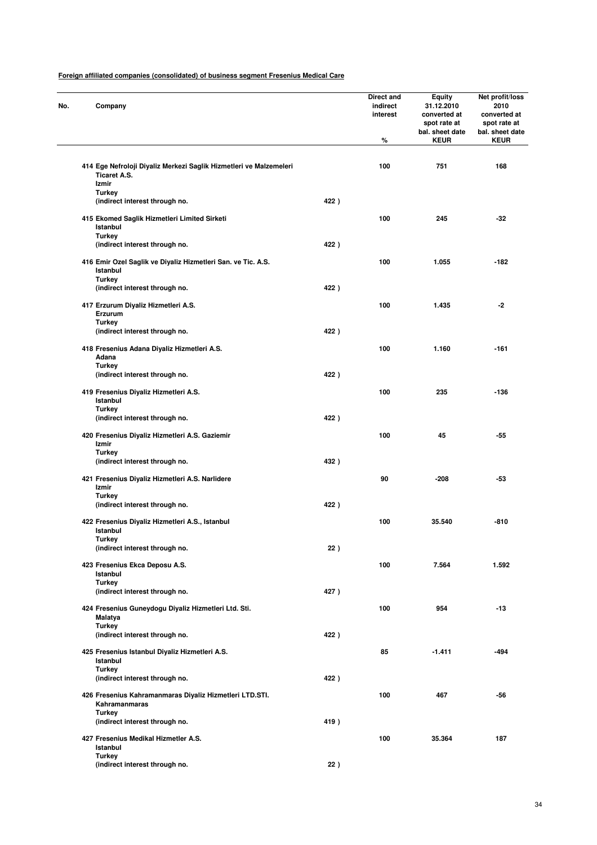| No. | Company                                                                                            |      | Direct and<br>indirect<br>interest<br>% | <b>Equity</b><br>31.12.2010<br>converted at<br>spot rate at<br>bal. sheet date<br><b>KEUR</b> | Net profit/loss<br>2010<br>converted at<br>spot rate at<br>bal. sheet date<br><b>KEUR</b> |
|-----|----------------------------------------------------------------------------------------------------|------|-----------------------------------------|-----------------------------------------------------------------------------------------------|-------------------------------------------------------------------------------------------|
|     |                                                                                                    |      |                                         |                                                                                               |                                                                                           |
|     | 414 Ege Nefroloji Diyaliz Merkezi Saglik Hizmetleri ve Malzemeleri<br><b>Ticaret A.S.</b><br>Izmir |      | 100                                     | 751                                                                                           | 168                                                                                       |
|     | <b>Turkey</b>                                                                                      |      |                                         |                                                                                               |                                                                                           |
|     | (indirect interest through no.                                                                     | 422) |                                         |                                                                                               |                                                                                           |
|     | 415 Ekomed Saglik Hizmetleri Limited Sirketi<br>Istanbul                                           |      | 100                                     | 245                                                                                           | $-32$                                                                                     |
|     | <b>Turkey</b>                                                                                      |      |                                         |                                                                                               |                                                                                           |
|     | (indirect interest through no.                                                                     | 422) |                                         |                                                                                               |                                                                                           |
|     | 416 Emir Ozel Saglik ve Diyaliz Hizmetleri San. ve Tic. A.S.<br>Istanbul                           |      | 100                                     | 1.055                                                                                         | -182                                                                                      |
|     | <b>Turkey</b><br>(indirect interest through no.                                                    | 422) |                                         |                                                                                               |                                                                                           |
|     |                                                                                                    |      |                                         |                                                                                               |                                                                                           |
|     | 417 Erzurum Diyaliz Hizmetleri A.S.<br>Erzurum<br>Turkey                                           |      | 100                                     | 1.435                                                                                         | $-2$                                                                                      |
|     | (indirect interest through no.                                                                     | 422) |                                         |                                                                                               |                                                                                           |
|     |                                                                                                    |      |                                         |                                                                                               |                                                                                           |
|     | 418 Fresenius Adana Diyaliz Hizmetleri A.S.                                                        |      | 100                                     | 1.160                                                                                         | $-161$                                                                                    |
|     | Adana<br><b>Turkey</b>                                                                             |      |                                         |                                                                                               |                                                                                           |
|     | (indirect interest through no.                                                                     | 422) |                                         |                                                                                               |                                                                                           |
|     |                                                                                                    |      |                                         |                                                                                               |                                                                                           |
|     | 419 Fresenius Diyaliz Hizmetleri A.S.<br>Istanbul<br>Turkey                                        |      | 100                                     | 235                                                                                           | $-136$                                                                                    |
|     | (indirect interest through no.                                                                     | 422) |                                         |                                                                                               |                                                                                           |
|     | 420 Fresenius Diyaliz Hizmetleri A.S. Gaziemir<br>Izmir                                            |      | 100                                     | 45                                                                                            | $-55$                                                                                     |
|     | <b>Turkey</b>                                                                                      |      |                                         |                                                                                               |                                                                                           |
|     | (indirect interest through no.                                                                     | 432) |                                         |                                                                                               |                                                                                           |
|     | 421 Fresenius Diyaliz Hizmetleri A.S. Narlidere<br>Izmir                                           |      | 90                                      | -208                                                                                          | -53                                                                                       |
|     | <b>Turkey</b>                                                                                      |      |                                         |                                                                                               |                                                                                           |
|     | (indirect interest through no.                                                                     | 422) |                                         |                                                                                               |                                                                                           |
|     | 422 Fresenius Diyaliz Hizmetleri A.S., Istanbul<br>Istanbul                                        |      | 100                                     | 35.540                                                                                        | -810                                                                                      |
|     | <b>lurkey</b><br>(indirect interest through no.                                                    | 22)  |                                         |                                                                                               |                                                                                           |
|     |                                                                                                    |      |                                         |                                                                                               |                                                                                           |
|     | 423 Fresenius Ekca Deposu A.S.<br>Istanbul<br><b>Turkey</b>                                        |      | 100                                     | 7.564                                                                                         | 1.592                                                                                     |
|     | (indirect interest through no.                                                                     | 427) |                                         |                                                                                               |                                                                                           |
|     | 424 Fresenius Guneydogu Diyaliz Hizmetleri Ltd. Sti.<br><b>Malatya</b>                             |      | 100                                     | 954                                                                                           | $-13$                                                                                     |
|     | Turkey<br>(indirect interest through no.                                                           | 422) |                                         |                                                                                               |                                                                                           |
|     |                                                                                                    |      |                                         |                                                                                               |                                                                                           |
|     | 425 Fresenius Istanbul Diyaliz Hizmetleri A.S.<br>Istanbul<br><b>Turkey</b>                        |      | 85                                      | $-1.411$                                                                                      | -494                                                                                      |
|     | (indirect interest through no.                                                                     | 422) |                                         |                                                                                               |                                                                                           |
|     | 426 Fresenius Kahramanmaras Diyaliz Hizmetleri LTD.STI.<br>Kahramanmaras                           |      | 100                                     | 467                                                                                           | -56                                                                                       |
|     | <b>Turkey</b><br>(indirect interest through no.                                                    | 419) |                                         |                                                                                               |                                                                                           |
|     | 427 Fresenius Medikal Hizmetler A.S.<br>Istanbul                                                   |      | 100                                     | 35.364                                                                                        | 187                                                                                       |
|     | Turkey                                                                                             |      |                                         |                                                                                               |                                                                                           |
|     | (indirect interest through no.                                                                     | 22)  |                                         |                                                                                               |                                                                                           |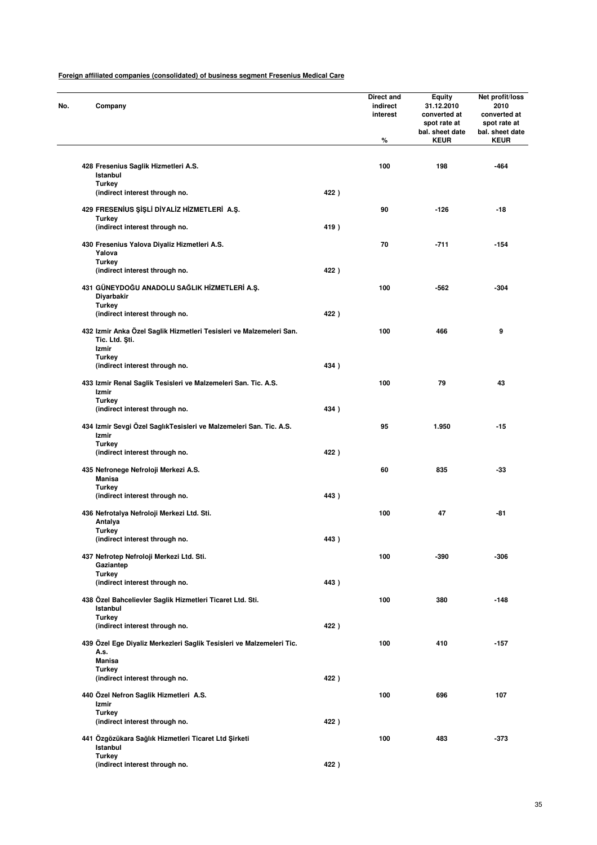| No. | Company                                                                               |      | Direct and<br>indirect<br>interest<br>% | <b>Equity</b><br>31.12.2010<br>converted at<br>spot rate at<br>bal. sheet date<br><b>KEUR</b> | Net profit/loss<br>2010<br>converted at<br>spot rate at<br>bal. sheet date<br><b>KEUR</b> |
|-----|---------------------------------------------------------------------------------------|------|-----------------------------------------|-----------------------------------------------------------------------------------------------|-------------------------------------------------------------------------------------------|
|     | 428 Fresenius Saglik Hizmetleri A.S.<br>Istanbul                                      |      | 100                                     | 198                                                                                           | -464                                                                                      |
|     | <b>Turkey</b><br>(indirect interest through no.                                       | 422) |                                         |                                                                                               |                                                                                           |
|     | 429 FRESENIUS ŞIŞLI DIYALIZ HIZMETLERI A.Ş.                                           |      | 90                                      | $-126$                                                                                        | $-18$                                                                                     |
|     | Turkey<br>(indirect interest through no.                                              | 419) |                                         |                                                                                               |                                                                                           |
|     | 430 Fresenius Yalova Diyaliz Hizmetleri A.S.<br>Yalova                                |      | 70                                      | $-711$                                                                                        | $-154$                                                                                    |
|     | <b>Turkey</b><br>(indirect interest through no.                                       | 422) |                                         |                                                                                               |                                                                                           |
|     | 431 GÜNEYDOĞU ANADOLU SAĞLIK HİZMETLERİ A.Ş.<br>Diyarbakir                            |      | 100                                     | -562                                                                                          | $-304$                                                                                    |
|     | <b>Turkey</b><br>(indirect interest through no.                                       | 422) |                                         |                                                                                               |                                                                                           |
|     | 432 Izmir Anka Özel Saglik Hizmetleri Tesisleri ve Malzemeleri San.<br>Tic. Ltd. Sti. |      | 100                                     | 466                                                                                           | 9                                                                                         |
|     | Izmir<br><b>Turkey</b><br>(indirect interest through no.                              | 434) |                                         |                                                                                               |                                                                                           |
|     | 433 Izmir Renal Saglik Tesisleri ve Malzemeleri San. Tic. A.S.<br>Izmir               |      | 100                                     | 79                                                                                            | 43                                                                                        |
|     | <b>Turkey</b><br>(indirect interest through no.                                       | 434) |                                         |                                                                                               |                                                                                           |
|     | 434 Izmir Sevgi Özel SaglıkTesisleri ve Malzemeleri San. Tic. A.S.<br>Izmir           |      | 95                                      | 1.950                                                                                         | $-15$                                                                                     |
|     | <b>Turkey</b><br>(indirect interest through no.                                       | 422) |                                         |                                                                                               |                                                                                           |
|     | 435 Nefronege Nefroloji Merkezi A.S.<br><b>Manisa</b>                                 |      | 60                                      | 835                                                                                           | $-33$                                                                                     |
|     | <b>Turkey</b><br>(indirect interest through no.                                       | 443) |                                         |                                                                                               |                                                                                           |
|     | 436 Nefrotalya Nefroloji Merkezi Ltd. Sti.<br>Antalya                                 |      | 100                                     | 47                                                                                            | -81                                                                                       |
|     | Turkey<br>(indirect interest through no.                                              | 443) |                                         |                                                                                               |                                                                                           |
|     | 437 Nefrotep Nefroloji Merkezi Ltd. Sti.<br>Gaziantep                                 |      | 100                                     | -390                                                                                          | -306                                                                                      |
|     | <b>Turkey</b><br>(indirect interest through no.                                       | 443) |                                         |                                                                                               |                                                                                           |
|     | 438 Özel Bahcelievler Saglik Hizmetleri Ticaret Ltd. Sti.<br>Istanbul                 |      | 100                                     | 380                                                                                           | $-148$                                                                                    |
|     | <b>Turkey</b><br>(indirect interest through no.                                       | 422) |                                         |                                                                                               |                                                                                           |
|     | 439 Özel Ege Diyaliz Merkezleri Saglik Tesisleri ve Malzemeleri Tic.<br>A.s.          |      | 100                                     | 410                                                                                           | $-157$                                                                                    |
|     | <b>Manisa</b><br><b>Turkey</b>                                                        |      |                                         |                                                                                               |                                                                                           |
|     | (indirect interest through no.                                                        | 422) |                                         |                                                                                               |                                                                                           |
|     | 440 Özel Nefron Saglik Hizmetleri A.S.<br>Izmir                                       |      | 100                                     | 696                                                                                           | 107                                                                                       |
|     | <b>Turkey</b><br>(indirect interest through no.                                       | 422) |                                         |                                                                                               |                                                                                           |
|     | 441 Özgözükara Sağlık Hizmetleri Ticaret Ltd Şirketi<br>Istanbul                      |      | 100                                     | 483                                                                                           | -373                                                                                      |
|     | <b>Turkey</b><br>(indirect interest through no.                                       | 422) |                                         |                                                                                               |                                                                                           |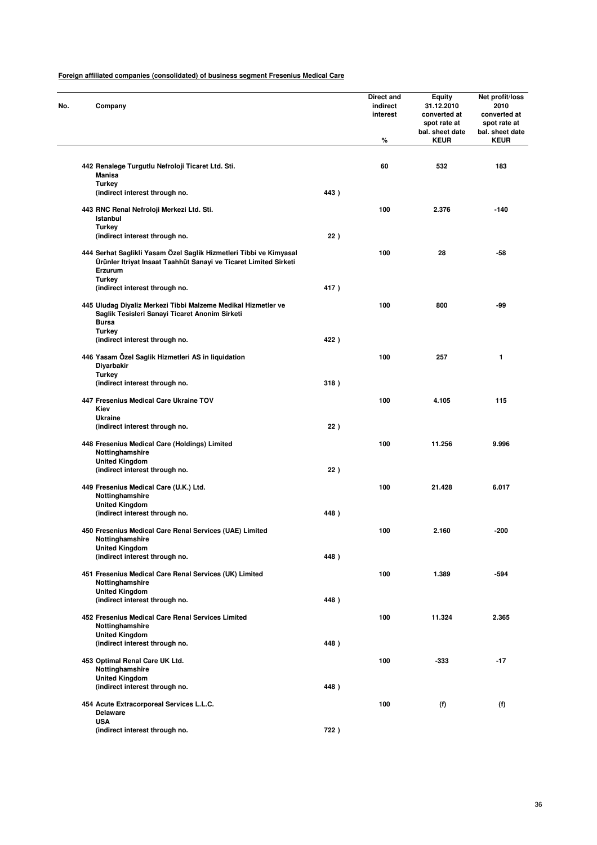| Company                                                                                                                                           |      | <b>Direct and</b><br>indirect<br>interest<br>% | Equity<br>31.12.2010<br>converted at<br>spot rate at<br>bal. sheet date<br><b>KEUR</b> | Net profit/loss<br>2010<br>converted at<br>spot rate at<br>bal. sheet date<br><b>KEUR</b> |
|---------------------------------------------------------------------------------------------------------------------------------------------------|------|------------------------------------------------|----------------------------------------------------------------------------------------|-------------------------------------------------------------------------------------------|
|                                                                                                                                                   |      |                                                |                                                                                        |                                                                                           |
| 442 Renalege Turgutlu Nefroloji Ticaret Ltd. Sti.<br><b>Manisa</b><br><b>Turkey</b>                                                               |      | 60                                             | 532                                                                                    | 183                                                                                       |
| (indirect interest through no.                                                                                                                    | 443) |                                                |                                                                                        |                                                                                           |
| 443 RNC Renal Nefroloji Merkezi Ltd. Sti.<br>Istanbul                                                                                             |      | 100                                            | 2.376                                                                                  | $-140$                                                                                    |
| <b>Turkey</b><br>(indirect interest through no.                                                                                                   | 22)  |                                                |                                                                                        |                                                                                           |
| 444 Serhat Saglikli Yasam Özel Saglik Hizmetleri Tibbi ve Kimyasal<br>Ürünler Itriyat Insaat Taahhüt Sanayi ve Ticaret Limited Sirketi<br>Erzurum |      | 100                                            | 28                                                                                     | $-58$                                                                                     |
| <b>Turkey</b><br>(indirect interest through no.                                                                                                   | 417) |                                                |                                                                                        |                                                                                           |
| 445 Uludag Diyaliz Merkezi Tibbi Malzeme Medikal Hizmetler ve<br>Saglik Tesisleri Sanayi Ticaret Anonim Sirketi<br><b>Bursa</b>                   |      | 100                                            | 800                                                                                    | -99                                                                                       |
| <b>Turkey</b><br>(indirect interest through no.                                                                                                   | 422) |                                                |                                                                                        |                                                                                           |
| 446 Yasam Özel Saglik Hizmetleri AS in liquidation<br>Diyarbakir                                                                                  |      | 100                                            | 257                                                                                    | 1                                                                                         |
| <b>Turkey</b><br>(indirect interest through no.                                                                                                   | 318) |                                                |                                                                                        |                                                                                           |
| 447 Fresenius Medical Care Ukraine TOV<br>Kiev                                                                                                    |      | 100                                            | 4.105                                                                                  | 115                                                                                       |
| <b>Ukraine</b><br>(indirect interest through no.                                                                                                  | 22)  |                                                |                                                                                        |                                                                                           |
| 448 Fresenius Medical Care (Holdings) Limited<br>Nottinghamshire                                                                                  |      | 100                                            | 11.256                                                                                 | 9.996                                                                                     |
| <b>United Kingdom</b><br>(indirect interest through no.                                                                                           | 22)  |                                                |                                                                                        |                                                                                           |
| 449 Fresenius Medical Care (U.K.) Ltd.<br>Nottinghamshire                                                                                         |      | 100                                            | 21.428                                                                                 | 6.017                                                                                     |
| <b>United Kingdom</b><br>(indirect interest through no.                                                                                           | 448) |                                                |                                                                                        |                                                                                           |
| 450 Fresenius Medical Care Renal Services (UAE) Limited<br>Nottingnamshire                                                                        |      | 100                                            | 2.160                                                                                  | -200                                                                                      |
| <b>United Kingdom</b><br>(indirect interest through no.                                                                                           | 448) |                                                |                                                                                        |                                                                                           |
| 451 Fresenius Medical Care Renal Services (UK) Limited<br>Nottinghamshire                                                                         |      | 100                                            | 1.389                                                                                  | $-594$                                                                                    |
| <b>United Kingdom</b><br>(indirect interest through no.                                                                                           | 448) |                                                |                                                                                        |                                                                                           |
| 452 Fresenius Medical Care Renal Services Limited<br>Nottinghamshire                                                                              |      | 100                                            | 11.324                                                                                 | 2.365                                                                                     |
| <b>United Kingdom</b><br>(indirect interest through no.                                                                                           | 448) |                                                |                                                                                        |                                                                                           |
| 453 Optimal Renal Care UK Ltd.<br>Nottinghamshire                                                                                                 |      | 100                                            | -333                                                                                   | $-17$                                                                                     |
| <b>United Kingdom</b><br>(indirect interest through no.                                                                                           | 448) |                                                |                                                                                        |                                                                                           |
| 454 Acute Extracorporeal Services L.L.C.<br><b>Delaware</b>                                                                                       |      | 100                                            | (f)                                                                                    | (f)                                                                                       |
| <b>USA</b><br>(indirect interest through no.                                                                                                      | 722) |                                                |                                                                                        |                                                                                           |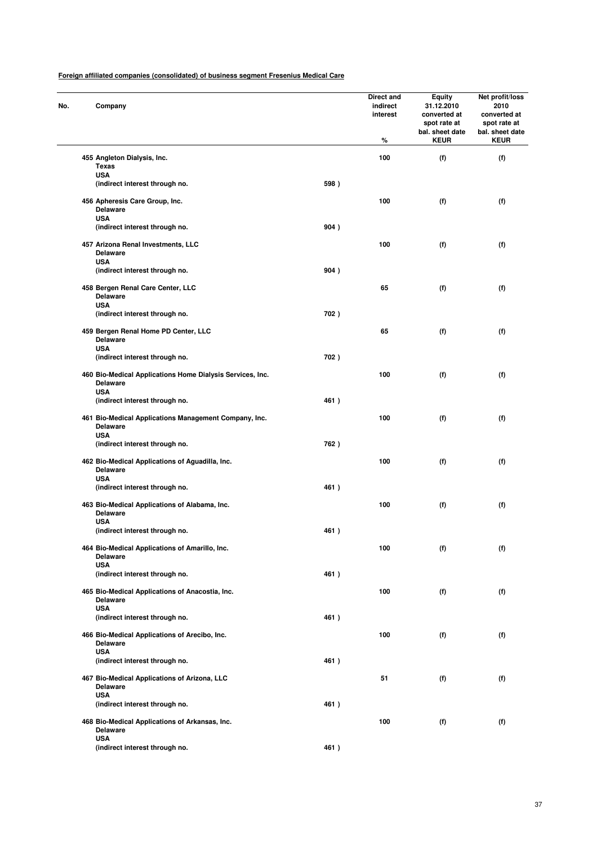| No. | Company                                                                          |      | Direct and<br>indirect<br>interest<br>% | <b>Equity</b><br>31.12.2010<br>converted at<br>spot rate at<br>bal. sheet date<br><b>KEUR</b> | Net profit/loss<br>2010<br>converted at<br>spot rate at<br>bal. sheet date<br><b>KEUR</b> |
|-----|----------------------------------------------------------------------------------|------|-----------------------------------------|-----------------------------------------------------------------------------------------------|-------------------------------------------------------------------------------------------|
|     | 455 Angleton Dialysis, Inc.                                                      |      | 100                                     | (f)                                                                                           | (f)                                                                                       |
|     | <b>Texas</b><br><b>USA</b>                                                       |      |                                         |                                                                                               |                                                                                           |
|     | (indirect interest through no.                                                   | 598) |                                         |                                                                                               |                                                                                           |
|     | 456 Apheresis Care Group, Inc.<br><b>Delaware</b><br><b>USA</b>                  |      | 100                                     | (f)                                                                                           | (f)                                                                                       |
|     | (indirect interest through no.                                                   | 904) |                                         |                                                                                               |                                                                                           |
|     | 457 Arizona Renal Investments, LLC<br><b>Delaware</b>                            |      | 100                                     | (f)                                                                                           | (f)                                                                                       |
|     | <b>USA</b><br>(indirect interest through no.                                     | 904) |                                         |                                                                                               |                                                                                           |
|     | 458 Bergen Renal Care Center, LLC<br><b>Delaware</b>                             |      | 65                                      | (f)                                                                                           | (f)                                                                                       |
|     | <b>USA</b><br>(indirect interest through no.                                     | 702) |                                         |                                                                                               |                                                                                           |
|     | 459 Bergen Renal Home PD Center, LLC<br><b>Delaware</b>                          |      | 65                                      | (f)                                                                                           | (f)                                                                                       |
|     | <b>USA</b><br>(indirect interest through no.                                     | 702) |                                         |                                                                                               |                                                                                           |
|     | 460 Bio-Medical Applications Home Dialysis Services, Inc.<br><b>Delaware</b>     |      | 100                                     | (f)                                                                                           | (f)                                                                                       |
|     | <b>USA</b><br>(indirect interest through no.                                     | 461) |                                         |                                                                                               |                                                                                           |
|     | 461 Bio-Medical Applications Management Company, Inc.<br><b>Delaware</b>         |      | 100                                     | (f)                                                                                           | (f)                                                                                       |
|     | <b>USA</b><br>(indirect interest through no.                                     | 762) |                                         |                                                                                               |                                                                                           |
|     | 462 Bio-Medical Applications of Aguadilla, Inc.<br><b>Delaware</b><br><b>USA</b> |      | 100                                     | (f)                                                                                           | (f)                                                                                       |
|     | (indirect interest through no.                                                   | 461) |                                         |                                                                                               |                                                                                           |
|     | 463 Bio-Medical Applications of Alabama, Inc.<br><b>Delaware</b><br><b>USA</b>   |      | 100                                     | (f)                                                                                           | (f)                                                                                       |
|     | (indirect interest through no.                                                   | 461) |                                         |                                                                                               |                                                                                           |
|     | 464 Bio-Medical Applications of Amarillo, Inc.<br>Delaware<br><b>USA</b>         |      | 100                                     | (f)                                                                                           | (f)                                                                                       |
|     | (indirect interest through no.                                                   | 461) |                                         |                                                                                               |                                                                                           |
|     | 465 Bio-Medical Applications of Anacostia, Inc.<br><b>Delaware</b><br><b>USA</b> |      | 100                                     | (f)                                                                                           | (f)                                                                                       |
|     | (indirect interest through no.                                                   | 461) |                                         |                                                                                               |                                                                                           |
|     | 466 Bio-Medical Applications of Arecibo, Inc.<br><b>Delaware</b>                 |      | 100                                     | (f)                                                                                           | (f)                                                                                       |
|     | <b>USA</b><br>(indirect interest through no.                                     | 461) |                                         |                                                                                               |                                                                                           |
|     | 467 Bio-Medical Applications of Arizona, LLC<br><b>Delaware</b>                  |      | 51                                      | (f)                                                                                           | (f)                                                                                       |
|     | <b>USA</b><br>(indirect interest through no.                                     | 461) |                                         |                                                                                               |                                                                                           |
|     | 468 Bio-Medical Applications of Arkansas, Inc.<br><b>Delaware</b>                |      | 100                                     | (f)                                                                                           | (f)                                                                                       |
|     | <b>USA</b><br>(indirect interest through no.                                     | 461) |                                         |                                                                                               |                                                                                           |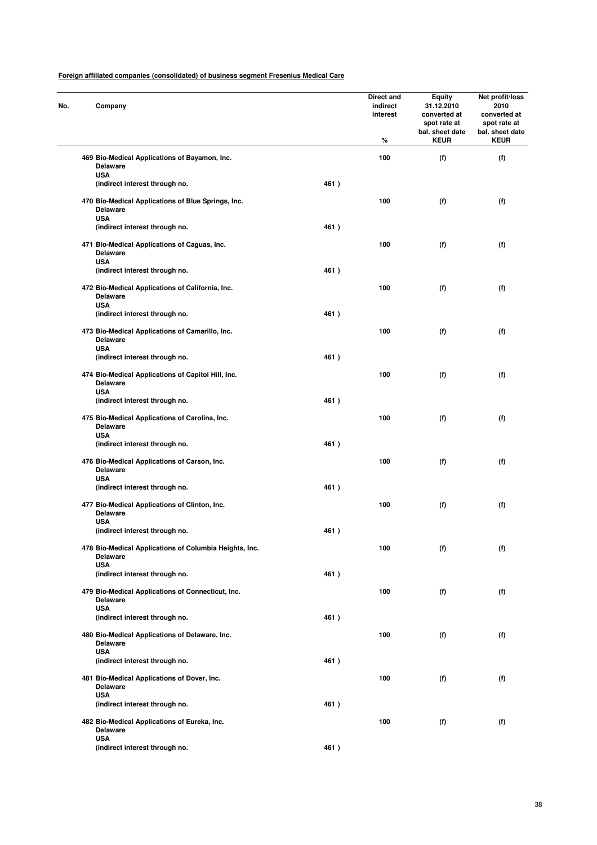| Company                                                                           |      | Direct and<br>indirect<br>interest<br>% | <b>Equity</b><br>31.12.2010<br>converted at<br>spot rate at<br>bal. sheet date<br><b>KEUR</b> | Net profit/loss<br>2010<br>converted at<br>spot rate at<br>bal. sheet date<br><b>KEUR</b> |  |
|-----------------------------------------------------------------------------------|------|-----------------------------------------|-----------------------------------------------------------------------------------------------|-------------------------------------------------------------------------------------------|--|
| 469 Bio-Medical Applications of Bayamon, Inc.<br><b>Delaware</b>                  |      | 100                                     | (f)                                                                                           | (f)                                                                                       |  |
| <b>USA</b><br>(indirect interest through no.                                      | 461) |                                         |                                                                                               |                                                                                           |  |
| 470 Bio-Medical Applications of Blue Springs, Inc.<br>Delaware<br><b>USA</b>      |      | 100                                     | (f)                                                                                           | (f)                                                                                       |  |
| (indirect interest through no.                                                    | 461) |                                         |                                                                                               |                                                                                           |  |
| 471 Bio-Medical Applications of Caguas, Inc.<br><b>Delaware</b><br><b>USA</b>     |      | 100                                     | (f)                                                                                           | (f)                                                                                       |  |
| (indirect interest through no.                                                    | 461) |                                         |                                                                                               |                                                                                           |  |
| 472 Bio-Medical Applications of California, Inc.<br><b>Delaware</b><br><b>USA</b> |      | 100                                     | (f)                                                                                           | (f)                                                                                       |  |
| (indirect interest through no.                                                    | 461) |                                         |                                                                                               |                                                                                           |  |
| 473 Bio-Medical Applications of Camarillo, Inc.<br>Delaware<br><b>USA</b>         |      | 100                                     | (f)                                                                                           | (f)                                                                                       |  |
| (indirect interest through no.                                                    | 461) |                                         |                                                                                               |                                                                                           |  |
| 474 Bio-Medical Applications of Capitol Hill, Inc.<br><b>Delaware</b>             |      | 100                                     | (f)                                                                                           | (f)                                                                                       |  |
| <b>USA</b><br>(indirect interest through no.                                      | 461) |                                         |                                                                                               |                                                                                           |  |
| 475 Bio-Medical Applications of Carolina, Inc.<br><b>Delaware</b>                 |      | 100                                     | (f)                                                                                           | (f)                                                                                       |  |
| <b>USA</b><br>(indirect interest through no.                                      | 461) |                                         |                                                                                               |                                                                                           |  |
| 476 Bio-Medical Applications of Carson, Inc.<br><b>Delaware</b>                   |      | 100                                     | (f)                                                                                           | (f)                                                                                       |  |
| <b>USA</b><br>(indirect interest through no.                                      | 461) |                                         |                                                                                               |                                                                                           |  |
| 477 Bio-Medical Applications of Clinton, Inc.<br><b>Delaware</b><br><b>USA</b>    |      | 100                                     | (f)                                                                                           | (f)                                                                                       |  |
| (indirect interest through no.                                                    | 461) |                                         |                                                                                               |                                                                                           |  |
| 478 Bio-Medical Applications of Columbia Heights, Inc.<br><b>Delaware</b>         |      | 100                                     | (f)                                                                                           | (f)                                                                                       |  |
| <b>USA</b><br>(indirect interest through no.                                      | 461) |                                         |                                                                                               |                                                                                           |  |
| 479 Bio-Medical Applications of Connecticut, Inc.<br>Delaware                     |      | 100                                     | (f)                                                                                           | (f)                                                                                       |  |
| <b>USA</b><br>(indirect interest through no.                                      | 461) |                                         |                                                                                               |                                                                                           |  |
| 480 Bio-Medical Applications of Delaware, Inc.<br><b>Delaware</b>                 |      | 100                                     | (f)                                                                                           | (f)                                                                                       |  |
| <b>USA</b><br>(indirect interest through no.                                      | 461) |                                         |                                                                                               |                                                                                           |  |
| 481 Bio-Medical Applications of Dover, Inc.<br><b>Delaware</b>                    |      | 100                                     | (f)                                                                                           | (f)                                                                                       |  |
| <b>USA</b><br>(indirect interest through no.                                      | 461) |                                         |                                                                                               |                                                                                           |  |
| 482 Bio-Medical Applications of Eureka, Inc.<br><b>Delaware</b>                   |      | 100                                     | (f)                                                                                           | (f)                                                                                       |  |
| <b>USA</b><br>(indirect interest through no.                                      | 461) |                                         |                                                                                               |                                                                                           |  |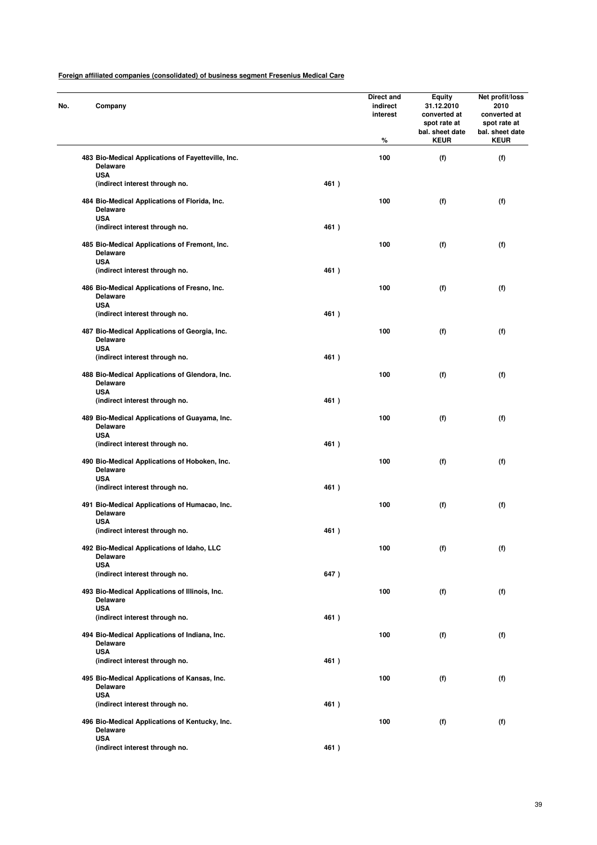| No. | Company                                                                        |      | Direct and<br>indirect<br>interest<br>% | <b>Equity</b><br>31.12.2010<br>converted at<br>spot rate at<br>bal. sheet date<br><b>KEUR</b> | Net profit/loss<br>2010<br>converted at<br>spot rate at<br>bal. sheet date<br><b>KEUR</b> |
|-----|--------------------------------------------------------------------------------|------|-----------------------------------------|-----------------------------------------------------------------------------------------------|-------------------------------------------------------------------------------------------|
|     | 483 Bio-Medical Applications of Fayetteville, Inc.<br><b>Delaware</b>          |      | 100                                     | (f)                                                                                           | (f)                                                                                       |
|     | <b>USA</b><br>(indirect interest through no.                                   | 461) |                                         |                                                                                               |                                                                                           |
|     | 484 Bio-Medical Applications of Florida, Inc.<br><b>Delaware</b><br><b>USA</b> |      | 100                                     | (f)                                                                                           | (f)                                                                                       |
|     | (indirect interest through no.                                                 | 461) |                                         |                                                                                               |                                                                                           |
|     | 485 Bio-Medical Applications of Fremont, Inc.<br><b>Delaware</b><br><b>USA</b> |      | 100                                     | (f)                                                                                           | (f)                                                                                       |
|     | (indirect interest through no.                                                 | 461) |                                         |                                                                                               |                                                                                           |
|     | 486 Bio-Medical Applications of Fresno, Inc.<br><b>Delaware</b><br><b>USA</b>  |      | 100                                     | (f)                                                                                           | (f)                                                                                       |
|     | (indirect interest through no.                                                 | 461) |                                         |                                                                                               |                                                                                           |
|     | 487 Bio-Medical Applications of Georgia, Inc.<br>Delaware<br><b>USA</b>        |      | 100                                     | (f)                                                                                           | (f)                                                                                       |
|     | (indirect interest through no.                                                 | 461) |                                         |                                                                                               |                                                                                           |
|     | 488 Bio-Medical Applications of Glendora, Inc.<br>Delaware<br><b>USA</b>       |      | 100                                     | (f)                                                                                           | (f)                                                                                       |
|     | (indirect interest through no.                                                 | 461) |                                         |                                                                                               |                                                                                           |
|     | 489 Bio-Medical Applications of Guayama, Inc.<br><b>Delaware</b>               |      | 100                                     | (f)                                                                                           | (f)                                                                                       |
|     | <b>USA</b><br>(indirect interest through no.                                   | 461) |                                         |                                                                                               |                                                                                           |
|     | 490 Bio-Medical Applications of Hoboken, Inc.<br><b>Delaware</b>               |      | 100                                     | (f)                                                                                           | (f)                                                                                       |
|     | <b>USA</b><br>(indirect interest through no.                                   | 461) |                                         |                                                                                               |                                                                                           |
|     | 491 Bio-Medical Applications of Humacao, Inc.<br><b>Delaware</b><br><b>USA</b> |      | 100                                     | (f)                                                                                           | (f)                                                                                       |
|     | (indirect interest through no.                                                 | 461) |                                         |                                                                                               |                                                                                           |
|     | 492 Bio-Medical Applications of Idaho, LLC<br>Delaware<br><b>USA</b>           |      | 100                                     | (f)                                                                                           | (f)                                                                                       |
|     | (indirect interest through no.                                                 | 647) |                                         |                                                                                               |                                                                                           |
|     | 493 Bio-Medical Applications of Illinois, Inc.<br>Delaware<br><b>USA</b>       |      | 100                                     | (f)                                                                                           | (f)                                                                                       |
|     | (indirect interest through no.                                                 | 461) |                                         |                                                                                               |                                                                                           |
|     | 494 Bio-Medical Applications of Indiana, Inc.<br>Delaware                      |      | 100                                     | (f)                                                                                           | (f)                                                                                       |
|     | <b>USA</b><br>(indirect interest through no.                                   | 461) |                                         |                                                                                               |                                                                                           |
|     | 495 Bio-Medical Applications of Kansas, Inc.<br><b>Delaware</b>                |      | 100                                     | (f)                                                                                           | (f)                                                                                       |
|     | <b>USA</b><br>(indirect interest through no.                                   | 461) |                                         |                                                                                               |                                                                                           |
|     | 496 Bio-Medical Applications of Kentucky, Inc.<br>Delaware                     |      | 100                                     | (f)                                                                                           | (f)                                                                                       |
|     | <b>USA</b><br>(indirect interest through no.                                   | 461) |                                         |                                                                                               |                                                                                           |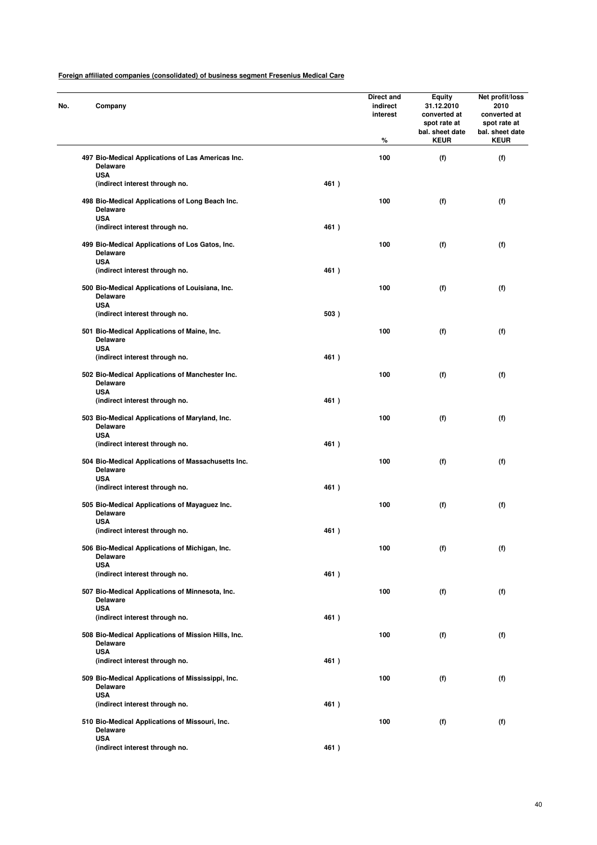| No. | Company                                      |                                                     |      | Direct and<br>indirect<br>interest<br>% | <b>Equity</b><br>31.12.2010<br>converted at<br>spot rate at<br>bal. sheet date<br><b>KEUR</b> | Net profit/loss<br>2010<br>converted at<br>spot rate at<br>bal. sheet date<br><b>KEUR</b> |
|-----|----------------------------------------------|-----------------------------------------------------|------|-----------------------------------------|-----------------------------------------------------------------------------------------------|-------------------------------------------------------------------------------------------|
|     | <b>Delaware</b>                              | 497 Bio-Medical Applications of Las Americas Inc.   |      | 100                                     | (f)                                                                                           | (f)                                                                                       |
|     | <b>USA</b><br>(indirect interest through no. |                                                     | 461) |                                         |                                                                                               |                                                                                           |
|     | Delaware<br><b>USA</b>                       | 498 Bio-Medical Applications of Long Beach Inc.     |      | 100                                     | (f)                                                                                           | (f)                                                                                       |
|     | (indirect interest through no.               |                                                     | 461) |                                         |                                                                                               |                                                                                           |
|     | <b>Delaware</b><br><b>USA</b>                | 499 Bio-Medical Applications of Los Gatos, Inc.     |      | 100                                     | (f)                                                                                           | (f)                                                                                       |
|     | (indirect interest through no.               |                                                     | 461) |                                         |                                                                                               |                                                                                           |
|     | <b>Delaware</b><br><b>USA</b>                | 500 Bio-Medical Applications of Louisiana, Inc.     |      | 100                                     | (f)                                                                                           | (f)                                                                                       |
|     | (indirect interest through no.               |                                                     | 503) |                                         |                                                                                               |                                                                                           |
|     | Delaware<br><b>USA</b>                       | 501 Bio-Medical Applications of Maine, Inc.         |      | 100                                     | (f)                                                                                           | (f)                                                                                       |
|     | (indirect interest through no.               |                                                     | 461) |                                         |                                                                                               |                                                                                           |
|     | <b>Delaware</b><br><b>USA</b>                | 502 Bio-Medical Applications of Manchester Inc.     |      | 100                                     | (f)                                                                                           | (f)                                                                                       |
|     | (indirect interest through no.               |                                                     | 461) |                                         |                                                                                               |                                                                                           |
|     | <b>Delaware</b>                              | 503 Bio-Medical Applications of Maryland, Inc.      |      | 100                                     | (f)                                                                                           | (f)                                                                                       |
|     | <b>USA</b><br>(indirect interest through no. |                                                     | 461) |                                         |                                                                                               |                                                                                           |
|     | <b>Delaware</b><br><b>USA</b>                | 504 Bio-Medical Applications of Massachusetts Inc.  |      | 100                                     | (f)                                                                                           | (f)                                                                                       |
|     | (indirect interest through no.               |                                                     | 461) |                                         |                                                                                               |                                                                                           |
|     | <b>Delaware</b><br><b>USA</b>                | 505 Bio-Medical Applications of Mayaguez Inc.       |      | 100                                     | (f)                                                                                           | (f)                                                                                       |
|     | (indirect interest through no.               |                                                     | 461) |                                         |                                                                                               |                                                                                           |
|     | <b>Delaware</b>                              | 506 Bio-Medical Applications of Michigan, Inc.      |      | 100                                     | (f)                                                                                           | (f)                                                                                       |
|     | <b>USA</b><br>(indirect interest through no. |                                                     | 461) |                                         |                                                                                               |                                                                                           |
|     | <b>Delaware</b>                              | 507 Bio-Medical Applications of Minnesota, Inc.     |      | 100                                     | (f)                                                                                           | (f)                                                                                       |
|     | <b>USA</b><br>(indirect interest through no. |                                                     | 461) |                                         |                                                                                               |                                                                                           |
|     | <b>Delaware</b>                              | 508 Bio-Medical Applications of Mission Hills, Inc. |      | 100                                     | (f)                                                                                           | (f)                                                                                       |
|     | <b>USA</b><br>(indirect interest through no. |                                                     | 461) |                                         |                                                                                               |                                                                                           |
|     | <b>Delaware</b>                              | 509 Bio-Medical Applications of Mississippi, Inc.   |      | 100                                     | (f)                                                                                           | (f)                                                                                       |
|     | <b>USA</b><br>(indirect interest through no. |                                                     | 461) |                                         |                                                                                               |                                                                                           |
|     | <b>Delaware</b>                              | 510 Bio-Medical Applications of Missouri, Inc.      |      | 100                                     | (f)                                                                                           | (f)                                                                                       |
|     | <b>USA</b><br>(indirect interest through no. |                                                     | 461) |                                         |                                                                                               |                                                                                           |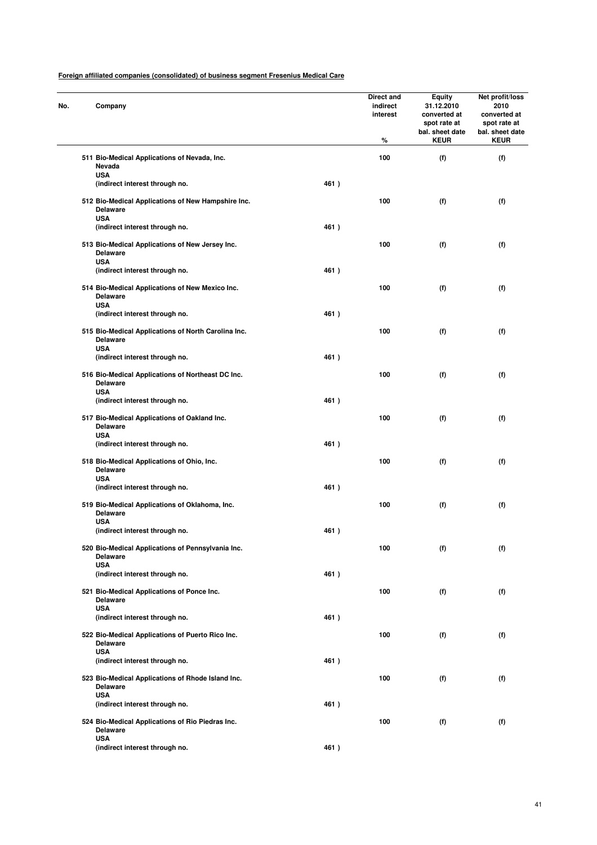| No. | Company                                                                              |      | Direct and<br>indirect<br>interest<br>% | Equity<br>31.12.2010<br>converted at<br>spot rate at<br>bal. sheet date<br><b>KEUR</b> | Net profit/loss<br>2010<br>converted at<br>spot rate at<br>bal. sheet date<br><b>KEUR</b> |
|-----|--------------------------------------------------------------------------------------|------|-----------------------------------------|----------------------------------------------------------------------------------------|-------------------------------------------------------------------------------------------|
|     | 511 Bio-Medical Applications of Nevada, Inc.<br>Nevada                               |      | 100                                     | (f)                                                                                    | (f)                                                                                       |
|     | <b>USA</b><br>(indirect interest through no.                                         | 461) |                                         |                                                                                        |                                                                                           |
|     | 512 Bio-Medical Applications of New Hampshire Inc.<br><b>Delaware</b><br><b>USA</b>  |      | 100                                     | (f)                                                                                    | (f)                                                                                       |
|     | (indirect interest through no.                                                       | 461) |                                         |                                                                                        |                                                                                           |
|     | 513 Bio-Medical Applications of New Jersey Inc.<br><b>Delaware</b><br><b>USA</b>     |      | 100                                     | (f)                                                                                    | (f)                                                                                       |
|     | (indirect interest through no.                                                       | 461) |                                         |                                                                                        |                                                                                           |
|     | 514 Bio-Medical Applications of New Mexico Inc.<br><b>Delaware</b><br><b>USA</b>     |      | 100                                     | (f)                                                                                    | (f)                                                                                       |
|     | (indirect interest through no.                                                       | 461) |                                         |                                                                                        |                                                                                           |
|     | 515 Bio-Medical Applications of North Carolina Inc.<br><b>Delaware</b><br><b>USA</b> |      | 100                                     | (f)                                                                                    | (f)                                                                                       |
|     | (indirect interest through no.                                                       | 461) |                                         |                                                                                        |                                                                                           |
|     | 516 Bio-Medical Applications of Northeast DC Inc.<br><b>Delaware</b>                 |      | 100                                     | (f)                                                                                    | (f)                                                                                       |
|     | <b>USA</b><br>(indirect interest through no.                                         | 461) |                                         |                                                                                        |                                                                                           |
|     | 517 Bio-Medical Applications of Oakland Inc.<br><b>Delaware</b>                      |      | 100                                     | (f)                                                                                    | (f)                                                                                       |
|     | <b>USA</b><br>(indirect interest through no.                                         | 461) |                                         |                                                                                        |                                                                                           |
|     | 518 Bio-Medical Applications of Ohio, Inc.<br><b>Delaware</b>                        |      | 100                                     | (f)                                                                                    | (f)                                                                                       |
|     | <b>USA</b><br>(indirect interest through no.                                         | 461) |                                         |                                                                                        |                                                                                           |
|     | 519 Bio-Medical Applications of Oklahoma, Inc.<br><b>Delaware</b><br><b>USA</b>      |      | 100                                     | (f)                                                                                    | (f)                                                                                       |
|     | (indirect interest through no.                                                       | 461) |                                         |                                                                                        |                                                                                           |
|     | 520 Bio-Medical Applications of Pennsylvania Inc.<br><b>Delaware</b>                 |      | 100                                     | (f)                                                                                    | (f)                                                                                       |
|     | <b>USA</b><br>(indirect interest through no.                                         | 461) |                                         |                                                                                        |                                                                                           |
|     | 521 Bio-Medical Applications of Ponce Inc.<br><b>Delaware</b>                        |      | 100                                     | (f)                                                                                    | (f)                                                                                       |
|     | <b>USA</b><br>(indirect interest through no.                                         | 461) |                                         |                                                                                        |                                                                                           |
|     | 522 Bio-Medical Applications of Puerto Rico Inc.<br><b>Delaware</b>                  |      | 100                                     | (f)                                                                                    | (f)                                                                                       |
|     | <b>USA</b><br>(indirect interest through no.                                         | 461) |                                         |                                                                                        |                                                                                           |
|     | 523 Bio-Medical Applications of Rhode Island Inc.<br><b>Delaware</b>                 |      | 100                                     | (f)                                                                                    | (f)                                                                                       |
|     | <b>USA</b><br>(indirect interest through no.                                         | 461) |                                         |                                                                                        |                                                                                           |
|     | 524 Bio-Medical Applications of Rio Piedras Inc.<br><b>Delaware</b>                  |      | 100                                     | (f)                                                                                    | (f)                                                                                       |
|     | <b>USA</b><br>(indirect interest through no.                                         | 461) |                                         |                                                                                        |                                                                                           |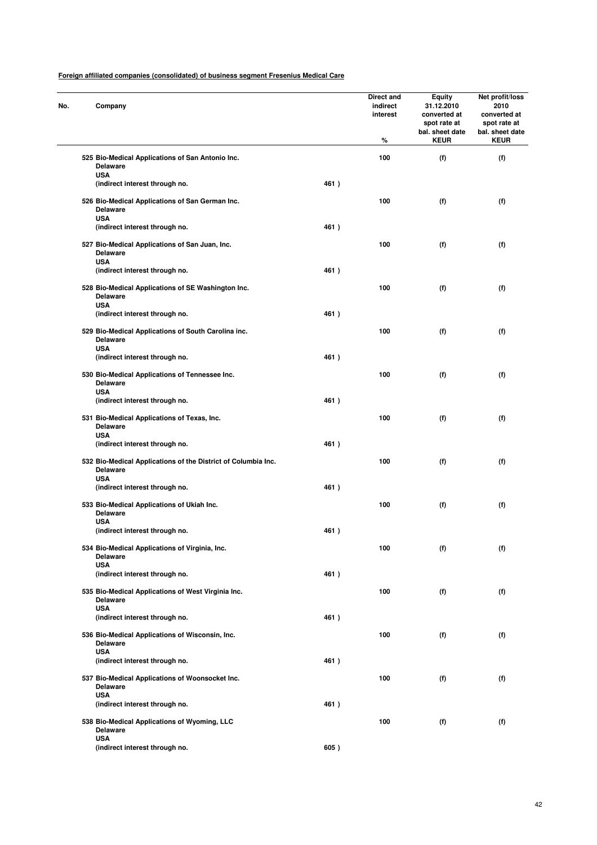| No. | Company                                                                             |      | Direct and<br>indirect<br>interest<br>% | <b>Equity</b><br>31.12.2010<br>converted at<br>spot rate at<br>bal. sheet date<br><b>KEUR</b> | Net profit/loss<br>2010<br>converted at<br>spot rate at<br>bal. sheet date<br><b>KEUR</b> |
|-----|-------------------------------------------------------------------------------------|------|-----------------------------------------|-----------------------------------------------------------------------------------------------|-------------------------------------------------------------------------------------------|
|     | 525 Bio-Medical Applications of San Antonio Inc.<br><b>Delaware</b>                 |      | 100                                     | (f)                                                                                           | (f)                                                                                       |
|     | <b>USA</b><br>(indirect interest through no.                                        | 461) |                                         |                                                                                               |                                                                                           |
|     | 526 Bio-Medical Applications of San German Inc.<br>Delaware<br><b>USA</b>           |      | 100                                     | (f)                                                                                           | (f)                                                                                       |
|     | (indirect interest through no.                                                      | 461) |                                         |                                                                                               |                                                                                           |
|     | 527 Bio-Medical Applications of San Juan, Inc.<br><b>Delaware</b><br><b>USA</b>     |      | 100                                     | (f)                                                                                           | (f)                                                                                       |
|     | (indirect interest through no.                                                      | 461) |                                         |                                                                                               |                                                                                           |
|     | 528 Bio-Medical Applications of SE Washington Inc.<br><b>Delaware</b><br><b>USA</b> |      | 100                                     | (f)                                                                                           | (f)                                                                                       |
|     | (indirect interest through no.                                                      | 461) |                                         |                                                                                               |                                                                                           |
|     | 529 Bio-Medical Applications of South Carolina inc.<br>Delaware<br><b>USA</b>       |      | 100                                     | (f)                                                                                           | (f)                                                                                       |
|     | (indirect interest through no.                                                      | 461) |                                         |                                                                                               |                                                                                           |
|     | 530 Bio-Medical Applications of Tennessee Inc.<br><b>Delaware</b>                   |      | 100                                     | (f)                                                                                           | (f)                                                                                       |
|     | <b>USA</b><br>(indirect interest through no.                                        | 461) |                                         |                                                                                               |                                                                                           |
|     | 531 Bio-Medical Applications of Texas, Inc.<br><b>Delaware</b>                      |      | 100                                     | (f)                                                                                           | (f)                                                                                       |
|     | <b>USA</b><br>(indirect interest through no.                                        | 461) |                                         |                                                                                               |                                                                                           |
|     | 532 Bio-Medical Applications of the District of Columbia Inc.<br><b>Delaware</b>    |      | 100                                     | (f)                                                                                           | (f)                                                                                       |
|     | <b>USA</b><br>(indirect interest through no.                                        | 461) |                                         |                                                                                               |                                                                                           |
|     | 533 Bio-Medical Applications of Ukiah Inc.<br><b>Delaware</b>                       |      | 100                                     | (f)                                                                                           | (f)                                                                                       |
|     | <b>USA</b><br>(indirect interest through no.                                        | 461) |                                         |                                                                                               |                                                                                           |
|     | 534 Bio-Medical Applications of Virginia, Inc.<br><b>Delaware</b>                   |      | 100                                     | (f)                                                                                           | (f)                                                                                       |
|     | <b>USA</b><br>(indirect interest through no.                                        | 461) |                                         |                                                                                               |                                                                                           |
|     | 535 Bio-Medical Applications of West Virginia Inc.<br>Delaware                      |      | 100                                     | (f)                                                                                           | (f)                                                                                       |
|     | <b>USA</b><br>(indirect interest through no.                                        | 461) |                                         |                                                                                               |                                                                                           |
|     | 536 Bio-Medical Applications of Wisconsin, Inc.<br><b>Delaware</b>                  |      | 100                                     | (f)                                                                                           | (f)                                                                                       |
|     | <b>USA</b><br>(indirect interest through no.                                        | 461) |                                         |                                                                                               |                                                                                           |
|     | 537 Bio-Medical Applications of Woonsocket Inc.<br><b>Delaware</b>                  |      | 100                                     | (f)                                                                                           | (f)                                                                                       |
|     | <b>USA</b><br>(indirect interest through no.                                        | 461) |                                         |                                                                                               |                                                                                           |
|     | 538 Bio-Medical Applications of Wyoming, LLC<br><b>Delaware</b>                     |      | 100                                     | (f)                                                                                           | (f)                                                                                       |
|     | <b>USA</b><br>(indirect interest through no.                                        | 605) |                                         |                                                                                               |                                                                                           |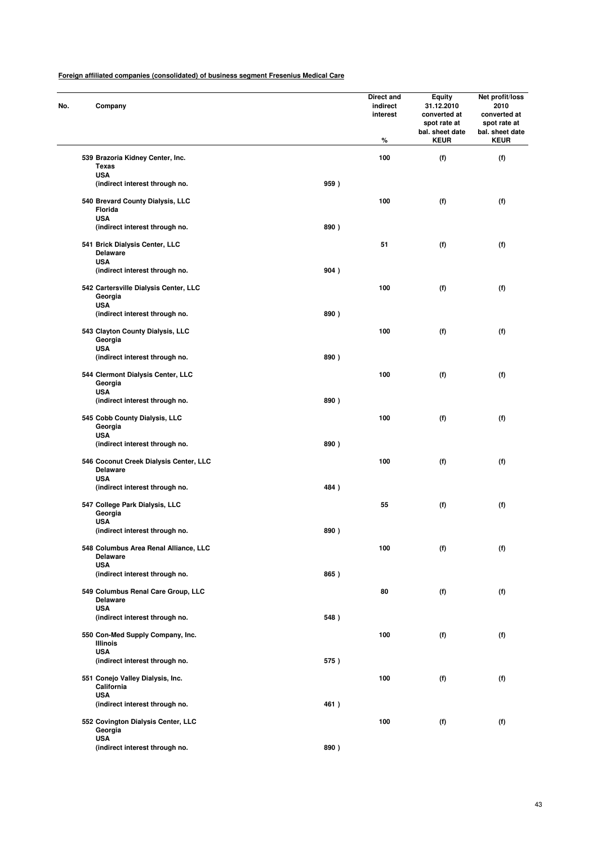| No. | Company                                                         |                                        |      | Direct and<br>indirect<br>interest<br>% | <b>Equity</b><br>31.12.2010<br>converted at<br>spot rate at<br>bal. sheet date<br><b>KEUR</b> | Net profit/loss<br>2010<br>converted at<br>spot rate at<br>bal. sheet date<br><b>KEUR</b> |
|-----|-----------------------------------------------------------------|----------------------------------------|------|-----------------------------------------|-----------------------------------------------------------------------------------------------|-------------------------------------------------------------------------------------------|
|     | 539 Brazoria Kidney Center, Inc.<br><b>Texas</b>                |                                        |      | 100                                     | (f)                                                                                           | (f)                                                                                       |
|     | <b>USA</b>                                                      | (indirect interest through no.         | 959) |                                         |                                                                                               |                                                                                           |
|     | 540 Brevard County Dialysis, LLC<br>Florida<br><b>USA</b>       |                                        |      | 100                                     | (f)                                                                                           | (f)                                                                                       |
|     |                                                                 | (indirect interest through no.         | 890) |                                         |                                                                                               |                                                                                           |
|     | 541 Brick Dialysis Center, LLC<br><b>Delaware</b><br><b>USA</b> |                                        |      | 51                                      | (f)                                                                                           | (f)                                                                                       |
|     |                                                                 | (indirect interest through no.         | 904) |                                         |                                                                                               |                                                                                           |
|     | Georgia<br><b>USA</b>                                           | 542 Cartersville Dialysis Center, LLC  |      | 100                                     | (f)                                                                                           | (f)                                                                                       |
|     |                                                                 | (indirect interest through no.         | 890) |                                         |                                                                                               |                                                                                           |
|     | 543 Clayton County Dialysis, LLC<br>Georgia<br><b>USA</b>       |                                        |      | 100                                     | (f)                                                                                           | (f)                                                                                       |
|     |                                                                 | (indirect interest through no.         | 890) |                                         |                                                                                               |                                                                                           |
|     | 544 Clermont Dialysis Center, LLC<br>Georgia<br><b>USA</b>      |                                        |      | 100                                     | (f)                                                                                           | (f)                                                                                       |
|     |                                                                 | (indirect interest through no.         | 890) |                                         |                                                                                               |                                                                                           |
|     | 545 Cobb County Dialysis, LLC<br>Georgia<br><b>USA</b>          |                                        |      | 100                                     | (f)                                                                                           | (f)                                                                                       |
|     |                                                                 | (indirect interest through no.         | 890) |                                         |                                                                                               |                                                                                           |
|     | <b>Delaware</b><br><b>USA</b>                                   | 546 Coconut Creek Dialysis Center, LLC |      | 100                                     | (f)                                                                                           | (f)                                                                                       |
|     |                                                                 | (indirect interest through no.         | 484) |                                         |                                                                                               |                                                                                           |
|     | 547 College Park Dialysis, LLC<br>Georgia<br><b>USA</b>         |                                        |      | 55                                      | (f)                                                                                           | (f)                                                                                       |
|     |                                                                 | (indirect interest through no.         | 890) |                                         |                                                                                               |                                                                                           |
|     | <b>Delaware</b><br><b>USA</b>                                   | 548 Columbus Area Renal Alliance, LLC  |      | 100                                     | (f)                                                                                           | (f)                                                                                       |
|     |                                                                 | (indirect interest through no.         | 865) |                                         |                                                                                               |                                                                                           |
|     | Delaware                                                        | 549 Columbus Renal Care Group, LLC     |      | 80                                      | (f)                                                                                           | (f)                                                                                       |
|     | <b>USA</b>                                                      | (indirect interest through no.         | 548) |                                         |                                                                                               |                                                                                           |
|     | Illinois                                                        | 550 Con-Med Supply Company, Inc.       |      | 100                                     | (f)                                                                                           | (f)                                                                                       |
|     | <b>USA</b>                                                      | (indirect interest through no.         | 575) |                                         |                                                                                               |                                                                                           |
|     | 551 Conejo Valley Dialysis, Inc.<br>California                  |                                        |      | 100                                     | (f)                                                                                           | (f)                                                                                       |
|     | USA                                                             | (indirect interest through no.         | 461) |                                         |                                                                                               |                                                                                           |
|     | Georgia                                                         | 552 Covington Dialysis Center, LLC     |      | 100                                     | (f)                                                                                           | (f)                                                                                       |
|     | <b>USA</b>                                                      | (indirect interest through no.         | 890) |                                         |                                                                                               |                                                                                           |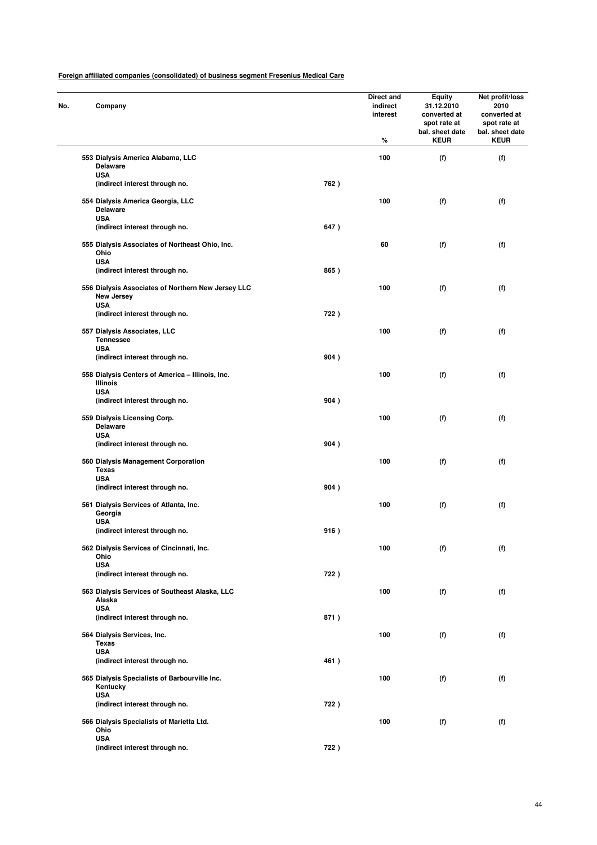| No. | Company                                                                        |      | Direct and<br>indirect<br>interest<br>% | <b>Equity</b><br>31.12.2010<br>converted at<br>spot rate at<br>bal. sheet date<br><b>KEUR</b> | Net profit/loss<br>2010<br>converted at<br>spot rate at<br>bal. sheet date<br><b>KEUR</b> |
|-----|--------------------------------------------------------------------------------|------|-----------------------------------------|-----------------------------------------------------------------------------------------------|-------------------------------------------------------------------------------------------|
|     | 553 Dialysis America Alabama, LLC<br><b>Delaware</b>                           |      | 100                                     | (f)                                                                                           | (f)                                                                                       |
|     | <b>USA</b><br>(indirect interest through no.                                   | 762) |                                         |                                                                                               |                                                                                           |
|     | 554 Dialysis America Georgia, LLC<br><b>Delaware</b><br><b>USA</b>             |      | 100                                     | (f)                                                                                           | (f)                                                                                       |
|     | (indirect interest through no.                                                 | 647) |                                         |                                                                                               |                                                                                           |
|     | 555 Dialysis Associates of Northeast Ohio, Inc.<br>Ohio<br><b>USA</b>          |      | 60                                      | (f)                                                                                           | (f)                                                                                       |
|     | (indirect interest through no.                                                 | 865) |                                         |                                                                                               |                                                                                           |
|     | 556 Dialysis Associates of Northern New Jersey LLC<br>New Jersey<br><b>USA</b> |      | 100                                     | (f)                                                                                           | (f)                                                                                       |
|     | (indirect interest through no.                                                 | 722) |                                         |                                                                                               |                                                                                           |
|     | 557 Dialysis Associates, LLC<br><b>Tennessee</b>                               |      | 100                                     | (f)                                                                                           | (f)                                                                                       |
|     | <b>USA</b><br>(indirect interest through no.                                   | 904) |                                         |                                                                                               |                                                                                           |
|     | 558 Dialysis Centers of America - Illinois, Inc.<br><b>Illinois</b>            |      | 100                                     | (f)                                                                                           | (f)                                                                                       |
|     | <b>USA</b><br>(indirect interest through no.                                   | 904) |                                         |                                                                                               |                                                                                           |
|     | 559 Dialysis Licensing Corp.<br><b>Delaware</b>                                |      | 100                                     | (f)                                                                                           | (f)                                                                                       |
|     | <b>USA</b><br>(indirect interest through no.                                   | 904) |                                         |                                                                                               |                                                                                           |
|     | 560 Dialysis Management Corporation<br><b>Texas</b>                            |      | 100                                     | (f)                                                                                           | (f)                                                                                       |
|     | <b>USA</b><br>(indirect interest through no.                                   | 904) |                                         |                                                                                               |                                                                                           |
|     | 561 Dialysis Services of Atlanta, Inc.<br>Georgia<br><b>USA</b>                |      | 100                                     | (f)                                                                                           | (f)                                                                                       |
|     | (indirect interest through no.                                                 | 916) |                                         |                                                                                               |                                                                                           |
|     | 562 Dialysis Services of Cincinnati, Inc.<br>Ohio                              |      | 100                                     | (f)                                                                                           | (f)                                                                                       |
|     | <b>USA</b><br>(indirect interest through no.                                   | 722) |                                         |                                                                                               |                                                                                           |
|     | 563 Dialysis Services of Southeast Alaska, LLC<br>Alaska                       |      | 100                                     | (f)                                                                                           | (f)                                                                                       |
|     | <b>USA</b><br>(indirect interest through no.                                   | 871) |                                         |                                                                                               |                                                                                           |
|     | 564 Dialysis Services, Inc.<br>Texas                                           |      | 100                                     | (f)                                                                                           | (f)                                                                                       |
|     | <b>USA</b><br>(indirect interest through no.                                   | 461) |                                         |                                                                                               |                                                                                           |
|     | 565 Dialysis Specialists of Barbourville Inc.<br>Kentucky                      |      | 100                                     | (f)                                                                                           | (f)                                                                                       |
|     | USA<br>(indirect interest through no.                                          | 722) |                                         |                                                                                               |                                                                                           |
|     | 566 Dialysis Specialists of Marietta Ltd.<br>Ohio                              |      | 100                                     | (f)                                                                                           | (f)                                                                                       |
|     | <b>USA</b><br>(indirect interest through no.                                   | 722) |                                         |                                                                                               |                                                                                           |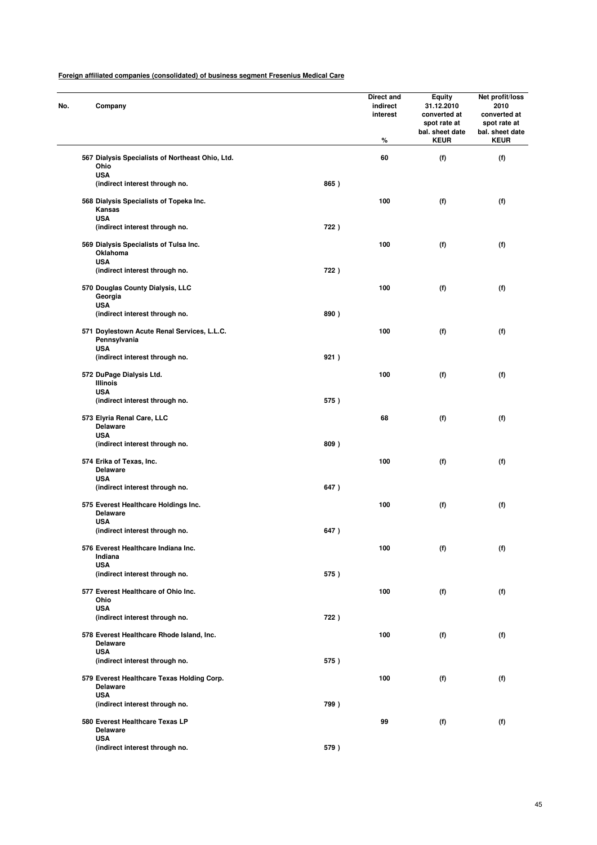| No. | Company                                       |                                                  |      | Direct and<br>indirect<br>interest<br>% | <b>Equity</b><br>31.12.2010<br>converted at<br>spot rate at<br>bal. sheet date<br><b>KEUR</b> | Net profit/loss<br>2010<br>converted at<br>spot rate at<br>bal. sheet date<br><b>KEUR</b> |  |
|-----|-----------------------------------------------|--------------------------------------------------|------|-----------------------------------------|-----------------------------------------------------------------------------------------------|-------------------------------------------------------------------------------------------|--|
|     | Ohio                                          | 567 Dialysis Specialists of Northeast Ohio, Ltd. |      | 60                                      | (f)                                                                                           | (f)                                                                                       |  |
|     | <b>USA</b>                                    | (indirect interest through no.                   | 865) |                                         |                                                                                               |                                                                                           |  |
|     | Kansas<br><b>USA</b>                          | 568 Dialysis Specialists of Topeka Inc.          |      | 100                                     | (f)                                                                                           | (f)                                                                                       |  |
|     |                                               | (indirect interest through no.                   | 722) |                                         |                                                                                               |                                                                                           |  |
|     | Oklahoma<br><b>USA</b>                        | 569 Dialysis Specialists of Tulsa Inc.           |      | 100                                     | (f)                                                                                           | (f)                                                                                       |  |
|     |                                               | (indirect interest through no.                   | 722) |                                         |                                                                                               |                                                                                           |  |
|     | Georgia<br><b>USA</b>                         | 570 Douglas County Dialysis, LLC                 |      | 100                                     | (f)                                                                                           | (f)                                                                                       |  |
|     |                                               | (indirect interest through no.                   | 890) |                                         |                                                                                               |                                                                                           |  |
|     | Pennsylvania                                  | 571 Doylestown Acute Renal Services, L.L.C.      |      | 100                                     | (f)                                                                                           | (f)                                                                                       |  |
|     | <b>USA</b>                                    | (indirect interest through no.                   | 921) |                                         |                                                                                               |                                                                                           |  |
|     | 572 DuPage Dialysis Ltd.<br><b>Illinois</b>   |                                                  |      | 100                                     | (f)                                                                                           | (f)                                                                                       |  |
|     | <b>USA</b>                                    | (indirect interest through no.                   | 575) |                                         |                                                                                               |                                                                                           |  |
|     | 573 Elyria Renal Care, LLC<br><b>Delaware</b> |                                                  |      | 68                                      | (f)                                                                                           | (f)                                                                                       |  |
|     | <b>USA</b>                                    | (indirect interest through no.                   | 809) |                                         |                                                                                               |                                                                                           |  |
|     | 574 Erika of Texas, Inc.<br><b>Delaware</b>   |                                                  |      | 100                                     | (f)                                                                                           | (f)                                                                                       |  |
|     | <b>USA</b>                                    | (indirect interest through no.                   | 647) |                                         |                                                                                               |                                                                                           |  |
|     | <b>Delaware</b>                               | 575 Everest Healthcare Holdings Inc.             |      | 100                                     | (f)                                                                                           | (f)                                                                                       |  |
|     | <b>USA</b>                                    | (indirect interest through no.                   | 647) |                                         |                                                                                               |                                                                                           |  |
|     | Indiana                                       | 576 Everest Healthcare Indiana Inc.              |      | 100                                     | (f)                                                                                           | (f)                                                                                       |  |
|     | <b>USA</b>                                    | (indirect interest through no.                   | 575) |                                         |                                                                                               |                                                                                           |  |
|     | Ohio                                          | 577 Everest Healthcare of Ohio Inc.              |      | 100                                     | (f)                                                                                           | (f)                                                                                       |  |
|     | <b>USA</b>                                    | (indirect interest through no.                   | 722) |                                         |                                                                                               |                                                                                           |  |
|     | <b>Delaware</b>                               | 578 Everest Healthcare Rhode Island, Inc.        |      | 100                                     | (f)                                                                                           | (f)                                                                                       |  |
|     | <b>USA</b>                                    | (indirect interest through no.                   | 575) |                                         |                                                                                               |                                                                                           |  |
|     | <b>Delaware</b>                               | 579 Everest Healthcare Texas Holding Corp.       |      | 100                                     | (f)                                                                                           | (f)                                                                                       |  |
|     | <b>USA</b>                                    | (indirect interest through no.                   | 799) |                                         |                                                                                               |                                                                                           |  |
|     | <b>Delaware</b>                               | 580 Everest Healthcare Texas LP                  |      | 99                                      | (f)                                                                                           | (f)                                                                                       |  |
|     | <b>USA</b>                                    | (indirect interest through no.                   | 579) |                                         |                                                                                               |                                                                                           |  |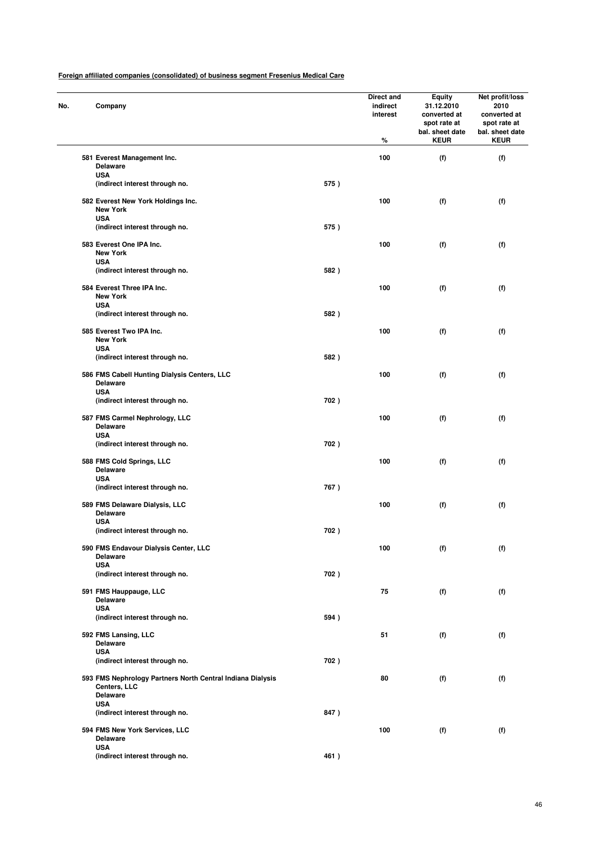| No. | Company                                                                       |      | Direct and<br>indirect<br>interest<br>% | <b>Equity</b><br>31.12.2010<br>converted at<br>spot rate at<br>bal. sheet date<br><b>KEUR</b> | Net profit/loss<br>2010<br>converted at<br>spot rate at<br>bal. sheet date<br><b>KEUR</b> |
|-----|-------------------------------------------------------------------------------|------|-----------------------------------------|-----------------------------------------------------------------------------------------------|-------------------------------------------------------------------------------------------|
|     | 581 Everest Management Inc.<br><b>Delaware</b>                                |      | 100                                     | (f)                                                                                           | (f)                                                                                       |
|     | <b>USA</b>                                                                    |      |                                         |                                                                                               |                                                                                           |
|     | (indirect interest through no.                                                | 575) |                                         |                                                                                               |                                                                                           |
|     | 582 Everest New York Holdings Inc.<br><b>New York</b>                         |      | 100                                     | (f)                                                                                           | (f)                                                                                       |
|     | <b>USA</b><br>(indirect interest through no.                                  | 575) |                                         |                                                                                               |                                                                                           |
|     | 583 Everest One IPA Inc.<br><b>New York</b>                                   |      | 100                                     | (f)                                                                                           | (f)                                                                                       |
|     | <b>USA</b><br>(indirect interest through no.                                  | 582) |                                         |                                                                                               |                                                                                           |
|     |                                                                               |      |                                         |                                                                                               |                                                                                           |
|     | 584 Everest Three IPA Inc.<br><b>New York</b><br><b>USA</b>                   |      | 100                                     | (f)                                                                                           | (f)                                                                                       |
|     | (indirect interest through no.                                                | 582) |                                         |                                                                                               |                                                                                           |
|     |                                                                               |      |                                         |                                                                                               |                                                                                           |
|     | 585 Everest Two IPA Inc.<br><b>New York</b>                                   |      | 100                                     | (f)                                                                                           | (f)                                                                                       |
|     | <b>USA</b><br>(indirect interest through no.                                  | 582) |                                         |                                                                                               |                                                                                           |
|     |                                                                               |      |                                         |                                                                                               |                                                                                           |
|     | 586 FMS Cabell Hunting Dialysis Centers, LLC<br><b>Delaware</b><br><b>USA</b> |      | 100                                     | (f)                                                                                           | (f)                                                                                       |
|     | (indirect interest through no.                                                | 702) |                                         |                                                                                               |                                                                                           |
|     | 587 FMS Carmel Nephrology, LLC<br><b>Delaware</b><br><b>USA</b>               |      | 100                                     | (f)                                                                                           | (f)                                                                                       |
|     | (indirect interest through no.                                                | 702) |                                         |                                                                                               |                                                                                           |
|     | 588 FMS Cold Springs, LLC<br><b>Delaware</b><br><b>USA</b>                    |      | 100                                     | (f)                                                                                           | (f)                                                                                       |
|     | (indirect interest through no.                                                | 767) |                                         |                                                                                               |                                                                                           |
|     | 589 FMS Delaware Dialysis, LLC<br><b>Delaware</b>                             |      | 100                                     | (f)                                                                                           | (f)                                                                                       |
|     | <b>USA</b><br>(indirect interest through no.                                  | 702) |                                         |                                                                                               |                                                                                           |
|     | 590 FMS Endavour Dialysis Center, LLC<br><b>Delaware</b>                      |      | 100                                     | (f)                                                                                           | (f)                                                                                       |
|     | <b>USA</b>                                                                    |      |                                         |                                                                                               |                                                                                           |
|     | (indirect interest through no.                                                | 702) |                                         |                                                                                               |                                                                                           |
|     | 591 FMS Hauppauge, LLC<br><b>Delaware</b>                                     |      | 75                                      | (f)                                                                                           | (f)                                                                                       |
|     | <b>USA</b><br>(indirect interest through no.                                  | 594) |                                         |                                                                                               |                                                                                           |
|     | 592 FMS Lansing, LLC                                                          |      | 51                                      | (f)                                                                                           | (f)                                                                                       |
|     | <b>Delaware</b>                                                               |      |                                         |                                                                                               |                                                                                           |
|     | <b>USA</b><br>(indirect interest through no.                                  | 702) |                                         |                                                                                               |                                                                                           |
|     | 593 FMS Nephrology Partners North Central Indiana Dialysis                    |      | 80                                      | (f)                                                                                           | (f)                                                                                       |
|     | Centers, LLC<br><b>Delaware</b>                                               |      |                                         |                                                                                               |                                                                                           |
|     | <b>USA</b>                                                                    |      |                                         |                                                                                               |                                                                                           |
|     | (indirect interest through no.                                                | 847) |                                         |                                                                                               |                                                                                           |
|     | 594 FMS New York Services, LLC<br><b>Delaware</b>                             |      | 100                                     | (f)                                                                                           | (f)                                                                                       |
|     | <b>USA</b><br>(indirect interest through no.                                  | 461) |                                         |                                                                                               |                                                                                           |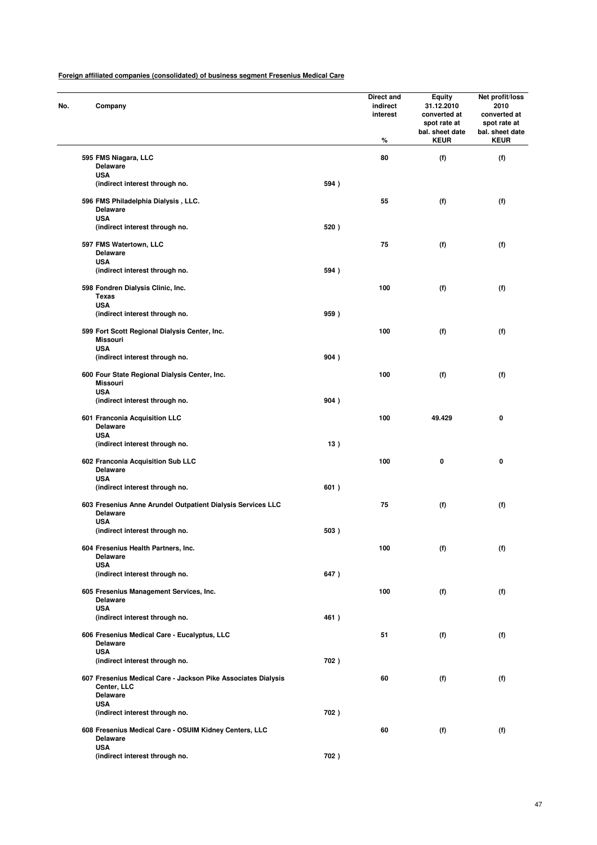| No. | Company                                                                                         |      | Direct and<br>indirect<br>interest<br>% | <b>Equity</b><br>31.12.2010<br>converted at<br>spot rate at<br>bal. sheet date<br><b>KEUR</b> | Net profit/loss<br>2010<br>converted at<br>spot rate at<br>bal. sheet date<br><b>KEUR</b> |
|-----|-------------------------------------------------------------------------------------------------|------|-----------------------------------------|-----------------------------------------------------------------------------------------------|-------------------------------------------------------------------------------------------|
|     | 595 FMS Niagara, LLC                                                                            |      | 80                                      | (f)                                                                                           | (f)                                                                                       |
|     | <b>Delaware</b>                                                                                 |      |                                         |                                                                                               |                                                                                           |
|     | <b>USA</b>                                                                                      |      |                                         |                                                                                               |                                                                                           |
|     | (indirect interest through no.                                                                  | 594) |                                         |                                                                                               |                                                                                           |
|     | 596 FMS Philadelphia Dialysis, LLC.<br><b>Delaware</b><br><b>USA</b>                            |      | 55                                      | (f)                                                                                           | (f)                                                                                       |
|     | (indirect interest through no.                                                                  | 520) |                                         |                                                                                               |                                                                                           |
|     | 597 FMS Watertown, LLC                                                                          |      | 75                                      | (f)                                                                                           | (f)                                                                                       |
|     | <b>Delaware</b>                                                                                 |      |                                         |                                                                                               |                                                                                           |
|     | <b>USA</b>                                                                                      |      |                                         |                                                                                               |                                                                                           |
|     | (indirect interest through no.                                                                  | 594) |                                         |                                                                                               |                                                                                           |
|     | 598 Fondren Dialysis Clinic, Inc.                                                               |      | 100                                     | (f)                                                                                           | (f)                                                                                       |
|     | <b>Texas</b>                                                                                    |      |                                         |                                                                                               |                                                                                           |
|     | <b>USA</b>                                                                                      |      |                                         |                                                                                               |                                                                                           |
|     | (indirect interest through no.                                                                  | 959) |                                         |                                                                                               |                                                                                           |
|     | 599 Fort Scott Regional Dialysis Center, Inc.                                                   |      | 100                                     | (f)                                                                                           | (f)                                                                                       |
|     | <b>Missouri</b>                                                                                 |      |                                         |                                                                                               |                                                                                           |
|     | <b>USA</b>                                                                                      |      |                                         |                                                                                               |                                                                                           |
|     | (indirect interest through no.                                                                  | 904) |                                         |                                                                                               |                                                                                           |
|     |                                                                                                 |      |                                         |                                                                                               |                                                                                           |
|     | 600 Four State Regional Dialysis Center, Inc.<br><b>Missouri</b>                                |      | 100                                     | (f)                                                                                           | (f)                                                                                       |
|     | <b>USA</b>                                                                                      |      |                                         |                                                                                               |                                                                                           |
|     | (indirect interest through no.                                                                  | 904) |                                         |                                                                                               |                                                                                           |
|     |                                                                                                 |      |                                         |                                                                                               |                                                                                           |
|     | 601 Franconia Acquisition LLC<br><b>Delaware</b><br><b>USA</b>                                  |      | 100                                     | 49.429                                                                                        | 0                                                                                         |
|     | (indirect interest through no.                                                                  | 13)  |                                         |                                                                                               |                                                                                           |
|     | 602 Franconia Acquisition Sub LLC<br><b>Delaware</b><br><b>USA</b>                              |      | 100                                     | 0                                                                                             | 0                                                                                         |
|     | (indirect interest through no.                                                                  | 601) |                                         |                                                                                               |                                                                                           |
|     | 603 Fresenius Anne Arundel Outpatient Dialysis Services LLC<br><b>Delaware</b><br><b>USA</b>    |      | 75                                      | (f)                                                                                           | (f)                                                                                       |
|     | (indirect interest through no.                                                                  | 503) |                                         |                                                                                               |                                                                                           |
|     |                                                                                                 |      |                                         |                                                                                               |                                                                                           |
|     | 604 Fresenius Health Partners, Inc.<br><b>Delaware</b>                                          |      | 100                                     | (f)                                                                                           | (f)                                                                                       |
|     | <b>USA</b>                                                                                      |      |                                         |                                                                                               |                                                                                           |
|     | (indirect interest through no.                                                                  | 647) |                                         |                                                                                               |                                                                                           |
|     | 605 Fresenius Management Services, Inc.<br><b>Delaware</b>                                      |      | 100                                     | (f)                                                                                           | (f)                                                                                       |
|     | <b>USA</b>                                                                                      |      |                                         |                                                                                               |                                                                                           |
|     | (indirect interest through no.                                                                  | 461) |                                         |                                                                                               |                                                                                           |
|     | 606 Fresenius Medical Care - Eucalyptus, LLC                                                    |      | 51                                      | (f)                                                                                           | (f)                                                                                       |
|     | <b>Delaware</b>                                                                                 |      |                                         |                                                                                               |                                                                                           |
|     | <b>USA</b>                                                                                      |      |                                         |                                                                                               |                                                                                           |
|     | (indirect interest through no.                                                                  | 702) |                                         |                                                                                               |                                                                                           |
|     | 607 Fresenius Medical Care - Jackson Pike Associates Dialysis<br>Center, LLC<br><b>Delaware</b> |      | 60                                      | (f)                                                                                           | (f)                                                                                       |
|     | <b>USA</b>                                                                                      |      |                                         |                                                                                               |                                                                                           |
|     | (indirect interest through no.                                                                  | 702) |                                         |                                                                                               |                                                                                           |
|     | 608 Fresenius Medical Care - OSUIM Kidney Centers, LLC<br><b>Delaware</b><br><b>USA</b>         |      | 60                                      | (f)                                                                                           | (f)                                                                                       |
|     | (indirect interest through no.                                                                  | 702) |                                         |                                                                                               |                                                                                           |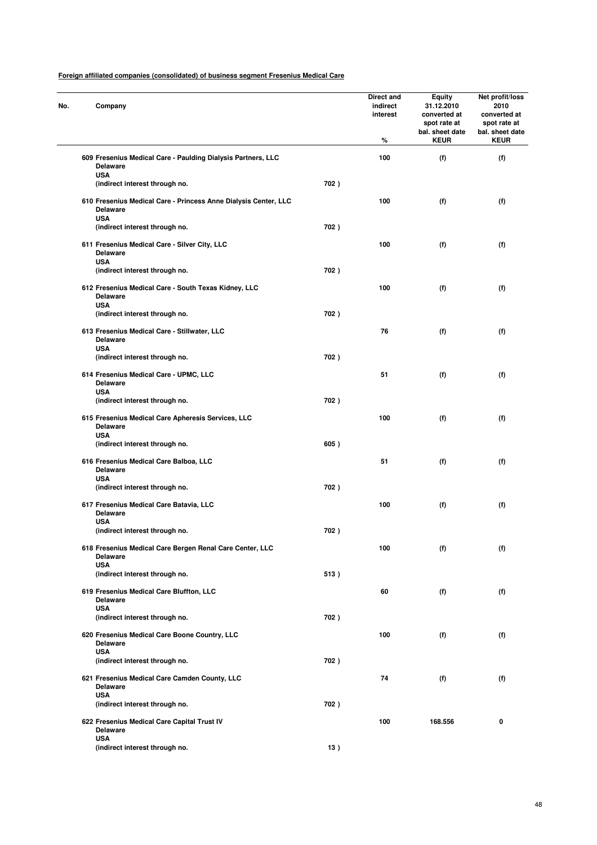| Company                                                                                          |      | Direct and<br>indirect<br>interest<br>% | <b>Equity</b><br>31.12.2010<br>converted at<br>spot rate at<br>bal. sheet date<br><b>KEUR</b> | Net profit/loss<br>2010<br>converted at<br>spot rate at<br>bal. sheet date<br><b>KEUR</b> |
|--------------------------------------------------------------------------------------------------|------|-----------------------------------------|-----------------------------------------------------------------------------------------------|-------------------------------------------------------------------------------------------|
| 609 Fresenius Medical Care - Paulding Dialysis Partners, LLC<br><b>Delaware</b>                  |      | 100                                     | (f)                                                                                           | (f)                                                                                       |
| <b>USA</b><br>(indirect interest through no.                                                     | 702) |                                         |                                                                                               |                                                                                           |
| 610 Fresenius Medical Care - Princess Anne Dialysis Center, LLC<br><b>Delaware</b><br><b>USA</b> |      | 100                                     | (f)                                                                                           | (f)                                                                                       |
| (indirect interest through no.                                                                   | 702) |                                         |                                                                                               |                                                                                           |
| 611 Fresenius Medical Care - Silver City, LLC<br><b>Delaware</b><br><b>USA</b>                   |      | 100                                     | (f)                                                                                           | (f)                                                                                       |
| (indirect interest through no.                                                                   | 702) |                                         |                                                                                               |                                                                                           |
| 612 Fresenius Medical Care - South Texas Kidney, LLC<br><b>Delaware</b>                          |      | 100                                     | (f)                                                                                           | (f)                                                                                       |
| <b>USA</b><br>(indirect interest through no.                                                     | 702) |                                         |                                                                                               |                                                                                           |
| 613 Fresenius Medical Care - Stillwater, LLC<br><b>Delaware</b>                                  |      | 76                                      | (f)                                                                                           | (f)                                                                                       |
| <b>USA</b><br>(indirect interest through no.                                                     | 702) |                                         |                                                                                               |                                                                                           |
| 614 Fresenius Medical Care - UPMC, LLC<br><b>Delaware</b>                                        |      | 51                                      | (f)                                                                                           | (f)                                                                                       |
| <b>USA</b><br>(indirect interest through no.                                                     | 702) |                                         |                                                                                               |                                                                                           |
| 615 Fresenius Medical Care Apheresis Services, LLC<br><b>Delaware</b>                            |      | 100                                     | (f)                                                                                           | (f)                                                                                       |
| <b>USA</b><br>(indirect interest through no.                                                     | 605) |                                         |                                                                                               |                                                                                           |
| 616 Fresenius Medical Care Balboa, LLC<br><b>Delaware</b>                                        |      | 51                                      | (f)                                                                                           | (f)                                                                                       |
| <b>USA</b><br>(indirect interest through no.                                                     | 702) |                                         |                                                                                               |                                                                                           |
| 617 Fresenius Medical Care Batavia, LLC<br><b>Delaware</b>                                       |      | 100                                     | (f)                                                                                           | (f)                                                                                       |
| <b>USA</b><br>(indirect interest through no.                                                     | 702) |                                         |                                                                                               |                                                                                           |
| 618 Fresenius Medical Care Bergen Renal Care Center, LLC<br><b>Delaware</b>                      |      | 100                                     | (f)                                                                                           | (f)                                                                                       |
| <b>USA</b><br>(indirect interest through no.                                                     | 513) |                                         |                                                                                               |                                                                                           |
| 619 Fresenius Medical Care Bluffton, LLC<br>Delaware                                             |      | 60                                      | (f)                                                                                           | (f)                                                                                       |
| <b>USA</b><br>(indirect interest through no.                                                     | 702) |                                         |                                                                                               |                                                                                           |
| 620 Fresenius Medical Care Boone Country, LLC<br><b>Delaware</b>                                 |      | 100                                     | (f)                                                                                           | (f)                                                                                       |
| <b>USA</b><br>(indirect interest through no.                                                     | 702) |                                         |                                                                                               |                                                                                           |
| 621 Fresenius Medical Care Camden County, LLC<br><b>Delaware</b>                                 |      | 74                                      | (f)                                                                                           | (f)                                                                                       |
| <b>USA</b><br>(indirect interest through no.                                                     | 702) |                                         |                                                                                               |                                                                                           |
| 622 Fresenius Medical Care Capital Trust IV<br><b>Delaware</b>                                   |      | 100                                     | 168.556                                                                                       | 0                                                                                         |
| <b>USA</b><br>(indirect interest through no.                                                     | 13)  |                                         |                                                                                               |                                                                                           |
|                                                                                                  |      |                                         |                                                                                               |                                                                                           |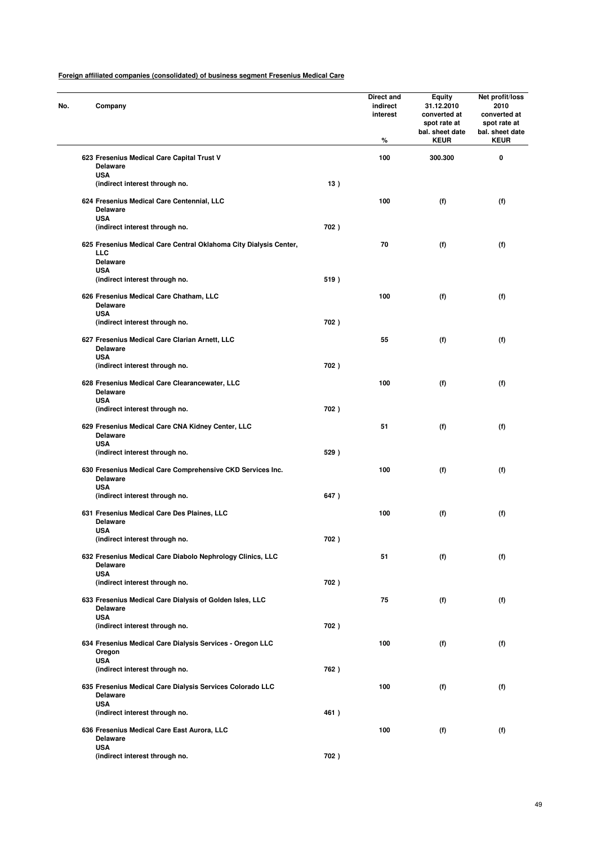|  | Company                                                                            |      | Direct and<br>indirect<br>interest<br>% | <b>Equity</b><br>31.12.2010<br>converted at<br>spot rate at<br>bal. sheet date<br><b>KEUR</b> | Net profit/loss<br>2010<br>converted at<br>spot rate at<br>bal. sheet date<br><b>KEUR</b> |
|--|------------------------------------------------------------------------------------|------|-----------------------------------------|-----------------------------------------------------------------------------------------------|-------------------------------------------------------------------------------------------|
|  | 623 Fresenius Medical Care Capital Trust V<br>Delaware                             |      | 100                                     | 300.300                                                                                       | 0                                                                                         |
|  | <b>USA</b><br>(indirect interest through no.                                       | 13)  |                                         |                                                                                               |                                                                                           |
|  |                                                                                    |      |                                         |                                                                                               |                                                                                           |
|  | 624 Fresenius Medical Care Centennial, LLC<br>Delaware<br><b>USA</b>               |      | 100                                     | (f)                                                                                           | (f)                                                                                       |
|  | (indirect interest through no.                                                     | 702) |                                         |                                                                                               |                                                                                           |
|  | 625 Fresenius Medical Care Central Oklahoma City Dialysis Center,<br>LLC           |      | 70                                      | (f)                                                                                           | (f)                                                                                       |
|  | <b>Delaware</b><br><b>USA</b>                                                      |      |                                         |                                                                                               |                                                                                           |
|  | (indirect interest through no.                                                     | 519) |                                         |                                                                                               |                                                                                           |
|  | 626 Fresenius Medical Care Chatham, LLC<br><b>Delaware</b>                         |      | 100                                     | (f)                                                                                           | (f)                                                                                       |
|  | <b>USA</b><br>(indirect interest through no.                                       | 702) |                                         |                                                                                               |                                                                                           |
|  | 627 Fresenius Medical Care Clarian Arnett, LLC<br><b>Delaware</b>                  |      | 55                                      | (f)                                                                                           | (f)                                                                                       |
|  | <b>USA</b>                                                                         |      |                                         |                                                                                               |                                                                                           |
|  | (indirect interest through no.                                                     | 702) |                                         |                                                                                               |                                                                                           |
|  | 628 Fresenius Medical Care Clearancewater, LLC<br><b>Delaware</b><br><b>USA</b>    |      | 100                                     | (f)                                                                                           | (f)                                                                                       |
|  | (indirect interest through no.                                                     | 702) |                                         |                                                                                               |                                                                                           |
|  | 629 Fresenius Medical Care CNA Kidney Center, LLC<br><b>Delaware</b><br><b>USA</b> |      | 51                                      | (f)                                                                                           | (f)                                                                                       |
|  | (indirect interest through no.                                                     | 529) |                                         |                                                                                               |                                                                                           |
|  | 630 Fresenius Medical Care Comprehensive CKD Services Inc.<br><b>Delaware</b>      |      | 100                                     | (f)                                                                                           | (f)                                                                                       |
|  | <b>USA</b><br>(indirect interest through no.                                       | 647) |                                         |                                                                                               |                                                                                           |
|  | 631 Fresenius Medical Care Des Plaines, LLC<br><b>Delaware</b>                     |      | 100                                     | (f)                                                                                           | (f)                                                                                       |
|  | <b>USA</b><br>(indirect interest througn no.                                       | 702) |                                         |                                                                                               |                                                                                           |
|  | 632 Fresenius Medical Care Diabolo Nephrology Clinics, LLC                         |      | 51                                      | (f)                                                                                           | (f)                                                                                       |
|  | Delaware<br><b>USA</b>                                                             |      |                                         |                                                                                               |                                                                                           |
|  | (indirect interest through no.                                                     | 702) |                                         |                                                                                               |                                                                                           |
|  | 633 Fresenius Medical Care Dialysis of Golden Isles, LLC<br>Delaware               |      | 75                                      | (f)                                                                                           | (f)                                                                                       |
|  | <b>USA</b><br>(indirect interest through no.                                       | 702) |                                         |                                                                                               |                                                                                           |
|  | 634 Fresenius Medical Care Dialysis Services - Oregon LLC<br>Oregon                |      | 100                                     | (f)                                                                                           | (f)                                                                                       |
|  | <b>USA</b><br>(indirect interest through no.                                       | 762) |                                         |                                                                                               |                                                                                           |
|  | 635 Fresenius Medical Care Dialysis Services Colorado LLC<br>Delaware              |      | 100                                     | (f)                                                                                           | (f)                                                                                       |
|  | <b>USA</b><br>(indirect interest through no.                                       | 461) |                                         |                                                                                               |                                                                                           |
|  | 636 Fresenius Medical Care East Aurora, LLC<br><b>Delaware</b>                     |      | 100                                     | (f)                                                                                           | (f)                                                                                       |
|  | <b>USA</b>                                                                         |      |                                         |                                                                                               |                                                                                           |
|  | (indirect interest through no.                                                     | 702) |                                         |                                                                                               |                                                                                           |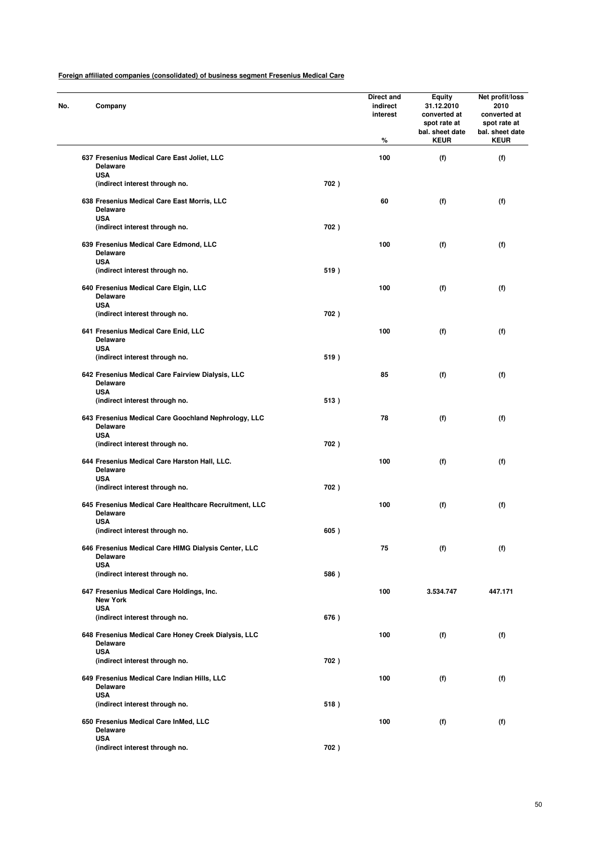| Company                                                                      |      | Direct and<br>indirect<br>interest<br>% | <b>Equity</b><br>31.12.2010<br>converted at<br>spot rate at<br>bal. sheet date<br><b>KEUR</b> | Net profit/loss<br>2010<br>converted at<br>spot rate at<br>bal. sheet date<br><b>KEUR</b> |
|------------------------------------------------------------------------------|------|-----------------------------------------|-----------------------------------------------------------------------------------------------|-------------------------------------------------------------------------------------------|
| 637 Fresenius Medical Care East Joliet, LLC<br><b>Delaware</b>               |      | 100                                     | (f)                                                                                           | (f)                                                                                       |
| <b>USA</b><br>(indirect interest through no.                                 | 702) |                                         |                                                                                               |                                                                                           |
| 638 Fresenius Medical Care East Morris, LLC<br><b>Delaware</b><br><b>USA</b> |      | 60                                      | (f)                                                                                           | (f)                                                                                       |
| (indirect interest through no.                                               | 702) |                                         |                                                                                               |                                                                                           |
| 639 Fresenius Medical Care Edmond, LLC<br><b>Delaware</b><br><b>USA</b>      |      | 100                                     | (f)                                                                                           | (f)                                                                                       |
| (indirect interest through no.                                               | 519) |                                         |                                                                                               |                                                                                           |
| 640 Fresenius Medical Care Elgin, LLC<br><b>Delaware</b><br><b>USA</b>       |      | 100                                     | (f)                                                                                           | (f)                                                                                       |
| (indirect interest through no.                                               | 702) |                                         |                                                                                               |                                                                                           |
| 641 Fresenius Medical Care Enid, LLC<br>Delaware<br><b>USA</b>               |      | 100                                     | (f)                                                                                           | (f)                                                                                       |
| (indirect interest through no.                                               | 519) |                                         |                                                                                               |                                                                                           |
| 642 Fresenius Medical Care Fairview Dialysis, LLC<br><b>Delaware</b>         |      | 85                                      | (f)                                                                                           | (f)                                                                                       |
| <b>USA</b><br>(indirect interest through no.                                 | 513) |                                         |                                                                                               |                                                                                           |
| 643 Fresenius Medical Care Goochland Nephrology, LLC<br><b>Delaware</b>      |      | 78                                      | (f)                                                                                           | (f)                                                                                       |
| <b>USA</b><br>(indirect interest through no.                                 | 702) |                                         |                                                                                               |                                                                                           |
| 644 Fresenius Medical Care Harston Hall, LLC.<br><b>Delaware</b>             |      | 100                                     | (f)                                                                                           | (f)                                                                                       |
| <b>USA</b><br>(indirect interest through no.                                 | 702) |                                         |                                                                                               |                                                                                           |
| 645 Fresenius Medical Care Healthcare Recruitment, LLC<br><b>Delaware</b>    |      | 100                                     | (f)                                                                                           | (f)                                                                                       |
| <b>USA</b><br>(indirect interest through no.                                 | 605) |                                         |                                                                                               |                                                                                           |
| 646 Fresenius Medical Care HIMG Dialysis Center, LLC<br><b>Delaware</b>      |      | 75                                      | (f)                                                                                           | (f)                                                                                       |
| <b>USA</b><br>(indirect interest through no.                                 | 586) |                                         |                                                                                               |                                                                                           |
| 647 Fresenius Medical Care Holdings, Inc.<br><b>New York</b>                 |      | 100                                     | 3.534.747                                                                                     | 447.171                                                                                   |
| <b>USA</b><br>(indirect interest through no.                                 | 676) |                                         |                                                                                               |                                                                                           |
| 648 Fresenius Medical Care Honey Creek Dialysis, LLC<br>Delaware             |      | 100                                     | (f)                                                                                           | (f)                                                                                       |
| <b>USA</b><br>(indirect interest through no.                                 | 702) |                                         |                                                                                               |                                                                                           |
| 649 Fresenius Medical Care Indian Hills, LLC<br><b>Delaware</b>              |      | 100                                     | (f)                                                                                           | (f)                                                                                       |
| <b>USA</b><br>(indirect interest through no.                                 | 518) |                                         |                                                                                               |                                                                                           |
| 650 Fresenius Medical Care InMed, LLC<br><b>Delaware</b>                     |      | 100                                     | (f)                                                                                           | (f)                                                                                       |
| <b>USA</b><br>(indirect interest through no.                                 | 702) |                                         |                                                                                               |                                                                                           |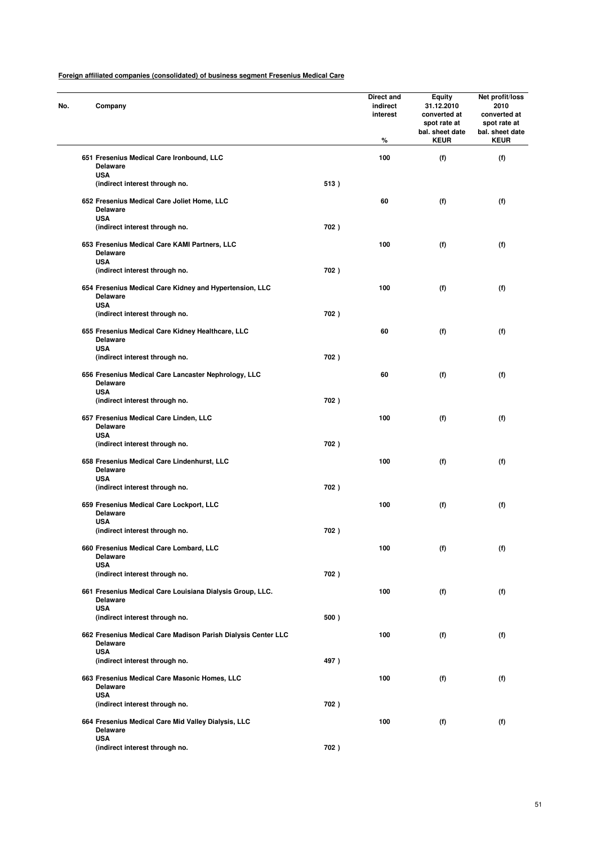| Company                                                                                  |      | Direct and<br>indirect<br>interest<br>% | <b>Equity</b><br>31.12.2010<br>converted at<br>spot rate at<br>bal. sheet date<br><b>KEUR</b> | Net profit/loss<br>2010<br>converted at<br>spot rate at<br>bal. sheet date<br><b>KEUR</b> |
|------------------------------------------------------------------------------------------|------|-----------------------------------------|-----------------------------------------------------------------------------------------------|-------------------------------------------------------------------------------------------|
| 651 Fresenius Medical Care Ironbound, LLC<br><b>Delaware</b>                             |      | 100                                     | (f)                                                                                           | (f)                                                                                       |
| <b>USA</b><br>(indirect interest through no.                                             | 513) |                                         |                                                                                               |                                                                                           |
| 652 Fresenius Medical Care Joliet Home, LLC<br><b>Delaware</b><br><b>USA</b>             |      | 60                                      | (f)                                                                                           | (f)                                                                                       |
| (indirect interest through no.                                                           | 702) |                                         |                                                                                               |                                                                                           |
| 653 Fresenius Medical Care KAMI Partners, LLC<br><b>Delaware</b><br><b>USA</b>           |      | 100                                     | (f)                                                                                           | (f)                                                                                       |
| (indirect interest through no.                                                           | 702) |                                         |                                                                                               |                                                                                           |
| 654 Fresenius Medical Care Kidney and Hypertension, LLC<br><b>Delaware</b><br><b>USA</b> |      | 100                                     | (f)                                                                                           | (f)                                                                                       |
| (indirect interest through no.                                                           | 702) |                                         |                                                                                               |                                                                                           |
| 655 Fresenius Medical Care Kidney Healthcare, LLC<br><b>Delaware</b><br><b>USA</b>       |      | 60                                      | (f)                                                                                           | (f)                                                                                       |
| (indirect interest through no.                                                           | 702) |                                         |                                                                                               |                                                                                           |
| 656 Fresenius Medical Care Lancaster Nephrology, LLC<br><b>Delaware</b>                  |      | 60                                      | (f)                                                                                           | (f)                                                                                       |
| <b>USA</b><br>(indirect interest through no.                                             | 702) |                                         |                                                                                               |                                                                                           |
| 657 Fresenius Medical Care Linden, LLC<br><b>Delaware</b>                                |      | 100                                     | (f)                                                                                           | (f)                                                                                       |
| <b>USA</b><br>(indirect interest through no.                                             | 702) |                                         |                                                                                               |                                                                                           |
| 658 Fresenius Medical Care Lindenhurst, LLC<br><b>Delaware</b>                           |      | 100                                     | (f)                                                                                           | (f)                                                                                       |
| <b>USA</b><br>(indirect interest through no.                                             | 702) |                                         |                                                                                               |                                                                                           |
| 659 Fresenius Medical Care Lockport, LLC<br><b>Delaware</b><br><b>USA</b>                |      | 100                                     | (f)                                                                                           | (f)                                                                                       |
| (indirect interest through no.                                                           | 702) |                                         |                                                                                               |                                                                                           |
| 660 Fresenius Medical Care Lombard, LLC<br><b>Delaware</b>                               |      | 100                                     | (f)                                                                                           | (f)                                                                                       |
| <b>USA</b><br>(indirect interest through no.                                             | 702) |                                         |                                                                                               |                                                                                           |
| 661 Fresenius Medical Care Louisiana Dialysis Group, LLC.<br>Delaware                    |      | 100                                     | (f)                                                                                           | (f)                                                                                       |
| <b>USA</b><br>(indirect interest through no.                                             | 500) |                                         |                                                                                               |                                                                                           |
| 662 Fresenius Medical Care Madison Parish Dialysis Center LLC<br><b>Delaware</b>         |      | 100                                     | (f)                                                                                           | (f)                                                                                       |
| <b>USA</b><br>(indirect interest through no.                                             | 497) |                                         |                                                                                               |                                                                                           |
| 663 Fresenius Medical Care Masonic Homes, LLC<br><b>Delaware</b>                         |      | 100                                     | (f)                                                                                           | (f)                                                                                       |
| <b>USA</b><br>(indirect interest through no.                                             | 702) |                                         |                                                                                               |                                                                                           |
| 664 Fresenius Medical Care Mid Valley Dialysis, LLC<br><b>Delaware</b>                   |      | 100                                     | (f)                                                                                           | (f)                                                                                       |
| <b>USA</b><br>(indirect interest through no.                                             | 702) |                                         |                                                                                               |                                                                                           |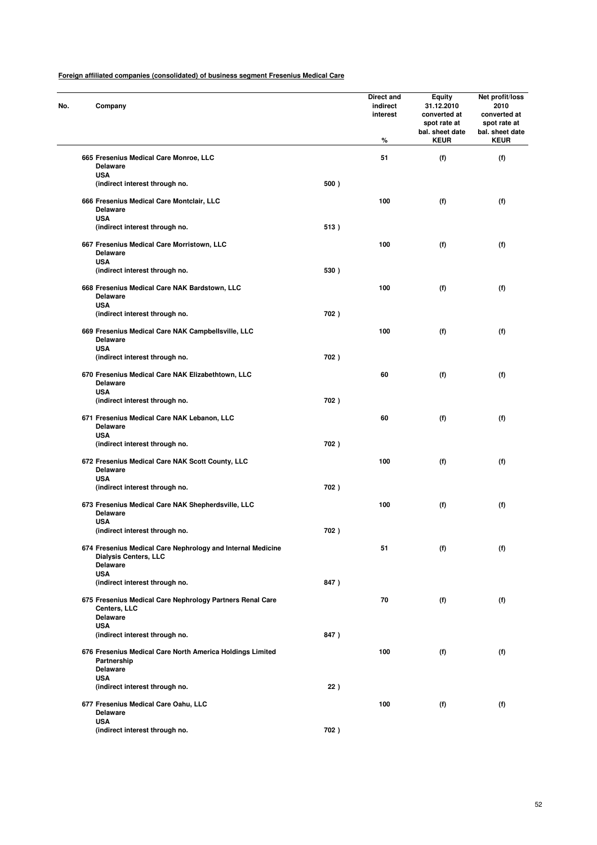| Company                                                                                                        |      | Direct and<br>indirect<br>interest<br>% | <b>Equity</b><br>31.12.2010<br>converted at<br>spot rate at<br>bal. sheet date<br><b>KEUR</b> | Net profit/loss<br>2010<br>converted at<br>spot rate at<br>bal. sheet date<br><b>KEUR</b> |
|----------------------------------------------------------------------------------------------------------------|------|-----------------------------------------|-----------------------------------------------------------------------------------------------|-------------------------------------------------------------------------------------------|
| 665 Fresenius Medical Care Monroe, LLC<br><b>Delaware</b>                                                      |      | 51                                      | (f)                                                                                           | (f)                                                                                       |
| <b>USA</b><br>(indirect interest through no.                                                                   | 500) |                                         |                                                                                               |                                                                                           |
| 666 Fresenius Medical Care Montclair, LLC<br><b>Delaware</b>                                                   |      | 100                                     | (f)                                                                                           | (f)                                                                                       |
| <b>USA</b><br>(indirect interest through no.                                                                   | 513) |                                         |                                                                                               |                                                                                           |
| 667 Fresenius Medical Care Morristown, LLC<br><b>Delaware</b><br><b>USA</b>                                    |      | 100                                     | (f)                                                                                           | (f)                                                                                       |
| (indirect interest through no.                                                                                 | 530) |                                         |                                                                                               |                                                                                           |
| 668 Fresenius Medical Care NAK Bardstown, LLC<br><b>Delaware</b>                                               |      | 100                                     | (f)                                                                                           | (f)                                                                                       |
| <b>USA</b><br>(indirect interest through no.                                                                   | 702) |                                         |                                                                                               |                                                                                           |
| 669 Fresenius Medical Care NAK Campbellsville, LLC<br><b>Delaware</b>                                          |      | 100                                     | (f)                                                                                           | (f)                                                                                       |
| <b>USA</b><br>(indirect interest through no.                                                                   | 702) |                                         |                                                                                               |                                                                                           |
| 670 Fresenius Medical Care NAK Elizabethtown, LLC<br><b>Delaware</b>                                           |      | 60                                      | (f)                                                                                           | (f)                                                                                       |
| <b>USA</b><br>(indirect interest through no.                                                                   | 702) |                                         |                                                                                               |                                                                                           |
| 671 Fresenius Medical Care NAK Lebanon, LLC<br><b>Delaware</b><br><b>USA</b>                                   |      | 60                                      | (f)                                                                                           | (f)                                                                                       |
| (indirect interest through no.                                                                                 | 702) |                                         |                                                                                               |                                                                                           |
| 672 Fresenius Medical Care NAK Scott County, LLC<br><b>Delaware</b><br><b>USA</b>                              |      | 100                                     | (f)                                                                                           | (f)                                                                                       |
| (indirect interest through no.                                                                                 | 702) |                                         |                                                                                               |                                                                                           |
| 673 Fresenius Medical Care NAK Shepherdsville, LLC<br><b>Delaware</b>                                          |      | 100                                     | (f)                                                                                           | (f)                                                                                       |
| <b>USA</b><br>(indirect interest through no.                                                                   | 702) |                                         |                                                                                               |                                                                                           |
| 674 Fresenius Medical Care Nephrology and Internal Medicine<br><b>Dialysis Centers, LLC</b><br><b>Delaware</b> |      | 51                                      | (f)                                                                                           | (f)                                                                                       |
| <b>USA</b><br>(indirect interest through no.                                                                   | 847) |                                         |                                                                                               |                                                                                           |
| 675 Fresenius Medical Care Nephrology Partners Renal Care<br>Centers, LLC<br><b>Delaware</b>                   |      | 70                                      | (f)                                                                                           | (f)                                                                                       |
| <b>USA</b><br>(indirect interest through no.                                                                   | 847) |                                         |                                                                                               |                                                                                           |
| 676 Fresenius Medical Care North America Holdings Limited<br>Partnership                                       |      | 100                                     | (f)                                                                                           | (f)                                                                                       |
| <b>Delaware</b><br><b>USA</b>                                                                                  |      |                                         |                                                                                               |                                                                                           |
| (indirect interest through no.                                                                                 | 22)  |                                         |                                                                                               |                                                                                           |
| 677 Fresenius Medical Care Oahu, LLC<br><b>Delaware</b><br><b>USA</b>                                          |      | 100                                     | (f)                                                                                           | (f)                                                                                       |
| (indirect interest through no.                                                                                 | 702) |                                         |                                                                                               |                                                                                           |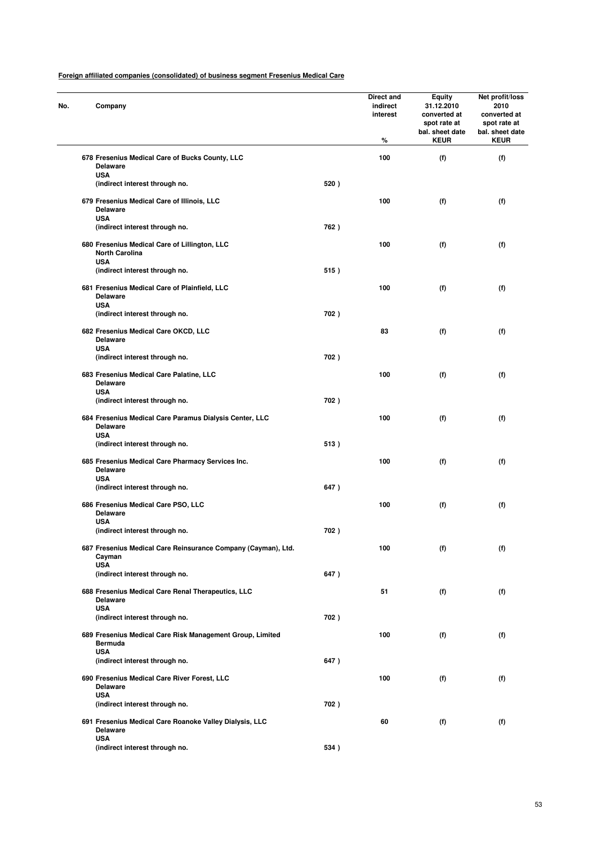| Company                                                                                   |      | Direct and<br>indirect<br>interest<br>% | <b>Equity</b><br>31.12.2010<br>converted at<br>spot rate at<br>bal. sheet date<br><b>KEUR</b> | Net profit/loss<br>2010<br>converted at<br>spot rate at<br>bal. sheet date<br><b>KEUR</b> |
|-------------------------------------------------------------------------------------------|------|-----------------------------------------|-----------------------------------------------------------------------------------------------|-------------------------------------------------------------------------------------------|
| 678 Fresenius Medical Care of Bucks County, LLC<br><b>Delaware</b>                        |      | 100                                     | (f)                                                                                           | (f)                                                                                       |
| <b>USA</b><br>(indirect interest through no.                                              | 520) |                                         |                                                                                               |                                                                                           |
| 679 Fresenius Medical Care of Illinois, LLC<br><b>Delaware</b><br><b>USA</b>              |      | 100                                     | (f)                                                                                           | (f)                                                                                       |
| (indirect interest through no.                                                            | 762) |                                         |                                                                                               |                                                                                           |
| 680 Fresenius Medical Care of Lillington, LLC<br><b>North Carolina</b><br><b>USA</b>      |      | 100                                     | (f)                                                                                           | (f)                                                                                       |
| (indirect interest through no.                                                            | 515) |                                         |                                                                                               |                                                                                           |
| 681 Fresenius Medical Care of Plainfield, LLC<br><b>Delaware</b><br><b>USA</b>            |      | 100                                     | (f)                                                                                           | (f)                                                                                       |
| (indirect interest through no.                                                            | 702) |                                         |                                                                                               |                                                                                           |
| 682 Fresenius Medical Care OKCD, LLC<br><b>Delaware</b><br><b>USA</b>                     |      | 83                                      | (f)                                                                                           | (f)                                                                                       |
| (indirect interest through no.                                                            | 702) |                                         |                                                                                               |                                                                                           |
| 683 Fresenius Medical Care Palatine, LLC<br><b>Delaware</b><br><b>USA</b>                 |      | 100                                     | (f)                                                                                           | (f)                                                                                       |
| (indirect interest through no.                                                            | 702) |                                         |                                                                                               |                                                                                           |
| 684 Fresenius Medical Care Paramus Dialysis Center, LLC<br><b>Delaware</b><br><b>USA</b>  |      | 100                                     | (f)                                                                                           | (f)                                                                                       |
| (indirect interest through no.                                                            | 513) |                                         |                                                                                               |                                                                                           |
| 685 Fresenius Medical Care Pharmacy Services Inc.<br><b>Delaware</b><br><b>USA</b>        |      | 100                                     | (f)                                                                                           | (f)                                                                                       |
| (indirect interest through no.                                                            | 647) |                                         |                                                                                               |                                                                                           |
| 686 Fresenius Medical Care PSO, LLC<br><b>Delaware</b><br><b>USA</b>                      |      | 100                                     | (f)                                                                                           | (f)                                                                                       |
| (indirect interest through no.                                                            | 702) |                                         |                                                                                               |                                                                                           |
| 687 Fresenius Medical Care Reinsurance Company (Cayman), Ltd.<br>Cayman<br><b>USA</b>     |      | 100                                     | (f)                                                                                           | (f)                                                                                       |
| (indirect interest through no.                                                            | 647) |                                         |                                                                                               |                                                                                           |
| 688 Fresenius Medical Care Renal Therapeutics, LLC<br><b>Delaware</b><br><b>USA</b>       |      | 51                                      | (f)                                                                                           | (f)                                                                                       |
| (indirect interest through no.                                                            | 702) |                                         |                                                                                               |                                                                                           |
| 689 Fresenius Medical Care Risk Management Group, Limited<br><b>Bermuda</b><br><b>USA</b> |      | 100                                     | (f)                                                                                           | (f)                                                                                       |
| (indirect interest through no.                                                            | 647) |                                         |                                                                                               |                                                                                           |
| 690 Fresenius Medical Care River Forest, LLC<br><b>Delaware</b><br><b>USA</b>             |      | 100                                     | (f)                                                                                           | (f)                                                                                       |
| (indirect interest through no.                                                            | 702) |                                         |                                                                                               |                                                                                           |
| 691 Fresenius Medical Care Roanoke Valley Dialysis, LLC<br><b>Delaware</b><br><b>USA</b>  |      | 60                                      | (f)                                                                                           | (f)                                                                                       |
| (indirect interest through no.                                                            | 534) |                                         |                                                                                               |                                                                                           |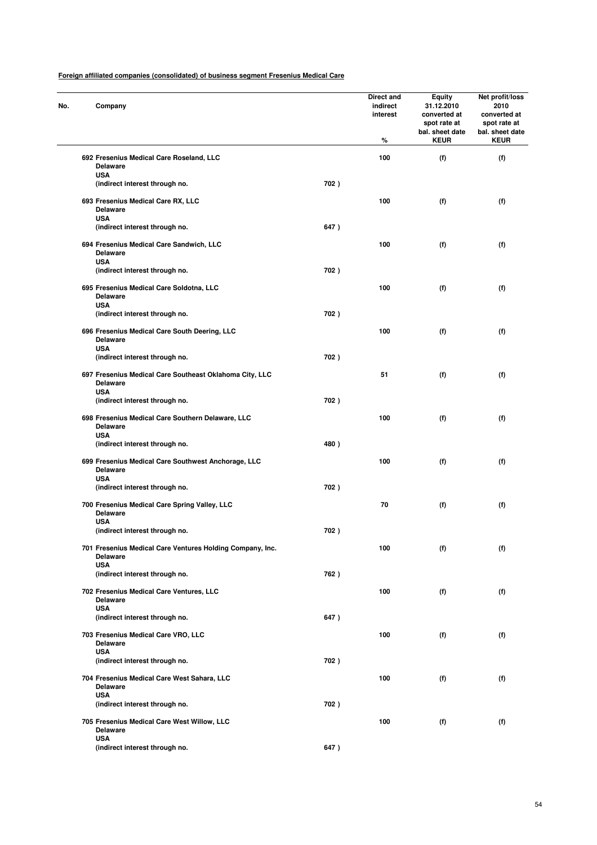| No. | Company                                                                        |      | Direct and<br>indirect<br>interest<br>% | <b>Equity</b><br>31.12.2010<br>converted at<br>spot rate at<br>bal. sheet date<br><b>KEUR</b> | Net profit/loss<br>2010<br>converted at<br>spot rate at<br>bal. sheet date<br><b>KEUR</b> |
|-----|--------------------------------------------------------------------------------|------|-----------------------------------------|-----------------------------------------------------------------------------------------------|-------------------------------------------------------------------------------------------|
|     | 692 Fresenius Medical Care Roseland, LLC<br><b>Delaware</b>                    |      | 100                                     | (f)                                                                                           | (f)                                                                                       |
|     | <b>USA</b><br>(indirect interest through no.                                   | 702) |                                         |                                                                                               |                                                                                           |
|     | 693 Fresenius Medical Care RX, LLC<br><b>Delaware</b><br><b>USA</b>            |      | 100                                     | (f)                                                                                           | (f)                                                                                       |
|     | (indirect interest through no.                                                 | 647) |                                         |                                                                                               |                                                                                           |
|     | 694 Fresenius Medical Care Sandwich, LLC<br><b>Delaware</b><br><b>USA</b>      |      | 100                                     | (f)                                                                                           | (f)                                                                                       |
|     | (indirect interest through no.                                                 | 702) |                                         |                                                                                               |                                                                                           |
|     | 695 Fresenius Medical Care Soldotna, LLC<br><b>Delaware</b>                    |      | 100                                     | (f)                                                                                           | (f)                                                                                       |
|     | <b>USA</b><br>(indirect interest through no.                                   | 702) |                                         |                                                                                               |                                                                                           |
|     | 696 Fresenius Medical Care South Deering, LLC<br><b>Delaware</b>               |      | 100                                     | (f)                                                                                           | (f)                                                                                       |
|     | <b>USA</b><br>(indirect interest through no.                                   | 702) |                                         |                                                                                               |                                                                                           |
|     | 697 Fresenius Medical Care Southeast Oklahoma City, LLC<br><b>Delaware</b>     |      | 51                                      | (f)                                                                                           | (f)                                                                                       |
|     | <b>USA</b><br>(indirect interest through no.                                   | 702) |                                         |                                                                                               |                                                                                           |
|     | 698 Fresenius Medical Care Southern Delaware, LLC<br><b>Delaware</b>           |      | 100                                     | (f)                                                                                           | (f)                                                                                       |
|     | <b>USA</b><br>(indirect interest through no.                                   | 480) |                                         |                                                                                               |                                                                                           |
|     | 699 Fresenius Medical Care Southwest Anchorage, LLC<br><b>Delaware</b>         |      | 100                                     | (f)                                                                                           | (f)                                                                                       |
|     | <b>USA</b><br>(indirect interest through no.                                   | 702) |                                         |                                                                                               |                                                                                           |
|     | 700 Fresenius Medical Care Spring Valley, LLC<br><b>Delaware</b><br><b>USA</b> |      | 70                                      | (f)                                                                                           | (f)                                                                                       |
|     | (indirect interest through no.                                                 | 702) |                                         |                                                                                               |                                                                                           |
|     | 701 Fresenius Medical Care Ventures Holding Company, Inc.<br><b>Delaware</b>   |      | 100                                     | (f)                                                                                           | (f)                                                                                       |
|     | <b>USA</b><br>(indirect interest through no.                                   | 762) |                                         |                                                                                               |                                                                                           |
|     | 702 Fresenius Medical Care Ventures, LLC<br>Delaware                           |      | 100                                     | (f)                                                                                           | (f)                                                                                       |
|     | <b>USA</b><br>(indirect interest through no.                                   | 647) |                                         |                                                                                               |                                                                                           |
|     | 703 Fresenius Medical Care VRO, LLC<br><b>Delaware</b>                         |      | 100                                     | (f)                                                                                           | (f)                                                                                       |
|     | <b>USA</b><br>(indirect interest through no.                                   | 702) |                                         |                                                                                               |                                                                                           |
|     | 704 Fresenius Medical Care West Sahara, LLC<br><b>Delaware</b>                 |      | 100                                     | (f)                                                                                           | (f)                                                                                       |
|     | <b>USA</b><br>(indirect interest through no.                                   | 702) |                                         |                                                                                               |                                                                                           |
|     | 705 Fresenius Medical Care West Willow, LLC<br><b>Delaware</b>                 |      | 100                                     | (f)                                                                                           | (f)                                                                                       |
|     | <b>USA</b><br>(indirect interest through no.                                   | 647) |                                         |                                                                                               |                                                                                           |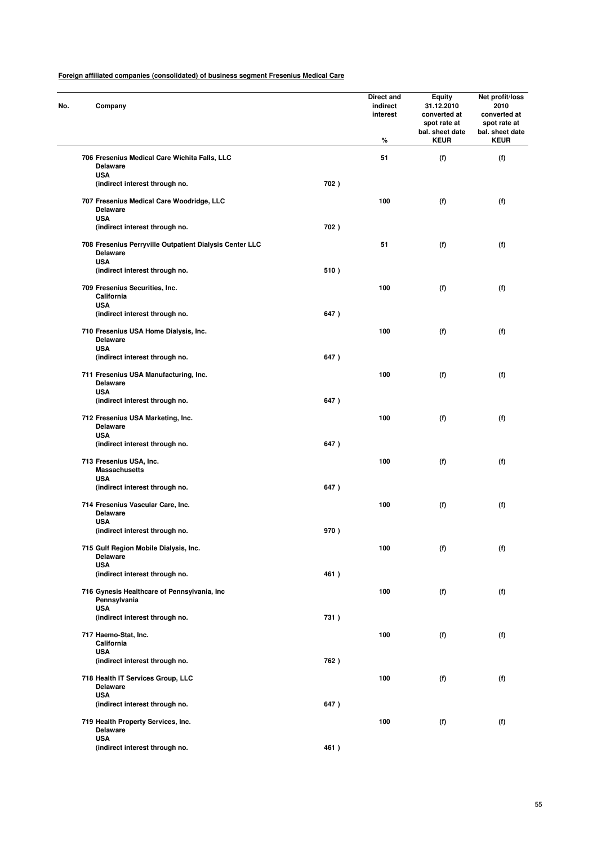| No. | Company                                                                                  |      | Direct and<br>indirect<br>interest<br>% | Equity<br>31.12.2010<br>converted at<br>spot rate at<br>bal. sheet date<br><b>KEUR</b> | Net profit/loss<br>2010<br>converted at<br>spot rate at<br>bal. sheet date<br><b>KEUR</b> |
|-----|------------------------------------------------------------------------------------------|------|-----------------------------------------|----------------------------------------------------------------------------------------|-------------------------------------------------------------------------------------------|
|     | 706 Fresenius Medical Care Wichita Falls, LLC<br><b>Delaware</b>                         |      | 51                                      | (f)                                                                                    | (f)                                                                                       |
|     | <b>USA</b><br>(indirect interest through no.                                             | 702) |                                         |                                                                                        |                                                                                           |
|     | 707 Fresenius Medical Care Woodridge, LLC<br><b>Delaware</b><br><b>USA</b>               |      | 100                                     | (f)                                                                                    | (f)                                                                                       |
|     | (indirect interest through no.                                                           | 702) |                                         |                                                                                        |                                                                                           |
|     | 708 Fresenius Perryville Outpatient Dialysis Center LLC<br><b>Delaware</b><br><b>USA</b> |      | 51                                      | (f)                                                                                    | (f)                                                                                       |
|     | (indirect interest through no.                                                           | 510) |                                         |                                                                                        |                                                                                           |
|     | 709 Fresenius Securities, Inc.<br>California<br><b>USA</b>                               |      | 100                                     | (f)                                                                                    | (f)                                                                                       |
|     | (indirect interest through no.                                                           | 647) |                                         |                                                                                        |                                                                                           |
|     | 710 Fresenius USA Home Dialysis, Inc.<br><b>Delaware</b><br><b>USA</b>                   |      | 100                                     | (f)                                                                                    | (f)                                                                                       |
|     | (indirect interest through no.                                                           | 647) |                                         |                                                                                        |                                                                                           |
|     | 711 Fresenius USA Manufacturing, Inc.<br><b>Delaware</b>                                 |      | 100                                     | (f)                                                                                    | (f)                                                                                       |
|     | <b>USA</b><br>(indirect interest through no.                                             | 647) |                                         |                                                                                        |                                                                                           |
|     | 712 Fresenius USA Marketing, Inc.<br><b>Delaware</b>                                     |      | 100                                     | (f)                                                                                    | (f)                                                                                       |
|     | <b>USA</b><br>(indirect interest through no.                                             | 647) |                                         |                                                                                        |                                                                                           |
|     | 713 Fresenius USA, Inc.<br><b>Massachusetts</b>                                          |      | 100                                     | (f)                                                                                    | (f)                                                                                       |
|     | <b>USA</b><br>(indirect interest through no.                                             | 647) |                                         |                                                                                        |                                                                                           |
|     | 714 Fresenius Vascular Care, Inc.<br><b>Delaware</b><br><b>USA</b>                       |      | 100                                     | (f)                                                                                    | (f)                                                                                       |
|     | (indirect interest through no.                                                           | 970) |                                         |                                                                                        |                                                                                           |
|     | 715 Gulf Region Mobile Dialysis, Inc.<br><b>Delaware</b>                                 |      | 100                                     | (f)                                                                                    | (f)                                                                                       |
|     | <b>USA</b><br>(indirect interest through no.                                             | 461) |                                         |                                                                                        |                                                                                           |
|     | 716 Gynesis Healthcare of Pennsylvania, Inc<br>Pennsylvania                              |      | 100                                     | (f)                                                                                    | (f)                                                                                       |
|     | <b>USA</b><br>(indirect interest through no.                                             | 731) |                                         |                                                                                        |                                                                                           |
|     | 717 Haemo-Stat, Inc.<br>California                                                       |      | 100                                     | (f)                                                                                    | (f)                                                                                       |
|     | <b>USA</b><br>(indirect interest through no.                                             | 762) |                                         |                                                                                        |                                                                                           |
|     | 718 Health IT Services Group, LLC<br><b>Delaware</b>                                     |      | 100                                     | (f)                                                                                    | (f)                                                                                       |
|     | <b>USA</b><br>(indirect interest through no.                                             | 647) |                                         |                                                                                        |                                                                                           |
|     | 719 Health Property Services, Inc.<br><b>Delaware</b>                                    |      | 100                                     | (f)                                                                                    | (f)                                                                                       |
|     | <b>USA</b><br>(indirect interest through no.                                             | 461) |                                         |                                                                                        |                                                                                           |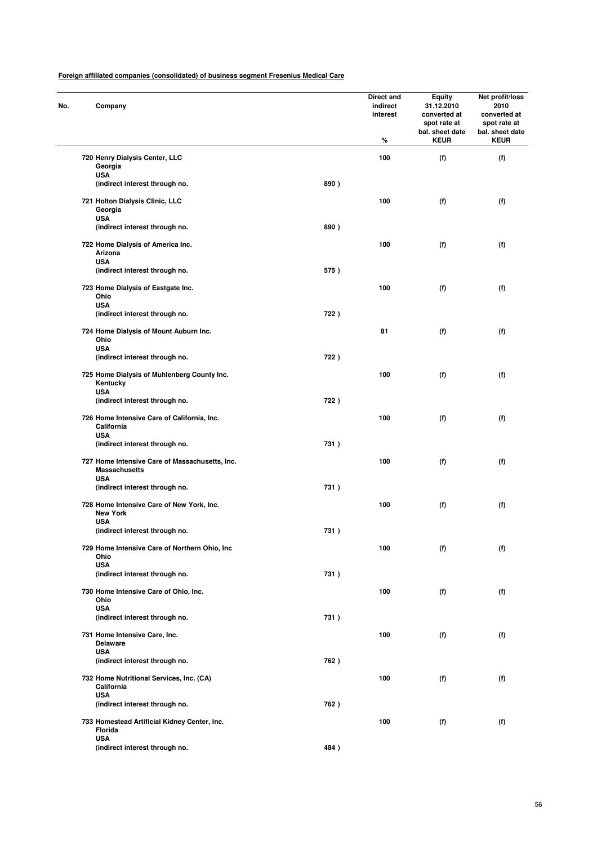| No. | Company                                                                |      | Direct and<br>indirect<br>interest<br>% | <b>Equity</b><br>31.12.2010<br>converted at<br>spot rate at<br>bal. sheet date<br><b>KEUR</b> | Net profit/loss<br>2010<br>converted at<br>spot rate at<br>bal. sheet date<br><b>KEUR</b> |
|-----|------------------------------------------------------------------------|------|-----------------------------------------|-----------------------------------------------------------------------------------------------|-------------------------------------------------------------------------------------------|
|     | 720 Henry Dialysis Center, LLC<br>Georgia                              |      | 100                                     | (f)                                                                                           | (f)                                                                                       |
|     | <b>USA</b>                                                             |      |                                         |                                                                                               |                                                                                           |
|     | (indirect interest through no.                                         | 890) |                                         |                                                                                               |                                                                                           |
|     | 721 Holton Dialysis Clinic, LLC<br>Georgia<br><b>USA</b>               |      | 100                                     | (f)                                                                                           | (f)                                                                                       |
|     | (indirect interest through no.                                         | 890) |                                         |                                                                                               |                                                                                           |
|     | 722 Home Dialysis of America Inc.<br>Arizona                           |      | 100                                     | (f)                                                                                           | (f)                                                                                       |
|     | <b>USA</b><br>(indirect interest through no.                           | 575) |                                         |                                                                                               |                                                                                           |
|     | 723 Home Dialysis of Eastgate Inc.                                     |      | 100                                     | (f)                                                                                           | (f)                                                                                       |
|     | Ohio                                                                   |      |                                         |                                                                                               |                                                                                           |
|     | <b>USA</b><br>(indirect interest through no.                           | 722) |                                         |                                                                                               |                                                                                           |
|     | 724 Home Dialysis of Mount Auburn Inc.                                 |      | 81                                      | (f)                                                                                           | (f)                                                                                       |
|     | Ohio<br><b>USA</b>                                                     |      |                                         |                                                                                               |                                                                                           |
|     | (indirect interest through no.                                         | 722) |                                         |                                                                                               |                                                                                           |
|     | 725 Home Dialysis of Muhlenberg County Inc.<br>Kentucky                |      | 100                                     | (f)                                                                                           | (f)                                                                                       |
|     | <b>USA</b><br>(indirect interest through no.                           | 722) |                                         |                                                                                               |                                                                                           |
|     | 726 Home Intensive Care of California, Inc.<br>California              |      | 100                                     | (f)                                                                                           | (f)                                                                                       |
|     | <b>USA</b><br>(indirect interest through no.                           | 731) |                                         |                                                                                               |                                                                                           |
|     | 727 Home Intensive Care of Massachusetts, Inc.<br><b>Massachusetts</b> |      | 100                                     | (f)                                                                                           | (f)                                                                                       |
|     | <b>USA</b><br>(indirect interest through no.                           | 731) |                                         |                                                                                               |                                                                                           |
|     | 728 Home Intensive Care of New York, Inc.<br><b>New York</b>           |      | 100                                     | (f)                                                                                           | (f)                                                                                       |
|     | <b>USA</b><br>(indirect interest through no.                           | 731) |                                         |                                                                                               |                                                                                           |
|     | 729 Home Intensive Care of Northern Ohio, Inc.<br>Ohio                 |      | 100                                     | (f)                                                                                           | (f)                                                                                       |
|     | <b>USA</b><br>(indirect interest through no.                           | 731) |                                         |                                                                                               |                                                                                           |
|     | 730 Home Intensive Care of Ohio, Inc.                                  |      | 100                                     | (f)                                                                                           | (f)                                                                                       |
|     | Ohio                                                                   |      |                                         |                                                                                               |                                                                                           |
|     | <b>USA</b>                                                             |      |                                         |                                                                                               |                                                                                           |
|     | (indirect interest through no.                                         | 731) |                                         |                                                                                               |                                                                                           |
|     | 731 Home Intensive Care, Inc.<br><b>Delaware</b>                       |      | 100                                     | (f)                                                                                           | (f)                                                                                       |
|     | <b>USA</b><br>(indirect interest through no.                           | 762) |                                         |                                                                                               |                                                                                           |
|     | 732 Home Nutritional Services, Inc. (CA)<br>California                 |      | 100                                     | (f)                                                                                           | (f)                                                                                       |
|     | <b>USA</b><br>(indirect interest through no.                           | 762) |                                         |                                                                                               |                                                                                           |
|     | 733 Homestead Artificial Kidney Center, Inc.<br>Florida                |      | 100                                     | (f)                                                                                           | (f)                                                                                       |
|     | <b>USA</b>                                                             |      |                                         |                                                                                               |                                                                                           |
|     | (indirect interest through no.                                         | 484) |                                         |                                                                                               |                                                                                           |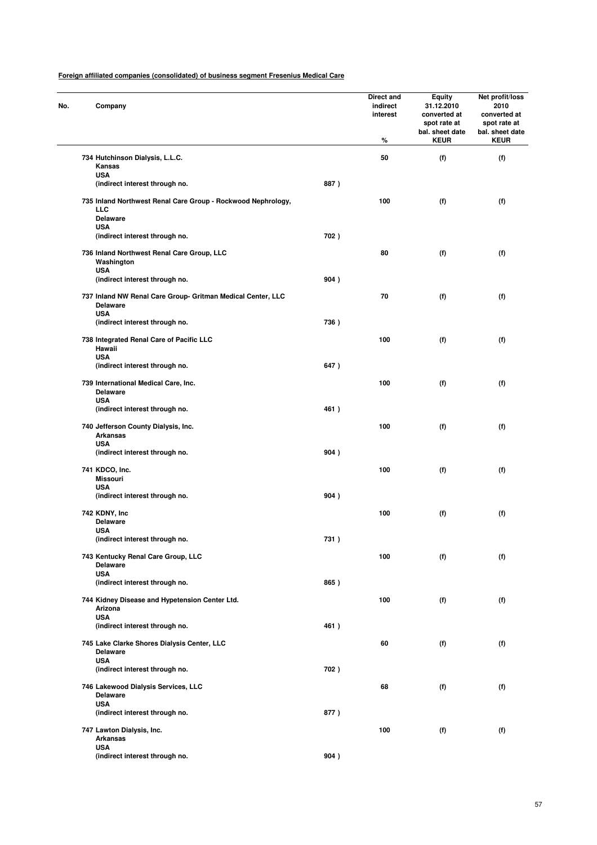| No. | Company                                                                                       |      | Direct and<br>indirect<br>interest<br>% | Equity<br>31.12.2010<br>converted at<br>spot rate at<br>bal. sheet date<br><b>KEUR</b> | Net profit/loss<br>2010<br>converted at<br>spot rate at<br>bal. sheet date<br><b>KEUR</b> |
|-----|-----------------------------------------------------------------------------------------------|------|-----------------------------------------|----------------------------------------------------------------------------------------|-------------------------------------------------------------------------------------------|
|     | 734 Hutchinson Dialysis, L.L.C.<br>Kansas                                                     |      | 50                                      | (f)                                                                                    | (f)                                                                                       |
|     | <b>USA</b>                                                                                    |      |                                         |                                                                                        |                                                                                           |
|     | (indirect interest through no.                                                                | 887) |                                         |                                                                                        |                                                                                           |
|     | 735 Inland Northwest Renal Care Group - Rockwood Nephrology,<br><b>LLC</b><br><b>Delaware</b> |      | 100                                     | (f)                                                                                    | (f)                                                                                       |
|     | <b>USA</b><br>(indirect interest through no.                                                  | 702) |                                         |                                                                                        |                                                                                           |
|     |                                                                                               |      |                                         |                                                                                        |                                                                                           |
|     | 736 Inland Northwest Renal Care Group, LLC<br>Washington<br><b>USA</b>                        |      | 80                                      | (f)                                                                                    | (f)                                                                                       |
|     | (indirect interest through no.                                                                | 904) |                                         |                                                                                        |                                                                                           |
|     | 737 Inland NW Renal Care Group- Gritman Medical Center, LLC<br><b>Delaware</b>                |      | 70                                      | (f)                                                                                    | (f)                                                                                       |
|     | <b>USA</b>                                                                                    |      |                                         |                                                                                        |                                                                                           |
|     | (indirect interest through no.                                                                | 736) |                                         |                                                                                        |                                                                                           |
|     | 738 Integrated Renal Care of Pacific LLC<br>Hawaii                                            |      | 100                                     | (f)                                                                                    | (f)                                                                                       |
|     | <b>USA</b><br>(indirect interest through no.                                                  | 647) |                                         |                                                                                        |                                                                                           |
|     | 739 International Medical Care, Inc.<br><b>Delaware</b>                                       |      | 100                                     | (f)                                                                                    | (f)                                                                                       |
|     | <b>USA</b>                                                                                    |      |                                         |                                                                                        |                                                                                           |
|     | (indirect interest through no.                                                                | 461) |                                         |                                                                                        |                                                                                           |
|     | 740 Jefferson County Dialysis, Inc.<br><b>Arkansas</b><br><b>USA</b>                          |      | 100                                     | (f)                                                                                    | (f)                                                                                       |
|     | (indirect interest through no.                                                                | 904) |                                         |                                                                                        |                                                                                           |
|     | 741 KDCO, Inc.                                                                                |      | 100                                     | (f)                                                                                    | (f)                                                                                       |
|     | <b>Missouri</b><br><b>USA</b>                                                                 |      |                                         |                                                                                        |                                                                                           |
|     | (indirect interest through no.                                                                | 904) |                                         |                                                                                        |                                                                                           |
|     | 742 KDNY, Inc                                                                                 |      | 100                                     | (f)                                                                                    | (f)                                                                                       |
|     | <b>Delaware</b><br><b>USA</b>                                                                 |      |                                         |                                                                                        |                                                                                           |
|     | (indirect interest through no.                                                                | 731) |                                         |                                                                                        |                                                                                           |
|     |                                                                                               |      |                                         |                                                                                        |                                                                                           |
|     | 743 Kentucky Renal Care Group, LLC<br><b>Delaware</b><br><b>USA</b>                           |      | 100                                     | (f)                                                                                    | (f)                                                                                       |
|     | (indirect interest through no.                                                                | 865) |                                         |                                                                                        |                                                                                           |
|     | 744 Kidney Disease and Hypetension Center Ltd.<br>Arizona                                     |      | 100                                     | (f)                                                                                    | (f)                                                                                       |
|     | <b>USA</b><br>(indirect interest through no.                                                  | 461) |                                         |                                                                                        |                                                                                           |
|     |                                                                                               |      |                                         |                                                                                        |                                                                                           |
|     | 745 Lake Clarke Shores Dialysis Center, LLC<br><b>Delaware</b><br><b>USA</b>                  |      | 60                                      | (f)                                                                                    | (f)                                                                                       |
|     | (indirect interest through no.                                                                | 702) |                                         |                                                                                        |                                                                                           |
|     | 746 Lakewood Dialysis Services, LLC<br><b>Delaware</b>                                        |      | 68                                      | (f)                                                                                    | (f)                                                                                       |
|     | <b>USA</b><br>(indirect interest through no.                                                  | 877) |                                         |                                                                                        |                                                                                           |
|     | 747 Lawton Dialysis, Inc.<br><b>Arkansas</b>                                                  |      | 100                                     | (f)                                                                                    | (f)                                                                                       |
|     | <b>USA</b><br>(indirect interest through no.                                                  | 904) |                                         |                                                                                        |                                                                                           |
|     |                                                                                               |      |                                         |                                                                                        |                                                                                           |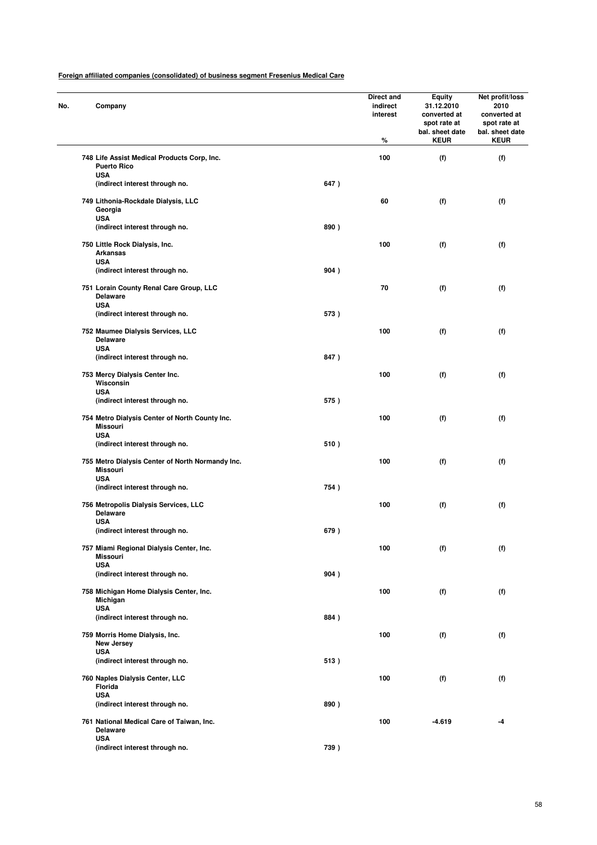| No. | Company                                                                    |      | Direct and<br>indirect<br>interest<br>% | <b>Equity</b><br>31.12.2010<br>converted at<br>spot rate at<br>bal. sheet date<br><b>KEUR</b> | Net profit/loss<br>2010<br>converted at<br>spot rate at<br>bal. sheet date<br><b>KEUR</b> |
|-----|----------------------------------------------------------------------------|------|-----------------------------------------|-----------------------------------------------------------------------------------------------|-------------------------------------------------------------------------------------------|
|     | 748 Life Assist Medical Products Corp, Inc.<br><b>Puerto Rico</b>          |      | 100                                     | (f)                                                                                           | (f)                                                                                       |
|     | <b>USA</b><br>(indirect interest through no.                               | 647) |                                         |                                                                                               |                                                                                           |
|     | 749 Lithonia-Rockdale Dialysis, LLC<br>Georgia<br><b>USA</b>               |      | 60                                      | (f)                                                                                           | (f)                                                                                       |
|     | (indirect interest through no.                                             | 890) |                                         |                                                                                               |                                                                                           |
|     | 750 Little Rock Dialysis, Inc.<br>Arkansas<br><b>USA</b>                   |      | 100                                     | (f)                                                                                           | (f)                                                                                       |
|     | (indirect interest through no.                                             | 904) |                                         |                                                                                               |                                                                                           |
|     | 751 Lorain County Renal Care Group, LLC<br><b>Delaware</b><br><b>USA</b>   |      | 70                                      | (f)                                                                                           | (f)                                                                                       |
|     | (indirect interest through no.                                             | 573) |                                         |                                                                                               |                                                                                           |
|     | 752 Maumee Dialysis Services, LLC<br><b>Delaware</b><br><b>USA</b>         |      | 100                                     | (f)                                                                                           | (f)                                                                                       |
|     | (indirect interest through no.                                             | 847) |                                         |                                                                                               |                                                                                           |
|     | 753 Mercy Dialysis Center Inc.<br>Wisconsin                                |      | 100                                     | (f)                                                                                           | (f)                                                                                       |
|     | <b>USA</b><br>(indirect interest through no.                               | 575) |                                         |                                                                                               |                                                                                           |
|     | 754 Metro Dialysis Center of North County Inc.<br><b>Missouri</b>          |      | 100                                     | (f)                                                                                           | (f)                                                                                       |
|     | <b>USA</b><br>(indirect interest through no.                               | 510) |                                         |                                                                                               |                                                                                           |
|     | 755 Metro Dialysis Center of North Normandy Inc.<br>Missouri<br><b>USA</b> |      | 100                                     | (f)                                                                                           | (f)                                                                                       |
|     | (indirect interest through no.                                             | 754) |                                         |                                                                                               |                                                                                           |
|     | 756 Metropolis Dialysis Services, LLC<br><b>Delaware</b><br><b>USA</b>     |      | 100                                     | (f)                                                                                           | (f)                                                                                       |
|     | (indirect interest through no.                                             | 679) |                                         |                                                                                               |                                                                                           |
|     | 757 Miami Regional Dialysis Center, Inc.<br><b>Missouri</b>                |      | 100                                     | (f)                                                                                           | (f)                                                                                       |
|     | <b>USA</b><br>(indirect interest through no.                               | 904) |                                         |                                                                                               |                                                                                           |
|     | 758 Michigan Home Dialysis Center, Inc.<br>Michigan                        |      | 100                                     | (f)                                                                                           | (f)                                                                                       |
|     | <b>USA</b><br>(indirect interest through no.                               | 884) |                                         |                                                                                               |                                                                                           |
|     | 759 Morris Home Dialysis, Inc.<br><b>New Jersey</b>                        |      | 100                                     | (f)                                                                                           | (f)                                                                                       |
|     | <b>USA</b><br>(indirect interest through no.                               | 513) |                                         |                                                                                               |                                                                                           |
|     | 760 Naples Dialysis Center, LLC<br>Florida                                 |      | 100                                     | (f)                                                                                           | (f)                                                                                       |
|     | <b>USA</b><br>(indirect interest through no.                               | 890) |                                         |                                                                                               |                                                                                           |
|     | 761 National Medical Care of Taiwan, Inc.<br><b>Delaware</b>               |      | 100                                     | $-4.619$                                                                                      | -4                                                                                        |
|     | <b>USA</b><br>(indirect interest through no.                               | 739) |                                         |                                                                                               |                                                                                           |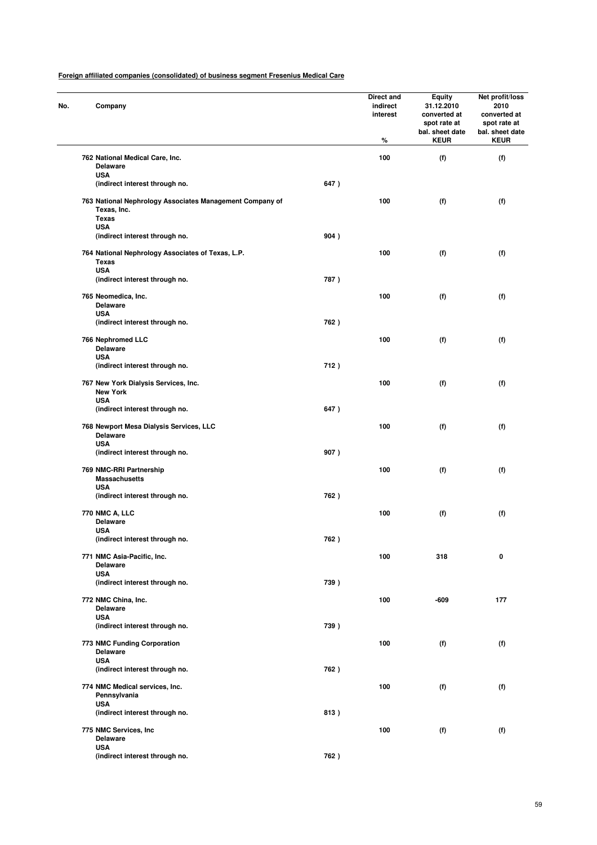| No. | Company                                                                                               |      | Direct and<br>indirect<br>interest<br>% | Equity<br>31.12.2010<br>converted at<br>spot rate at<br>bal. sheet date<br><b>KEUR</b> | Net profit/loss<br>2010<br>converted at<br>spot rate at<br>bal. sheet date<br><b>KEUR</b> |
|-----|-------------------------------------------------------------------------------------------------------|------|-----------------------------------------|----------------------------------------------------------------------------------------|-------------------------------------------------------------------------------------------|
|     | 762 National Medical Care, Inc.<br><b>Delaware</b>                                                    |      | 100                                     | (f)                                                                                    | (f)                                                                                       |
|     | <b>USA</b>                                                                                            |      |                                         |                                                                                        |                                                                                           |
|     | (indirect interest through no.                                                                        | 647) |                                         |                                                                                        |                                                                                           |
|     | 763 National Nephrology Associates Management Company of<br>Texas, Inc.<br><b>Texas</b><br><b>USA</b> |      | 100                                     | (f)                                                                                    | (f)                                                                                       |
|     | (indirect interest through no.                                                                        | 904) |                                         |                                                                                        |                                                                                           |
|     | 764 National Nephrology Associates of Texas, L.P.<br><b>Texas</b>                                     |      | 100                                     | (f)                                                                                    | (f)                                                                                       |
|     | <b>USA</b><br>(indirect interest through no.                                                          | 787) |                                         |                                                                                        |                                                                                           |
|     | 765 Neomedica, Inc.<br><b>Delaware</b>                                                                |      | 100                                     | (f)                                                                                    | (f)                                                                                       |
|     | <b>USA</b>                                                                                            |      |                                         |                                                                                        |                                                                                           |
|     | (indirect interest through no.                                                                        | 762) |                                         |                                                                                        |                                                                                           |
|     | 766 Nephromed LLC<br><b>Delaware</b>                                                                  |      | 100                                     | (f)                                                                                    | (f)                                                                                       |
|     | <b>USA</b><br>(indirect interest through no.                                                          | 712) |                                         |                                                                                        |                                                                                           |
|     | 767 New York Dialysis Services, Inc.<br><b>New York</b>                                               |      | 100                                     | (f)                                                                                    | (f)                                                                                       |
|     | <b>USA</b><br>(indirect interest through no.                                                          | 647) |                                         |                                                                                        |                                                                                           |
|     | 768 Newport Mesa Dialysis Services, LLC<br><b>Delaware</b><br><b>USA</b>                              |      | 100                                     | (f)                                                                                    | (f)                                                                                       |
|     | (indirect interest through no.                                                                        | 907) |                                         |                                                                                        |                                                                                           |
|     | 769 NMC-RRI Partnership<br><b>Massachusetts</b><br><b>USA</b>                                         |      | 100                                     | (f)                                                                                    | (f)                                                                                       |
|     | (indirect interest through no.                                                                        | 762) |                                         |                                                                                        |                                                                                           |
|     | 770 NMC A, LLC<br><b>Delaware</b>                                                                     |      | 100                                     | (f)                                                                                    | (f)                                                                                       |
|     | <b>USA</b>                                                                                            |      |                                         |                                                                                        |                                                                                           |
|     | (indirect interest through no.                                                                        | 762) |                                         |                                                                                        |                                                                                           |
|     | 771 NMC Asia-Pacific, Inc.<br><b>Delaware</b><br><b>USA</b>                                           |      | 100                                     | 318                                                                                    | 0                                                                                         |
|     | (indirect interest through no.                                                                        | 739) |                                         |                                                                                        |                                                                                           |
|     | 772 NMC China, Inc.<br><b>Delaware</b>                                                                |      | 100                                     | -609                                                                                   | 177                                                                                       |
|     | <b>USA</b><br>(indirect interest through no.                                                          | 739) |                                         |                                                                                        |                                                                                           |
|     | 773 NMC Funding Corporation<br><b>Delaware</b>                                                        |      | 100                                     | (f)                                                                                    | (f)                                                                                       |
|     | <b>USA</b><br>(indirect interest through no.                                                          | 762) |                                         |                                                                                        |                                                                                           |
|     | 774 NMC Medical services, Inc.<br>Pennsylvania                                                        |      | 100                                     | (f)                                                                                    | (f)                                                                                       |
|     | <b>USA</b><br>(indirect interest through no.                                                          | 813) |                                         |                                                                                        |                                                                                           |
|     | 775 NMC Services, Inc<br><b>Delaware</b>                                                              |      | 100                                     | (f)                                                                                    | (f)                                                                                       |
|     | <b>USA</b><br>(indirect interest through no.                                                          | 762) |                                         |                                                                                        |                                                                                           |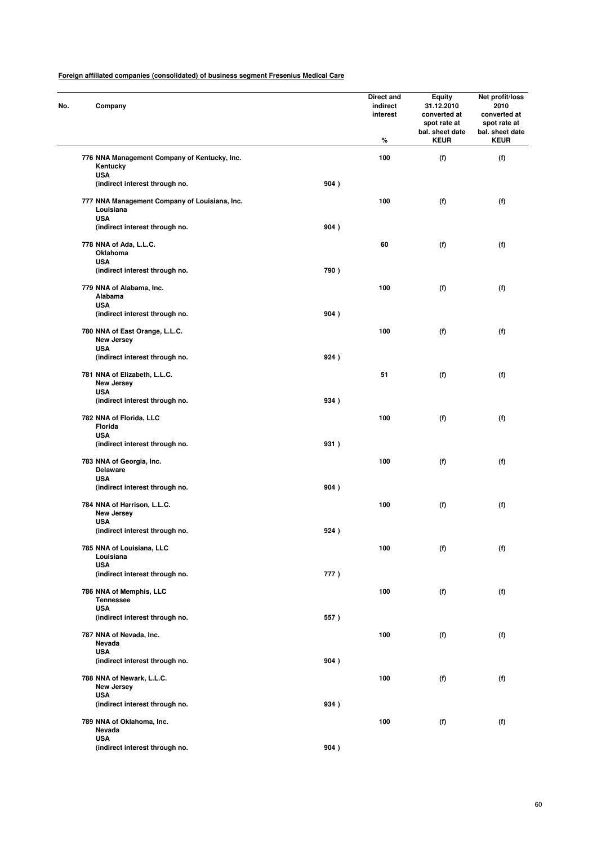| No. | Company                                                    |      | Direct and<br>indirect<br>interest<br>% | <b>Equity</b><br>31.12.2010<br>converted at<br>spot rate at<br>bal. sheet date<br><b>KEUR</b> | Net profit/loss<br>2010<br>converted at<br>spot rate at<br>bal. sheet date<br><b>KEUR</b> |
|-----|------------------------------------------------------------|------|-----------------------------------------|-----------------------------------------------------------------------------------------------|-------------------------------------------------------------------------------------------|
|     | 776 NNA Management Company of Kentucky, Inc.<br>Kentucky   |      | 100                                     | (f)                                                                                           | (f)                                                                                       |
|     | <b>USA</b><br>(indirect interest through no.               | 904) |                                         |                                                                                               |                                                                                           |
|     | 777 NNA Management Company of Louisiana, Inc.<br>Louisiana |      | 100                                     | (f)                                                                                           | (f)                                                                                       |
|     | <b>USA</b><br>(indirect interest through no.               | 904) |                                         |                                                                                               |                                                                                           |
|     | 778 NNA of Ada, L.L.C.<br>Oklahoma<br><b>USA</b>           |      | 60                                      | (f)                                                                                           | (f)                                                                                       |
|     | (indirect interest through no.                             | 790) |                                         |                                                                                               |                                                                                           |
|     | 779 NNA of Alabama, Inc.<br>Alabama<br><b>USA</b>          |      | 100                                     | (f)                                                                                           | (f)                                                                                       |
|     | (indirect interest through no.                             | 904) |                                         |                                                                                               |                                                                                           |
|     | 780 NNA of East Orange, L.L.C.<br>New Jersey               |      | 100                                     | (f)                                                                                           | (f)                                                                                       |
|     | <b>USA</b><br>(indirect interest through no.               | 924) |                                         |                                                                                               |                                                                                           |
|     | 781 NNA of Elizabeth, L.L.C.<br><b>New Jersey</b>          |      | 51                                      | (f)                                                                                           | (f)                                                                                       |
|     | <b>USA</b><br>(indirect interest through no.               | 934) |                                         |                                                                                               |                                                                                           |
|     | 782 NNA of Florida, LLC<br>Florida                         |      | 100                                     | (f)                                                                                           | (f)                                                                                       |
|     | <b>USA</b><br>(indirect interest through no.               | 931) |                                         |                                                                                               |                                                                                           |
|     | 783 NNA of Georgia, Inc.<br><b>Delaware</b>                |      | 100                                     | (f)                                                                                           | (f)                                                                                       |
|     | <b>USA</b><br>(indirect interest through no.               | 904) |                                         |                                                                                               |                                                                                           |
|     | 784 NNA of Harrison, L.L.C.<br>New Jersey<br><b>USA</b>    |      | 100                                     | (f)                                                                                           | (f)                                                                                       |
|     | (indirect interest through no.                             | 924) |                                         |                                                                                               |                                                                                           |
|     | 785 NNA of Louisiana, LLC<br>Louisiana                     |      | 100                                     | (f)                                                                                           | (f)                                                                                       |
|     | <b>USA</b><br>(indirect interest through no.               | 777) |                                         |                                                                                               |                                                                                           |
|     | 786 NNA of Memphis, LLC<br><b>Tennessee</b><br><b>USA</b>  |      | 100                                     | (f)                                                                                           | (f)                                                                                       |
|     | (indirect interest through no.                             | 557) |                                         |                                                                                               |                                                                                           |
|     | 787 NNA of Nevada, Inc.<br>Nevada<br><b>USA</b>            |      | 100                                     | (f)                                                                                           | (f)                                                                                       |
|     | (indirect interest through no.                             | 904) |                                         |                                                                                               |                                                                                           |
|     | 788 NNA of Newark, L.L.C.<br><b>New Jersey</b>             |      | 100                                     | (f)                                                                                           | (f)                                                                                       |
|     | <b>USA</b><br>(indirect interest through no.               | 934) |                                         |                                                                                               |                                                                                           |
|     | 789 NNA of Oklahoma, Inc.<br>Nevada                        |      | 100                                     | (f)                                                                                           | (f)                                                                                       |
|     | <b>USA</b><br>(indirect interest through no.               | 904) |                                         |                                                                                               |                                                                                           |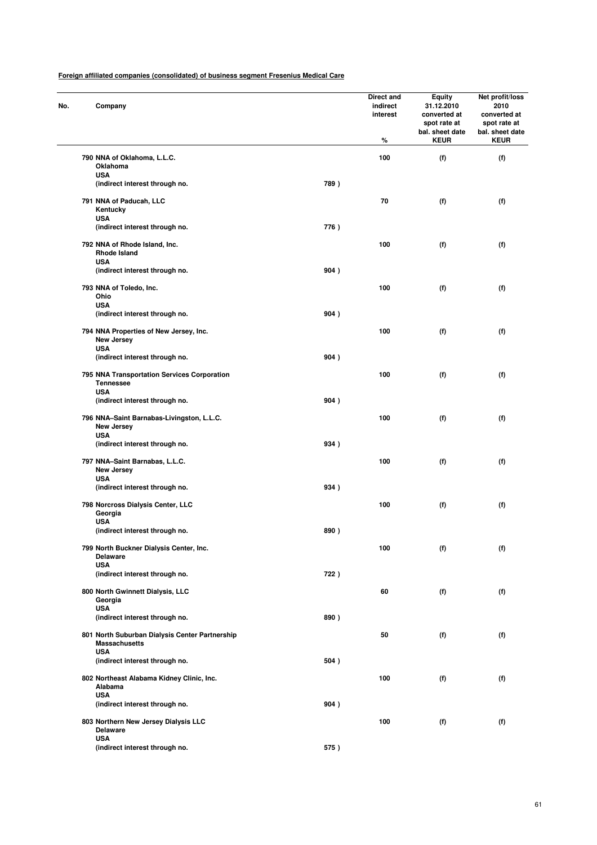| No. |            | Company                                                         |      | Direct and<br>indirect<br>interest<br>% | Equity<br>31.12.2010<br>converted at<br>spot rate at<br>bal. sheet date<br><b>KEUR</b> | Net profit/loss<br>2010<br>converted at<br>spot rate at<br>bal. sheet date<br><b>KEUR</b> |
|-----|------------|-----------------------------------------------------------------|------|-----------------------------------------|----------------------------------------------------------------------------------------|-------------------------------------------------------------------------------------------|
|     |            | 790 NNA of Oklahoma, L.L.C.                                     |      | 100                                     | (f)                                                                                    | (f)                                                                                       |
|     |            | Oklahoma                                                        |      |                                         |                                                                                        |                                                                                           |
|     | <b>USA</b> | (indirect interest through no.                                  | 789) |                                         |                                                                                        |                                                                                           |
|     |            | 791 NNA of Paducah, LLC<br>Kentucky                             |      | 70                                      | (f)                                                                                    | (f)                                                                                       |
|     | <b>USA</b> | (indirect interest through no.                                  | 776) |                                         |                                                                                        |                                                                                           |
|     |            | 792 NNA of Rhode Island, Inc.<br><b>Rhode Island</b>            |      | 100                                     | (f)                                                                                    | (f)                                                                                       |
|     | <b>USA</b> | (indirect interest through no.                                  | 904) |                                         |                                                                                        |                                                                                           |
|     | Ohio       | 793 NNA of Toledo, Inc.                                         |      | 100                                     | (f)                                                                                    | (f)                                                                                       |
|     | <b>USA</b> |                                                                 |      |                                         |                                                                                        |                                                                                           |
|     |            | (indirect interest through no.                                  | 904) |                                         |                                                                                        |                                                                                           |
|     | <b>USA</b> | 794 NNA Properties of New Jersey, Inc.<br>New Jersey            |      | 100                                     | (f)                                                                                    | (f)                                                                                       |
|     |            | (indirect interest through no.                                  | 904) |                                         |                                                                                        |                                                                                           |
|     |            | 795 NNA Transportation Services Corporation<br><b>Tennessee</b> |      | 100                                     | (f)                                                                                    | (f)                                                                                       |
|     | <b>USA</b> | (indirect interest through no.                                  | 904) |                                         |                                                                                        |                                                                                           |
|     |            | 796 NNA-Saint Barnabas-Livingston, L.L.C.<br>New Jersey         |      | 100                                     | (f)                                                                                    | (f)                                                                                       |
|     | <b>USA</b> | (indirect interest through no.                                  | 934) |                                         |                                                                                        |                                                                                           |
|     | <b>USA</b> | 797 NNA-Saint Barnabas, L.L.C.<br><b>New Jersey</b>             |      | 100                                     | (f)                                                                                    | (f)                                                                                       |
|     |            | (indirect interest through no.                                  | 934) |                                         |                                                                                        |                                                                                           |
|     |            | 798 Norcross Dialysis Center, LLC<br>Georgia                    |      | 100                                     | (f)                                                                                    | (f)                                                                                       |
|     | <b>USA</b> | (indirect interest through no.                                  | 890) |                                         |                                                                                        |                                                                                           |
|     |            | 799 North Buckner Dialysis Center, Inc.<br><b>Delaware</b>      |      | 100                                     | (f)                                                                                    | (f)                                                                                       |
|     | <b>USA</b> | (indirect interest through no.                                  | 722) |                                         |                                                                                        |                                                                                           |
|     |            | 800 North Gwinnett Dialysis, LLC<br>Georgia                     |      | 60                                      | (f)                                                                                    | (f)                                                                                       |
|     | <b>USA</b> | (indirect interest through no.                                  | 890) |                                         |                                                                                        |                                                                                           |
|     |            | 801 North Suburban Dialysis Center Partnership                  |      | 50                                      | (f)                                                                                    | (f)                                                                                       |
|     | <b>USA</b> | <b>Massachusetts</b>                                            |      |                                         |                                                                                        |                                                                                           |
|     |            | (indirect interest through no.                                  | 504) |                                         |                                                                                        |                                                                                           |
|     | <b>USA</b> | 802 Northeast Alabama Kidney Clinic, Inc.<br>Alabama            |      | 100                                     | (f)                                                                                    | (f)                                                                                       |
|     |            | (indirect interest through no.                                  | 904) |                                         |                                                                                        |                                                                                           |
|     | <b>USA</b> | 803 Northern New Jersey Dialysis LLC<br><b>Delaware</b>         |      | 100                                     | (f)                                                                                    | (f)                                                                                       |
|     |            | (indirect interest through no.                                  | 575) |                                         |                                                                                        |                                                                                           |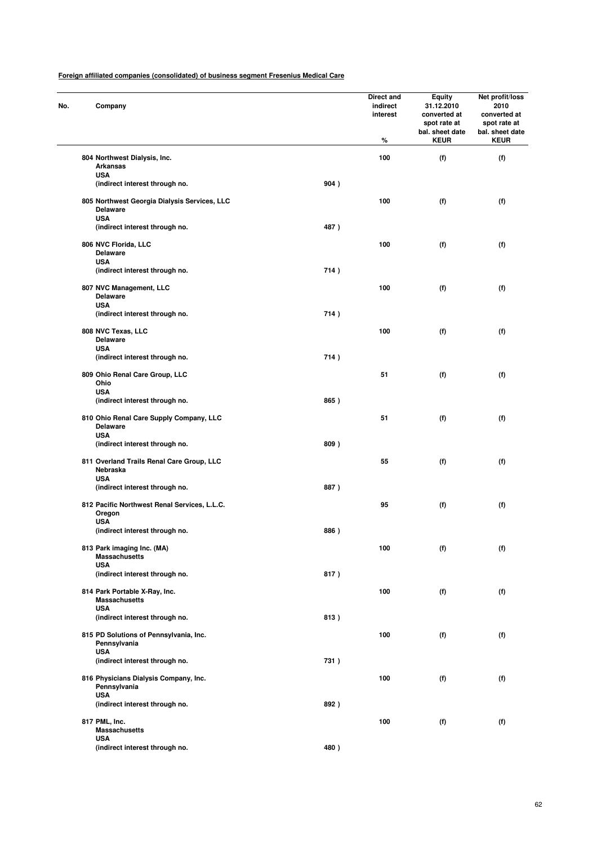| No. | Company                                                                  |      | Direct and<br>indirect<br>interest<br>% | Equity<br>31.12.2010<br>converted at<br>spot rate at<br>bal. sheet date<br><b>KEUR</b> | Net profit/loss<br>2010<br>converted at<br>spot rate at<br>bal. sheet date<br><b>KEUR</b> |
|-----|--------------------------------------------------------------------------|------|-----------------------------------------|----------------------------------------------------------------------------------------|-------------------------------------------------------------------------------------------|
|     | 804 Northwest Dialysis, Inc.                                             |      | 100                                     | (f)                                                                                    | (f)                                                                                       |
|     | <b>Arkansas</b><br><b>USA</b>                                            |      |                                         |                                                                                        |                                                                                           |
|     | (indirect interest through no.                                           | 904) |                                         |                                                                                        |                                                                                           |
|     | 805 Northwest Georgia Dialysis Services, LLC<br><b>Delaware</b>          |      | 100                                     | (f)                                                                                    | (f)                                                                                       |
|     | <b>USA</b><br>(indirect interest through no.                             | 487) |                                         |                                                                                        |                                                                                           |
|     | 806 NVC Florida, LLC<br><b>Delaware</b>                                  |      | 100                                     | (f)                                                                                    | (f)                                                                                       |
|     | <b>USA</b><br>(indirect interest through no.                             | 714) |                                         |                                                                                        |                                                                                           |
|     | 807 NVC Management, LLC<br><b>Delaware</b>                               |      | 100                                     | (f)                                                                                    | (f)                                                                                       |
|     | <b>USA</b><br>(indirect interest through no.                             | 714) |                                         |                                                                                        |                                                                                           |
|     | 808 NVC Texas, LLC                                                       |      | 100                                     | (f)                                                                                    | (f)                                                                                       |
|     | <b>Delaware</b><br><b>USA</b>                                            |      |                                         |                                                                                        |                                                                                           |
|     | (indirect interest through no.                                           | 714) |                                         |                                                                                        |                                                                                           |
|     | 809 Ohio Renal Care Group, LLC<br>Ohio<br><b>USA</b>                     |      | 51                                      | (f)                                                                                    | (f)                                                                                       |
|     | (indirect interest through no.                                           | 865) |                                         |                                                                                        |                                                                                           |
|     | 810 Ohio Renal Care Supply Company, LLC<br><b>Delaware</b><br><b>USA</b> |      | 51                                      | (f)                                                                                    | (f)                                                                                       |
|     | (indirect interest through no.                                           | 809) |                                         |                                                                                        |                                                                                           |
|     | 811 Overland Trails Renal Care Group, LLC<br>Nebraska<br><b>USA</b>      |      | 55                                      | (f)                                                                                    | (f)                                                                                       |
|     | (indirect interest through no.                                           | 887) |                                         |                                                                                        |                                                                                           |
|     | 812 Pacific Northwest Renal Services, L.L.C.<br>Oregon<br><b>USA</b>     |      | 95                                      | (f)                                                                                    | (f)                                                                                       |
|     | (indirect interest through no.                                           | 886) |                                         |                                                                                        |                                                                                           |
|     | 813 Park imaging Inc. (MA)<br><b>Massachusetts</b>                       |      | 100                                     | (f)                                                                                    | (f)                                                                                       |
|     | <b>USA</b><br>(indirect interest through no.                             | 817) |                                         |                                                                                        |                                                                                           |
|     | 814 Park Portable X-Ray, Inc.<br><b>Massachusetts</b>                    |      | 100                                     | (f)                                                                                    | (f)                                                                                       |
|     | <b>USA</b><br>(indirect interest through no.                             | 813) |                                         |                                                                                        |                                                                                           |
|     | 815 PD Solutions of Pennsylvania, Inc.<br>Pennsylvania                   |      | 100                                     | (f)                                                                                    | (f)                                                                                       |
|     | <b>USA</b><br>(indirect interest through no.                             | 731) |                                         |                                                                                        |                                                                                           |
|     | 816 Physicians Dialysis Company, Inc.<br>Pennsylvania                    |      | 100                                     | (f)                                                                                    | (f)                                                                                       |
|     | <b>USA</b><br>(indirect interest through no.                             | 892) |                                         |                                                                                        |                                                                                           |
|     | 817 PML, Inc.                                                            |      | 100                                     | (f)                                                                                    | (f)                                                                                       |
|     | <b>Massachusetts</b><br><b>USA</b>                                       |      |                                         |                                                                                        |                                                                                           |
|     | (indirect interest through no.                                           | 480) |                                         |                                                                                        |                                                                                           |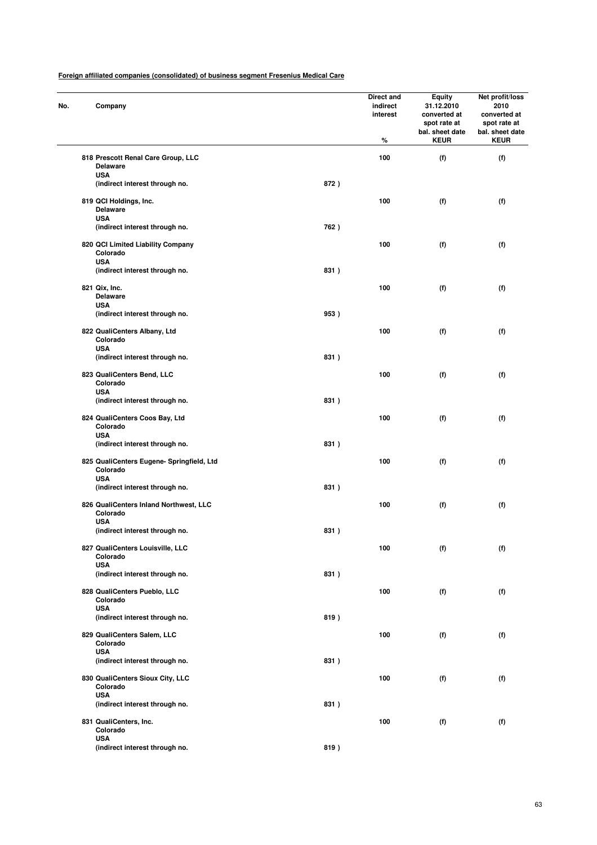| No. | Company                                                             |      | Direct and<br>indirect<br>interest<br>% | <b>Equity</b><br>31.12.2010<br>converted at<br>spot rate at<br>bal. sheet date<br><b>KEUR</b> | Net profit/loss<br>2010<br>converted at<br>spot rate at<br>bal. sheet date<br><b>KEUR</b> |
|-----|---------------------------------------------------------------------|------|-----------------------------------------|-----------------------------------------------------------------------------------------------|-------------------------------------------------------------------------------------------|
|     | 818 Prescott Renal Care Group, LLC<br><b>Delaware</b>               |      | 100                                     | (f)                                                                                           | (f)                                                                                       |
|     | <b>USA</b><br>(indirect interest through no.                        | 872) |                                         |                                                                                               |                                                                                           |
|     | 819 QCI Holdings, Inc.<br><b>Delaware</b><br><b>USA</b>             |      | 100                                     | (f)                                                                                           | (f)                                                                                       |
|     | (indirect interest through no.                                      | 762) |                                         |                                                                                               |                                                                                           |
|     | 820 QCI Limited Liability Company<br>Colorado<br><b>USA</b>         |      | 100                                     | (f)                                                                                           | (f)                                                                                       |
|     | (indirect interest through no.                                      | 831) |                                         |                                                                                               |                                                                                           |
|     | 821 Qix, Inc.<br><b>Delaware</b><br><b>USA</b>                      |      | 100                                     | (f)                                                                                           | (f)                                                                                       |
|     | (indirect interest through no.                                      | 953) |                                         |                                                                                               |                                                                                           |
|     | 822 QualiCenters Albany, Ltd<br>Colorado<br><b>USA</b>              |      | 100                                     | (f)                                                                                           | (f)                                                                                       |
|     | (indirect interest through no.                                      | 831) |                                         |                                                                                               |                                                                                           |
|     | 823 QualiCenters Bend, LLC<br>Colorado                              |      | 100                                     | (f)                                                                                           | (f)                                                                                       |
|     | <b>USA</b><br>(indirect interest through no.                        | 831) |                                         |                                                                                               |                                                                                           |
|     | 824 QualiCenters Coos Bay, Ltd<br>Colorado                          |      | 100                                     | (f)                                                                                           | (f)                                                                                       |
|     | <b>USA</b><br>(indirect interest through no.                        | 831) |                                         |                                                                                               |                                                                                           |
|     | 825 QualiCenters Eugene- Springfield, Ltd<br>Colorado<br><b>USA</b> |      | 100                                     | (f)                                                                                           | (f)                                                                                       |
|     | (indirect interest through no.                                      | 831) |                                         |                                                                                               |                                                                                           |
|     | 826 QualiCenters Inland Northwest, LLC<br>Colorado<br><b>USA</b>    |      | 100                                     | (f)                                                                                           | (f)                                                                                       |
|     | (indirect interest through no.                                      | 831) |                                         |                                                                                               |                                                                                           |
|     | 827 QualiCenters Louisville, LLC<br>Colorado<br><b>USA</b>          |      | 100                                     | (f)                                                                                           | (f)                                                                                       |
|     | (indirect interest through no.                                      | 831) |                                         |                                                                                               |                                                                                           |
|     | 828 QualiCenters Pueblo, LLC<br>Colorado                            |      | 100                                     | (f)                                                                                           | (f)                                                                                       |
|     | <b>USA</b><br>(indirect interest through no.                        | 819) |                                         |                                                                                               |                                                                                           |
|     | 829 QualiCenters Salem, LLC<br>Colorado                             |      | 100                                     | (f)                                                                                           | (f)                                                                                       |
|     | <b>USA</b><br>(indirect interest through no.                        | 831) |                                         |                                                                                               |                                                                                           |
|     | 830 QualiCenters Sioux City, LLC<br>Colorado                        |      | 100                                     | (f)                                                                                           | (f)                                                                                       |
|     | <b>USA</b><br>(indirect interest through no.                        | 831) |                                         |                                                                                               |                                                                                           |
|     | 831 QualiCenters, Inc.<br>Colorado                                  |      | 100                                     | (f)                                                                                           | (f)                                                                                       |
|     | <b>USA</b><br>(indirect interest through no.                        | 819) |                                         |                                                                                               |                                                                                           |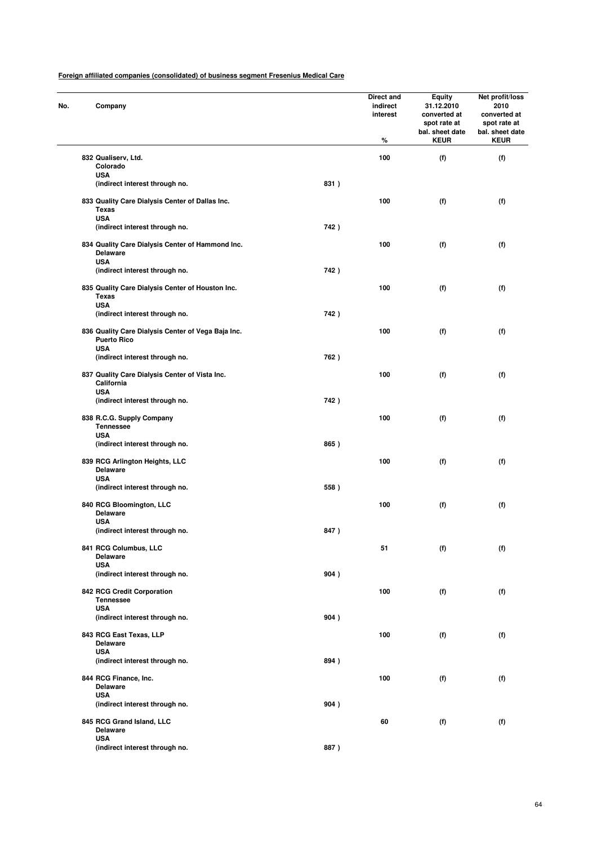| No. | Company                                                                                |      | Direct and<br>indirect<br>interest<br>% | <b>Equity</b><br>31.12.2010<br>converted at<br>spot rate at<br>bal. sheet date<br><b>KEUR</b> | Net profit/loss<br>2010<br>converted at<br>spot rate at<br>bal. sheet date<br><b>KEUR</b> |
|-----|----------------------------------------------------------------------------------------|------|-----------------------------------------|-----------------------------------------------------------------------------------------------|-------------------------------------------------------------------------------------------|
|     | 832 Qualiserv, Ltd.                                                                    |      | 100                                     | (f)                                                                                           | (f)                                                                                       |
|     | Colorado                                                                               |      |                                         |                                                                                               |                                                                                           |
|     | <b>USA</b>                                                                             |      |                                         |                                                                                               |                                                                                           |
|     | (indirect interest through no.                                                         | 831) |                                         |                                                                                               |                                                                                           |
|     | 833 Quality Care Dialysis Center of Dallas Inc.<br>Texas<br><b>USA</b>                 |      | 100                                     | (f)                                                                                           | (f)                                                                                       |
|     | (indirect interest through no.                                                         | 742) |                                         |                                                                                               |                                                                                           |
|     | 834 Quality Care Dialysis Center of Hammond Inc.<br><b>Delaware</b><br><b>USA</b>      |      | 100                                     | (f)                                                                                           | (f)                                                                                       |
|     | (indirect interest through no.                                                         | 742) |                                         |                                                                                               |                                                                                           |
|     | 835 Quality Care Dialysis Center of Houston Inc.<br>Texas                              |      | 100                                     | (f)                                                                                           | (f)                                                                                       |
|     | <b>USA</b>                                                                             |      |                                         |                                                                                               |                                                                                           |
|     | (indirect interest through no.                                                         | 742) |                                         |                                                                                               |                                                                                           |
|     | 836 Quality Care Dialysis Center of Vega Baja Inc.<br><b>Puerto Rico</b><br><b>USA</b> |      | 100                                     | (f)                                                                                           | (f)                                                                                       |
|     | (indirect interest through no.                                                         | 762) |                                         |                                                                                               |                                                                                           |
|     | 837 Quality Care Dialysis Center of Vista Inc.<br>California                           |      | 100                                     | (f)                                                                                           | (f)                                                                                       |
|     | <b>USA</b><br>(indirect interest through no.                                           | 742) |                                         |                                                                                               |                                                                                           |
|     | 838 R.C.G. Supply Company<br><b>Tennessee</b>                                          |      | 100                                     | (f)                                                                                           | (f)                                                                                       |
|     | <b>USA</b><br>(indirect interest through no.                                           | 865) |                                         |                                                                                               |                                                                                           |
|     | 839 RCG Arlington Heights, LLC<br><b>Delaware</b>                                      |      | 100                                     | (f)                                                                                           | (f)                                                                                       |
|     | <b>USA</b><br>(indirect interest through no.                                           | 558) |                                         |                                                                                               |                                                                                           |
|     | 840 RCG Bloomington, LLC<br><b>Delaware</b>                                            |      | 100                                     | (f)                                                                                           | (f)                                                                                       |
|     | <b>USA</b><br>(indirect interest through no.                                           | 847) |                                         |                                                                                               |                                                                                           |
|     | 841 RCG Columbus, LLC                                                                  |      | 51                                      | (f)                                                                                           | (f)                                                                                       |
|     | <b>Delaware</b>                                                                        |      |                                         |                                                                                               |                                                                                           |
|     | <b>USA</b><br>(indirect interest through no.                                           | 904) |                                         |                                                                                               |                                                                                           |
|     | 842 RCG Credit Corporation<br><b>Tennessee</b>                                         |      | 100                                     | (f)                                                                                           | (f)                                                                                       |
|     | <b>USA</b><br>(indirect interest through no.                                           | 904) |                                         |                                                                                               |                                                                                           |
|     | 843 RCG East Texas, LLP<br><b>Delaware</b>                                             |      | 100                                     | (f)                                                                                           | (f)                                                                                       |
|     | <b>USA</b><br>(indirect interest through no.                                           | 894) |                                         |                                                                                               |                                                                                           |
|     | 844 RCG Finance, Inc.<br><b>Delaware</b>                                               |      | 100                                     | (f)                                                                                           | (f)                                                                                       |
|     | <b>USA</b>                                                                             |      |                                         |                                                                                               |                                                                                           |
|     | (indirect interest through no.                                                         | 904) |                                         |                                                                                               |                                                                                           |
|     | 845 RCG Grand Island, LLC<br><b>Delaware</b>                                           |      | 60                                      | (f)                                                                                           | (f)                                                                                       |
|     | <b>USA</b><br>(indirect interest through no.                                           | 887) |                                         |                                                                                               |                                                                                           |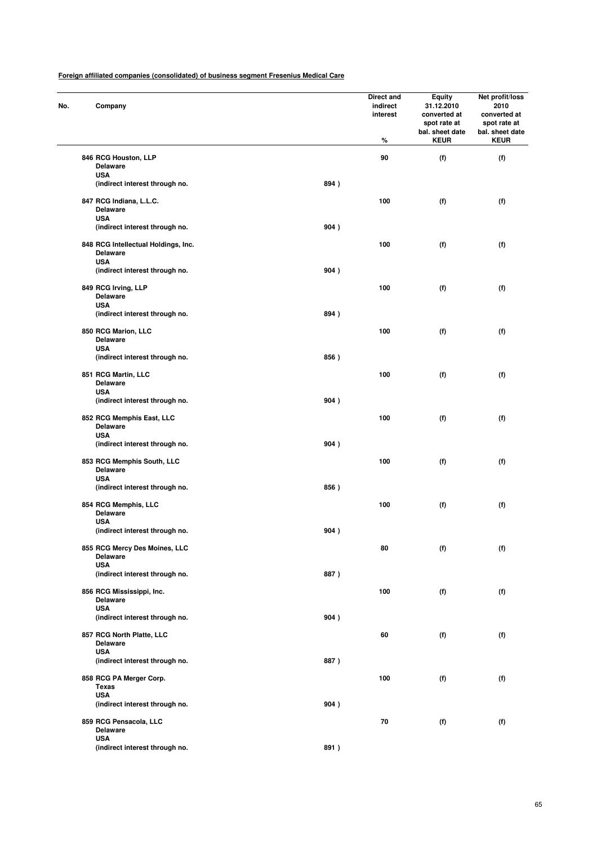| No. | Company                                                              |      | Direct and<br>indirect<br>interest<br>% | Equity<br>31.12.2010<br>converted at<br>spot rate at<br>bal. sheet date<br><b>KEUR</b> | Net profit/loss<br>2010<br>converted at<br>spot rate at<br>bal. sheet date<br><b>KEUR</b> |
|-----|----------------------------------------------------------------------|------|-----------------------------------------|----------------------------------------------------------------------------------------|-------------------------------------------------------------------------------------------|
|     | 846 RCG Houston, LLP                                                 |      | 90                                      | (f)                                                                                    | (f)                                                                                       |
|     | <b>Delaware</b>                                                      |      |                                         |                                                                                        |                                                                                           |
|     | <b>USA</b><br>(indirect interest through no.                         | 894) |                                         |                                                                                        |                                                                                           |
|     |                                                                      |      |                                         |                                                                                        |                                                                                           |
|     | 847 RCG Indiana, L.L.C.<br><b>Delaware</b>                           |      | 100                                     | (f)                                                                                    | (f)                                                                                       |
|     | <b>USA</b><br>(indirect interest through no.                         | 904) |                                         |                                                                                        |                                                                                           |
|     | 848 RCG Intellectual Holdings, Inc.<br><b>Delaware</b><br><b>USA</b> |      | 100                                     | (f)                                                                                    | (f)                                                                                       |
|     | (indirect interest through no.                                       | 904) |                                         |                                                                                        |                                                                                           |
|     | 849 RCG Irving, LLP<br><b>Delaware</b>                               |      | 100                                     | (f)                                                                                    | (f)                                                                                       |
|     | <b>USA</b>                                                           |      |                                         |                                                                                        |                                                                                           |
|     | (indirect interest through no.                                       | 894) |                                         |                                                                                        |                                                                                           |
|     | 850 RCG Marion, LLC<br><b>Delaware</b>                               |      | 100                                     | (f)                                                                                    | (f)                                                                                       |
|     | <b>USA</b><br>(indirect interest through no.                         | 856) |                                         |                                                                                        |                                                                                           |
|     | 851 RCG Martin, LLC<br><b>Delaware</b>                               |      | 100                                     | (f)                                                                                    | (f)                                                                                       |
|     | <b>USA</b><br>(indirect interest through no.                         | 904) |                                         |                                                                                        |                                                                                           |
|     | 852 RCG Memphis East, LLC<br><b>Delaware</b>                         |      | 100                                     | (f)                                                                                    | (f)                                                                                       |
|     | <b>USA</b><br>(indirect interest through no.                         | 904) |                                         |                                                                                        |                                                                                           |
|     | 853 RCG Memphis South, LLC<br><b>Delaware</b>                        |      | 100                                     | (f)                                                                                    | (f)                                                                                       |
|     | <b>USA</b><br>(indirect interest through no.                         | 856) |                                         |                                                                                        |                                                                                           |
|     | 854 RCG Memphis, LLC<br><b>Delaware</b>                              |      | 100                                     | (f)                                                                                    | (f)                                                                                       |
|     | <b>USA</b><br>(indirect interest through no.                         | 904) |                                         |                                                                                        |                                                                                           |
|     | 855 RCG Mercy Des Moines, LLC<br><b>Delaware</b>                     |      | 80                                      | (f)                                                                                    | (f)                                                                                       |
|     | <b>USA</b><br>(indirect interest through no.                         | 887) |                                         |                                                                                        |                                                                                           |
|     | 856 RCG Mississippi, Inc.<br><b>Delaware</b>                         |      | 100                                     | (f)                                                                                    | (f)                                                                                       |
|     | <b>USA</b><br>(indirect interest through no.                         | 904) |                                         |                                                                                        |                                                                                           |
|     | 857 RCG North Platte, LLC<br><b>Delaware</b>                         |      | 60                                      | (f)                                                                                    | (f)                                                                                       |
|     | <b>USA</b><br>(indirect interest through no.                         | 887) |                                         |                                                                                        |                                                                                           |
|     | 858 RCG PA Merger Corp.<br><b>Texas</b>                              |      | 100                                     | (f)                                                                                    | (f)                                                                                       |
|     | <b>USA</b><br>(indirect interest through no.                         | 904) |                                         |                                                                                        |                                                                                           |
|     | 859 RCG Pensacola, LLC<br><b>Delaware</b>                            |      | 70                                      | (f)                                                                                    | (f)                                                                                       |
|     | <b>USA</b>                                                           |      |                                         |                                                                                        |                                                                                           |
|     | (indirect interest through no.                                       | 891) |                                         |                                                                                        |                                                                                           |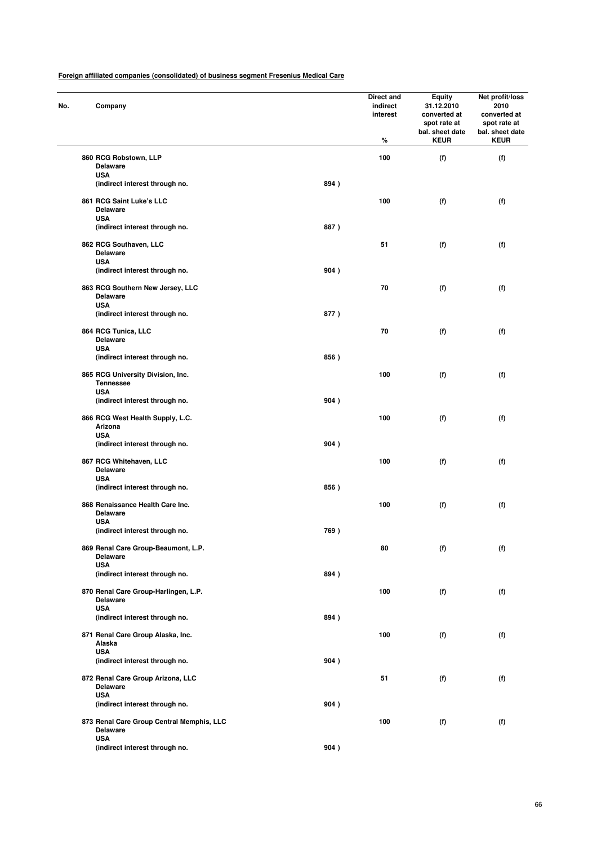| No. | Company                                                   |      | Direct and<br>indirect<br>interest<br>% | <b>Equity</b><br>31.12.2010<br>converted at<br>spot rate at<br>bal. sheet date<br><b>KEUR</b> | Net profit/loss<br>2010<br>converted at<br>spot rate at<br>bal. sheet date<br><b>KEUR</b> |
|-----|-----------------------------------------------------------|------|-----------------------------------------|-----------------------------------------------------------------------------------------------|-------------------------------------------------------------------------------------------|
|     | 860 RCG Robstown, LLP                                     |      | 100                                     | (f)                                                                                           | (f)                                                                                       |
|     | <b>Delaware</b><br><b>USA</b>                             |      |                                         |                                                                                               |                                                                                           |
|     | (indirect interest through no.                            | 894) |                                         |                                                                                               |                                                                                           |
|     |                                                           |      |                                         |                                                                                               |                                                                                           |
|     | 861 RCG Saint Luke's LLC<br><b>Delaware</b><br><b>USA</b> |      | 100                                     | (f)                                                                                           | (f)                                                                                       |
|     | (indirect interest through no.                            | 887) |                                         |                                                                                               |                                                                                           |
|     |                                                           |      | 51                                      |                                                                                               |                                                                                           |
|     | 862 RCG Southaven, LLC<br><b>Delaware</b><br><b>USA</b>   |      |                                         | (f)                                                                                           | (f)                                                                                       |
|     | (indirect interest through no.                            | 904) |                                         |                                                                                               |                                                                                           |
|     | 863 RCG Southern New Jersey, LLC                          |      | 70                                      | (f)                                                                                           | (f)                                                                                       |
|     | <b>Delaware</b>                                           |      |                                         |                                                                                               |                                                                                           |
|     | <b>USA</b>                                                |      |                                         |                                                                                               |                                                                                           |
|     | (indirect interest through no.                            | 877) |                                         |                                                                                               |                                                                                           |
|     | 864 RCG Tunica, LLC                                       |      | 70                                      | (f)                                                                                           | (f)                                                                                       |
|     | <b>Delaware</b>                                           |      |                                         |                                                                                               |                                                                                           |
|     | <b>USA</b><br>(indirect interest through no.              | 856) |                                         |                                                                                               |                                                                                           |
|     |                                                           |      |                                         |                                                                                               |                                                                                           |
|     | 865 RCG University Division, Inc.<br><b>Tennessee</b>     |      | 100                                     | (f)                                                                                           | (f)                                                                                       |
|     | <b>USA</b>                                                |      |                                         |                                                                                               |                                                                                           |
|     | (indirect interest through no.                            | 904) |                                         |                                                                                               |                                                                                           |
|     | 866 RCG West Health Supply, L.C.                          |      | 100                                     | (f)                                                                                           | (f)                                                                                       |
|     | Arizona                                                   |      |                                         |                                                                                               |                                                                                           |
|     | <b>USA</b>                                                | 904) |                                         |                                                                                               |                                                                                           |
|     | (indirect interest through no.                            |      |                                         |                                                                                               |                                                                                           |
|     | 867 RCG Whitehaven, LLC                                   |      | 100                                     | (f)                                                                                           | (f)                                                                                       |
|     | <b>Delaware</b><br><b>USA</b>                             |      |                                         |                                                                                               |                                                                                           |
|     | (indirect interest through no.                            | 856) |                                         |                                                                                               |                                                                                           |
|     |                                                           |      |                                         |                                                                                               |                                                                                           |
|     | 868 Renaissance Health Care Inc.<br><b>Delaware</b>       |      | 100                                     | (f)                                                                                           | (f)                                                                                       |
|     | <b>USA</b>                                                |      |                                         |                                                                                               |                                                                                           |
|     | (indirect interest through no.                            | 769) |                                         |                                                                                               |                                                                                           |
|     | 869 Renal Care Group-Beaumont, L.P.                       |      | 80                                      | (f)                                                                                           | (f)                                                                                       |
|     | <b>Delaware</b>                                           |      |                                         |                                                                                               |                                                                                           |
|     | <b>USA</b><br>(indirect interest through no.              | 894) |                                         |                                                                                               |                                                                                           |
|     |                                                           |      |                                         |                                                                                               |                                                                                           |
|     | 870 Renal Care Group-Harlingen, L.P.                      |      | 100                                     | (f)                                                                                           | (f)                                                                                       |
|     | <b>Delaware</b><br><b>USA</b>                             |      |                                         |                                                                                               |                                                                                           |
|     | (indirect interest through no.                            | 894) |                                         |                                                                                               |                                                                                           |
|     |                                                           |      | 100                                     |                                                                                               |                                                                                           |
|     | 871 Renal Care Group Alaska, Inc.<br>Alaska               |      |                                         | (f)                                                                                           | (f)                                                                                       |
|     | <b>USA</b>                                                |      |                                         |                                                                                               |                                                                                           |
|     | (indirect interest through no.                            | 904) |                                         |                                                                                               |                                                                                           |
|     | 872 Renal Care Group Arizona, LLC                         |      | 51                                      | (f)                                                                                           | (f)                                                                                       |
|     | <b>Delaware</b>                                           |      |                                         |                                                                                               |                                                                                           |
|     | <b>USA</b><br>(indirect interest through no.              | 904) |                                         |                                                                                               |                                                                                           |
|     |                                                           |      |                                         |                                                                                               |                                                                                           |
|     | 873 Renal Care Group Central Memphis, LLC                 |      | 100                                     | (f)                                                                                           | (f)                                                                                       |
|     | <b>Delaware</b><br><b>USA</b>                             |      |                                         |                                                                                               |                                                                                           |
|     | (indirect interest through no.                            | 904) |                                         |                                                                                               |                                                                                           |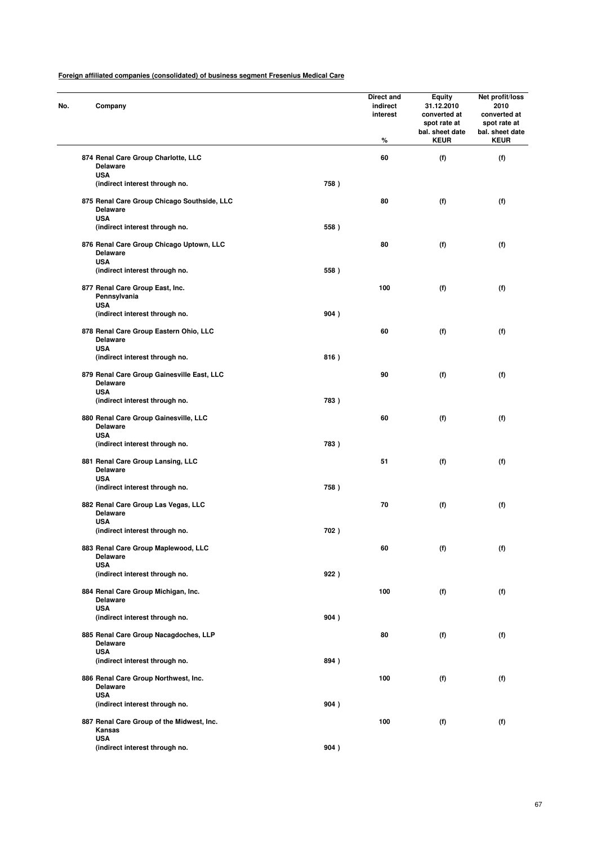| No. | Company                                                                      |      | Direct and<br>indirect<br>interest<br>% | Equity<br>31.12.2010<br>converted at<br>spot rate at<br>bal. sheet date<br><b>KEUR</b> | Net profit/loss<br>2010<br>converted at<br>spot rate at<br>bal. sheet date<br><b>KEUR</b> |
|-----|------------------------------------------------------------------------------|------|-----------------------------------------|----------------------------------------------------------------------------------------|-------------------------------------------------------------------------------------------|
|     | 874 Renal Care Group Charlotte, LLC<br><b>Delaware</b>                       |      | 60                                      | (f)                                                                                    | (f)                                                                                       |
|     | <b>USA</b><br>(indirect interest through no.                                 | 758) |                                         |                                                                                        |                                                                                           |
|     | 875 Renal Care Group Chicago Southside, LLC<br><b>Delaware</b><br><b>USA</b> |      | 80                                      | (f)                                                                                    | (f)                                                                                       |
|     | (indirect interest through no.                                               | 558) |                                         |                                                                                        |                                                                                           |
|     | 876 Renal Care Group Chicago Uptown, LLC<br><b>Delaware</b><br><b>USA</b>    |      | 80                                      | (f)                                                                                    | (f)                                                                                       |
|     | (indirect interest through no.                                               | 558) |                                         |                                                                                        |                                                                                           |
|     | 877 Renal Care Group East, Inc.<br>Pennsylvania<br><b>USA</b>                |      | 100                                     | (f)                                                                                    | (f)                                                                                       |
|     | (indirect interest through no.                                               | 904) |                                         |                                                                                        |                                                                                           |
|     | 878 Renal Care Group Eastern Ohio, LLC<br><b>Delaware</b>                    |      | 60                                      | (f)                                                                                    | (f)                                                                                       |
|     | <b>USA</b><br>(indirect interest through no.                                 | 816) |                                         |                                                                                        |                                                                                           |
|     | 879 Renal Care Group Gainesville East, LLC<br><b>Delaware</b>                |      | 90                                      | (f)                                                                                    | (f)                                                                                       |
|     | <b>USA</b><br>(indirect interest through no.                                 | 783) |                                         |                                                                                        |                                                                                           |
|     | 880 Renal Care Group Gainesville, LLC<br><b>Delaware</b>                     |      | 60                                      | (f)                                                                                    | (f)                                                                                       |
|     | <b>USA</b><br>(indirect interest through no.                                 | 783) |                                         |                                                                                        |                                                                                           |
|     | 881 Renal Care Group Lansing, LLC<br><b>Delaware</b>                         |      | 51                                      | (f)                                                                                    | (f)                                                                                       |
|     | <b>USA</b><br>(indirect interest through no.                                 | 758) |                                         |                                                                                        |                                                                                           |
|     | 882 Renal Care Group Las Vegas, LLC<br><b>Delaware</b>                       |      | 70                                      | (f)                                                                                    | (f)                                                                                       |
|     | <b>USA</b><br>(indirect interest through no.                                 | 702) |                                         |                                                                                        |                                                                                           |
|     | 883 Renal Care Group Maplewood, LLC<br><b>Delaware</b>                       |      | 60                                      | (f)                                                                                    | (f)                                                                                       |
|     | <b>USA</b><br>(indirect interest through no.                                 | 922) |                                         |                                                                                        |                                                                                           |
|     | 884 Renal Care Group Michigan, Inc.<br><b>Delaware</b>                       |      | 100                                     | (f)                                                                                    | (f)                                                                                       |
|     | <b>USA</b><br>(indirect interest through no.                                 | 904) |                                         |                                                                                        |                                                                                           |
|     | 885 Renal Care Group Nacagdoches, LLP<br><b>Delaware</b>                     |      | 80                                      | (f)                                                                                    | (f)                                                                                       |
|     | <b>USA</b><br>(indirect interest through no.                                 | 894) |                                         |                                                                                        |                                                                                           |
|     | 886 Renal Care Group Northwest, Inc.<br><b>Delaware</b>                      |      | 100                                     | (f)                                                                                    | (f)                                                                                       |
|     | <b>USA</b><br>(indirect interest through no.                                 | 904) |                                         |                                                                                        |                                                                                           |
|     | 887 Renal Care Group of the Midwest, Inc.<br>Kansas                          |      | 100                                     | (f)                                                                                    | (f)                                                                                       |
|     | <b>USA</b><br>(indirect interest through no.                                 | 904) |                                         |                                                                                        |                                                                                           |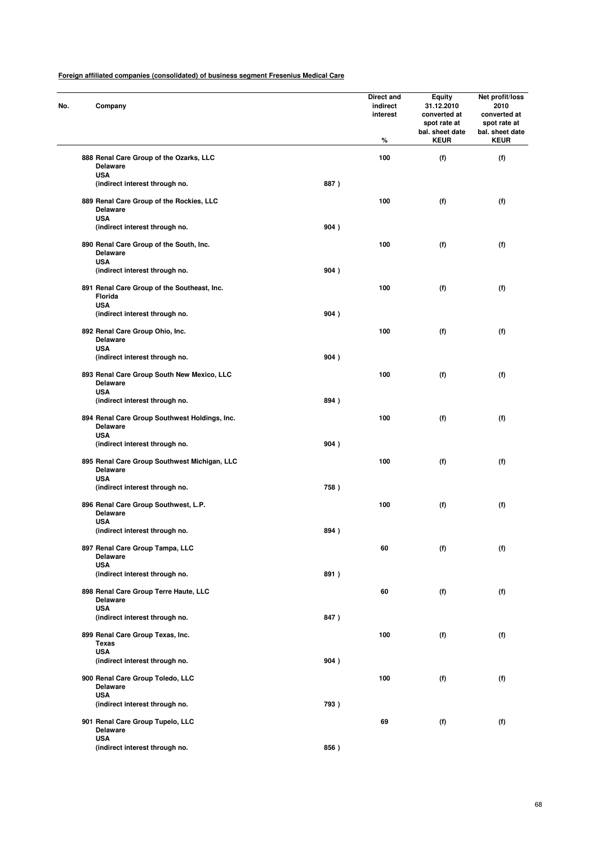| No. | Company                                                                   |      | Direct and<br>indirect<br>interest<br>% | <b>Equity</b><br>31.12.2010<br>converted at<br>spot rate at<br>bal. sheet date<br><b>KEUR</b> | Net profit/loss<br>2010<br>converted at<br>spot rate at<br>bal. sheet date<br><b>KEUR</b> |
|-----|---------------------------------------------------------------------------|------|-----------------------------------------|-----------------------------------------------------------------------------------------------|-------------------------------------------------------------------------------------------|
|     | 888 Renal Care Group of the Ozarks, LLC<br><b>Delaware</b>                |      | 100                                     | (f)                                                                                           | (f)                                                                                       |
|     | <b>USA</b><br>(indirect interest through no.                              | 887) |                                         |                                                                                               |                                                                                           |
|     | 889 Renal Care Group of the Rockies, LLC<br><b>Delaware</b><br><b>USA</b> |      | 100                                     | (f)                                                                                           | (f)                                                                                       |
|     | (indirect interest through no.                                            | 904) |                                         |                                                                                               |                                                                                           |
|     | 890 Renal Care Group of the South, Inc.<br><b>Delaware</b><br><b>USA</b>  |      | 100                                     | (f)                                                                                           | (f)                                                                                       |
|     | (indirect interest through no.                                            | 904) |                                         |                                                                                               |                                                                                           |
|     | 891 Renal Care Group of the Southeast, Inc.<br>Florida<br><b>USA</b>      |      | 100                                     | (f)                                                                                           | (f)                                                                                       |
|     | (indirect interest through no.                                            | 904) |                                         |                                                                                               |                                                                                           |
|     | 892 Renal Care Group Ohio, Inc.<br>Delaware                               |      | 100                                     | (f)                                                                                           | (f)                                                                                       |
|     | <b>USA</b><br>(indirect interest through no.                              | 904) |                                         |                                                                                               |                                                                                           |
|     | 893 Renal Care Group South New Mexico, LLC<br><b>Delaware</b>             |      | 100                                     | (f)                                                                                           | (f)                                                                                       |
|     | <b>USA</b><br>(indirect interest through no.                              | 894) |                                         |                                                                                               |                                                                                           |
|     | 894 Renal Care Group Southwest Holdings, Inc.<br><b>Delaware</b>          |      | 100                                     | (f)                                                                                           | (f)                                                                                       |
|     | <b>USA</b><br>(indirect interest through no.                              | 904) |                                         |                                                                                               |                                                                                           |
|     | 895 Renal Care Group Southwest Michigan, LLC<br><b>Delaware</b>           |      | 100                                     | (f)                                                                                           | (f)                                                                                       |
|     | <b>USA</b><br>(indirect interest through no.                              | 758) |                                         |                                                                                               |                                                                                           |
|     | 896 Renal Care Group Southwest, L.P.<br><b>Delaware</b><br><b>USA</b>     |      | 100                                     | (f)                                                                                           | (f)                                                                                       |
|     | (indirect interest through no.                                            | 894) |                                         |                                                                                               |                                                                                           |
|     | 897 Renal Care Group Tampa, LLC<br><b>Delaware</b>                        |      | 60                                      | (f)                                                                                           | (f)                                                                                       |
|     | <b>USA</b><br>(indirect interest through no.                              | 891) |                                         |                                                                                               |                                                                                           |
|     | 898 Renal Care Group Terre Haute, LLC<br>Delaware                         |      | 60                                      | (f)                                                                                           | (f)                                                                                       |
|     | <b>USA</b><br>(indirect interest through no.                              | 847) |                                         |                                                                                               |                                                                                           |
|     | 899 Renal Care Group Texas, Inc.<br><b>Texas</b>                          |      | 100                                     | (f)                                                                                           | (f)                                                                                       |
|     | <b>USA</b><br>(indirect interest through no.                              | 904) |                                         |                                                                                               |                                                                                           |
|     | 900 Renal Care Group Toledo, LLC<br><b>Delaware</b>                       |      | 100                                     | (f)                                                                                           | (f)                                                                                       |
|     | <b>USA</b><br>(indirect interest through no.                              | 793) |                                         |                                                                                               |                                                                                           |
|     | 901 Renal Care Group Tupelo, LLC<br><b>Delaware</b>                       |      | 69                                      | (f)                                                                                           | (f)                                                                                       |
|     | <b>USA</b><br>(indirect interest through no.                              | 856) |                                         |                                                                                               |                                                                                           |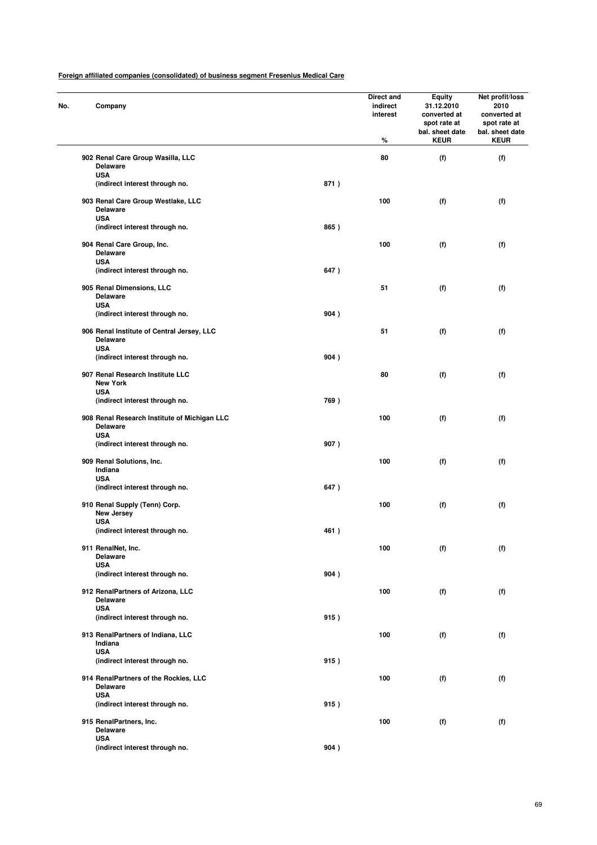| Company                                                                     |      | Direct and<br>indirect<br>interest<br>% | <b>Equity</b><br>31.12.2010<br>converted at<br>spot rate at<br>bal. sheet date<br><b>KEUR</b> | Net profit/loss<br>2010<br>converted at<br>spot rate at<br>bal. sheet date<br><b>KEUR</b> |
|-----------------------------------------------------------------------------|------|-----------------------------------------|-----------------------------------------------------------------------------------------------|-------------------------------------------------------------------------------------------|
| 902 Renal Care Group Wasilla, LLC<br><b>Delaware</b>                        |      | 80                                      | (f)                                                                                           | (f)                                                                                       |
| <b>USA</b><br>(indirect interest through no.                                | 871) |                                         |                                                                                               |                                                                                           |
| 903 Renal Care Group Westlake, LLC<br><b>Delaware</b><br><b>USA</b>         |      | 100                                     | (f)                                                                                           | (f)                                                                                       |
| (indirect interest through no.                                              | 865) |                                         |                                                                                               |                                                                                           |
| 904 Renal Care Group, Inc.<br><b>Delaware</b><br><b>USA</b>                 |      | 100                                     | (f)                                                                                           | (f)                                                                                       |
| (indirect interest through no.                                              | 647) |                                         |                                                                                               |                                                                                           |
| 905 Renal Dimensions, LLC<br><b>Delaware</b><br><b>USA</b>                  |      | 51                                      | (f)                                                                                           | (f)                                                                                       |
| (indirect interest through no.                                              | 904) |                                         |                                                                                               |                                                                                           |
| 906 Renal Institute of Central Jersey, LLC<br><b>Delaware</b><br><b>USA</b> |      | 51                                      | (f)                                                                                           | (f)                                                                                       |
| (indirect interest through no.                                              | 904) |                                         |                                                                                               |                                                                                           |
| 907 Renal Research Institute LLC<br><b>New York</b>                         |      | 80                                      | (f)                                                                                           | (f)                                                                                       |
| <b>USA</b><br>(indirect interest through no.                                | 769) |                                         |                                                                                               |                                                                                           |
| 908 Renal Research Institute of Michigan LLC<br><b>Delaware</b>             |      | 100                                     | (f)                                                                                           | (f)                                                                                       |
| <b>USA</b><br>(indirect interest through no.                                | 907) |                                         |                                                                                               |                                                                                           |
| 909 Renal Solutions, Inc.<br>Indiana                                        |      | 100                                     | (f)                                                                                           | (f)                                                                                       |
| <b>USA</b><br>(indirect interest through no.                                | 647) |                                         |                                                                                               |                                                                                           |
| 910 Renal Supply (Tenn) Corp.<br>New Jersey                                 |      | 100                                     | (f)                                                                                           | (f)                                                                                       |
| <b>USA</b><br>(indirect interest through no.                                | 461) |                                         |                                                                                               |                                                                                           |
| 911 RenalNet, Inc.<br><b>Delaware</b>                                       |      | 100                                     | (f)                                                                                           | (f)                                                                                       |
| <b>USA</b><br>(indirect interest through no.                                | 904) |                                         |                                                                                               |                                                                                           |
| 912 RenalPartners of Arizona, LLC<br><b>Delaware</b>                        |      | 100                                     | (f)                                                                                           | (f)                                                                                       |
| <b>USA</b><br>(indirect interest through no.                                | 915) |                                         |                                                                                               |                                                                                           |
| 913 RenalPartners of Indiana, LLC<br>Indiana                                |      | 100                                     | (f)                                                                                           | (f)                                                                                       |
| <b>USA</b><br>(indirect interest through no.                                | 915) |                                         |                                                                                               |                                                                                           |
| 914 RenalPartners of the Rockies, LLC<br><b>Delaware</b>                    |      | 100                                     | (f)                                                                                           | (f)                                                                                       |
| <b>USA</b><br>(indirect interest through no.                                | 915) |                                         |                                                                                               |                                                                                           |
| 915 RenalPartners, Inc.<br><b>Delaware</b>                                  |      | 100                                     | (f)                                                                                           | (f)                                                                                       |
| <b>USA</b><br>(indirect interest through no.                                | 904) |                                         |                                                                                               |                                                                                           |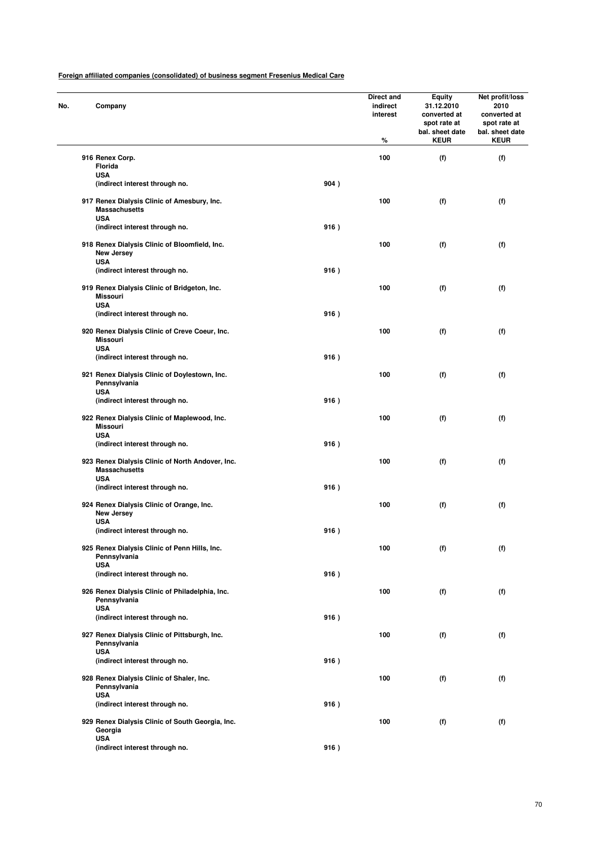| No. | Company                                                                           |      | Direct and<br>indirect<br>interest<br>% | <b>Equity</b><br>31.12.2010<br>converted at<br>spot rate at<br>bal. sheet date<br><b>KEUR</b> | Net profit/loss<br>2010<br>converted at<br>spot rate at<br>bal. sheet date<br><b>KEUR</b> |
|-----|-----------------------------------------------------------------------------------|------|-----------------------------------------|-----------------------------------------------------------------------------------------------|-------------------------------------------------------------------------------------------|
|     | 916 Renex Corp.                                                                   |      | 100                                     | (f)                                                                                           | (f)                                                                                       |
|     | Florida                                                                           |      |                                         |                                                                                               |                                                                                           |
|     | <b>USA</b>                                                                        | 904) |                                         |                                                                                               |                                                                                           |
|     | (indirect interest through no.                                                    |      |                                         |                                                                                               |                                                                                           |
|     | 917 Renex Dialysis Clinic of Amesbury, Inc.<br><b>Massachusetts</b><br><b>USA</b> |      | 100                                     | (f)                                                                                           | (f)                                                                                       |
|     | (indirect interest through no.                                                    | 916) |                                         |                                                                                               |                                                                                           |
|     |                                                                                   |      |                                         |                                                                                               |                                                                                           |
|     | 918 Renex Dialysis Clinic of Bloomfield, Inc.<br>New Jersey<br><b>USA</b>         |      | 100                                     | (f)                                                                                           | (f)                                                                                       |
|     | (indirect interest through no.                                                    | 916) |                                         |                                                                                               |                                                                                           |
|     |                                                                                   |      |                                         |                                                                                               |                                                                                           |
|     | 919 Renex Dialysis Clinic of Bridgeton, Inc.<br><b>Missouri</b><br><b>USA</b>     |      | 100                                     | (f)                                                                                           | (f)                                                                                       |
|     | (indirect interest through no.                                                    | 916) |                                         |                                                                                               |                                                                                           |
|     |                                                                                   |      |                                         |                                                                                               |                                                                                           |
|     | 920 Renex Dialysis Clinic of Creve Coeur, Inc.<br><b>Missouri</b><br><b>USA</b>   |      | 100                                     | (f)                                                                                           | (f)                                                                                       |
|     | (indirect interest through no.                                                    | 916) |                                         |                                                                                               |                                                                                           |
|     | 921 Renex Dialysis Clinic of Doylestown, Inc.<br>Pennsylvania                     |      | 100                                     | (f)                                                                                           | (f)                                                                                       |
|     | <b>USA</b>                                                                        |      |                                         |                                                                                               |                                                                                           |
|     | (indirect interest through no.                                                    | 916) |                                         |                                                                                               |                                                                                           |
|     | 922 Renex Dialysis Clinic of Maplewood, Inc.<br>Missouri                          |      | 100                                     | (f)                                                                                           | (f)                                                                                       |
|     | <b>USA</b>                                                                        |      |                                         |                                                                                               |                                                                                           |
|     | (indirect interest through no.                                                    | 916) |                                         |                                                                                               |                                                                                           |
|     | 923 Renex Dialysis Clinic of North Andover, Inc.<br><b>Massachusetts</b>          |      | 100                                     | (f)                                                                                           | (f)                                                                                       |
|     | <b>USA</b><br>(indirect interest through no.                                      | 916) |                                         |                                                                                               |                                                                                           |
|     |                                                                                   |      |                                         |                                                                                               |                                                                                           |
|     | 924 Renex Dialysis Clinic of Orange, Inc.<br><b>New Jersey</b>                    |      | 100                                     | (f)                                                                                           | (f)                                                                                       |
|     | <b>USA</b>                                                                        |      |                                         |                                                                                               |                                                                                           |
|     | (indirect interest through no.                                                    | 916) |                                         |                                                                                               |                                                                                           |
|     | 925 Renex Dialysis Clinic of Penn Hills, Inc.<br>Pennsylvania                     |      | 100                                     | (f)                                                                                           | (f)                                                                                       |
|     | <b>USA</b><br>(indirect interest through no.                                      | 916) |                                         |                                                                                               |                                                                                           |
|     |                                                                                   |      |                                         |                                                                                               |                                                                                           |
|     | 926 Renex Dialysis Clinic of Philadelphia, Inc.<br>Pennsylvania<br><b>USA</b>     |      | 100                                     | (f)                                                                                           | (f)                                                                                       |
|     | (indirect interest through no.                                                    | 916) |                                         |                                                                                               |                                                                                           |
|     |                                                                                   |      |                                         |                                                                                               |                                                                                           |
|     | 927 Renex Dialysis Clinic of Pittsburgh, Inc.<br>Pennsylvania<br><b>USA</b>       |      | 100                                     | (f)                                                                                           | (f)                                                                                       |
|     | (indirect interest through no.                                                    | 916) |                                         |                                                                                               |                                                                                           |
|     | 928 Renex Dialysis Clinic of Shaler, Inc.<br>Pennsylvania                         |      | 100                                     | (f)                                                                                           | (f)                                                                                       |
|     | <b>USA</b>                                                                        |      |                                         |                                                                                               |                                                                                           |
|     | (indirect interest through no.                                                    | 916) |                                         |                                                                                               |                                                                                           |
|     | 929 Renex Dialysis Clinic of South Georgia, Inc.<br>Georgia<br><b>USA</b>         |      | 100                                     | (f)                                                                                           | (f)                                                                                       |
|     | (indirect interest through no.                                                    | 916) |                                         |                                                                                               |                                                                                           |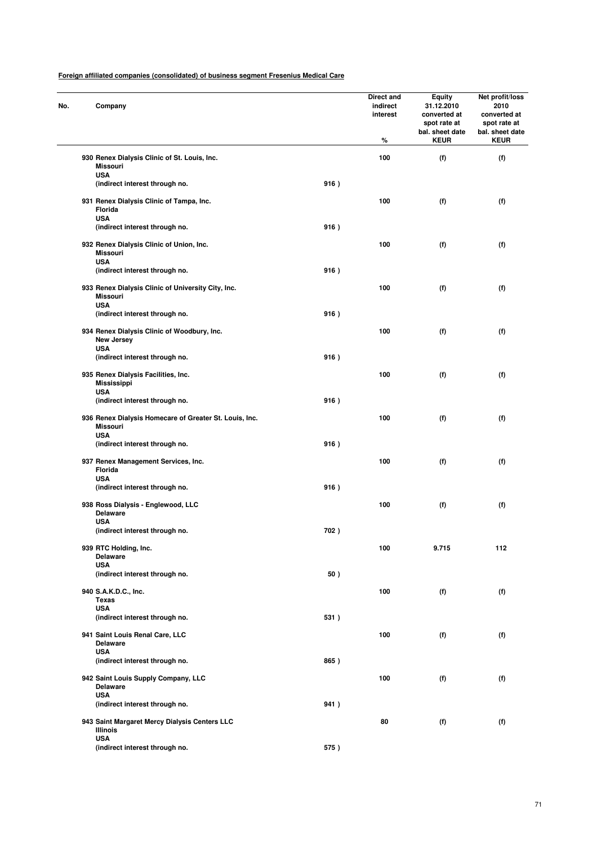| No. | Company                                                                             |      | Direct and<br>indirect<br>interest<br>% | <b>Equity</b><br>31.12.2010<br>converted at<br>spot rate at<br>bal. sheet date<br><b>KEUR</b> | Net profit/loss<br>2010<br>converted at<br>spot rate at<br>bal. sheet date<br><b>KEUR</b> |
|-----|-------------------------------------------------------------------------------------|------|-----------------------------------------|-----------------------------------------------------------------------------------------------|-------------------------------------------------------------------------------------------|
|     | 930 Renex Dialysis Clinic of St. Louis, Inc.<br><b>Missouri</b>                     |      | 100                                     | (f)                                                                                           | (f)                                                                                       |
|     | <b>USA</b><br>(indirect interest through no.                                        | 916) |                                         |                                                                                               |                                                                                           |
|     | 931 Renex Dialysis Clinic of Tampa, Inc.<br>Florida<br><b>USA</b>                   |      | 100                                     | (f)                                                                                           | (f)                                                                                       |
|     | (indirect interest through no.                                                      | 916) |                                         |                                                                                               |                                                                                           |
|     | 932 Renex Dialysis Clinic of Union, Inc.<br><b>Missouri</b><br><b>USA</b>           |      | 100                                     | (f)                                                                                           | (f)                                                                                       |
|     | (indirect interest through no.                                                      | 916) |                                         |                                                                                               |                                                                                           |
|     | 933 Renex Dialysis Clinic of University City, Inc.<br><b>Missouri</b><br><b>USA</b> |      | 100                                     | (f)                                                                                           | (f)                                                                                       |
|     | (indirect interest through no.                                                      | 916) |                                         |                                                                                               |                                                                                           |
|     | 934 Renex Dialysis Clinic of Woodbury, Inc.<br>New Jersey<br><b>USA</b>             |      | 100                                     | (f)                                                                                           | (f)                                                                                       |
|     | (indirect interest through no.                                                      | 916) |                                         |                                                                                               |                                                                                           |
|     | 935 Renex Dialysis Facilities, Inc.<br><b>Mississippi</b>                           |      | 100                                     | (f)                                                                                           | (f)                                                                                       |
|     | <b>USA</b><br>(indirect interest through no.                                        | 916) |                                         |                                                                                               |                                                                                           |
|     | 936 Renex Dialysis Homecare of Greater St. Louis, Inc.<br><b>Missouri</b>           |      | 100                                     | (f)                                                                                           | (f)                                                                                       |
|     | <b>USA</b><br>(indirect interest through no.                                        | 916) |                                         |                                                                                               |                                                                                           |
|     | 937 Renex Management Services, Inc.<br>Florida                                      |      | 100                                     | (f)                                                                                           | (f)                                                                                       |
|     | <b>USA</b><br>(indirect interest through no.                                        | 916) |                                         |                                                                                               |                                                                                           |
|     | 938 Ross Dialysis - Englewood, LLC<br><b>Delaware</b>                               |      | 100                                     | (f)                                                                                           | (f)                                                                                       |
|     | <b>USA</b><br>(indirect interest through no.                                        | 702) |                                         |                                                                                               |                                                                                           |
|     | 939 RTC Holding, Inc.<br><b>Delaware</b>                                            |      | 100                                     | 9.715                                                                                         | 112                                                                                       |
|     | <b>USA</b><br>(indirect interest through no.                                        | 50)  |                                         |                                                                                               |                                                                                           |
|     | 940 S.A.K.D.C., Inc.<br><b>Texas</b>                                                |      | 100                                     | (f)                                                                                           | (f)                                                                                       |
|     | <b>USA</b><br>(indirect interest through no.                                        | 531) |                                         |                                                                                               |                                                                                           |
|     | 941 Saint Louis Renal Care, LLC<br><b>Delaware</b>                                  |      | 100                                     | (f)                                                                                           | (f)                                                                                       |
|     | <b>USA</b><br>(indirect interest through no.                                        | 865) |                                         |                                                                                               |                                                                                           |
|     | 942 Saint Louis Supply Company, LLC<br><b>Delaware</b>                              |      | 100                                     | (f)                                                                                           | (f)                                                                                       |
|     | <b>USA</b><br>(indirect interest through no.                                        | 941) |                                         |                                                                                               |                                                                                           |
|     | 943 Saint Margaret Mercy Dialysis Centers LLC<br>Illinois                           |      | 80                                      | (f)                                                                                           | (f)                                                                                       |
|     | <b>USA</b><br>(indirect interest through no.                                        | 575) |                                         |                                                                                               |                                                                                           |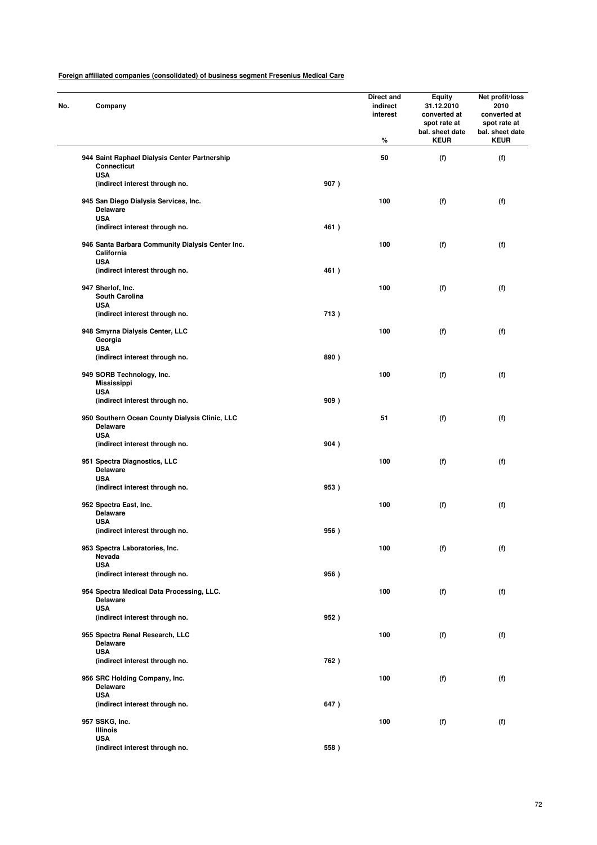| No. | Company                                                                      |      | Direct and<br>indirect<br>interest<br>% | <b>Equity</b><br>31.12.2010<br>converted at<br>spot rate at<br>bal. sheet date<br><b>KEUR</b> | Net profit/loss<br>2010<br>converted at<br>spot rate at<br>bal. sheet date<br><b>KEUR</b> |
|-----|------------------------------------------------------------------------------|------|-----------------------------------------|-----------------------------------------------------------------------------------------------|-------------------------------------------------------------------------------------------|
|     | 944 Saint Raphael Dialysis Center Partnership<br>Connecticut                 |      | 50                                      | (f)                                                                                           | (f)                                                                                       |
|     | <b>USA</b><br>(indirect interest through no.                                 | 907) |                                         |                                                                                               |                                                                                           |
|     | 945 San Diego Dialysis Services, Inc.<br><b>Delaware</b><br><b>USA</b>       |      | 100                                     | (f)                                                                                           | (f)                                                                                       |
|     | (indirect interest through no.                                               | 461) |                                         |                                                                                               |                                                                                           |
|     | 946 Santa Barbara Community Dialysis Center Inc.<br>California<br><b>USA</b> |      | 100                                     | (f)                                                                                           | (f)                                                                                       |
|     | (indirect interest through no.                                               | 461) |                                         |                                                                                               |                                                                                           |
|     | 947 Sherlof, Inc.<br><b>South Carolina</b><br><b>USA</b>                     |      | 100                                     | (f)                                                                                           | (f)                                                                                       |
|     | (indirect interest through no.                                               | 713) |                                         |                                                                                               |                                                                                           |
|     | 948 Smyrna Dialysis Center, LLC<br>Georgia                                   |      | 100                                     | (f)                                                                                           | (f)                                                                                       |
|     | <b>USA</b><br>(indirect interest through no.                                 | 890) |                                         |                                                                                               |                                                                                           |
|     | 949 SORB Technology, Inc.<br>Mississippi                                     |      | 100                                     | (f)                                                                                           | (f)                                                                                       |
|     | <b>USA</b><br>(indirect interest through no.                                 | 909) |                                         |                                                                                               |                                                                                           |
|     | 950 Southern Ocean County Dialysis Clinic, LLC<br><b>Delaware</b>            |      | 51                                      | (f)                                                                                           | (f)                                                                                       |
|     | <b>USA</b><br>(indirect interest through no.                                 | 904) |                                         |                                                                                               |                                                                                           |
|     | 951 Spectra Diagnostics, LLC<br><b>Delaware</b>                              |      | 100                                     | (f)                                                                                           | (f)                                                                                       |
|     | <b>USA</b><br>(indirect interest through no.                                 | 953) |                                         |                                                                                               |                                                                                           |
|     | 952 Spectra East, Inc.<br><b>Delaware</b>                                    |      | 100                                     | (f)                                                                                           | (f)                                                                                       |
|     | <b>USA</b><br>(indirect interest through no.                                 | 956) |                                         |                                                                                               |                                                                                           |
|     | 953 Spectra Laboratories, Inc.<br>Nevada                                     |      | 100                                     | (f)                                                                                           | (f)                                                                                       |
|     | <b>USA</b><br>(indirect interest through no.                                 | 956) |                                         |                                                                                               |                                                                                           |
|     | 954 Spectra Medical Data Processing, LLC.<br><b>Delaware</b>                 |      | 100                                     | (f)                                                                                           | (f)                                                                                       |
|     | <b>USA</b><br>(indirect interest through no.                                 | 952) |                                         |                                                                                               |                                                                                           |
|     | 955 Spectra Renal Research, LLC<br><b>Delaware</b>                           |      | 100                                     | (f)                                                                                           | (f)                                                                                       |
|     | <b>USA</b><br>(indirect interest through no.                                 | 762) |                                         |                                                                                               |                                                                                           |
|     | 956 SRC Holding Company, Inc.<br><b>Delaware</b>                             |      | 100                                     | (f)                                                                                           | (f)                                                                                       |
|     | <b>USA</b><br>(indirect interest through no.                                 | 647) |                                         |                                                                                               |                                                                                           |
|     | 957 SSKG, Inc.                                                               |      | 100                                     | (f)                                                                                           | (f)                                                                                       |
|     | Illinois<br><b>USA</b>                                                       |      |                                         |                                                                                               |                                                                                           |
|     | (indirect interest through no.                                               | 558) |                                         |                                                                                               |                                                                                           |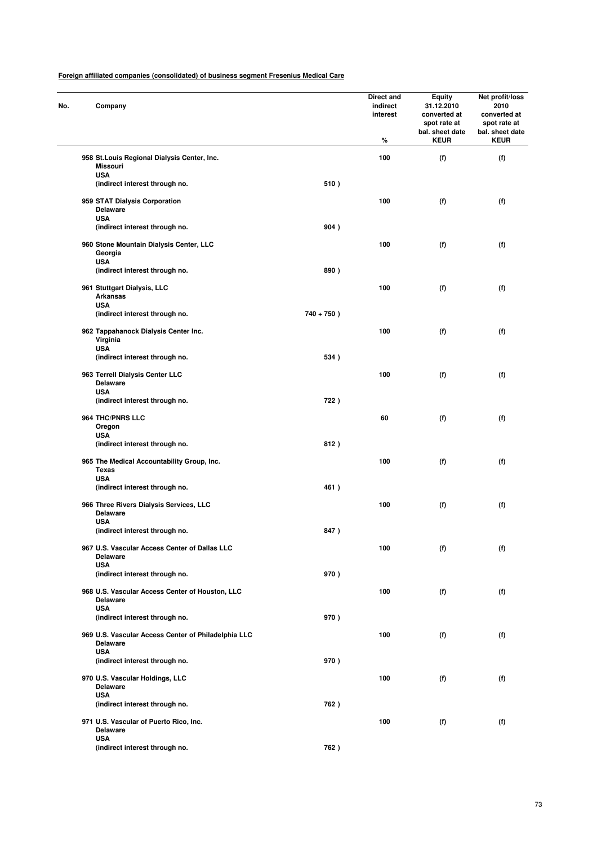|              | Company                                                                |               | Direct and<br>indirect<br>interest<br>% | <b>Equity</b><br>31.12.2010<br>converted at<br>spot rate at<br>bal. sheet date<br><b>KEUR</b> | Net profit/loss<br>2010<br>converted at<br>spot rate at<br>bal. sheet date<br><b>KEUR</b> |
|--------------|------------------------------------------------------------------------|---------------|-----------------------------------------|-----------------------------------------------------------------------------------------------|-------------------------------------------------------------------------------------------|
|              | 958 St. Louis Regional Dialysis Center, Inc.<br><b>Missouri</b>        |               | 100                                     | (f)                                                                                           | (f)                                                                                       |
| <b>USA</b>   | (indirect interest through no.                                         | 510)          |                                         |                                                                                               |                                                                                           |
| <b>USA</b>   | 959 STAT Dialysis Corporation<br><b>Delaware</b>                       |               | 100                                     | (f)                                                                                           | (f)                                                                                       |
|              | (indirect interest through no.                                         | 904)          |                                         |                                                                                               |                                                                                           |
| <b>USA</b>   | 960 Stone Mountain Dialysis Center, LLC<br>Georgia                     |               | 100                                     | (f)                                                                                           | (f)                                                                                       |
|              | (indirect interest through no.                                         | 890)          |                                         |                                                                                               |                                                                                           |
| <b>USA</b>   | 961 Stuttgart Dialysis, LLC<br>Arkansas                                |               | 100                                     | (f)                                                                                           | (f)                                                                                       |
|              | (indirect interest through no.                                         | $740 + 750$ ) |                                         |                                                                                               |                                                                                           |
| <b>USA</b>   | 962 Tappahanock Dialysis Center Inc.<br>Virginia                       |               | 100                                     | (f)                                                                                           | (f)                                                                                       |
|              | (indirect interest through no.                                         | 534)          |                                         |                                                                                               |                                                                                           |
|              | 963 Terrell Dialysis Center LLC<br><b>Delaware</b>                     |               | 100                                     | (f)                                                                                           | (f)                                                                                       |
| <b>USA</b>   | (indirect interest through no.                                         | 722)          |                                         |                                                                                               |                                                                                           |
| Oregon       | 964 THC/PNRS LLC                                                       |               | 60                                      | (f)                                                                                           | (f)                                                                                       |
| <b>USA</b>   | (indirect interest through no.                                         | 812)          |                                         |                                                                                               |                                                                                           |
| <b>Texas</b> | 965 The Medical Accountability Group, Inc.                             |               | 100                                     | (f)                                                                                           | (f)                                                                                       |
| <b>USA</b>   | (indirect interest through no.                                         | 461)          |                                         |                                                                                               |                                                                                           |
| <b>USA</b>   | 966 Three Rivers Dialysis Services, LLC<br><b>Delaware</b>             |               | 100                                     | (f)                                                                                           | (f)                                                                                       |
|              | (indirect interest through no.                                         | 847)          |                                         |                                                                                               |                                                                                           |
|              | 967 U.S. Vascular Access Center of Dallas LLC<br><b>Delaware</b>       |               | 100                                     | (f)                                                                                           | (f)                                                                                       |
| <b>USA</b>   | (indirect interest through no.                                         | 970)          |                                         |                                                                                               |                                                                                           |
|              | 968 U.S. Vascular Access Center of Houston, LLC<br>Delaware            |               | 100                                     | (f)                                                                                           | (f)                                                                                       |
| <b>USA</b>   | (indirect interest through no.                                         | 970)          |                                         |                                                                                               |                                                                                           |
|              | 969 U.S. Vascular Access Center of Philadelphia LLC<br><b>Delaware</b> |               | 100                                     | (f)                                                                                           | (f)                                                                                       |
| <b>USA</b>   | (indirect interest through no.                                         | 970)          |                                         |                                                                                               |                                                                                           |
|              | 970 U.S. Vascular Holdings, LLC<br><b>Delaware</b>                     |               | 100                                     | (f)                                                                                           | (f)                                                                                       |
| <b>USA</b>   | (indirect interest through no.                                         | 762)          |                                         |                                                                                               |                                                                                           |
|              | 971 U.S. Vascular of Puerto Rico, Inc.<br><b>Delaware</b>              |               | 100                                     | (f)                                                                                           | (f)                                                                                       |
| <b>USA</b>   | (indirect interest through no.                                         | 762)          |                                         |                                                                                               |                                                                                           |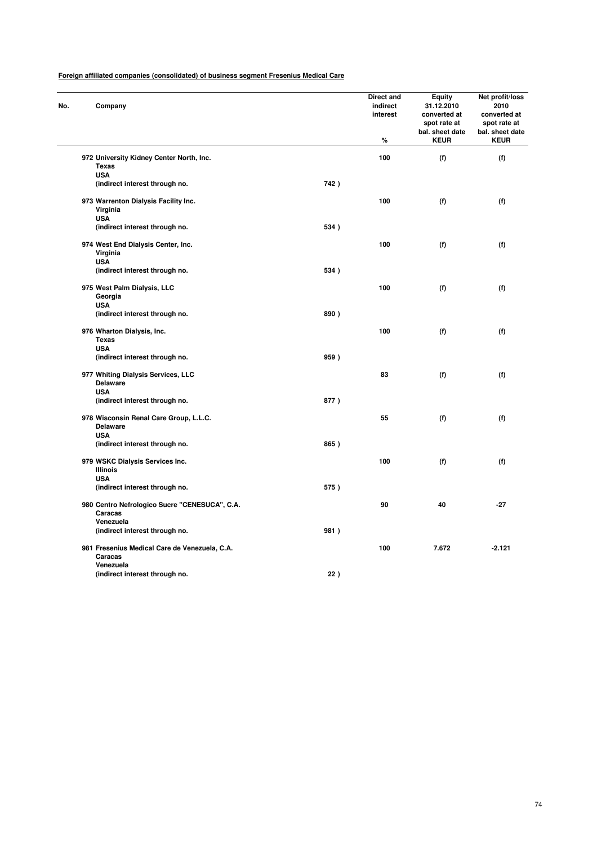| No. | Company                                                               |      | Direct and<br>indirect<br>interest<br>$\%$ | Equity<br>31.12.2010<br>converted at<br>spot rate at<br>bal. sheet date<br><b>KEUR</b> | Net profit/loss<br>2010<br>converted at<br>spot rate at<br>bal. sheet date<br><b>KEUR</b> |
|-----|-----------------------------------------------------------------------|------|--------------------------------------------|----------------------------------------------------------------------------------------|-------------------------------------------------------------------------------------------|
|     |                                                                       |      |                                            |                                                                                        |                                                                                           |
|     | 972 University Kidney Center North, Inc.<br><b>Texas</b>              |      | 100                                        | (f)                                                                                    | (f)                                                                                       |
|     | <b>USA</b><br>(indirect interest through no.                          | 742) |                                            |                                                                                        |                                                                                           |
|     | 973 Warrenton Dialysis Facility Inc.<br>Virginia<br><b>USA</b>        |      | 100                                        | (f)                                                                                    | (f)                                                                                       |
|     | (indirect interest through no.                                        | 534) |                                            |                                                                                        |                                                                                           |
|     | 974 West End Dialysis Center, Inc.<br>Virginia                        |      | 100                                        | (f)                                                                                    | (f)                                                                                       |
|     | <b>USA</b><br>(indirect interest through no.                          | 534) |                                            |                                                                                        |                                                                                           |
|     | 975 West Palm Dialysis, LLC<br>Georgia                                |      | 100                                        | (f)                                                                                    | (f)                                                                                       |
|     | <b>USA</b><br>(indirect interest through no.                          | 890) |                                            |                                                                                        |                                                                                           |
|     | 976 Wharton Dialysis, Inc.<br><b>Texas</b><br><b>USA</b>              |      | 100                                        | (f)                                                                                    | (f)                                                                                       |
|     | (indirect interest through no.                                        | 959) |                                            |                                                                                        |                                                                                           |
|     | 977 Whiting Dialysis Services, LLC<br><b>Delaware</b><br><b>USA</b>   |      | 83                                         | (f)                                                                                    | (f)                                                                                       |
|     | (indirect interest through no.                                        | 877) |                                            |                                                                                        |                                                                                           |
|     | 978 Wisconsin Renal Care Group, L.L.C.<br><b>Delaware</b>             |      | 55                                         | (f)                                                                                    | (f)                                                                                       |
|     | <b>USA</b><br>(indirect interest through no.                          | 865) |                                            |                                                                                        |                                                                                           |
|     | 979 WSKC Dialysis Services Inc.<br>Illinois                           |      | 100                                        | (f)                                                                                    | (f)                                                                                       |
|     | <b>USA</b><br>(indirect interest through no.                          | 575) |                                            |                                                                                        |                                                                                           |
|     | 980 Centro Nefrologico Sucre "CENESUCA", C.A.<br>Caracas              |      | 90                                         | 40                                                                                     | $-27$                                                                                     |
|     | Venezuela<br>(indirect interest through no.                           | 981) |                                            |                                                                                        |                                                                                           |
|     |                                                                       |      | 100                                        | 7.672                                                                                  | $-2.121$                                                                                  |
|     | 981 Fresenius Medical Care de Venezuela, C.A.<br>Caracas<br>Venezuela |      |                                            |                                                                                        |                                                                                           |
|     | (indirect interest through no.                                        | 22)  |                                            |                                                                                        |                                                                                           |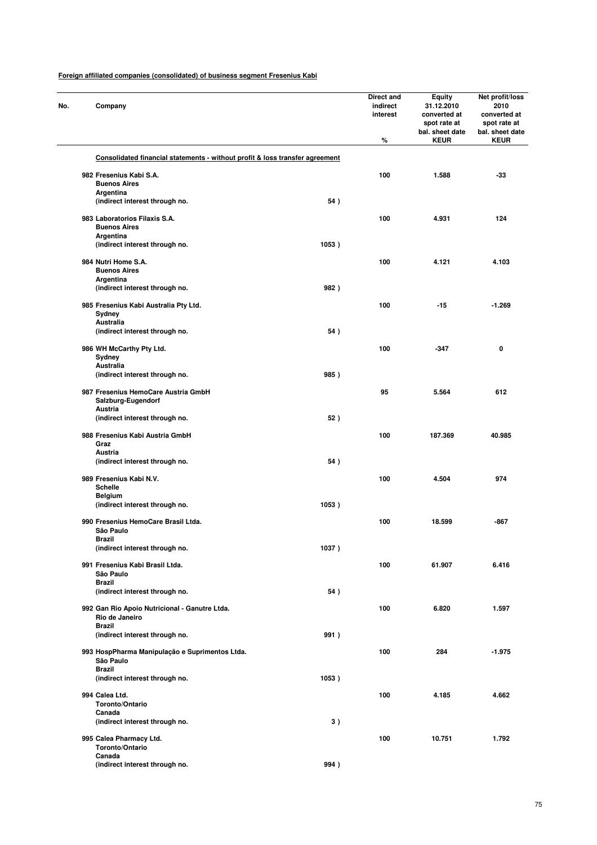| Company                                                                      |       | Direct and<br>indirect<br>interest<br>% | <b>Equity</b><br>31.12.2010<br>converted at<br>spot rate at<br>bal. sheet date<br><b>KEUR</b> | Net profit/loss<br>2010<br>converted at<br>spot rate at<br>bal. sheet date<br><b>KEUR</b> |
|------------------------------------------------------------------------------|-------|-----------------------------------------|-----------------------------------------------------------------------------------------------|-------------------------------------------------------------------------------------------|
| Consolidated financial statements - without profit & loss transfer agreement |       |                                         |                                                                                               |                                                                                           |
|                                                                              |       |                                         |                                                                                               |                                                                                           |
| 982 Fresenius Kabi S.A.<br><b>Buenos Aires</b>                               |       | 100                                     | 1.588                                                                                         | $-33$                                                                                     |
| Argentina                                                                    |       |                                         |                                                                                               |                                                                                           |
| (indirect interest through no.                                               | 54)   |                                         |                                                                                               |                                                                                           |
| 983 Laboratorios Filaxis S.A.                                                |       | 100                                     | 4.931                                                                                         | 124                                                                                       |
| <b>Buenos Aires</b>                                                          |       |                                         |                                                                                               |                                                                                           |
| Argentina                                                                    |       |                                         |                                                                                               |                                                                                           |
| (indirect interest through no.                                               | 1053) |                                         |                                                                                               |                                                                                           |
| 984 Nutri Home S.A.                                                          |       | 100                                     | 4.121                                                                                         | 4.103                                                                                     |
| <b>Buenos Aires</b>                                                          |       |                                         |                                                                                               |                                                                                           |
| Argentina                                                                    |       |                                         |                                                                                               |                                                                                           |
| (indirect interest through no.                                               | 982)  |                                         |                                                                                               |                                                                                           |
| 985 Fresenius Kabi Australia Pty Ltd.                                        |       | 100                                     | $-15$                                                                                         | $-1.269$                                                                                  |
| Sydney                                                                       |       |                                         |                                                                                               |                                                                                           |
| Australia                                                                    |       |                                         |                                                                                               |                                                                                           |
| (indirect interest through no.                                               | 54)   |                                         |                                                                                               |                                                                                           |
| 986 WH McCarthy Pty Ltd.                                                     |       | 100                                     | $-347$                                                                                        | 0                                                                                         |
| Sydney                                                                       |       |                                         |                                                                                               |                                                                                           |
| Australia                                                                    |       |                                         |                                                                                               |                                                                                           |
| (indirect interest through no.                                               | 985)  |                                         |                                                                                               |                                                                                           |
| 987 Fresenius HemoCare Austria GmbH                                          |       | 95                                      | 5.564                                                                                         | 612                                                                                       |
| Salzburg-Eugendorf                                                           |       |                                         |                                                                                               |                                                                                           |
| Austria                                                                      |       |                                         |                                                                                               |                                                                                           |
| (indirect interest through no.                                               | 52)   |                                         |                                                                                               |                                                                                           |
| 988 Fresenius Kabi Austria GmbH                                              |       | 100                                     | 187.369                                                                                       | 40.985                                                                                    |
| Graz                                                                         |       |                                         |                                                                                               |                                                                                           |
| <b>Austria</b>                                                               |       |                                         |                                                                                               |                                                                                           |
| (indirect interest through no.                                               | 54)   |                                         |                                                                                               |                                                                                           |
| 989 Fresenius Kabi N.V.                                                      |       | 100                                     | 4.504                                                                                         | 974                                                                                       |
| <b>Schelle</b>                                                               |       |                                         |                                                                                               |                                                                                           |
| <b>Belgium</b>                                                               |       |                                         |                                                                                               |                                                                                           |
| (indirect interest through no.                                               | 1053) |                                         |                                                                                               |                                                                                           |
|                                                                              |       | 100                                     |                                                                                               | -867                                                                                      |
| 990 Fresenius HemoCare Brasil Ltda.<br>São Paulo                             |       |                                         | 18.599                                                                                        |                                                                                           |
| Brazil                                                                       |       |                                         |                                                                                               |                                                                                           |
| (indirect interest through no.                                               | 1037) |                                         |                                                                                               |                                                                                           |
| 991 Fresenius Kabi Brasil Ltda.                                              |       |                                         | 61.907                                                                                        |                                                                                           |
| São Paulo                                                                    |       | 100                                     |                                                                                               | 6.416                                                                                     |
| <b>Brazil</b>                                                                |       |                                         |                                                                                               |                                                                                           |
| (indirect interest through no.                                               | 54)   |                                         |                                                                                               |                                                                                           |
|                                                                              |       |                                         |                                                                                               |                                                                                           |
| 992 Gan Rio Apoio Nutricional - Ganutre Ltda.<br>Rio de Janeiro              |       | 100                                     | 6.820                                                                                         | 1.597                                                                                     |
| <b>Brazil</b>                                                                |       |                                         |                                                                                               |                                                                                           |
| (indirect interest through no.                                               | 991)  |                                         |                                                                                               |                                                                                           |
|                                                                              |       |                                         |                                                                                               |                                                                                           |
| 993 HospPharma Manipulação e Suprimentos Ltda.<br>São Paulo                  |       | 100                                     | 284                                                                                           | $-1.975$                                                                                  |
| <b>Brazil</b>                                                                |       |                                         |                                                                                               |                                                                                           |
| (indirect interest through no.                                               | 1053) |                                         |                                                                                               |                                                                                           |
|                                                                              |       |                                         |                                                                                               |                                                                                           |
| 994 Calea Ltd.<br>Toronto/Ontario                                            |       | 100                                     | 4.185                                                                                         | 4.662                                                                                     |
| Canada                                                                       |       |                                         |                                                                                               |                                                                                           |
| (indirect interest through no.                                               | 3)    |                                         |                                                                                               |                                                                                           |
|                                                                              |       |                                         |                                                                                               |                                                                                           |
| 995 Calea Pharmacy Ltd.<br>Toronto/Ontario                                   |       | 100                                     | 10.751                                                                                        | 1.792                                                                                     |
| Canada                                                                       |       |                                         |                                                                                               |                                                                                           |
| (indirect interest through no.                                               | 994)  |                                         |                                                                                               |                                                                                           |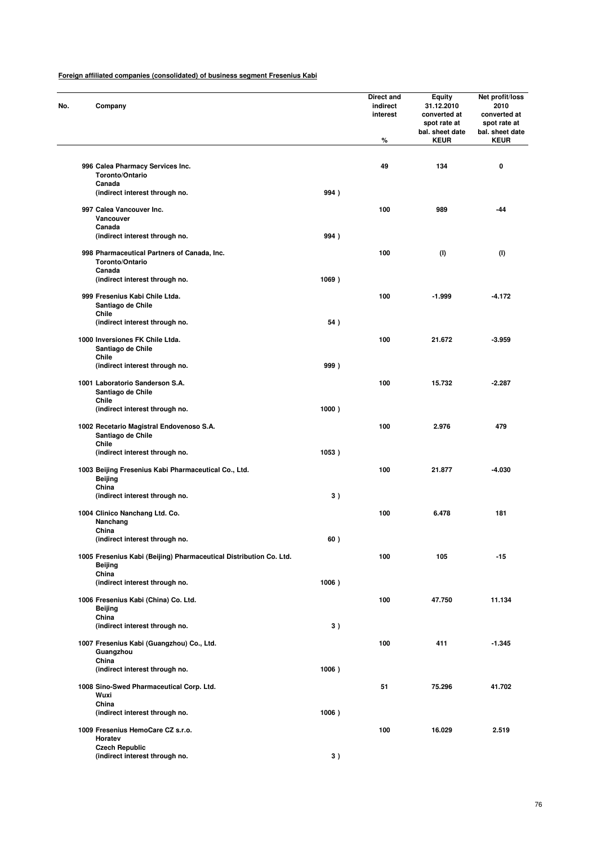| No. | Company                                                                                       |       | <b>Direct and</b><br>indirect<br>interest<br>% | <b>Equity</b><br>31.12.2010<br>converted at<br>spot rate at<br>bal. sheet date<br><b>KEUR</b> | Net profit/loss<br>2010<br>converted at<br>spot rate at<br>bal. sheet date<br><b>KEUR</b> |
|-----|-----------------------------------------------------------------------------------------------|-------|------------------------------------------------|-----------------------------------------------------------------------------------------------|-------------------------------------------------------------------------------------------|
|     | 996 Calea Pharmacy Services Inc.<br>Toronto/Ontario                                           |       | 49                                             | 134                                                                                           | 0                                                                                         |
|     | Canada<br>(indirect interest through no.                                                      | 994)  |                                                |                                                                                               |                                                                                           |
|     |                                                                                               |       |                                                |                                                                                               |                                                                                           |
|     | 997 Calea Vancouver Inc.<br>Vancouver<br>Canada                                               |       | 100                                            | 989                                                                                           | -44                                                                                       |
|     | (indirect interest through no.                                                                | 994)  |                                                |                                                                                               |                                                                                           |
|     | 998 Pharmaceutical Partners of Canada, Inc.<br>Toronto/Ontario                                |       | 100                                            | (1)                                                                                           | (1)                                                                                       |
|     | Canada<br>(indirect interest through no.                                                      | 1069) |                                                |                                                                                               |                                                                                           |
|     | 999 Fresenius Kabi Chile Ltda.<br>Santiago de Chile                                           |       | 100                                            | $-1.999$                                                                                      | -4.172                                                                                    |
|     | Chile                                                                                         |       |                                                |                                                                                               |                                                                                           |
|     | (indirect interest through no.                                                                | 54)   |                                                |                                                                                               |                                                                                           |
|     | 1000 Inversiones FK Chile Ltda.<br>Santiago de Chile<br>Chile                                 |       | 100                                            | 21.672                                                                                        | -3.959                                                                                    |
|     | (indirect interest through no.                                                                | 999)  |                                                |                                                                                               |                                                                                           |
|     | 1001 Laboratorio Sanderson S.A.<br>Santiago de Chile                                          |       | 100                                            | 15.732                                                                                        | -2.287                                                                                    |
|     | Chile                                                                                         |       |                                                |                                                                                               |                                                                                           |
|     | (indirect interest through no.                                                                | 1000) |                                                |                                                                                               |                                                                                           |
|     | 1002 Recetario Magistral Endovenoso S.A.<br>Santiago de Chile<br>Chile                        |       | 100                                            | 2.976                                                                                         | 479                                                                                       |
|     | (indirect interest through no.                                                                | 1053) |                                                |                                                                                               |                                                                                           |
|     | 1003 Beijing Fresenius Kabi Pharmaceutical Co., Ltd.<br>Beijing<br>China                      |       | 100                                            | 21.877                                                                                        | -4.030                                                                                    |
|     | (indirect interest through no.                                                                | 3)    |                                                |                                                                                               |                                                                                           |
|     | 1004 Clinico Nanchang Ltd. Co.<br>Nanchang                                                    |       | 100                                            | 6.478                                                                                         | 181                                                                                       |
|     | China                                                                                         |       |                                                |                                                                                               |                                                                                           |
|     | (indirect interest through no.                                                                | 60)   |                                                |                                                                                               |                                                                                           |
|     | 1005 Fresenius Kabi (Beijing) Pharmaceutical Distribution Co. Ltd.<br><b>Beijing</b><br>China |       | 100                                            | 105                                                                                           | $-15$                                                                                     |
|     | (indirect interest through no.                                                                | 1006) |                                                |                                                                                               |                                                                                           |
|     | 1006 Fresenius Kabi (China) Co. Ltd.<br>Beijing                                               |       | 100                                            | 47.750                                                                                        | 11.134                                                                                    |
|     | China<br>(indirect interest through no.                                                       | 3)    |                                                |                                                                                               |                                                                                           |
|     | 1007 Fresenius Kabi (Guangzhou) Co., Ltd.                                                     |       | 100                                            | 411                                                                                           | $-1.345$                                                                                  |
|     | Guangzhou<br>China                                                                            |       |                                                |                                                                                               |                                                                                           |
|     | (indirect interest through no.                                                                | 1006) |                                                |                                                                                               |                                                                                           |
|     | 1008 Sino-Swed Pharmaceutical Corp. Ltd.<br>Wuxi<br>China                                     |       | 51                                             | 75.296                                                                                        | 41.702                                                                                    |
|     | (indirect interest through no.                                                                | 1006) |                                                |                                                                                               |                                                                                           |
|     | 1009 Fresenius HemoCare CZ s.r.o.<br>Horatev                                                  |       | 100                                            | 16.029                                                                                        | 2.519                                                                                     |
|     | <b>Czech Republic</b><br>(indirect interest through no.                                       | 3)    |                                                |                                                                                               |                                                                                           |
|     |                                                                                               |       |                                                |                                                                                               |                                                                                           |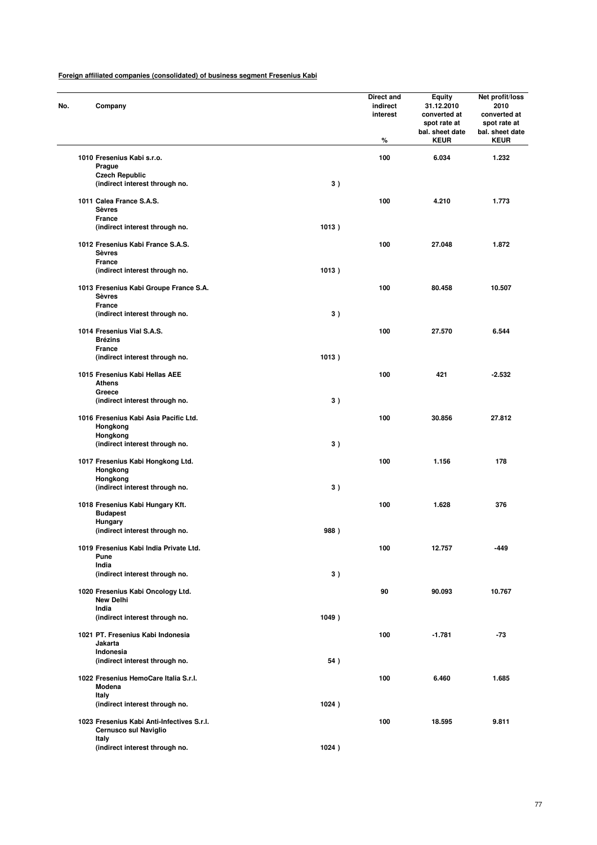| No. | Company                                                             |       | Direct and<br>indirect<br>interest<br>% | <b>Equity</b><br>31.12.2010<br>converted at<br>spot rate at<br>bal. sheet date<br><b>KEUR</b> | Net profit/loss<br>2010<br>converted at<br>spot rate at<br>bal. sheet date<br><b>KEUR</b> |
|-----|---------------------------------------------------------------------|-------|-----------------------------------------|-----------------------------------------------------------------------------------------------|-------------------------------------------------------------------------------------------|
|     | 1010 Fresenius Kabi s.r.o.                                          |       | 100                                     | 6.034                                                                                         | 1.232                                                                                     |
|     | Prague                                                              |       |                                         |                                                                                               |                                                                                           |
|     | <b>Czech Republic</b><br>(indirect interest through no.             | 3)    |                                         |                                                                                               |                                                                                           |
|     | 1011 Calea France S.A.S.<br><b>Sèvres</b>                           |       | 100                                     | 4.210                                                                                         | 1.773                                                                                     |
|     | France<br>(indirect interest through no.                            | 1013) |                                         |                                                                                               |                                                                                           |
|     | 1012 Fresenius Kabi France S.A.S.<br><b>Sèvres</b>                  |       | 100                                     | 27.048                                                                                        | 1.872                                                                                     |
|     | France<br>(indirect interest through no.                            | 1013) |                                         |                                                                                               |                                                                                           |
|     | 1013 Fresenius Kabi Groupe France S.A.<br><b>Sèvres</b>             |       | 100                                     | 80.458                                                                                        | 10.507                                                                                    |
|     | <b>France</b><br>(indirect interest through no.                     | 3)    |                                         |                                                                                               |                                                                                           |
|     | 1014 Fresenius Vial S.A.S.<br><b>Brézins</b>                        |       | 100                                     | 27.570                                                                                        | 6.544                                                                                     |
|     | France<br>(indirect interest through no.                            | 1013) |                                         |                                                                                               |                                                                                           |
|     | 1015 Fresenius Kabi Hellas AEE<br><b>Athens</b>                     |       | 100                                     | 421                                                                                           | $-2.532$                                                                                  |
|     | Greece<br>(indirect interest through no.                            | 3)    |                                         |                                                                                               |                                                                                           |
|     | 1016 Fresenius Kabi Asia Pacific Ltd.<br>Hongkong                   |       | 100                                     | 30.856                                                                                        | 27.812                                                                                    |
|     | Hongkong<br>(indirect interest through no.                          | 3)    |                                         |                                                                                               |                                                                                           |
|     | 1017 Fresenius Kabi Hongkong Ltd.<br>Hongkong                       |       | 100                                     | 1.156                                                                                         | 178                                                                                       |
|     | Hongkong<br>(indirect interest through no.                          | 3)    |                                         |                                                                                               |                                                                                           |
|     | 1018 Fresenius Kabi Hungary Kft.<br><b>Budapest</b><br>Hungary      |       | 100                                     | 1.628                                                                                         | 376                                                                                       |
|     | (indirect interest through no.                                      | 988)  |                                         |                                                                                               |                                                                                           |
|     | 1019 Fresenius Kabi India Private Ltd.<br>Pune                      |       | 100                                     | 12.757                                                                                        | -449                                                                                      |
|     | India<br>(indirect interest through no.                             | 3)    |                                         |                                                                                               |                                                                                           |
|     | 1020 Fresenius Kabi Oncology Ltd.<br><b>New Delhi</b>               |       | 90                                      | 90.093                                                                                        | 10.767                                                                                    |
|     | India<br>(indirect interest through no.                             | 1049) |                                         |                                                                                               |                                                                                           |
|     | 1021 PT. Fresenius Kabi Indonesia<br>Jakarta                        |       | 100                                     | $-1.781$                                                                                      | $-73$                                                                                     |
|     | Indonesia<br>(indirect interest through no.                         | 54)   |                                         |                                                                                               |                                                                                           |
|     | 1022 Fresenius HemoCare Italia S.r.l.<br>Modena                     |       | 100                                     | 6.460                                                                                         | 1.685                                                                                     |
|     | Italy<br>(indirect interest through no.                             | 1024) |                                         |                                                                                               |                                                                                           |
|     | 1023 Fresenius Kabi Anti-Infectives S.r.l.<br>Cernusco sul Naviglio |       | 100                                     | 18.595                                                                                        | 9.811                                                                                     |
|     | Italy<br>(indirect interest through no.                             | 1024) |                                         |                                                                                               |                                                                                           |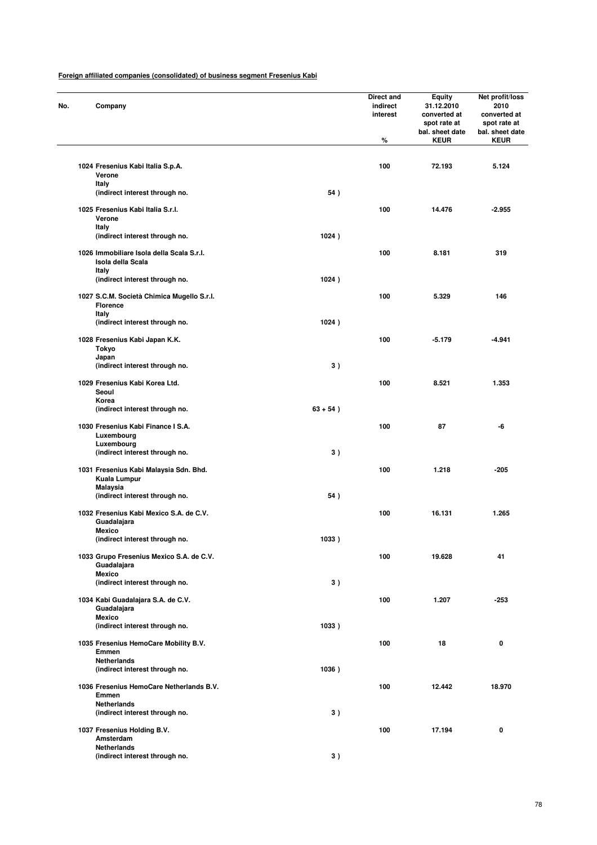| No. | Company                                                                   |             | Direct and<br>indirect<br>interest<br>% | <b>Equity</b><br>31.12.2010<br>converted at<br>spot rate at<br>bal. sheet date<br><b>KEUR</b> | Net profit/loss<br>2010<br>converted at<br>spot rate at<br>bal. sheet date<br><b>KEUR</b> |
|-----|---------------------------------------------------------------------------|-------------|-----------------------------------------|-----------------------------------------------------------------------------------------------|-------------------------------------------------------------------------------------------|
|     | 1024 Fresenius Kabi Italia S.p.A.<br>Verone                               |             | 100                                     | 72.193                                                                                        | 5.124                                                                                     |
|     | Italy<br>(indirect interest through no.                                   | 54)         |                                         |                                                                                               |                                                                                           |
|     | 1025 Fresenius Kabi Italia S.r.l.<br>Verone                               |             | 100                                     | 14.476                                                                                        | $-2.955$                                                                                  |
|     | Italy<br>(indirect interest through no.                                   | 1024)       |                                         |                                                                                               |                                                                                           |
|     | 1026 Immobiliare Isola della Scala S.r.l.<br>Isola della Scala            |             | 100                                     | 8.181                                                                                         | 319                                                                                       |
|     | Italy<br>(indirect interest through no.                                   | 1024)       |                                         |                                                                                               |                                                                                           |
|     | 1027 S.C.M. Società Chimica Mugello S.r.l.<br><b>Florence</b>             |             | 100                                     | 5.329                                                                                         | 146                                                                                       |
|     | Italy<br>(indirect interest through no.                                   | 1024)       |                                         |                                                                                               |                                                                                           |
|     | 1028 Fresenius Kabi Japan K.K.<br><b>Tokyo</b><br>Japan                   |             | 100                                     | $-5.179$                                                                                      | $-4.941$                                                                                  |
|     | (indirect interest through no.                                            | 3)          |                                         |                                                                                               |                                                                                           |
|     | 1029 Fresenius Kabi Korea Ltd.<br>Seoul<br>Korea                          |             | 100                                     | 8.521                                                                                         | 1.353                                                                                     |
|     | (indirect interest through no.                                            | $63 + 54$ ) |                                         |                                                                                               |                                                                                           |
|     | 1030 Fresenius Kabi Finance I S.A.<br>Luxembourg<br>Luxembourg            |             | 100                                     | 87                                                                                            | -6                                                                                        |
|     | (indirect interest through no.                                            | 3)          |                                         |                                                                                               |                                                                                           |
|     | 1031 Fresenius Kabi Malaysia Sdn. Bhd.<br>Kuala Lumpur<br><b>Malaysia</b> |             | 100                                     | 1.218                                                                                         | -205                                                                                      |
|     | (indirect interest through no.                                            | 54)         |                                         |                                                                                               |                                                                                           |
|     | 1032 Fresenius Kabi Mexico S.A. de C.V.<br>Guadalajara<br><b>Mexico</b>   |             | 100                                     | 16.131                                                                                        | 1.265                                                                                     |
|     | (indirect interest througn no.                                            | 1033)       |                                         |                                                                                               |                                                                                           |
|     | 1033 Grupo Fresenius Mexico S.A. de C.V.<br>Guadalajara<br><b>Mexico</b>  |             | 100                                     | 19.628                                                                                        | 41                                                                                        |
|     | (indirect interest through no.                                            | 3)          |                                         |                                                                                               |                                                                                           |
|     | 1034 Kabi Guadalajara S.A. de C.V.<br>Guadalajara<br><b>Mexico</b>        |             | 100                                     | 1.207                                                                                         | $-253$                                                                                    |
|     | (indirect interest through no.                                            | 1033)       |                                         |                                                                                               |                                                                                           |
|     | 1035 Fresenius HemoCare Mobility B.V.<br>Emmen<br><b>Netherlands</b>      |             | 100                                     | 18                                                                                            | 0                                                                                         |
|     | (indirect interest through no.                                            | 1036)       |                                         |                                                                                               |                                                                                           |
|     | 1036 Fresenius HemoCare Netherlands B.V.<br>Emmen<br><b>Netherlands</b>   |             | 100                                     | 12.442                                                                                        | 18.970                                                                                    |
|     | (indirect interest through no.                                            | 3)          |                                         |                                                                                               |                                                                                           |
|     | 1037 Fresenius Holding B.V.<br>Amsterdam<br><b>Netherlands</b>            |             | 100                                     | 17.194                                                                                        | 0                                                                                         |
|     | (indirect interest through no.                                            | 3)          |                                         |                                                                                               |                                                                                           |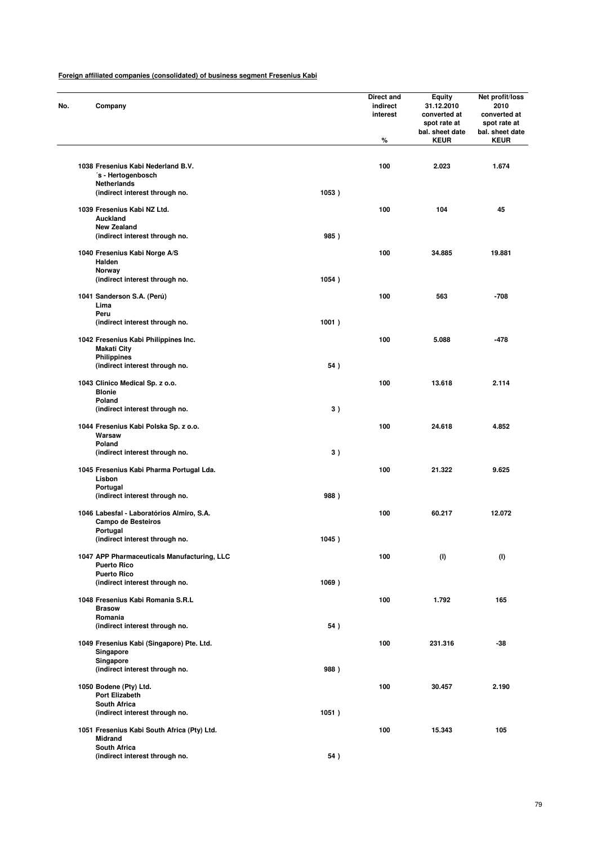| No. | Company                                                                    |       | Direct and<br>indirect<br>interest<br>% | <b>Equity</b><br>31.12.2010<br>converted at<br>spot rate at<br>bal. sheet date<br><b>KEUR</b> | Net profit/loss<br>2010<br>converted at<br>spot rate at<br>bal. sheet date<br><b>KEUR</b> |
|-----|----------------------------------------------------------------------------|-------|-----------------------------------------|-----------------------------------------------------------------------------------------------|-------------------------------------------------------------------------------------------|
|     | 1038 Fresenius Kabi Nederland B.V.                                         |       | 100                                     | 2.023                                                                                         | 1.674                                                                                     |
|     | ´s - Hertogenbosch<br><b>Netherlands</b><br>(indirect interest through no. | 1053) |                                         |                                                                                               |                                                                                           |
|     | 1039 Fresenius Kabi NZ Ltd.<br>Auckland                                    |       | 100                                     | 104                                                                                           | 45                                                                                        |
|     | <b>New Zealand</b>                                                         |       |                                         |                                                                                               |                                                                                           |
|     | (indirect interest through no.                                             | 985)  |                                         |                                                                                               |                                                                                           |
|     | 1040 Fresenius Kabi Norge A/S<br>Halden<br>Norway                          |       | 100                                     | 34.885                                                                                        | 19.881                                                                                    |
|     | (indirect interest through no.                                             | 1054) |                                         |                                                                                               |                                                                                           |
|     | 1041 Sanderson S.A. (Perú)<br>Lima                                         |       | 100                                     | 563                                                                                           | $-708$                                                                                    |
|     | Peru<br>(indirect interest through no.                                     | 1001) |                                         |                                                                                               |                                                                                           |
|     | 1042 Fresenius Kabi Philippines Inc.<br><b>Makati City</b>                 |       | 100                                     | 5.088                                                                                         | $-478$                                                                                    |
|     | <b>Philippines</b><br>(indirect interest through no.                       | 54)   |                                         |                                                                                               |                                                                                           |
|     | 1043 Clinico Medical Sp. z o.o.<br><b>Blonie</b>                           |       | 100                                     | 13.618                                                                                        | 2.114                                                                                     |
|     | Poland<br>(indirect interest through no.                                   | 3)    |                                         |                                                                                               |                                                                                           |
|     | 1044 Fresenius Kabi Polska Sp. z o.o.<br>Warsaw                            |       | 100                                     | 24.618                                                                                        | 4.852                                                                                     |
|     | Poland<br>(indirect interest through no.                                   | 3)    |                                         |                                                                                               |                                                                                           |
|     | 1045 Fresenius Kabi Pharma Portugal Lda.<br>Lisbon                         |       | 100                                     | 21.322                                                                                        | 9.625                                                                                     |
|     | Portugal<br>(indirect interest through no.                                 | 988)  |                                         |                                                                                               |                                                                                           |
|     | 1046 Labesfal - Laboratórios Almiro, S.A.<br><b>Campo de Besteiros</b>     |       | 100                                     | 60.217                                                                                        | 12.072                                                                                    |
|     | Portugal<br>(indirect interest through no.                                 | 1045) |                                         |                                                                                               |                                                                                           |
|     | 1047 APP Pharmaceuticals Manufacturing, LLC<br><b>Puerto Rico</b>          |       | 100                                     | (1)                                                                                           | (1)                                                                                       |
|     | <b>Puerto Rico</b><br>(indirect interest through no.                       | 1069) |                                         |                                                                                               |                                                                                           |
|     | 1048 Fresenius Kabi Romania S.R.L<br><b>Brasow</b>                         |       | 100                                     | 1.792                                                                                         | 165                                                                                       |
|     | Romania<br>(indirect interest through no.                                  | 54)   |                                         |                                                                                               |                                                                                           |
|     | 1049 Fresenius Kabi (Singapore) Pte. Ltd.<br>Singapore                     |       | 100                                     | 231.316                                                                                       | $-38$                                                                                     |
|     | Singapore<br>(indirect interest through no.                                | 988)  |                                         |                                                                                               |                                                                                           |
|     | 1050 Bodene (Pty) Ltd.<br>Port Elizabeth                                   |       | 100                                     | 30.457                                                                                        | 2.190                                                                                     |
|     | <b>South Africa</b><br>(indirect interest through no.                      | 1051) |                                         |                                                                                               |                                                                                           |
|     | 1051 Fresenius Kabi South Africa (Pty) Ltd.<br><b>Midrand</b>              |       | 100                                     | 15.343                                                                                        | 105                                                                                       |
|     | <b>South Africa</b><br>(indirect interest through no.                      | 54)   |                                         |                                                                                               |                                                                                           |
|     |                                                                            |       |                                         |                                                                                               |                                                                                           |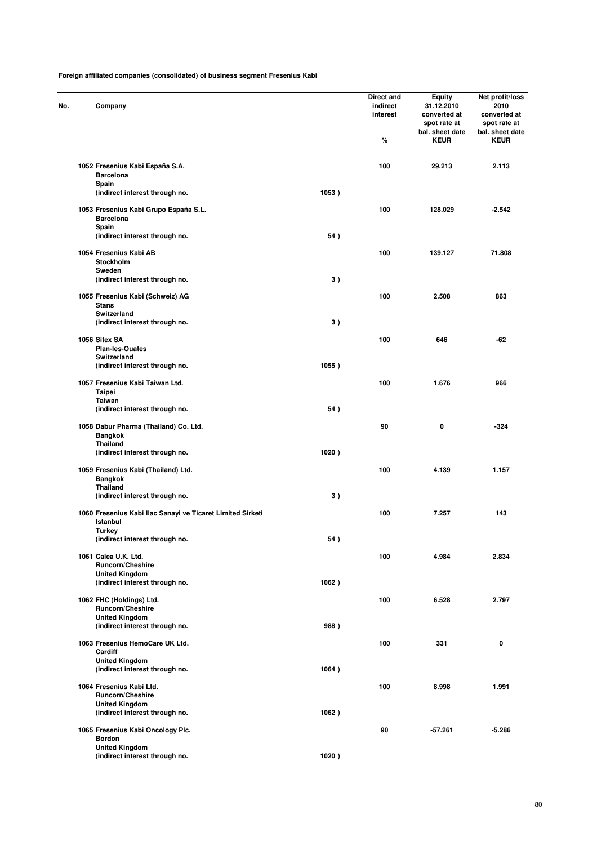| No. | Company                                                                          |       | Direct and<br>indirect<br>interest<br>% | <b>Equity</b><br>31.12.2010<br>converted at<br>spot rate at<br>bal. sheet date<br><b>KEUR</b> | Net profit/loss<br>2010<br>converted at<br>spot rate at<br>bal. sheet date<br><b>KEUR</b> |
|-----|----------------------------------------------------------------------------------|-------|-----------------------------------------|-----------------------------------------------------------------------------------------------|-------------------------------------------------------------------------------------------|
|     | 1052 Fresenius Kabi España S.A.                                                  |       | 100                                     | 29.213                                                                                        | 2.113                                                                                     |
|     | <b>Barcelona</b><br>Spain                                                        |       |                                         |                                                                                               |                                                                                           |
|     | (indirect interest through no.                                                   | 1053) |                                         |                                                                                               |                                                                                           |
|     | 1053 Fresenius Kabi Grupo España S.L.<br><b>Barcelona</b><br>Spain               |       | 100                                     | 128.029                                                                                       | $-2.542$                                                                                  |
|     | (indirect interest through no.                                                   | 54)   |                                         |                                                                                               |                                                                                           |
|     | 1054 Fresenius Kabi AB<br>Stockholm<br>Sweden                                    |       | 100                                     | 139.127                                                                                       | 71.808                                                                                    |
|     | (indirect interest through no.                                                   | 3)    |                                         |                                                                                               |                                                                                           |
|     | 1055 Fresenius Kabi (Schweiz) AG<br><b>Stans</b>                                 |       | 100                                     | 2.508                                                                                         | 863                                                                                       |
|     | <b>Switzerland</b><br>(indirect interest through no.                             | 3)    |                                         |                                                                                               |                                                                                           |
|     |                                                                                  |       |                                         |                                                                                               |                                                                                           |
|     | 1056 Sitex SA<br><b>Plan-les-Ouates</b>                                          |       | 100                                     | 646                                                                                           | $-62$                                                                                     |
|     | Switzerland                                                                      |       |                                         |                                                                                               |                                                                                           |
|     | (indirect interest through no.                                                   | 1055) |                                         |                                                                                               |                                                                                           |
|     | 1057 Fresenius Kabi Taiwan Ltd.<br>Taipei                                        |       | 100                                     | 1.676                                                                                         | 966                                                                                       |
|     | <b>Taiwan</b><br>(indirect interest through no.                                  | 54)   |                                         |                                                                                               |                                                                                           |
|     | 1058 Dabur Pharma (Thailand) Co. Ltd.<br><b>Bangkok</b><br>Thailand              |       | 90                                      | 0                                                                                             | $-324$                                                                                    |
|     | (indirect interest through no.                                                   | 1020) |                                         |                                                                                               |                                                                                           |
|     | 1059 Fresenius Kabi (Thailand) Ltd.<br><b>Bangkok</b>                            |       | 100                                     | 4.139                                                                                         | 1.157                                                                                     |
|     | <b>Thailand</b><br>(indirect interest through no.                                | 3)    |                                         |                                                                                               |                                                                                           |
|     |                                                                                  |       |                                         |                                                                                               |                                                                                           |
|     | 1060 Fresenius Kabi Ilac Sanayi ve Ticaret Limited Sirketi<br>Istanbul<br>Turkey |       | 100                                     | 7.257                                                                                         | 143                                                                                       |
|     | (indirect interest through no.                                                   | 54)   |                                         |                                                                                               |                                                                                           |
|     | 1061 Calea U.K. Ltd.<br><b>Runcorn/Cheshire</b><br><b>United Kingdom</b>         |       | 100                                     | 4.984                                                                                         | 2.834                                                                                     |
|     | (indirect interest through no.                                                   | 1062) |                                         |                                                                                               |                                                                                           |
|     | 1062 FHC (Holdings) Ltd.<br>Runcorn/Cheshire                                     |       | 100                                     | 6.528                                                                                         | 2.797                                                                                     |
|     | <b>United Kingdom</b><br>(indirect interest through no.                          | 988)  |                                         |                                                                                               |                                                                                           |
|     |                                                                                  |       |                                         |                                                                                               |                                                                                           |
|     | 1063 Fresenius HemoCare UK Ltd.<br>Cardiff<br><b>United Kingdom</b>              |       | 100                                     | 331                                                                                           | 0                                                                                         |
|     | (indirect interest through no.                                                   | 1064) |                                         |                                                                                               |                                                                                           |
|     | 1064 Fresenius Kabi Ltd.<br><b>Runcorn/Cheshire</b>                              |       | 100                                     | 8.998                                                                                         | 1.991                                                                                     |
|     | <b>United Kingdom</b><br>(indirect interest through no.                          | 1062) |                                         |                                                                                               |                                                                                           |
|     | 1065 Fresenius Kabi Oncology Plc.<br><b>Bordon</b>                               |       | 90                                      | -57.261                                                                                       | -5.286                                                                                    |
|     | <b>United Kingdom</b><br>(indirect interest through no.                          | 1020) |                                         |                                                                                               |                                                                                           |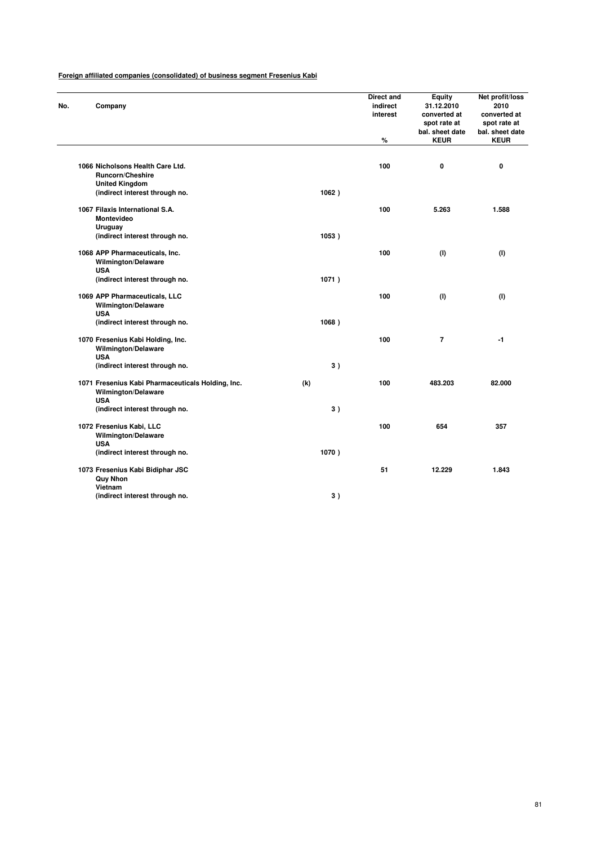| No. | Company                                                                                       |       | Direct and<br>indirect<br>interest<br>% | <b>Equity</b><br>31.12.2010<br>converted at<br>spot rate at<br>bal. sheet date<br><b>KEUR</b> | Net profit/loss<br>2010<br>converted at<br>spot rate at<br>bal. sheet date<br><b>KEUR</b> |
|-----|-----------------------------------------------------------------------------------------------|-------|-----------------------------------------|-----------------------------------------------------------------------------------------------|-------------------------------------------------------------------------------------------|
|     |                                                                                               |       |                                         |                                                                                               |                                                                                           |
|     | 1066 Nicholsons Health Care Ltd.<br><b>Runcorn/Cheshire</b>                                   |       | 100                                     | 0                                                                                             | 0                                                                                         |
|     | <b>United Kingdom</b><br>(indirect interest through no.                                       | 1062) |                                         |                                                                                               |                                                                                           |
|     | 1067 Filaxis International S.A.<br>Montevideo<br><b>Uruguay</b>                               |       | 100                                     | 5.263                                                                                         | 1.588                                                                                     |
|     | (indirect interest through no.                                                                | 1053) |                                         |                                                                                               |                                                                                           |
|     | 1068 APP Pharmaceuticals, Inc.<br>Wilmington/Delaware<br><b>USA</b>                           |       | 100                                     | (1)                                                                                           | (1)                                                                                       |
|     | (indirect interest through no.                                                                | 1071) |                                         |                                                                                               |                                                                                           |
|     | 1069 APP Pharmaceuticals, LLC<br>Wilmington/Delaware<br><b>USA</b>                            |       | 100                                     | (1)                                                                                           | (1)                                                                                       |
|     | (indirect interest through no.                                                                | 1068) |                                         |                                                                                               |                                                                                           |
|     | 1070 Fresenius Kabi Holding, Inc.<br><b>Wilmington/Delaware</b><br><b>USA</b>                 |       | 100                                     | $\overline{7}$                                                                                | $-1$                                                                                      |
|     | (indirect interest through no.                                                                | 3)    |                                         |                                                                                               |                                                                                           |
|     | 1071 Fresenius Kabi Pharmaceuticals Holding, Inc.<br><b>Wilmington/Delaware</b><br><b>USA</b> | (k)   | 100                                     | 483.203                                                                                       | 82.000                                                                                    |
|     | (indirect interest through no.                                                                | 3)    |                                         |                                                                                               |                                                                                           |
|     | 1072 Fresenius Kabi, LLC<br><b>Wilmington/Delaware</b><br><b>USA</b>                          |       | 100                                     | 654                                                                                           | 357                                                                                       |
|     | (indirect interest through no.                                                                | 1070) |                                         |                                                                                               |                                                                                           |
|     | 1073 Fresenius Kabi Bidiphar JSC<br><b>Quy Nhon</b>                                           |       | 51                                      | 12.229                                                                                        | 1.843                                                                                     |
|     | Vietnam<br>(indirect interest through no.                                                     | 3)    |                                         |                                                                                               |                                                                                           |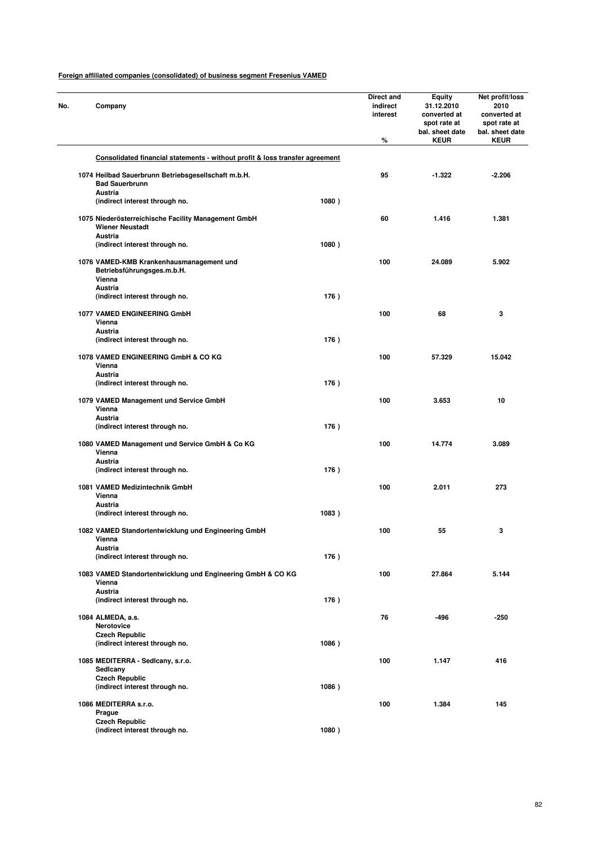| No. | Company                                                                                         |       | Direct and<br>indirect<br>interest<br>% | <b>Equity</b><br>31.12.2010<br>converted at<br>spot rate at<br>bal. sheet date<br><b>KEUR</b> | Net profit/loss<br>2010<br>converted at<br>spot rate at<br>bal. sheet date<br><b>KEUR</b> |
|-----|-------------------------------------------------------------------------------------------------|-------|-----------------------------------------|-----------------------------------------------------------------------------------------------|-------------------------------------------------------------------------------------------|
|     | Consolidated financial statements - without profit & loss transfer agreement                    |       |                                         |                                                                                               |                                                                                           |
|     | 1074 Heilbad Sauerbrunn Betriebsgesellschaft m.b.H.                                             |       | 95                                      | $-1.322$                                                                                      | $-2.206$                                                                                  |
|     | <b>Bad Sauerbrunn</b>                                                                           |       |                                         |                                                                                               |                                                                                           |
|     | Austria                                                                                         |       |                                         |                                                                                               |                                                                                           |
|     | (indirect interest through no.                                                                  | 1080) |                                         |                                                                                               |                                                                                           |
|     | 1075 Niederösterreichische Facility Management GmbH<br><b>Wiener Neustadt</b><br><b>Austria</b> |       | 60                                      | 1.416                                                                                         | 1.381                                                                                     |
|     | (indirect interest through no.                                                                  | 1080) |                                         |                                                                                               |                                                                                           |
|     | 1076 VAMED-KMB Krankenhausmanagement und<br>Betriebsführungsges.m.b.H.<br>Vienna                |       | 100                                     | 24.089                                                                                        | 5.902                                                                                     |
|     | Austria                                                                                         |       |                                         |                                                                                               |                                                                                           |
|     | (indirect interest through no.                                                                  | 176)  |                                         |                                                                                               |                                                                                           |
|     | 1077 VAMED ENGINEERING GmbH<br>Vienna                                                           |       | 100                                     | 68                                                                                            | 3                                                                                         |
|     | Austria                                                                                         |       |                                         |                                                                                               |                                                                                           |
|     | (indirect interest through no.                                                                  | 176)  |                                         |                                                                                               |                                                                                           |
|     | 1078 VAMED ENGINEERING GmbH & CO KG<br>Vienna<br>Austria                                        |       | 100                                     | 57.329                                                                                        | 15.042                                                                                    |
|     | (indirect interest through no.                                                                  | 176)  |                                         |                                                                                               |                                                                                           |
|     | 1079 VAMED Management und Service GmbH<br>Vienna                                                |       | 100                                     | 3.653                                                                                         | 10                                                                                        |
|     | Austria                                                                                         |       |                                         |                                                                                               |                                                                                           |
|     | (indirect interest through no.                                                                  | 176)  |                                         |                                                                                               |                                                                                           |
|     | 1080 VAMED Management und Service GmbH & Co KG<br>Vienna                                        |       | 100                                     | 14.774                                                                                        | 3.089                                                                                     |
|     | Austria<br>(indirect interest through no.                                                       | 176)  |                                         |                                                                                               |                                                                                           |
|     |                                                                                                 |       |                                         |                                                                                               |                                                                                           |
|     | 1081 VAMED Medizintechnik GmbH<br>Vienna<br>Austria                                             |       | 100                                     | 2.011                                                                                         | 273                                                                                       |
|     | (indirect interest through no.                                                                  | 1083) |                                         |                                                                                               |                                                                                           |
|     | 1082 VAMED Standortentwicklung und Engineering GmbH<br>vienna                                   |       | 100                                     | 55                                                                                            | 3                                                                                         |
|     | Austria                                                                                         |       |                                         |                                                                                               |                                                                                           |
|     | (indirect interest through no.                                                                  | 176)  |                                         |                                                                                               |                                                                                           |
|     | 1083 VAMED Standortentwicklung und Engineering GmbH & CO KG<br>Vienna<br><b>Austria</b>         |       | 100                                     | 27.864                                                                                        | 5.144                                                                                     |
|     | (indirect interest through no.                                                                  | 176)  |                                         |                                                                                               |                                                                                           |
|     |                                                                                                 |       |                                         |                                                                                               |                                                                                           |
|     | 1084 ALMEDA, a.s.<br>Nerotovice                                                                 |       | 76                                      | -496                                                                                          | $-250$                                                                                    |
|     | <b>Czech Republic</b>                                                                           |       |                                         |                                                                                               |                                                                                           |
|     | (indirect interest through no.                                                                  | 1086) |                                         |                                                                                               |                                                                                           |
|     | 1085 MEDITERRA - Sedicany, s.r.o.<br>Sedicany                                                   |       | 100                                     | 1.147                                                                                         | 416                                                                                       |
|     | <b>Czech Republic</b><br>(indirect interest through no.                                         | 1086) |                                         |                                                                                               |                                                                                           |
|     |                                                                                                 |       |                                         |                                                                                               |                                                                                           |
|     | 1086 MEDITERRA s.r.o.<br>Prague                                                                 |       | 100                                     | 1.384                                                                                         | 145                                                                                       |
|     | <b>Czech Republic</b>                                                                           |       |                                         |                                                                                               |                                                                                           |
|     | (indirect interest through no.                                                                  | 1080) |                                         |                                                                                               |                                                                                           |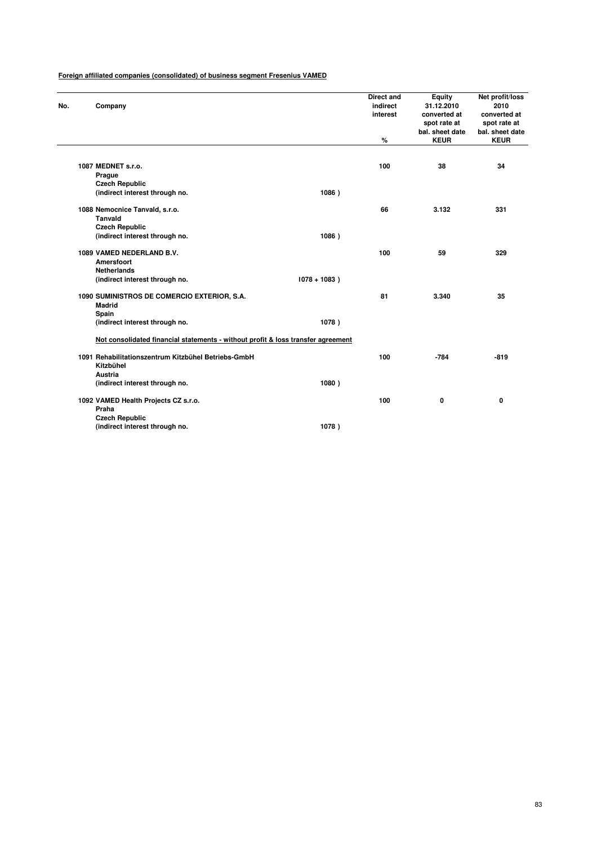| No. | Company                                                                          |                 | Direct and<br>indirect<br>interest | <b>Equity</b><br>31.12.2010<br>converted at<br>spot rate at<br>bal. sheet date | Net profit/loss<br>2010<br>converted at<br>spot rate at<br>bal. sheet date |
|-----|----------------------------------------------------------------------------------|-----------------|------------------------------------|--------------------------------------------------------------------------------|----------------------------------------------------------------------------|
|     |                                                                                  |                 | %                                  | <b>KEUR</b>                                                                    | <b>KEUR</b>                                                                |
|     |                                                                                  |                 |                                    |                                                                                |                                                                            |
|     | 1087 MEDNET s.r.o.                                                               |                 | 100                                | 38                                                                             | 34                                                                         |
|     | Prague                                                                           |                 |                                    |                                                                                |                                                                            |
|     | <b>Czech Republic</b>                                                            |                 |                                    |                                                                                |                                                                            |
|     | (indirect interest through no.                                                   | 1086)           |                                    |                                                                                |                                                                            |
|     | 1088 Nemocnice Tanvald, s.r.o.                                                   |                 | 66                                 | 3.132                                                                          | 331                                                                        |
|     | <b>Tanvald</b>                                                                   |                 |                                    |                                                                                |                                                                            |
|     | <b>Czech Republic</b>                                                            |                 |                                    |                                                                                |                                                                            |
|     | (indirect interest through no.                                                   | 1086)           |                                    |                                                                                |                                                                            |
|     | 1089 VAMED NEDERLAND B.V.                                                        |                 | 100                                | 59                                                                             | 329                                                                        |
|     | Amersfoort                                                                       |                 |                                    |                                                                                |                                                                            |
|     | <b>Netherlands</b>                                                               |                 |                                    |                                                                                |                                                                            |
|     | (indirect interest through no.                                                   | $1078 + 1083$ ) |                                    |                                                                                |                                                                            |
|     | 1090 SUMINISTROS DE COMERCIO EXTERIOR, S.A.<br>Madrid                            |                 | 81                                 | 3.340                                                                          | 35                                                                         |
|     | Spain                                                                            |                 |                                    |                                                                                |                                                                            |
|     | (indirect interest through no.                                                   | 1078)           |                                    |                                                                                |                                                                            |
|     | Not consolidated financial statements - without profit & loss transfer agreement |                 |                                    |                                                                                |                                                                            |
|     | 1091 Rehabilitationszentrum Kitzbühel Betriebs-GmbH<br>Kitzbühel                 |                 | 100                                | $-784$                                                                         | $-819$                                                                     |
|     | Austria                                                                          |                 |                                    |                                                                                |                                                                            |
|     | (indirect interest through no.                                                   | 1080)           |                                    |                                                                                |                                                                            |
|     | 1092 VAMED Health Projects CZ s.r.o.                                             |                 | 100                                | 0                                                                              | 0                                                                          |
|     | Praha                                                                            |                 |                                    |                                                                                |                                                                            |
|     | <b>Czech Republic</b>                                                            |                 |                                    |                                                                                |                                                                            |
|     | (indirect interest through no.                                                   | 1078)           |                                    |                                                                                |                                                                            |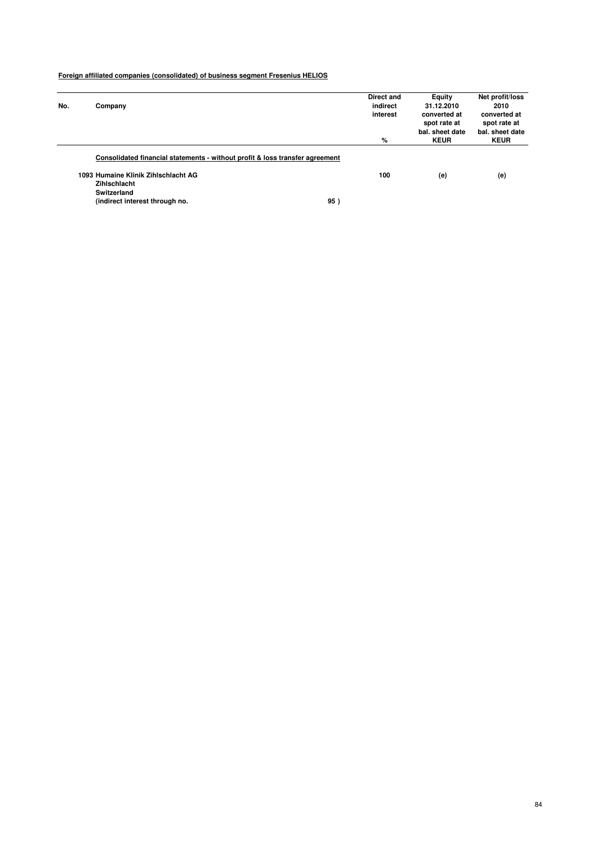| No. | Company                                                                      | Direct and<br>indirect | Equity<br>31.12.2010         | Net profit/loss<br>2010      |
|-----|------------------------------------------------------------------------------|------------------------|------------------------------|------------------------------|
|     |                                                                              | interest               | converted at<br>spot rate at | converted at<br>spot rate at |
|     |                                                                              |                        | bal, sheet date              | bal. sheet date              |
|     |                                                                              | %                      | <b>KEUR</b>                  | <b>KEUR</b>                  |
|     | Consolidated financial statements - without profit & loss transfer agreement |                        |                              |                              |
|     | 1093 Humaine Klinik Zihlschlacht AG                                          | 100                    | (e)                          | (e)                          |
|     | Zihlschlacht                                                                 |                        |                              |                              |
|     | <b>Switzerland</b>                                                           |                        |                              |                              |
|     | (indirect interest through no.                                               | 95                     |                              |                              |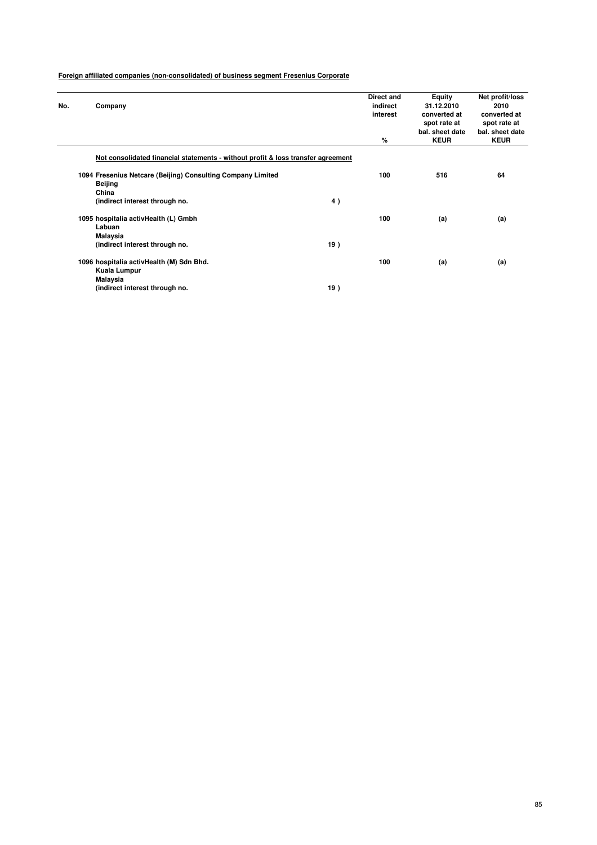| No. | Company                                                                          |     | Direct and<br>indirect<br>interest<br>% | <b>Equity</b><br>31.12.2010<br>converted at<br>spot rate at<br>bal, sheet date<br><b>KEUR</b> | Net profit/loss<br>2010<br>converted at<br>spot rate at<br>bal, sheet date<br><b>KEUR</b> |
|-----|----------------------------------------------------------------------------------|-----|-----------------------------------------|-----------------------------------------------------------------------------------------------|-------------------------------------------------------------------------------------------|
|     | Not consolidated financial statements - without profit & loss transfer agreement |     |                                         |                                                                                               |                                                                                           |
|     | 1094 Fresenius Netcare (Beijing) Consulting Company Limited<br>Beijing<br>China  |     | 100                                     | 516                                                                                           | 64                                                                                        |
|     | (indirect interest through no.                                                   | 4)  |                                         |                                                                                               |                                                                                           |
|     | 1095 hospitalia activHealth (L) Gmbh<br>Labuan<br>Malaysia                       |     | 100                                     | (a)                                                                                           | (a)                                                                                       |
|     | (indirect interest through no.                                                   | 19) |                                         |                                                                                               |                                                                                           |
|     | 1096 hospitalia activHealth (M) Sdn Bhd.<br>Kuala Lumpur<br>Malaysia             |     | 100                                     | (a)                                                                                           | (a)                                                                                       |
|     | (indirect interest through no.                                                   | 19) |                                         |                                                                                               |                                                                                           |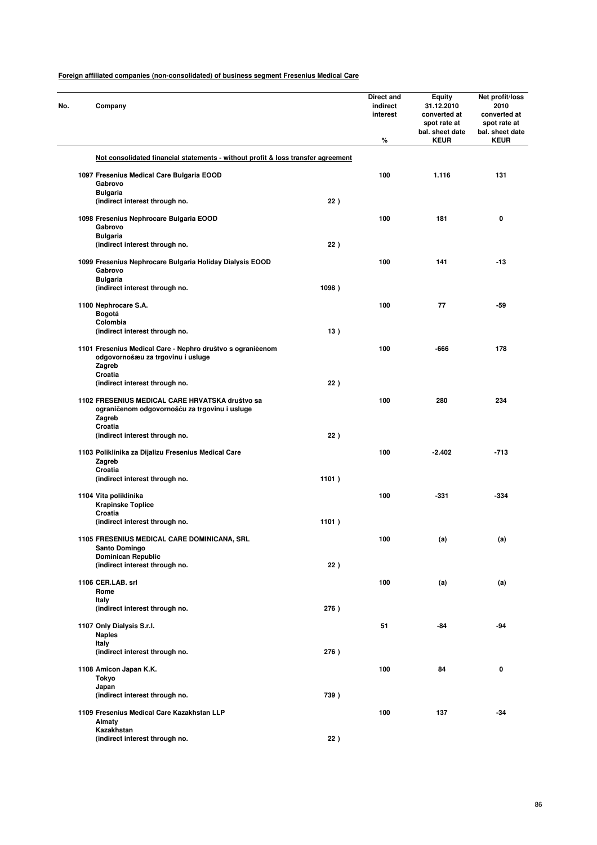| No. | Company                                                                                                    |       | Direct and<br>indirect<br>interest<br>% | Equity<br>31.12.2010<br>converted at<br>spot rate at<br>bal. sheet date<br><b>KEUR</b> | Net profit/loss<br>2010<br>converted at<br>spot rate at<br>bal. sheet date<br><b>KEUR</b> |
|-----|------------------------------------------------------------------------------------------------------------|-------|-----------------------------------------|----------------------------------------------------------------------------------------|-------------------------------------------------------------------------------------------|
|     | Not consolidated financial statements - without profit & loss transfer agreement                           |       |                                         |                                                                                        |                                                                                           |
|     | 1097 Fresenius Medical Care Bulgaria EOOD                                                                  |       | 100                                     | 1.116                                                                                  | 131                                                                                       |
|     | Gabrovo                                                                                                    |       |                                         |                                                                                        |                                                                                           |
|     | <b>Bulgaria</b><br>(indirect interest through no.                                                          | 22)   |                                         |                                                                                        |                                                                                           |
|     |                                                                                                            |       |                                         |                                                                                        |                                                                                           |
|     | 1098 Fresenius Nephrocare Bulgaria EOOD                                                                    |       | 100                                     | 181                                                                                    | 0                                                                                         |
|     | Gabrovo                                                                                                    |       |                                         |                                                                                        |                                                                                           |
|     | <b>Bulgaria</b>                                                                                            | 22)   |                                         |                                                                                        |                                                                                           |
|     | (indirect interest through no.                                                                             |       |                                         |                                                                                        |                                                                                           |
|     | 1099 Fresenius Nephrocare Bulgaria Holiday Dialysis EOOD                                                   |       | 100                                     | 141                                                                                    | $-13$                                                                                     |
|     | Gabrovo                                                                                                    |       |                                         |                                                                                        |                                                                                           |
|     | <b>Bulgaria</b>                                                                                            |       |                                         |                                                                                        |                                                                                           |
|     | (indirect interest through no.                                                                             | 1098) |                                         |                                                                                        |                                                                                           |
|     | 1100 Nephrocare S.A.                                                                                       |       | 100                                     | 77                                                                                     | -59                                                                                       |
|     | Bogotá                                                                                                     |       |                                         |                                                                                        |                                                                                           |
|     | Colombia                                                                                                   |       |                                         |                                                                                        |                                                                                           |
|     | (indirect interest through no.                                                                             | 13)   |                                         |                                                                                        |                                                                                           |
|     | 1101 Fresenius Medical Care - Nephro društvo s ogranièenom<br>odgovornošæu za trgovinu i usluge<br>Zagreb  |       | 100                                     | -666                                                                                   | 178                                                                                       |
|     | Croatia                                                                                                    |       |                                         |                                                                                        |                                                                                           |
|     | (indirect interest through no.                                                                             | 22)   |                                         |                                                                                        |                                                                                           |
|     | 1102 FRESENIUS MEDICAL CARE HRVATSKA društvo sa<br>ograničenom odgovornošću za trgovinu i usluge<br>Zagreb |       | 100                                     | 280                                                                                    | 234                                                                                       |
|     | Croatia<br>(indirect interest through no.                                                                  | 22)   |                                         |                                                                                        |                                                                                           |
|     | 1103 Poliklinika za Dijalizu Fresenius Medical Care<br>Zagreb                                              |       | 100                                     | $-2.402$                                                                               | $-713$                                                                                    |
|     | Croatia<br>(indirect interest through no.                                                                  | 1101) |                                         |                                                                                        |                                                                                           |
|     |                                                                                                            |       |                                         |                                                                                        |                                                                                           |
|     | 1104 Vita poliklinika<br><b>Krapinske Toplice</b>                                                          |       | 100                                     | $-331$                                                                                 | $-334$                                                                                    |
|     | Croatia                                                                                                    |       |                                         |                                                                                        |                                                                                           |
|     | (indirect interest through no.                                                                             | 1101) |                                         |                                                                                        |                                                                                           |
|     | 1105 FRESENIUS MEDICAL CARE DOMINICANA, SRL                                                                |       | 100                                     | (a)                                                                                    | (a)                                                                                       |
|     | Santo Domingo                                                                                              |       |                                         |                                                                                        |                                                                                           |
|     | <b>Dominican Republic</b>                                                                                  |       |                                         |                                                                                        |                                                                                           |
|     | (indirect interest through no.                                                                             | 22)   |                                         |                                                                                        |                                                                                           |
|     | 1106 CER.LAB. srl                                                                                          |       | 100                                     | (a)                                                                                    | (a)                                                                                       |
|     | Rome                                                                                                       |       |                                         |                                                                                        |                                                                                           |
|     | Italy                                                                                                      |       |                                         |                                                                                        |                                                                                           |
|     | (indirect interest through no.                                                                             | 276)  |                                         |                                                                                        |                                                                                           |
|     |                                                                                                            |       | 51                                      | -84                                                                                    | -94                                                                                       |
|     | 1107 Only Dialysis S.r.l.<br><b>Naples</b>                                                                 |       |                                         |                                                                                        |                                                                                           |
|     | Italy                                                                                                      |       |                                         |                                                                                        |                                                                                           |
|     | (indirect interest through no.                                                                             | 276)  |                                         |                                                                                        |                                                                                           |
|     |                                                                                                            |       | 100                                     | 84                                                                                     | 0                                                                                         |
|     | 1108 Amicon Japan K.K.<br>Tokyo                                                                            |       |                                         |                                                                                        |                                                                                           |
|     | Japan                                                                                                      |       |                                         |                                                                                        |                                                                                           |
|     | (indirect interest through no.                                                                             | 739)  |                                         |                                                                                        |                                                                                           |
|     | 1109 Fresenius Medical Care Kazakhstan LLP                                                                 |       | 100                                     | 137                                                                                    | $-34$                                                                                     |
|     | Almaty                                                                                                     |       |                                         |                                                                                        |                                                                                           |
|     | Kazakhstan                                                                                                 |       |                                         |                                                                                        |                                                                                           |
|     | (indirect interest through no.                                                                             | 22)   |                                         |                                                                                        |                                                                                           |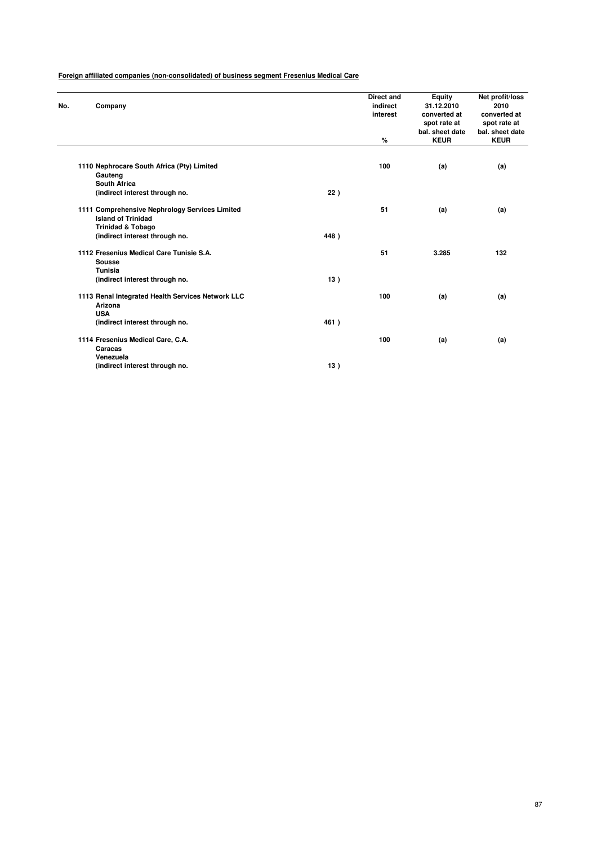|     |                                                   |      | Direct and | Equity          | Net profit/loss |
|-----|---------------------------------------------------|------|------------|-----------------|-----------------|
| No. | Company                                           |      | indirect   | 31.12.2010      | 2010            |
|     |                                                   |      | interest   | converted at    | converted at    |
|     |                                                   |      |            | spot rate at    | spot rate at    |
|     |                                                   |      |            | bal. sheet date | bal, sheet date |
|     |                                                   |      | %          | <b>KEUR</b>     | <b>KEUR</b>     |
|     |                                                   |      |            |                 |                 |
|     | 1110 Nephrocare South Africa (Pty) Limited        |      | 100        | (a)             | (a)             |
|     | Gauteng                                           |      |            |                 |                 |
|     | <b>South Africa</b>                               |      |            |                 |                 |
|     | (indirect interest through no.                    | 22)  |            |                 |                 |
|     | 1111 Comprehensive Nephrology Services Limited    |      | 51         | (a)             | (a)             |
|     | <b>Island of Trinidad</b>                         |      |            |                 |                 |
|     | <b>Trinidad &amp; Tobago</b>                      |      |            |                 |                 |
|     | (indirect interest through no.                    | 448) |            |                 |                 |
|     | 1112 Fresenius Medical Care Tunisie S.A.          |      | 51         | 3.285           | 132             |
|     | <b>Sousse</b>                                     |      |            |                 |                 |
|     | Tunisia                                           |      |            |                 |                 |
|     | (indirect interest through no.                    | 13)  |            |                 |                 |
|     | 1113 Renal Integrated Health Services Network LLC |      | 100        | (a)             | (a)             |
|     | Arizona                                           |      |            |                 |                 |
|     | <b>USA</b>                                        |      |            |                 |                 |
|     | (indirect interest through no.                    | 461) |            |                 |                 |
|     | 1114 Fresenius Medical Care, C.A.                 |      | 100        | (a)             | (a)             |
|     | Caracas                                           |      |            |                 |                 |
|     | Venezuela                                         |      |            |                 |                 |
|     | (indirect interest through no.                    | 13)  |            |                 |                 |
|     |                                                   |      |            |                 |                 |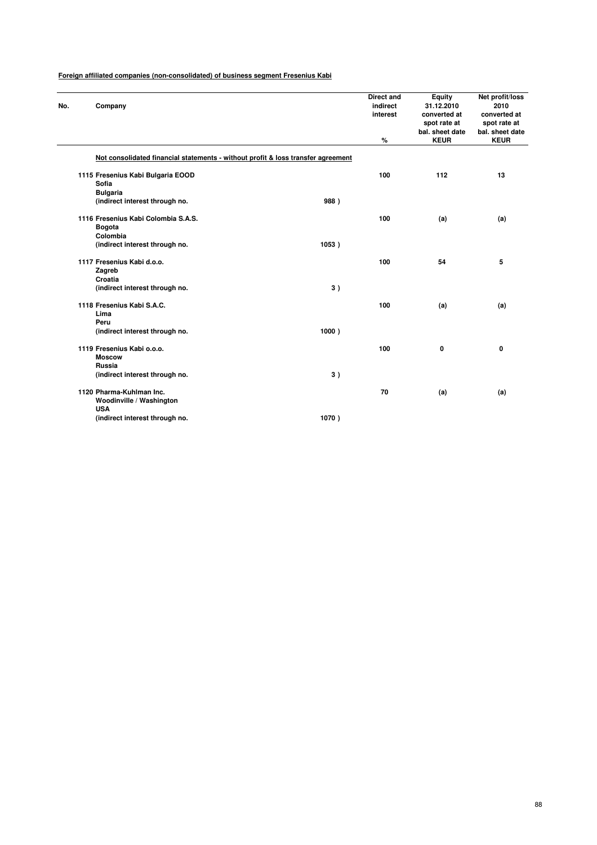| No. | Company                                                                          |       | <b>Direct and</b><br>indirect<br>interest | <b>Equity</b><br>31.12.2010<br>converted at<br>spot rate at | Net profit/loss<br>2010<br>converted at<br>spot rate at<br>bal. sheet date |
|-----|----------------------------------------------------------------------------------|-------|-------------------------------------------|-------------------------------------------------------------|----------------------------------------------------------------------------|
|     |                                                                                  |       | %                                         | bal. sheet date<br><b>KEUR</b>                              | <b>KEUR</b>                                                                |
|     | Not consolidated financial statements - without profit & loss transfer agreement |       |                                           |                                                             |                                                                            |
|     | 1115 Fresenius Kabi Bulgaria EOOD                                                |       | 100                                       | 112                                                         | 13                                                                         |
|     | Sofia                                                                            |       |                                           |                                                             |                                                                            |
|     | <b>Bulgaria</b>                                                                  |       |                                           |                                                             |                                                                            |
|     | (indirect interest through no.                                                   | 988)  |                                           |                                                             |                                                                            |
|     | 1116 Fresenius Kabi Colombia S.A.S.                                              |       | 100                                       | (a)                                                         | (a)                                                                        |
|     | Bogota                                                                           |       |                                           |                                                             |                                                                            |
|     | Colombia                                                                         |       |                                           |                                                             |                                                                            |
|     | (indirect interest through no.                                                   | 1053) |                                           |                                                             |                                                                            |
|     | 1117 Fresenius Kabi d.o.o.                                                       |       | 100                                       | 54                                                          | 5                                                                          |
|     | Zagreb                                                                           |       |                                           |                                                             |                                                                            |
|     | Croatia                                                                          |       |                                           |                                                             |                                                                            |
|     | (indirect interest through no.                                                   | 3)    |                                           |                                                             |                                                                            |
|     | 1118 Fresenius Kabi S.A.C.                                                       |       | 100                                       | (a)                                                         | (a)                                                                        |
|     | Lima                                                                             |       |                                           |                                                             |                                                                            |
|     | Peru                                                                             |       |                                           |                                                             |                                                                            |
|     | (indirect interest through no.                                                   | 1000) |                                           |                                                             |                                                                            |
|     | 1119 Fresenius Kabi o.o.o.                                                       |       | 100                                       | 0                                                           | 0                                                                          |
|     | <b>Moscow</b>                                                                    |       |                                           |                                                             |                                                                            |
|     | Russia                                                                           |       |                                           |                                                             |                                                                            |
|     | (indirect interest through no.                                                   | 3)    |                                           |                                                             |                                                                            |
|     | 1120 Pharma-Kuhlman Inc.                                                         |       | 70                                        | (a)                                                         | (a)                                                                        |
|     | Woodinville / Washington<br><b>USA</b>                                           |       |                                           |                                                             |                                                                            |
|     | (indirect interest through no.                                                   | 1070) |                                           |                                                             |                                                                            |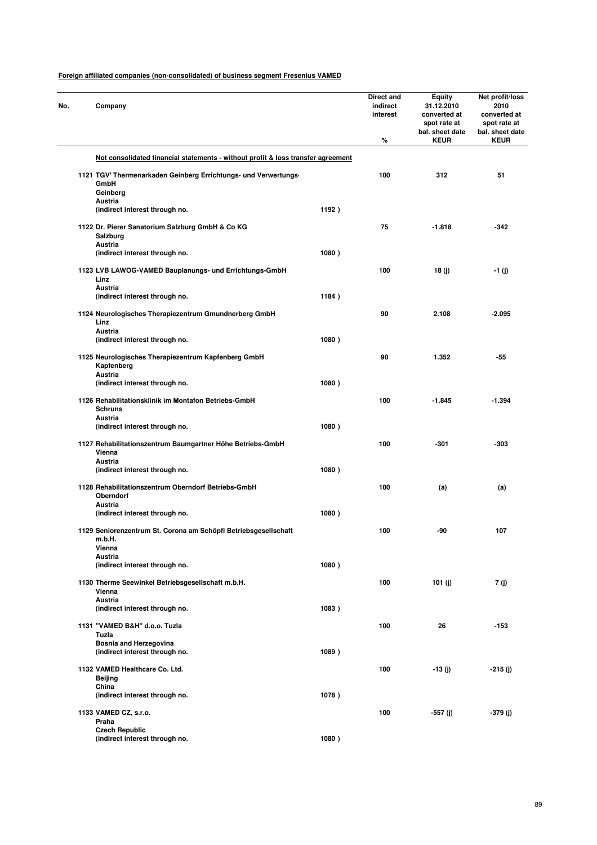| No. | Company                                                                          |       | Direct and<br>indirect<br>interest<br>% | Equity<br>31.12.2010<br>converted at<br>spot rate at<br>bal. sheet date<br><b>KEUR</b> | Net profit/loss<br>2010<br>converted at<br>spot rate at<br>bal. sheet date<br><b>KEUR</b> |
|-----|----------------------------------------------------------------------------------|-------|-----------------------------------------|----------------------------------------------------------------------------------------|-------------------------------------------------------------------------------------------|
|     | Not consolidated financial statements - without profit & loss transfer agreement |       |                                         |                                                                                        |                                                                                           |
|     | 1121 TGV' Thermenarkaden Geinberg Errichtungs- und Verwertungs-                  |       | 100                                     | 312                                                                                    | 51                                                                                        |
|     | GmbH                                                                             |       |                                         |                                                                                        |                                                                                           |
|     | Geinberg<br>Austria                                                              |       |                                         |                                                                                        |                                                                                           |
|     | (indirect interest through no.                                                   | 1192) |                                         |                                                                                        |                                                                                           |
|     | 1122 Dr. Pierer Sanatorium Salzburg GmbH & Co KG                                 |       | 75                                      | $-1.818$                                                                               | -342                                                                                      |
|     | Salzburg                                                                         |       |                                         |                                                                                        |                                                                                           |
|     | Austria                                                                          |       |                                         |                                                                                        |                                                                                           |
|     | (indirect interest through no.                                                   | 1080) |                                         |                                                                                        |                                                                                           |
|     | 1123 LVB LAWOG-VAMED Bauplanungs- und Errichtungs-GmbH                           |       | 100                                     | 18 (j)                                                                                 | -1 (j)                                                                                    |
|     | Linz                                                                             |       |                                         |                                                                                        |                                                                                           |
|     | <b>Austria</b><br>(indirect interest through no.                                 | 1184) |                                         |                                                                                        |                                                                                           |
|     |                                                                                  |       |                                         |                                                                                        |                                                                                           |
|     | 1124 Neurologisches Therapiezentrum Gmundnerberg GmbH                            |       | 90                                      | 2.108                                                                                  | $-2.095$                                                                                  |
|     | Linz<br><b>Austria</b>                                                           |       |                                         |                                                                                        |                                                                                           |
|     | (indirect interest through no.                                                   | 1080) |                                         |                                                                                        |                                                                                           |
|     |                                                                                  |       |                                         |                                                                                        |                                                                                           |
|     | 1125 Neurologisches Therapiezentrum Kapfenberg GmbH<br>Kapfenberg                |       | 90                                      | 1.352                                                                                  | -55                                                                                       |
|     | <b>Austria</b>                                                                   |       |                                         |                                                                                        |                                                                                           |
|     | (indirect interest through no.                                                   | 1080) |                                         |                                                                                        |                                                                                           |
|     | 1126 Rehabilitationsklinik im Montafon Betriebs-GmbH                             |       | 100                                     | $-1.845$                                                                               | $-1.394$                                                                                  |
|     | <b>Schruns</b>                                                                   |       |                                         |                                                                                        |                                                                                           |
|     | Austria                                                                          |       |                                         |                                                                                        |                                                                                           |
|     | (indirect interest through no.                                                   | 1080) |                                         |                                                                                        |                                                                                           |
|     | 1127 Rehabilitationszentrum Baumgartner Höhe Betriebs-GmbH                       |       | 100                                     | -301                                                                                   | -303                                                                                      |
|     | Vienna                                                                           |       |                                         |                                                                                        |                                                                                           |
|     | Austria<br>(indirect interest through no.                                        | 1080) |                                         |                                                                                        |                                                                                           |
|     |                                                                                  |       |                                         |                                                                                        |                                                                                           |
|     | 1128 Rehabilitationszentrum Oberndorf Betriebs-GmbH                              |       | 100                                     | (a)                                                                                    | (a)                                                                                       |
|     | Oberndorf<br>Austria                                                             |       |                                         |                                                                                        |                                                                                           |
|     | (indirect interest through no.                                                   | 1080) |                                         |                                                                                        |                                                                                           |
|     |                                                                                  |       |                                         |                                                                                        |                                                                                           |
|     | 1129 Seniorenzentrum St. Corona am Schöpfl Betriebsgesellschaft                  |       | 100                                     | -90                                                                                    | 107                                                                                       |
|     | m.b.H.<br>Vienna                                                                 |       |                                         |                                                                                        |                                                                                           |
|     | <b>Austria</b>                                                                   |       |                                         |                                                                                        |                                                                                           |
|     | (indirect interest through no.                                                   | 1080) |                                         |                                                                                        |                                                                                           |
|     | 1130 Therme Seewinkel Betriebsgesellschaft m.b.H.                                |       | 100                                     | 101 $(i)$                                                                              | 7 (j)                                                                                     |
|     | Vienna                                                                           |       |                                         |                                                                                        |                                                                                           |
|     | <b>Austria</b>                                                                   |       |                                         |                                                                                        |                                                                                           |
|     | (indirect interest through no.                                                   | 1083) |                                         |                                                                                        |                                                                                           |
|     | 1131 "VAMED B&H" d.o.o. Tuzla                                                    |       | 100                                     | 26                                                                                     | $-153$                                                                                    |
|     | Tuzla                                                                            |       |                                         |                                                                                        |                                                                                           |
|     | Bosnia and Herzegovina<br>(indirect interest through no.                         | 1089) |                                         |                                                                                        |                                                                                           |
|     |                                                                                  |       |                                         |                                                                                        |                                                                                           |
|     | 1132 VAMED Healthcare Co. Ltd.                                                   |       | 100                                     | $-13(j)$                                                                               | $-215(j)$                                                                                 |
|     | Beijing<br>China                                                                 |       |                                         |                                                                                        |                                                                                           |
|     | (indirect interest through no.                                                   | 1078) |                                         |                                                                                        |                                                                                           |
|     |                                                                                  |       |                                         |                                                                                        |                                                                                           |
|     | 1133 VAMED CZ, s.r.o.<br>Praha                                                   |       | 100                                     | -557 (j)                                                                               | $-379(j)$                                                                                 |
|     | <b>Czech Republic</b>                                                            |       |                                         |                                                                                        |                                                                                           |
|     | (indirect interest through no.                                                   | 1080) |                                         |                                                                                        |                                                                                           |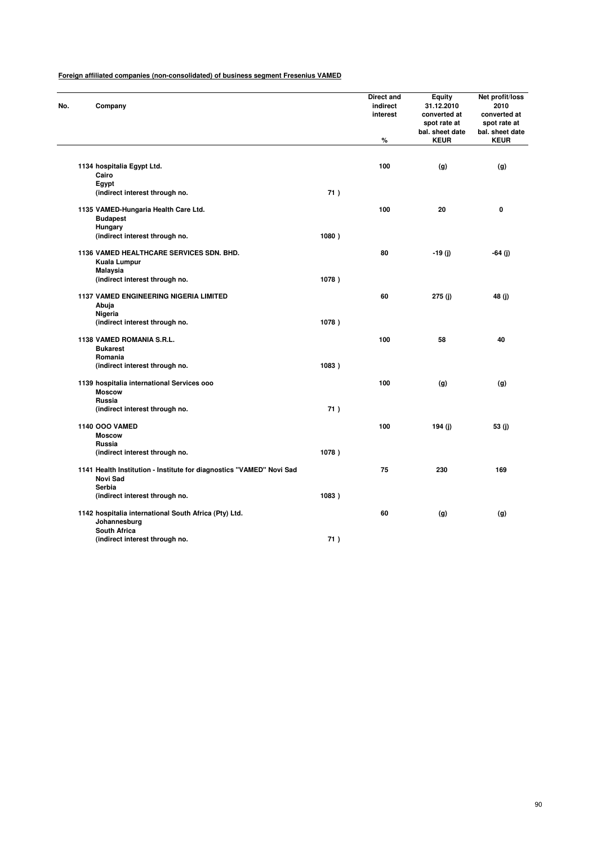| No. | Company                                                                          |       | Direct and<br>indirect<br>interest<br>$\%$ | <b>Equity</b><br>31.12.2010<br>converted at<br>spot rate at<br>bal. sheet date<br><b>KEUR</b> | Net profit/loss<br>2010<br>converted at<br>spot rate at<br>bal. sheet date<br><b>KEUR</b> |
|-----|----------------------------------------------------------------------------------|-------|--------------------------------------------|-----------------------------------------------------------------------------------------------|-------------------------------------------------------------------------------------------|
|     |                                                                                  |       |                                            |                                                                                               |                                                                                           |
|     | 1134 hospitalia Egypt Ltd.                                                       |       | 100                                        | (g)                                                                                           | (g)                                                                                       |
|     | Cairo<br>Egypt                                                                   |       |                                            |                                                                                               |                                                                                           |
|     | (indirect interest through no.                                                   | 71)   |                                            |                                                                                               |                                                                                           |
|     | 1135 VAMED-Hungaria Health Care Ltd.<br><b>Budapest</b>                          |       | 100                                        | 20                                                                                            | $\mathbf 0$                                                                               |
|     | Hungary                                                                          |       |                                            |                                                                                               |                                                                                           |
|     | (indirect interest through no.                                                   | 1080) |                                            |                                                                                               |                                                                                           |
|     | 1136 VAMED HEALTHCARE SERVICES SDN. BHD.<br>Kuala Lumpur                         |       | 80                                         | $-19(j)$                                                                                      | -64 (j)                                                                                   |
|     | Malaysia                                                                         |       |                                            |                                                                                               |                                                                                           |
|     | (indirect interest through no.                                                   | 1078) |                                            |                                                                                               |                                                                                           |
|     | 1137 VAMED ENGINEERING NIGERIA LIMITED<br>Abuja                                  |       | 60                                         | 275(j)                                                                                        | 48 (j)                                                                                    |
|     | Nigeria                                                                          |       |                                            |                                                                                               |                                                                                           |
|     | (indirect interest through no.                                                   | 1078) |                                            |                                                                                               |                                                                                           |
|     | 1138 VAMED ROMANIA S.R.L.<br><b>Bukarest</b>                                     |       | 100                                        | 58                                                                                            | 40                                                                                        |
|     | Romania                                                                          |       |                                            |                                                                                               |                                                                                           |
|     | (indirect interest through no.                                                   | 1083) |                                            |                                                                                               |                                                                                           |
|     | 1139 hospitalia international Services ooo<br><b>Moscow</b>                      |       | 100                                        | (g)                                                                                           | (g)                                                                                       |
|     | Russia                                                                           |       |                                            |                                                                                               |                                                                                           |
|     | (indirect interest through no.                                                   | 71)   |                                            |                                                                                               |                                                                                           |
|     | <b>1140 OOO VAMED</b>                                                            |       | 100                                        | 194 (j)                                                                                       | 53 (j)                                                                                    |
|     | <b>Moscow</b>                                                                    |       |                                            |                                                                                               |                                                                                           |
|     | Russia                                                                           |       |                                            |                                                                                               |                                                                                           |
|     | (indirect interest through no.                                                   | 1078) |                                            |                                                                                               |                                                                                           |
|     | 1141 Health Institution - Institute for diagnostics "VAMED" Novi Sad<br>Novi Sad |       | 75                                         | 230                                                                                           | 169                                                                                       |
|     | Serbia                                                                           |       |                                            |                                                                                               |                                                                                           |
|     | (indirect interest through no.                                                   | 1083) |                                            |                                                                                               |                                                                                           |
|     | 1142 hospitalia international South Africa (Pty) Ltd.<br>Johannesburg            |       | 60                                         | (g)                                                                                           | (g)                                                                                       |
|     | <b>South Africa</b>                                                              |       |                                            |                                                                                               |                                                                                           |
|     | (indirect interest through no.                                                   | 71)   |                                            |                                                                                               |                                                                                           |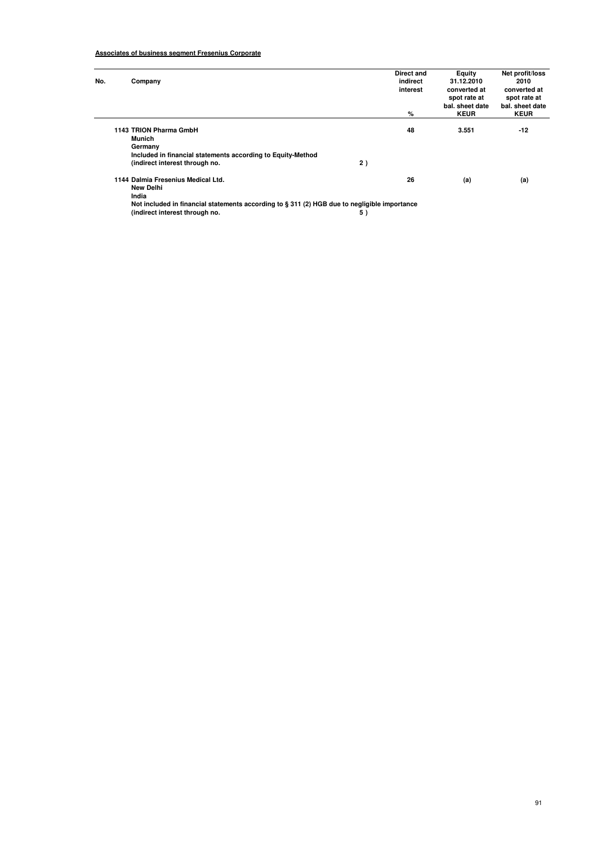# **Associates of business segment Fresenius Corporate**

| No. | Company                                                                                      |    | Direct and<br>indirect<br>interest | Equity<br>31.12.2010<br>converted at | Net profit/loss<br>2010<br>converted at |
|-----|----------------------------------------------------------------------------------------------|----|------------------------------------|--------------------------------------|-----------------------------------------|
|     |                                                                                              |    |                                    | spot rate at<br>bal. sheet date      | spot rate at<br>bal. sheet date         |
|     |                                                                                              |    | %                                  | <b>KEUR</b>                          | <b>KEUR</b>                             |
|     | 1143 TRION Pharma GmbH                                                                       |    | 48                                 | 3.551                                | $-12$                                   |
|     | Munich                                                                                       |    |                                    |                                      |                                         |
|     | Germany                                                                                      |    |                                    |                                      |                                         |
|     | Included in financial statements according to Equity-Method                                  |    |                                    |                                      |                                         |
|     | (indirect interest through no.                                                               | 2) |                                    |                                      |                                         |
|     | 1144 Dalmia Fresenius Medical Ltd.                                                           |    | 26                                 | (a)                                  | (a)                                     |
|     | <b>New Delhi</b>                                                                             |    |                                    |                                      |                                         |
|     | India                                                                                        |    |                                    |                                      |                                         |
|     | Not included in financial statements according to § 311 (2) HGB due to negligible importance |    |                                    |                                      |                                         |
|     | (indirect interest through no.                                                               | 5) |                                    |                                      |                                         |

91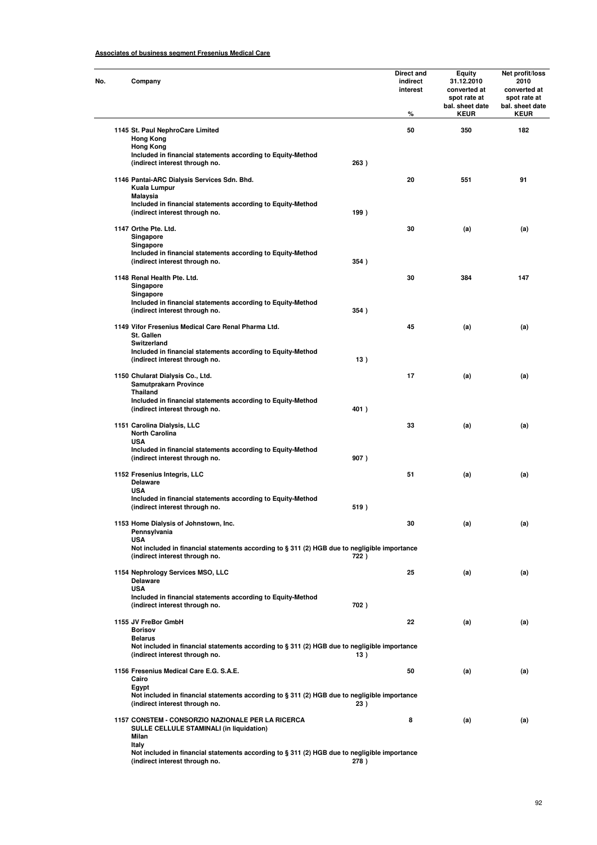# **Associates of business segment Fresenius Medical Care**

| Company                                                                                                                                      |      | Direct and<br>indirect<br>interest<br>℅ | <b>Equity</b><br>31.12.2010<br>converted at<br>spot rate at<br>bal. sheet date<br><b>KEUR</b> | Net profit/loss<br>2010<br>converted at<br>spot rate at<br>bal. sheet date<br><b>KEUR</b> |
|----------------------------------------------------------------------------------------------------------------------------------------------|------|-----------------------------------------|-----------------------------------------------------------------------------------------------|-------------------------------------------------------------------------------------------|
|                                                                                                                                              |      |                                         |                                                                                               |                                                                                           |
| 1145 St. Paul NephroCare Limited<br><b>Hong Kong</b><br><b>Hong Kong</b><br>Included in financial statements according to Equity-Method      |      | 50                                      | 350                                                                                           | 182                                                                                       |
| (indirect interest through no.                                                                                                               | 263) |                                         |                                                                                               |                                                                                           |
| 1146 Pantai-ARC Dialysis Services Sdn. Bhd.<br>Kuala Lumpur<br>Malaysia                                                                      |      | 20                                      | 551                                                                                           | 91                                                                                        |
| Included in financial statements according to Equity-Method<br>(indirect interest through no.                                                | 199) |                                         |                                                                                               |                                                                                           |
| 1147 Orthe Pte. Ltd.<br>Singapore                                                                                                            |      | 30                                      | (a)                                                                                           | (a)                                                                                       |
| Singapore                                                                                                                                    |      |                                         |                                                                                               |                                                                                           |
| Included in financial statements according to Equity-Method<br>(indirect interest through no.                                                | 354) |                                         |                                                                                               |                                                                                           |
| 1148 Renal Health Pte. Ltd.<br>Singapore                                                                                                     |      | 30                                      | 384                                                                                           | 147                                                                                       |
| Singapore<br>Included in financial statements according to Equity-Method<br>(indirect interest through no.                                   | 354) |                                         |                                                                                               |                                                                                           |
| 1149 Vifor Fresenius Medical Care Renal Pharma Ltd.<br>St. Gallen<br><b>Switzerland</b>                                                      |      | 45                                      | (a)                                                                                           | (a)                                                                                       |
| Included in financial statements according to Equity-Method<br>(indirect interest through no.                                                | 13)  |                                         |                                                                                               |                                                                                           |
| 1150 Chularat Dialysis Co., Ltd.<br>Samutprakarn Province<br><b>Thailand</b>                                                                 |      | 17                                      | (a)                                                                                           | (a)                                                                                       |
| Included in financial statements according to Equity-Method<br>(indirect interest through no.                                                | 401) |                                         |                                                                                               |                                                                                           |
| 1151 Carolina Dialysis, LLC<br><b>North Carolina</b><br><b>USA</b>                                                                           |      | 33                                      | (a)                                                                                           | (a)                                                                                       |
| Included in financial statements according to Equity-Method<br>(indirect interest through no.                                                | 907) |                                         |                                                                                               |                                                                                           |
| 1152 Fresenius Integris, LLC<br><b>Delaware</b><br><b>USA</b>                                                                                |      | 51                                      | (a)                                                                                           | (a)                                                                                       |
| Included in financial statements according to Equity-Method<br>(indirect interest through no.                                                | 519) |                                         |                                                                                               |                                                                                           |
| 1153 Home Dialysis of Johnstown, Inc.<br>Pennsylvania                                                                                        |      | 30                                      | (a)                                                                                           | (a)                                                                                       |
| <b>USA</b><br>Not included in financial statements according to § 311 (2) HGB due to negligible importance<br>(indirect interest through no. | 722) |                                         |                                                                                               |                                                                                           |
| 1154 Nephrology Services MSO, LLC<br><b>Delaware</b><br><b>USA</b>                                                                           |      | 25                                      | (a)                                                                                           | (a)                                                                                       |
| Included in financial statements according to Equity-Method<br>(indirect interest through no.                                                | 702) |                                         |                                                                                               |                                                                                           |
| 1155 JV FreBor GmbH<br><b>Borisov</b><br><b>Belarus</b>                                                                                      |      | 22                                      | (a)                                                                                           | (a)                                                                                       |
| Not included in financial statements according to § 311 (2) HGB due to negligible importance<br>(indirect interest through no.               | 13)  |                                         |                                                                                               |                                                                                           |
| 1156 Fresenius Medical Care E.G. S.A.E.<br>Cairo                                                                                             |      | 50                                      | (a)                                                                                           | (a)                                                                                       |
| Egypt<br>Not included in financial statements according to § 311 (2) HGB due to negligible importance<br>(indirect interest through no.      | 23)  |                                         |                                                                                               |                                                                                           |
| 1157 CONSTEM - CONSORZIO NAZIONALE PER LA RICERCA<br><b>SULLE CELLULE STAMINALI (in liquidation)</b><br>Milan                                |      | 8                                       | (a)                                                                                           | (a)                                                                                       |
| Italy<br>Not included in financial statements according to $\S 311$ (2) HGB due to negligible importance<br>(indirect interest through no.   | 278) |                                         |                                                                                               |                                                                                           |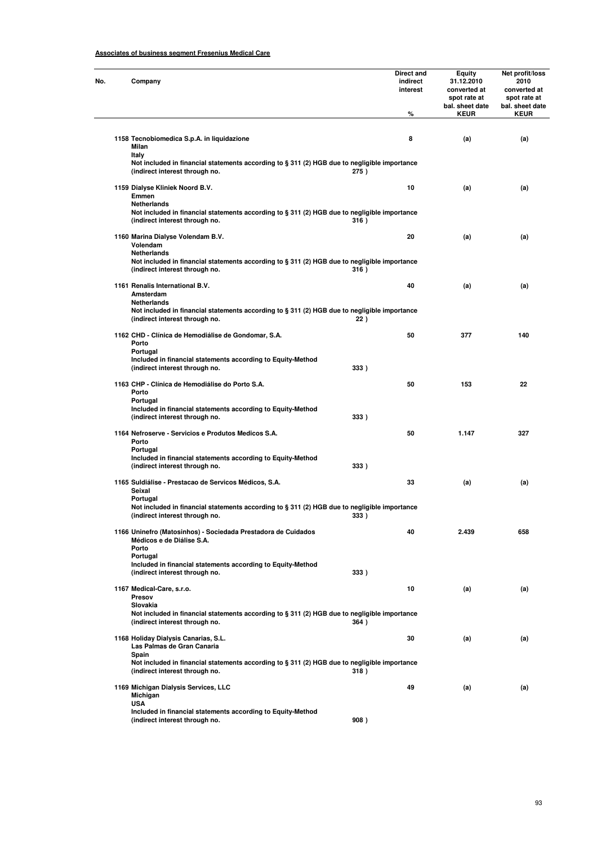# **Associates of business segment Fresenius Medical Care**

| No. | Company                                                                                                                                               | Direct and<br>indirect<br>interest | <b>Equity</b><br>31.12.2010<br>converted at<br>spot rate at<br>bal. sheet date | Net profit/loss<br>2010<br>converted at<br>spot rate at<br>bal. sheet date |
|-----|-------------------------------------------------------------------------------------------------------------------------------------------------------|------------------------------------|--------------------------------------------------------------------------------|----------------------------------------------------------------------------|
|     |                                                                                                                                                       | %                                  | <b>KEUR</b>                                                                    | <b>KEUR</b>                                                                |
|     | 1158 Tecnobiomedica S.p.A. in liquidazione<br>Milan<br><b>Italy</b>                                                                                   | 8                                  | (a)                                                                            | (a)                                                                        |
|     | Not included in financial statements according to § 311 (2) HGB due to negligible importance<br>(indirect interest through no.<br>275)                |                                    |                                                                                |                                                                            |
|     | 1159 Dialyse Kliniek Noord B.V.<br>Emmen                                                                                                              | 10                                 | (a)                                                                            | (a)                                                                        |
|     | Netherlands<br>Not included in financial statements according to § 311 (2) HGB due to negligible importance<br>(indirect interest through no.<br>316) |                                    |                                                                                |                                                                            |
|     | 1160 Marina Dialyse Volendam B.V.<br>Volendam                                                                                                         | 20                                 | (a)                                                                            | (a)                                                                        |
|     | Netherlands<br>Not included in financial statements according to § 311 (2) HGB due to negligible importance<br>(indirect interest through no.<br>316) |                                    |                                                                                |                                                                            |
|     | 1161 Renalis International B.V.<br>Amsterdam                                                                                                          | 40                                 | (a)                                                                            | (a)                                                                        |
|     | Netherlands<br>Not included in financial statements according to § 311 (2) HGB due to negligible importance<br>(indirect interest through no.<br>22)  |                                    |                                                                                |                                                                            |
|     | 1162 CHD - Clínica de Hemodiálise de Gondomar, S.A.<br>Porto<br>Portugal                                                                              | 50                                 | 377                                                                            | 140                                                                        |
|     | Included in financial statements according to Equity-Method<br>(indirect interest through no.<br>333)                                                 |                                    |                                                                                |                                                                            |
|     | 1163 CHP - Clínica de Hemodiálise do Porto S.A.<br>Porto                                                                                              | 50                                 | 153                                                                            | 22                                                                         |
|     | Portugal<br>Included in financial statements according to Equity-Method<br>(indirect interest through no.<br>333)                                     |                                    |                                                                                |                                                                            |
|     | 1164 Nefroserve - Servicios e Produtos Medicos S.A.<br>Porto<br>Portugal                                                                              | 50                                 | 1.147                                                                          | 327                                                                        |
|     | Included in financial statements according to Equity-Method<br>(indirect interest through no.<br>333)                                                 |                                    |                                                                                |                                                                            |
|     | 1165 Suldiálise - Prestacao de Servicos Médicos, S.A.<br>Seixal<br>Portugal                                                                           | 33                                 | (a)                                                                            | (a)                                                                        |
|     | Not included in financial statements according to § 311 (2) HGB due to negligible importance<br>(indirect interest through no.<br>333)                |                                    |                                                                                |                                                                            |
|     | 1166 Uninefro (Matosinhos) - Sociedada Prestadora de Cuidados<br>Médicos e de Diálise S.A.<br>Porto                                                   | 40                                 | 2.439                                                                          | 658                                                                        |
|     | Portugal<br>Included in financial statements according to Equity-Method<br>(indirect interest through no.<br>333)                                     |                                    |                                                                                |                                                                            |
|     | 1167 Medical-Care, s.r.o.<br>Presov                                                                                                                   | 10                                 | (a)                                                                            | (a)                                                                        |
|     | Slovakia<br>Not included in financial statements according to § 311 (2) HGB due to negligible importance<br>(indirect interest through no.<br>364)    |                                    |                                                                                |                                                                            |
|     | 1168 Holiday Dialysis Canarias, S.L.<br>Las Palmas de Gran Canaria                                                                                    | 30                                 | (a)                                                                            | (a)                                                                        |
|     | Spain<br>Not included in financial statements according to § 311 (2) HGB due to negligible importance<br>(indirect interest through no.<br>318)       |                                    |                                                                                |                                                                            |
|     | 1169 Michigan Dialysis Services, LLC<br>Michigan                                                                                                      | 49                                 | (a)                                                                            | (a)                                                                        |
|     | <b>USA</b><br>Included in financial statements according to Equity-Method<br>(indirect interest through no.<br>908)                                   |                                    |                                                                                |                                                                            |

93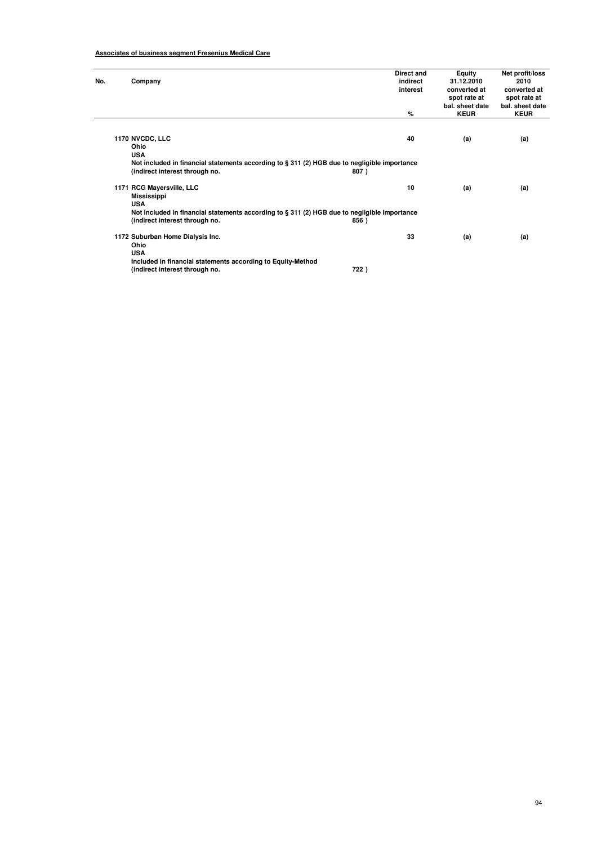# **Associates of business segment Fresenius Medical Care**

| No. | Company                                                                                                                           |      | Direct and<br>indirect<br>interest<br>% | Equity<br>31.12.2010<br>converted at<br>spot rate at<br>bal, sheet date<br><b>KEUR</b> | Net profit/loss<br>2010<br>converted at<br>spot rate at<br>bal, sheet date<br><b>KEUR</b> |
|-----|-----------------------------------------------------------------------------------------------------------------------------------|------|-----------------------------------------|----------------------------------------------------------------------------------------|-------------------------------------------------------------------------------------------|
|     |                                                                                                                                   |      |                                         |                                                                                        |                                                                                           |
|     | 1170 NVCDC, LLC<br>Ohio<br><b>USA</b>                                                                                             |      | 40                                      | (a)                                                                                    | (a)                                                                                       |
|     | Not included in financial statements according to $\S 311$ (2) HGB due to negligible importance<br>(indirect interest through no. | 807) |                                         |                                                                                        |                                                                                           |
|     | 1171 RCG Mayersville, LLC<br>Mississippi<br><b>USA</b>                                                                            |      | 10                                      | (a)                                                                                    | (a)                                                                                       |
|     | Not included in financial statements according to $\S 311$ (2) HGB due to negligible importance<br>(indirect interest through no. | 856) |                                         |                                                                                        |                                                                                           |
|     | 1172 Suburban Home Dialysis Inc.<br>Ohio<br><b>USA</b>                                                                            |      | 33                                      | (a)                                                                                    | (a)                                                                                       |
|     | Included in financial statements according to Equity-Method<br>(indirect interest through no.                                     | 722) |                                         |                                                                                        |                                                                                           |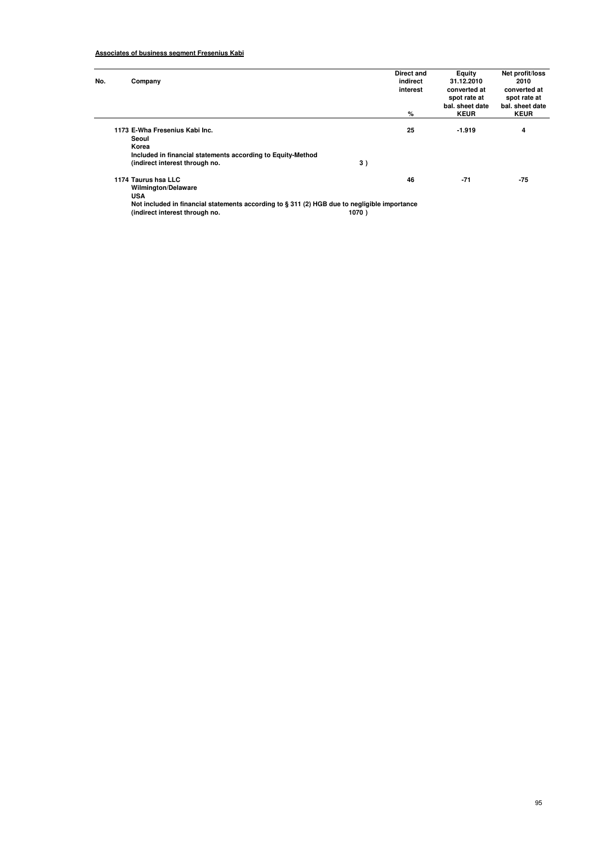| No. | Company                                                                                                                                                         |    | Direct and<br>indirect<br>interest<br>% | Equity<br>31.12.2010<br>converted at<br>spot rate at<br>bal, sheet date<br><b>KEUR</b> | Net profit/loss<br>2010<br>converted at<br>spot rate at<br>bal. sheet date<br><b>KEUR</b> |
|-----|-----------------------------------------------------------------------------------------------------------------------------------------------------------------|----|-----------------------------------------|----------------------------------------------------------------------------------------|-------------------------------------------------------------------------------------------|
|     | 1173 E-Wha Fresenius Kabi Inc.<br>Seoul<br>Korea<br>Included in financial statements according to Equity-Method<br>(indirect interest through no.               | 3) | 25                                      | $-1.919$                                                                               | 4                                                                                         |
|     | 1174 Taurus hsa LLC<br><b>Wilmington/Delaware</b><br><b>USA</b><br>Not included in financial statements according to § 311 (2) HGB due to negligible importance |    | 46                                      | $-71$                                                                                  | $-75$                                                                                     |

**(indirect interest through no. 1070 )**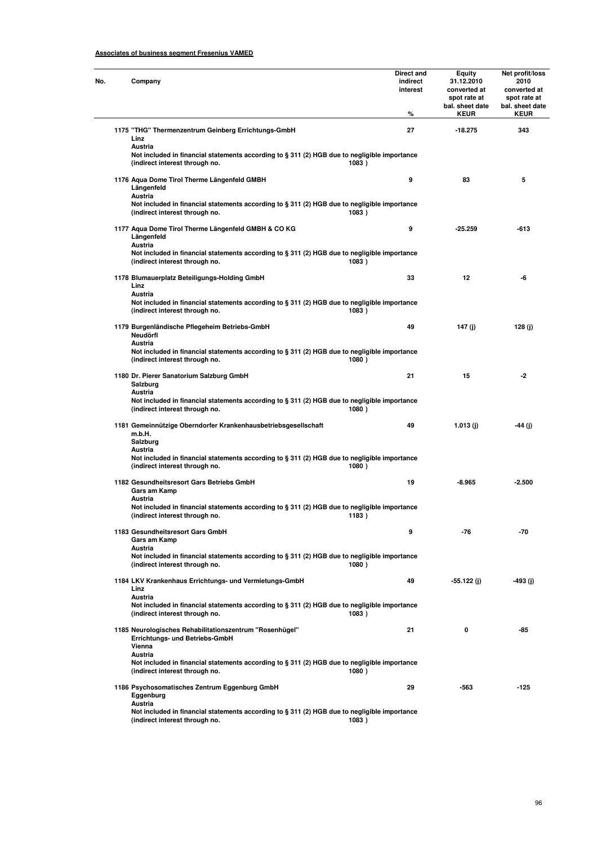| Company                                                                                                                                               | Direct and<br>indirect<br>interest<br>℅ | Equity<br>31.12.2010<br>converted at<br>spot rate at<br>bal. sheet date<br><b>KEUR</b> | Net profit/loss<br>2010<br>converted at<br>spot rate at<br>bal. sheet date<br><b>KEUR</b> |
|-------------------------------------------------------------------------------------------------------------------------------------------------------|-----------------------------------------|----------------------------------------------------------------------------------------|-------------------------------------------------------------------------------------------|
| 1175 "THG" Thermenzentrum Geinberg Errichtungs-GmbH<br>Linz<br>Austria                                                                                | 27                                      | $-18.275$                                                                              | 343                                                                                       |
| Not included in financial statements according to § 311 (2) HGB due to negligible importance<br>(indirect interest through no.<br>1083)               |                                         |                                                                                        |                                                                                           |
| 1176 Aqua Dome Tirol Therme Längenfeld GMBH<br>Längenfeld<br>Austria                                                                                  | 9                                       | 83                                                                                     | 5                                                                                         |
| Not included in financial statements according to § 311 (2) HGB due to negligible importance<br>(indirect interest through no.<br>1083)               |                                         |                                                                                        |                                                                                           |
| 1177 Aqua Dome Tirol Therme Längenfeld GMBH & CO KG<br>Längenfeld<br>Austria                                                                          | 9                                       | $-25.259$                                                                              | -613                                                                                      |
| Not included in financial statements according to § 311 (2) HGB due to negligible importance<br>(indirect interest through no.<br>1083)               |                                         |                                                                                        |                                                                                           |
| 1178 Blumauerplatz Beteiligungs-Holding GmbH<br>Linz<br>Austria                                                                                       | 33                                      | 12                                                                                     | -6                                                                                        |
| Not included in financial statements according to § 311 (2) HGB due to negligible importance<br>(indirect interest through no.<br>1083)               |                                         |                                                                                        |                                                                                           |
| 1179 Burgenländische Pflegeheim Betriebs-GmbH<br>Neudörfl<br>Austria                                                                                  | 49                                      | 147 (j)                                                                                | 128 (j)                                                                                   |
| Not included in financial statements according to § 311 (2) HGB due to negligible importance<br>(indirect interest through no.<br>1080)               |                                         |                                                                                        |                                                                                           |
| 1180 Dr. Pierer Sanatorium Salzburg GmbH<br>Salzburg<br>Austria                                                                                       | 21                                      | 15                                                                                     | -2                                                                                        |
| Not included in financial statements according to § 311 (2) HGB due to negligible importance<br>(indirect interest through no.<br>1080)               |                                         |                                                                                        |                                                                                           |
| 1181 Gemeinnützige Oberndorfer Krankenhausbetriebsgesellschaft<br>m.b.H.<br>Salzburg                                                                  | 49                                      | 1.013(j)                                                                               | -44 (j)                                                                                   |
| Austria<br>Not included in financial statements according to § 311 (2) HGB due to negligible importance<br>(indirect interest through no.<br>1080)    |                                         |                                                                                        |                                                                                           |
| 1182 Gesundheitsresort Gars Betriebs GmbH<br>Gars am Kamp<br>Austria                                                                                  | 19                                      | -8.965                                                                                 | $-2.500$                                                                                  |
| Not included in financial statements according to § 311 (2) HGB due to negligible importance<br>(indirect interest through no.<br>1183)               |                                         |                                                                                        |                                                                                           |
| 1183 Gesundheitsresort Gars GmbH<br>Gars am Kamp<br>Austria                                                                                           | 9                                       | -76                                                                                    | -70                                                                                       |
| Not included in financial statements according to $\S 311$ (2) HGB due to negligible importance<br>(indirect interest through no.<br>1080)            |                                         |                                                                                        |                                                                                           |
| 1184 LKV Krankenhaus Errichtungs- und Vermietungs-GmbH<br>Linz<br>Austria                                                                             | 49                                      | -55.122 (j)                                                                            | -493 (j)                                                                                  |
| Not included in financial statements according to § 311 (2) HGB due to negligible importance<br>(indirect interest through no.<br>1083)               |                                         |                                                                                        |                                                                                           |
| 1185 Neurologisches Rehabilitationszentrum "Rosenhügel"<br>Errichtungs- und Betriebs-GmbH<br>Vienna                                                   | 21                                      | 0                                                                                      | -85                                                                                       |
| Austria<br>Not included in financial statements according to $\S 311$ (2) HGB due to negligible importance<br>(indirect interest through no.<br>1080) |                                         |                                                                                        |                                                                                           |
| 1186 Psychosomatisches Zentrum Eggenburg GmbH<br>Eggenburg                                                                                            | 29                                      | -563                                                                                   | $-125$                                                                                    |
| Austria<br>Not included in financial statements according to $\S 311 (2)$ HGB due to negligible importance<br>(indirect interest through no.<br>1083) |                                         |                                                                                        |                                                                                           |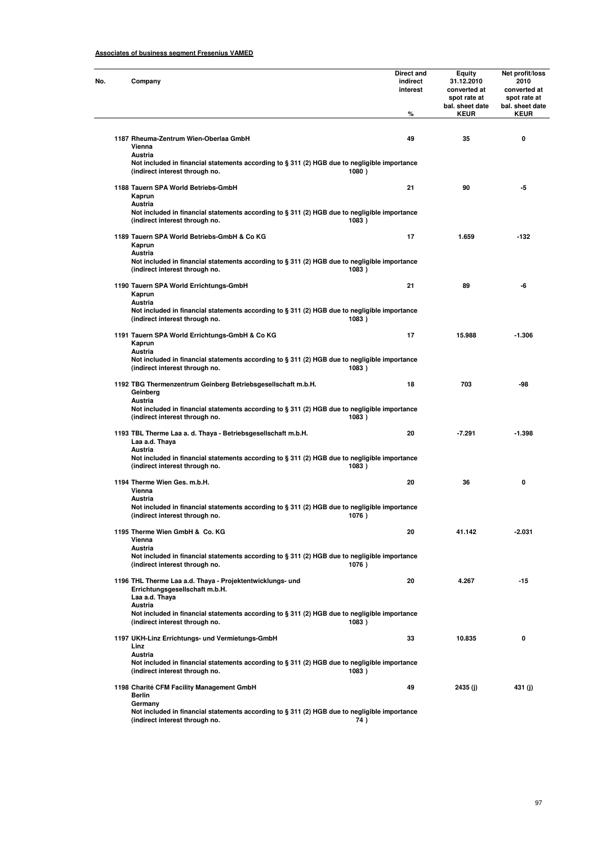| Company                                                                                                                                            | Direct and<br>indirect<br>interest | Equity<br>31.12.2010<br>converted at<br>spot rate at<br>bal. sheet date | Net profit/loss<br>2010<br>converted at<br>spot rate at<br>bal. sheet date |
|----------------------------------------------------------------------------------------------------------------------------------------------------|------------------------------------|-------------------------------------------------------------------------|----------------------------------------------------------------------------|
|                                                                                                                                                    | %                                  | <b>KEUR</b>                                                             | <b>KEUR</b>                                                                |
| 1187 Rheuma-Zentrum Wien-Oberlaa GmbH<br>Vienna<br>Austria                                                                                         | 49                                 | 35                                                                      | 0                                                                          |
| Not included in financial statements according to § 311 (2) HGB due to negligible importance<br>(indirect interest through no.<br>1080)            |                                    |                                                                         |                                                                            |
| 1188 Tauern SPA World Betriebs-GmbH<br>Kaprun<br>Austria                                                                                           | 21                                 | 90                                                                      | -5                                                                         |
| Not included in financial statements according to § 311 (2) HGB due to negligible importance<br>(indirect interest through no.<br>1083)            |                                    |                                                                         |                                                                            |
| 1189 Tauern SPA World Betriebs-GmbH & Co KG<br>Kaprun<br>Austria                                                                                   | 17                                 | 1.659                                                                   | $-132$                                                                     |
| Not included in financial statements according to § 311 (2) HGB due to negligible importance<br>(indirect interest through no.<br>1083)            |                                    |                                                                         |                                                                            |
| 1190 Tauern SPA World Errichtungs-GmbH<br>Kaprun<br>Austria                                                                                        | 21                                 | 89                                                                      | -6                                                                         |
| Not included in financial statements according to § 311 (2) HGB due to negligible importance<br>(indirect interest through no.<br>1083)            |                                    |                                                                         |                                                                            |
| 1191 Tauern SPA World Errichtungs-GmbH & Co KG<br>Kaprun<br>Austria                                                                                | 17                                 | 15.988                                                                  | -1.306                                                                     |
| Not included in financial statements according to § 311 (2) HGB due to negligible importance<br>(indirect interest through no.<br>1083)            |                                    |                                                                         |                                                                            |
| 1192 TBG Thermenzentrum Geinberg Betriebsgesellschaft m.b.H.<br>Geinberg<br>Austria                                                                | 18                                 | 703                                                                     | -98                                                                        |
| Not included in financial statements according to § 311 (2) HGB due to negligible importance<br>(indirect interest through no.<br>1083)            |                                    |                                                                         |                                                                            |
| 1193 TBL Therme Laa a. d. Thaya - Betriebsgesellschaft m.b.H.<br>Laa a.d. Thaya<br>Austria                                                         | 20                                 | $-7.291$                                                                | -1.398                                                                     |
| Not included in financial statements according to § 311 (2) HGB due to negligible importance<br>(indirect interest through no.<br>1083)            |                                    |                                                                         |                                                                            |
| 1194 Therme Wien Ges. m.b.H.<br>Vienna<br>Austria                                                                                                  | 20                                 | 36                                                                      | 0                                                                          |
| Not included in financial statements according to § 311 (2) HGB due to negligible importance<br>(indirect interest through no.<br>1076)            |                                    |                                                                         |                                                                            |
| 1195 Therme Wien GmbH & Co. KG<br>Vienna<br>Austria                                                                                                | 20                                 | 41.142                                                                  | $-2.031$                                                                   |
| Not included in financial statements according to § 311 (2) HGB due to negligible importance<br>(indirect interest through no.<br>1076)            |                                    |                                                                         |                                                                            |
| 1196 THL Therme Laa a.d. Thaya - Projektentwicklungs- und<br>Errichtungsgesellschaft m.b.H.<br>Laa a.d. Thaya                                      | 20                                 | 4.267                                                                   | $-15$                                                                      |
| Austria<br>Not included in financial statements according to § 311 (2) HGB due to negligible importance<br>(indirect interest through no.<br>1083) |                                    |                                                                         |                                                                            |
| 1197 UKH-Linz Errichtungs- und Vermietungs-GmbH<br>Linz                                                                                            | 33                                 | 10.835                                                                  | 0                                                                          |
| Austria<br>Not included in financial statements according to § 311 (2) HGB due to negligible importance<br>(indirect interest through no.<br>1083) |                                    |                                                                         |                                                                            |
| 1198 Charité CFM Facility Management GmbH<br><b>Berlin</b><br>Germany                                                                              | 49                                 | 2435 (j)                                                                | 431 (j)                                                                    |
| Not included in financial statements according to $\S 311$ (2) HGB due to negligible importance<br>(indirect interest through no.<br>74)           |                                    |                                                                         |                                                                            |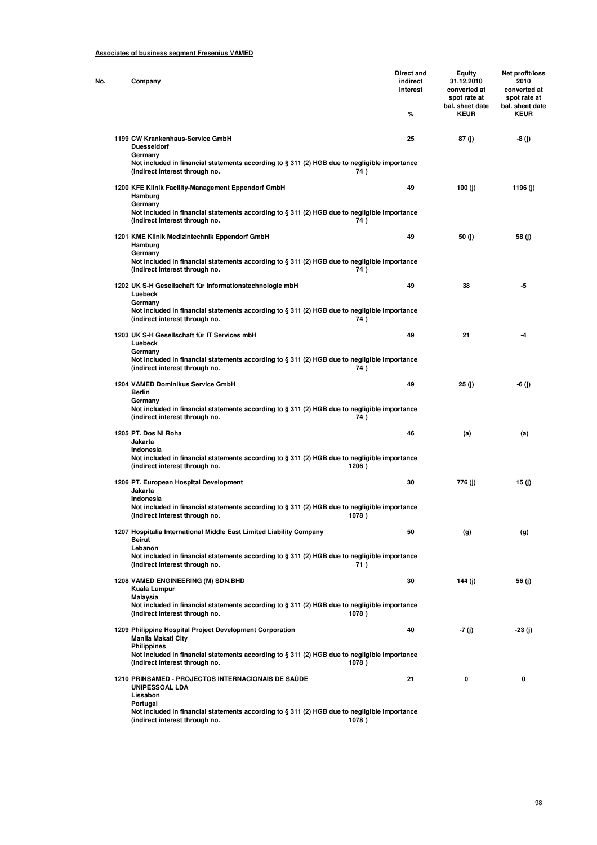| No. | Company                                                                                                                                                          | Direct and<br>indirect<br>interest<br>% | Equity<br>31.12.2010<br>converted at<br>spot rate at<br>bal. sheet date<br><b>KEUR</b> | Net profit/loss<br>2010<br>converted at<br>spot rate at<br>bal. sheet date<br><b>KEUR</b> |
|-----|------------------------------------------------------------------------------------------------------------------------------------------------------------------|-----------------------------------------|----------------------------------------------------------------------------------------|-------------------------------------------------------------------------------------------|
|     |                                                                                                                                                                  |                                         |                                                                                        |                                                                                           |
|     | 1199 CW Krankenhaus-Service GmbH<br><b>Duesseldorf</b><br>Germany                                                                                                | 25                                      | 87 (j)                                                                                 | -8 (j)                                                                                    |
|     | Not included in financial statements according to § 311 (2) HGB due to negligible importance<br>(indirect interest through no.<br>74)                            |                                         |                                                                                        |                                                                                           |
|     | 1200 KFE Klinik Facility-Management Eppendorf GmbH<br>Hamburg<br>Germany                                                                                         | 49                                      | 100 $(i)$                                                                              | 1196 (i)                                                                                  |
|     | Not included in financial statements according to § 311 (2) HGB due to negligible importance<br>(indirect interest through no.<br>74)                            |                                         |                                                                                        |                                                                                           |
|     | 1201 KME Klinik Medizintechnik Eppendorf GmbH<br>Hamburg<br>Germany                                                                                              | 49                                      | 50 (j)                                                                                 | 58 (j)                                                                                    |
|     | Not included in financial statements according to § 311 (2) HGB due to negligible importance<br>(indirect interest through no.<br>74)                            |                                         |                                                                                        |                                                                                           |
|     | 1202 UK S-H Gesellschaft für Informationstechnologie mbH<br>Luebeck                                                                                              | 49                                      | 38                                                                                     | -5                                                                                        |
|     | Germany<br>Not included in financial statements according to § 311 (2) HGB due to negligible importance<br>(indirect interest through no.<br>74)                 |                                         |                                                                                        |                                                                                           |
|     | 1203 UK S-H Gesellschaft für IT Services mbH<br>Luebeck                                                                                                          | 49                                      | 21                                                                                     | -4                                                                                        |
|     | Germany<br>Not included in financial statements according to § 311 (2) HGB due to negligible importance<br>(indirect interest through no.<br>74)                 |                                         |                                                                                        |                                                                                           |
|     | 1204 VAMED Dominikus Service GmbH<br>Berlin                                                                                                                      | 49                                      | 25 (j)                                                                                 | -6 (j)                                                                                    |
|     | Germany<br>Not included in financial statements according to § 311 (2) HGB due to negligible importance<br>(indirect interest through no.<br>74)                 |                                         |                                                                                        |                                                                                           |
|     | 1205 PT. Dos Ni Roha<br>Jakarta<br>Indonesia                                                                                                                     | 46                                      | (a)                                                                                    | (a)                                                                                       |
|     | Not included in financial statements according to § 311 (2) HGB due to negligible importance<br>(indirect interest through no.<br>1206)                          |                                         |                                                                                        |                                                                                           |
|     | 1206 PT. European Hospital Development<br>Jakarta                                                                                                                | 30                                      | 776 (j)                                                                                | 15 (j)                                                                                    |
|     | Indonesia<br>Not included in financial statements according to § 311 (2) HGB due to negligible importance<br>1078)<br>(indirect interest through no.             |                                         |                                                                                        |                                                                                           |
|     | 1207 Hospitalia International Middle East Limited Liability Company<br><b>Beirut</b>                                                                             | 50                                      | (g)                                                                                    | (g)                                                                                       |
|     | Lebanon<br>Not included in financial statements according to § 311 (2) HGB due to negligible importance<br>(indirect interest through no.<br>71)                 |                                         |                                                                                        |                                                                                           |
|     | 1208 VAMED ENGINEERING (M) SDN.BHD<br>Kuala Lumpur                                                                                                               | 30                                      | 144 (j)                                                                                | 56 (j)                                                                                    |
|     | <b>Malaysia</b><br>Not included in financial statements according to § 311 (2) HGB due to negligible importance<br>(indirect interest through no.<br>1078)       |                                         |                                                                                        |                                                                                           |
|     | 1209 Philippine Hospital Project Development Corporation<br><b>Manila Makati City</b>                                                                            | 40                                      | -7 (j)                                                                                 | -23 (j)                                                                                   |
|     | <b>Philippines</b><br>Not included in financial statements according to $\S 311$ (2) HGB due to negligible importance<br>(indirect interest through no.<br>1078) |                                         |                                                                                        |                                                                                           |
|     | 1210 PRINSAMED - PROJECTOS INTERNACIONAIS DE SAÚDE<br><b>UNIPESSOAL LDA</b><br>Lissabon                                                                          | 21                                      | 0                                                                                      | 0                                                                                         |
|     | Portugal<br>Not included in financial statements according to § 311 (2) HGB due to negligible importance<br>(indirect interest through no.<br>1078)              |                                         |                                                                                        |                                                                                           |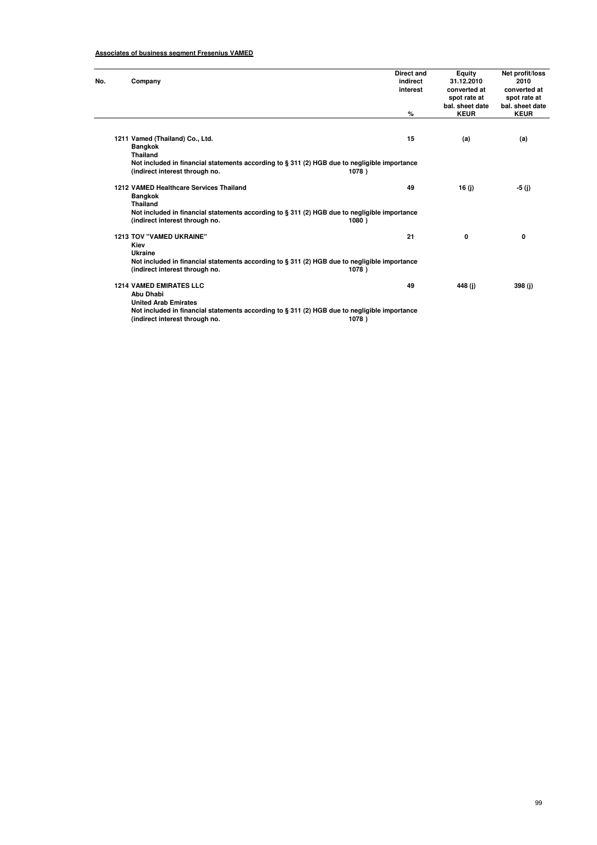| No. | Company                                                                                                                           | Direct and<br>indirect<br>interest<br>% | Equity<br>31.12.2010<br>converted at<br>spot rate at<br>bal. sheet date<br><b>KEUR</b> | Net profit/loss<br>2010<br>converted at<br>spot rate at<br>bal. sheet date<br><b>KEUR</b> |
|-----|-----------------------------------------------------------------------------------------------------------------------------------|-----------------------------------------|----------------------------------------------------------------------------------------|-------------------------------------------------------------------------------------------|
|     |                                                                                                                                   |                                         |                                                                                        |                                                                                           |
|     | 1211 Vamed (Thailand) Co., Ltd.<br><b>Bangkok</b><br><b>Thailand</b>                                                              | 15                                      | (a)                                                                                    | (a)                                                                                       |
|     | Not included in financial statements according to $\S 311$ (2) HGB due to negligible importance<br>(indirect interest through no. | 1078)                                   |                                                                                        |                                                                                           |
|     | 1212 VAMED Healthcare Services Thailand<br><b>Bangkok</b><br><b>Thailand</b>                                                      | 49                                      | 16(i)                                                                                  | -5 (j)                                                                                    |
|     | Not included in financial statements according to § 311 (2) HGB due to negligible importance<br>(indirect interest through no.    | 1080)                                   |                                                                                        |                                                                                           |
|     | <b>1213 TOV "VAMED UKRAINE"</b><br>Kiev<br>Ukraine                                                                                | 21                                      | 0                                                                                      | 0                                                                                         |
|     | Not included in financial statements according to § 311 (2) HGB due to negligible importance<br>(indirect interest through no.    | 1078)                                   |                                                                                        |                                                                                           |
|     | <b>1214 VAMED EMIRATES LLC</b><br>Abu Dhabi<br><b>United Arab Emirates</b>                                                        | 49                                      | 448(i)                                                                                 | 398 (j)                                                                                   |
|     | Not included in financial statements according to $\S 311$ (2) HGB due to negligible importance<br>(indirect interest through no. | 1078)                                   |                                                                                        |                                                                                           |